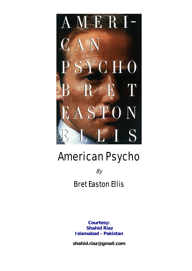

# American Psycho

By

# Bret Easton Ellis

**Courtesy: Shahid Riaz Islamabad - Pakistan** 

**shahid.riaz@gmail.com**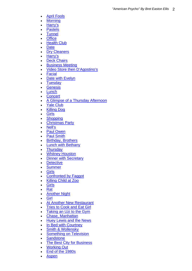- April Fools
- Morning
- Harry's
- Pastels
- Tunnel
- Office
- Health Club
- Date
- Dry Cleaners
- Harry's
- Deck Chairs
- Business Meeting
- Video Store then D'Agostino's
- Facial
- Date with Evelyn
- Tuesday
- Genesis
- Lunch
- Concert
- A Glimpse of a Thursday Afternoon
- Yale Club
- Killing Dog
- Girls
- Shopping
- Christmas Party
- Nell's
- Paul Owen
- Paul Smith
- Birthday, Brothers
- Lunch with Bethany
- Thursday
- Whitney Houston
- Dinner with Secretary
- Detective
- Summer
- Girls
- Confronted by Faggot
- **Killing Child at Zoo**
- Girls
- Rat
- **Another Night**
- Girl
- At Another New Restaurant
- Tries to Cook and Eat Girl
- Taking an Uzi to the Gym
- Chase, Manhattan
- Huey Lewis and the News
- In Bed with Courtney
- Smith & Wollensky
- Something on Television
- Sandstone
- The Best City for Business
- Working Out
- End of the 1980s
- Aspen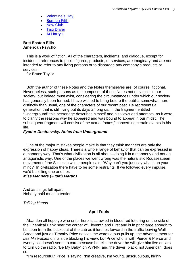- Valentine's Day
- Bum on Fifth
- **New Club**
- **Taxi Driver**
- At Harry's

# **Bret Easton Ellis American Psycho**

 This is a work of fiction. All of the characters, incidents, and dialogue, except for incidental references to public figures, products, or services, are imaginary and are not intended to refer to any living persons or to disparage any company's products or services.

for Bruce Taylor

 Both the author of these Notes and the Notes themselves are, of course, fictional. Nevertheless, such persons as the composer of these Notes not only exist in our society, but indeed must exist, considering the circumstances under which our society has generally been formed. I have wished to bring before the public, somewhat more distinctly than usual, one of the characters of our recent past. He represents a generation that is still living out its days among us. In the fragment entitled "Underground" this personage describes himself and his views and attempts, as it were, to clarify the reasons why he appeared and was bound to appear in our midst. The subsequent fragment will consist of the actual "notes," concerning certain events in his life.

# *Fyodor Dostoevsky. Notes from Underground*

 One of the major mistakes people make is that they think manners are only the expression of happy ideas. There's a whole range of behavior that can be expressed in a mannerly way. That's what civilization is all about—doing it in a mannerly and not an antagonistic way. One of the places we went wrong was the naturalistic Rousseauean movement of the Sixties in which people said, "Why can't you just say what's on your mind?" In civilization there have to be some restraints. If we followed every impulse, we'd be killing one another.

# *Miss Manners (Judith Martin)*

And as things fell apart Nobody paid much attention

*Talking Heads*

# **April Fools**

 Abandon all hope ye who enter here is scrawled in blood red lettering on the side of the Chemical Bank near the corner of Eleventh and First and is in print large enough to be seen from the backseat of the cab as it lurches forward in the traffic leaving Wall Street and just as Timothy Price notices the words a bus pulls up, the advertisement for *Les Misérables* on its side blocking his view, but Price who is with Pierce & Pierce and twenty-six doesn't seem to care because he tells the driver he will give him five dollars to turn up the radio, "Be My Baby" on WYNN, and the driver, black, not American, does so.

"I'm resourceful," Price is saying. "I'm creative, I'm young, unscrupulous, highly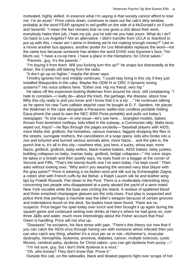motivated, highly skilled. In essence what I'm saying is that society can*not* afford to lose me. I'm an *asset*." Price calms down, continues to stare out the cab's dirty window, probably at the word FEAR sprayed in red graffiti on the side of a McDonald's on Fourth and Seventh. "I mean the fact remains that no one gives a shit about their work, everybody hates their job, *I* hate my job, *you've* told me you hate yours. What do I do? Go back to Los Angeles? *Not* an alternative. I didn't transfer from UCLA to Stanford to put up with this. I mean am I *alone* in thinking we're not making enough money?" Like in a movie another bus appears, another poster for *Les Misérables* replaces the word—not the same bus because someone has written the word DYKE over Eponine's face. Tim blurts out, "I have a co-op here. I have a place in the *Hamptons*, for Christ sakes."

"Parents', guy. It's the parents'."

 "I'm *buying* it from them. Will you fucking turn this *up*?" he snaps but distractedly at the driver, the Crystals still blaring from the radio.

"It don't go up no higher," maybe the driver says.

 Timothy ignores him and irritably continues. "I could stay living in this city if they just installed Blaupunkts in the cabs. Maybe the ODM III or ORC II dynamic tuning systems?" His voice softens here. "Either one. Hip my friend, very hip."

 He takes off the expensive-looking Walkman from around his neck, still complaining. "I hate to complain—I really do—about the trash, the garbage, the disease, about how filthy this city really is and you know and I know that it is a *sty* …" He continues talking as he opens his new Tumi calfskin attaché case he bought at D. F. Sanders. He places the Walkman in the case alongside a Panasonic wallet-size cordless portable folding Easa-phone (he used to own the NEC 9000 Porta portable) and pulls out today's newspaper. "In one issue—in *one* issue—let's see here… strangled models, babies thrown from tenement rooftops, kids killed in the subway, a Communist rally, Mafia boss wiped out, Nazis"—he flips through the pages excitedly—"baseball players with AIDS, more Mafia shit, gridlock, the homeless, various maniacs, faggots dropping like flies in the streets, surrogate mothers, the cancellation of a soap opera, kids who broke into a zoo and tortured and burned various animals alive, more Nazis… and the joke is, the punch line is, it's all in this city—nowhere else, just here, it sucks, whoa wait, more Nazis, gridlock, gridlock, baby-sellers, black-market babies, AIDS babies, baby junkies, building collapses on baby, maniac baby, gridlock, bridge collapses—" His voice stops, he takes in a breath and then quietly says, his eyes fixed on a beggar at the corner of Second and Fifth, "That's the twenty-fourth one I've seen today. I've kept count." Then asks without looking over, "Why aren't you wearing the worsted navy blue blazer with the gray pants?" Price is wearing a six-button wool and silk suit by Ermenegildo Zegna, a cotton shirt with French cuffs by Ike Behar, a Ralph Lauren silk tie and leather wing tips by Fratelli Rossetti. Pan down to the *Post*. There is a moderately interesting story concerning two people who disappeared at a party aboard the yacht of a semi-noted New York socialite while the boat was circling the island. A residue of spattered blood and three smashed champagne glasses are the only clues. Foul play is suspected and police think that perhaps a machete was the killer's weapon because of certain grooves and indentations found on the deck. No bodies have been found. There are no suspects. Price began his spiel today over lunch and then brought it up again during the squash game and continued ranting over drinks at Harry's where he had gone on, over three J&Bs and water, much more interestingly about the Fisher account that Paul Owen is handling. Price will not shut up.

 "Diseases!" he exclaims, his face tense with pain. "There's this theory out now that if you can catch the AIDS virus through having *sex* with someone who*is* infected then you can also catch *any* thing, whether it's a virus per se or not—Alzheimer's, muscular dystrophy, hemophilia, leukemia, anorexia, diabetes, cancer, multiple sclerosis, cystic fibrosis, cerebral palsy, dyslexia, for Christ sakes—you can get dyslexia from *pussy* —" "I'm not sure, guy, but I don't think dyslexia is a virus."

"Oh, who knows? *They* don't know that. Prove it."

Outside this cab, on the sidewalks, black and bloated pigeons fight over scraps of hot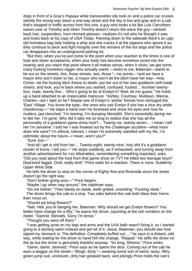dogs in front of a Gray's Papaya while transvestites idly look on and a police car cruises silently the wrong way down a one-way street and the sky is low and gray and in a cab that's stopped in traffic across from this one, a guy who looks a lot like Luis Carruthers waves over at Timothy and when Timothy doesn't return the wave the guy—slickedback hair, suspenders, horn-rimmed glasses—realizes it's not who he thought it was and looks back at his copy of *USA Today*. Panning down to the sidewalk there's an ugly old homeless bag lady holding a whip and she cracks it at the pigeons who ignore it as they continue to peck and fight hungrily over the remains of the hot dogs and the police car disappears into an underground parking lot.

 "But then, when you've just come to the point when your reaction to the times is one of total and sheer acceptance, when your body has become somehow *tuned* into the insanity and you reach that point where it all makes sense, when it clicks, we get some crazy fucking homeless nigger who actually *wants* —listen to me, Bateman—*wants* to be out on the streets, this, *those* streets, see, *those* "—he points—"and we have a mayor who won't listen to her, a mayor who won't let the *bitch* have her way—Holy Christ—let the fucking bitch *freeze* to death, put her out of her own goddamn self-made misery, and look, you're back where you started, confused, fucked… Number twentyfour, nope, twenty-five… Who's going to be at Evelyn's? Wait, let me guess." He holds up a hand attached to an impeccable manicure. "Ashley, Courtney, Muldwyn, Marina, Charles—am I right so far? Maybe one of Evelyn's 'artiste' friends from ohmygod the 'East' Village. You know the type—the ones who ask Evelyn if she has a nice dry *white* chardonnay—" He slaps a hand over his forehead and shuts his eyes and now he mutters, jaw clenched, "I'm leaving. I'm dumping Meredith. She's essentially *daring* me to like her. I'm gone. Why did it take me so long to realize that she has all the personality of a goddamn game-show host?… Twenty-six, twenty-seven… I mean I tell her I'm sensitive. I told her I was freaked out by the *Challenger* accident—what more does she want? I'm ethical, tolerant, I mean I'm extremely satisfied with my life, I'm optimistic about the future—I mean, aren't you?"

"Sure, but—"

 "And all I get is *shit* from her… Twenty-eight, twenty-nine, holy shit it's a goddamn *cluster* of bums. I tell you—" He stops suddenly, as if exhausted, and turning away from another advertisement for *Les Misérables*, remembering something important, asks, "Did you read about the host from that game show on TV? He killed two teenage boys? Depraved faggot. Droll, really droll." Price waits for a reaction. There is none. Suddenly: Upper West Side.

 He tells the driver to stop on the corner of Eighty-first and Riverside since the street doesn't go the right way.

"Don't bother going arou—" Price begins.

"Maybe I go other way around," the cabdriver says.

"Do not bother." Then barely an aside, teeth gritted, unsmiling: "Fucking nitwit."

 The driver brings the cab to a stop. Two cabs behind this cab both blare their horns then move on.

"Should we bring flowers?"

 "Nah. Hell, *you're* banging her, Bateman. Why should *we* get *Evelyn* flowers? You better have change for a fifty," he warns the driver, squinting at the red numbers on the meter. "Damnit. Steroids. Sorry I'm tense."

"Thought you were off them."

 "I *was* getting acne on my legs and arms and the UVA bath wasn't fixing it, so I started going to a tanning salon instead and got rid of it. Jesus, Bateman, you should see how *ripped* my stomach is. The definition. Completely buffed out…," he says in a distant, odd way, while waiting for the driver to hand him the change. "Ripped." He stiffs the driver on the tip but the driver is genuinely thankful anyway. "So long, Shlomo," Price winks.

 "Damn, damn, damned," Price says as he opens the door. Coming out of the cab he eyes a beggar on the street—"Bingo: *thirty* "—wearing some sort of weird, tacky, filthy green jump suit, unshaven, dirty hair greased back, and jokingly Price holds the cab's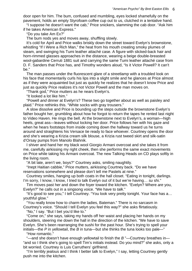door open for him. The bum, confused and mumbling, eyes locked shamefully on the pavement, holds an empty Styrofoam coffee cup out to us, clutched in a tentative hand.

 "I suppose he doesn't want the cab," Price snickers, slamming the cab door. "Ask him if he takes American Express."

"Do you take Am Ex?"

The bum nods yes and moves away, shuffling slowly.

 It's cold for April and Price walks briskly down the street toward Evelyn's brownstone, whistling "If I Were a Rich Man," the heat from his mouth creating smoky plumes of steam, and swinging his Tumi leather attaché case. A figure with slicked-back hair and horn-rimmed glasses approaches in the distance, wearing a beige double-breasted wool-gabardine Cerruti 1881 suit and carrying the same Tumi leather attaché case from D. F. Sanders that Price has, and Timothy wonders aloud, "Is it Victor Powell? It can't be."

 The man passes under the fluorescent glare of a streetlamp with a troubled look on his face that momentarily curls his lips into a slight smile and he glances at Price almost as if they were acquainted but just as quickly he realizes that he doesn't know Price and just as quickly Price realizes it's not Victor Powell and the man moves on.

"Thank god," Price mutters as he nears Evelyn's.

"It looked a lot like him."

 "Powell *and* dinner at Evelyn's? These two go together about as well as paisley and plaid." Price rethinks this. "White socks with gray trousers."

 A slow dissolve and Price is bounding up the steps outside the brownstone Evelyn's father bought her, grumbling about how he forgot to return the tapes he rented last night to Video Haven. He rings the bell. At the brownstone next to Evelyn's, a woman—high heels, great ass—leaves without locking her door. Price follows her with his gaze and when he hears footsteps from inside coming down the hallway toward us he turns around and straightens his Versace tie ready to face whoever. Courtney opens the door and she's wearing a Krizia cream silk blouse, a Krizia rust tweed skirt and silk-satin d'Orsay pumps from Manolo Blahnik.

 I shiver and hand her my black wool Giorgio Armani overcoat and she takes it from me, carefully airkissing my right cheek, then she performs the same exact movements on Price while taking his Armani overcoat. The new Talking Heads on CD plays softly in the living room.

"A bit late, aren't we, boys?" Courtney asks, smiling naughtily.

 "Inept Haitian cabbie," Price mutters, airkissing Courtney back. "Do we have reservations somewhere and please don't tell me Pastels at nine."

 Courtney smiles, hanging up both coats in the hall closet. "Eating in tonight, darlings. I'm sorry, I know, I know, I tried to talk Evelyn out of it but we're having… *su* shi."

 Tim moves past her and down the foyer toward the kitchen. "Evelyn? Where *are* you, Evelyn?" he calls out in a singsong voice. "We have to *talk*."

 "It's good to see you," I tell Courtney. "You look very pretty tonight. Your face has a… youthful glow."

 "You really know how to charm the ladies, Bateman." There is no sarcasm in Courtney's voice. "Should I tell Evelyn you feel this way?" she asks flirtatiously.

"No," I say. "But I bet you'd like to."

 "Come on," she says, taking my hands off her waist and placing her hands on my shoulders, steering me down the hall in the direction of the kitchen. "We have to save Evelyn. She's been rearranging the sushi for the past hour. She's trying to spell your initials—the *P* in yellowtail, the *B* in tuna—but she thinks the tuna looks too pale—"

"How romantic."

 "—and she doesn't have enough yellowtail to finish the *B* "—Courtney breathes in— "and so I think she's going to spell Tim's initials instead. Do you mind?" she asks, only a bit worried. Courtney is Luis Carruthers' girlfriend.

 "I'm terribly jealous and I think I better talk to Evelyn," I say, letting Courtney gently push me into the kitchen.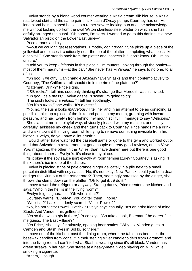Evelyn stands by a blond wood counter wearing a Krizia cream silk blouse, a Krizia rust tweed skirt and the same pair of silk-satin d'Orsay pumps Courtney has on. Her long blond hair is pinned back into a rather severe-looking bun and she acknowledges me without looking up from the oval Wilton stainless-steel platter on which she has artfully arranged the sushi. "Oh honey, I'm sorry. I wanted to go to this darling little new Salvadorian bistro on the Lower East Side—'

Price groans audibly.

 "—but we couldn't get reservations. Timothy, *don't groan*." She picks up a piece of the yellowtail and places it cautiously near the top of the platter, completing what looks like a capital *T*. She stands back from the platter and inspects it. "I don't know. Oh, I'm so unsure."

 "I told you to keep *Finlandia* in this place," Tim mutters, looking through the bottles most of them magnums—at the bar. "She never has Fin*landia*," he says to no one, to all of us.

 "Oh god, *Tim* othy. Can't handle *Absolut*?" Evelyn asks and then contemplatively to Courtney, "The California roll should circle the rim of the plate, no?"

"Bateman. Drink?" Price sighs.

"J&B rocks," I tell him, suddenly thinking it's strange that Meredith wasn't invited.

"Oh god. It's a *mess*," Evelyn gasps. "I swear I'm going to *cry*."

'The sushi looks *marvelous,* " I tell her soothingly.

"Oh it's a *mess*," she wails. "It's a *mess*."

 "No, no, the sushi looks *marvelous*," I tell her and in an attempt to be as consoling as possible I pick up a piece of the fluke and pop it in my mouth, groaning with inward pleasure, and hug Evelyn from behind; my mouth still full, I manage to say "Delicious."

 She slaps at me in a playful way, obviously pleased with my reaction, and finally, carefully, airkisses my cheek and then turns back to Courtney. Price hands me a drink and walks toward the living room while trying to remove something invisible from his blazer. "Evelyn, do you have a lint brush?"

 I would rather have watched the baseball game or gone to the gym and worked out or tried that Salvadorian restaurant that got a couple of pretty good reviews, one in *New York* magazine, the other in the *Times*, than have dinner here but there is one good thing about dinner at Evelyn's: it's close to my place.

 "Is it okay if the soy sauce isn't exactly at room temperature?" Courtney is asking. "I think there's ice in one of the dishes."

 Evelyn is placing strips of pale orange ginger delicately in a pile next to a small porcelain dish filled with soy sauce. "No, it's not okay. Now Patrick, could you be a dear and get the Kirin out of the refrigerator?" Then, seemingly harassed by the ginger, she throws the clump down on the platter. "Oh forget it. *I'll* do it."

 I move toward the refrigerator anyway. Staring darkly, Price reenters the kitchen and says, "Who in the hell is in the living room?"

Evelyn feigns ignorance. "Oh who is that?"

Courtney warns, "Ev-el-yn. You *did* tell them, I hope."

"Who is it?" I ask, suddenly scared. "Victor Powell?"

 "No, it's not Victor Powell, Patrick," Evelyn says casually. "It's an artist friend of mine, Stash. And Vanden, his girlfriend."

 "Oh so that was a *girl* in there," Price says. "Go take a look, Bateman," he dares. "Let me guess. The East Village?"

 "Oh Price," she says flirtatiously, opening beer bottles. "Why no. Vanden goes to Camden and Stash lives in SoHo, so there."

 I move out of the kitchen, past the dining room, where the table has been set, the beeswax candles from Zona lit in their sterling silver candleholders from Fortunoff, and into the living room. I can't tell what Stash is wearing since it's all black. Vanden has green streaks in her hair. She stares at a heavy-metal video playing on MTV while smoking a cigarette.

"Ahem," I cough.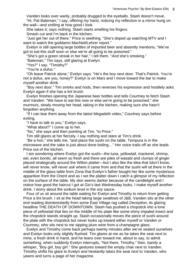Vanden looks over warily, probably drugged to the eyeballs. Stash doesn't move. "Hi. Pat Bateman," I say, offering my hand, noticing my reflection in a mirror hung on

the wall—and smiling at how good I look.

She takes it; says nothing. Stash starts smelling his fingers.

Smash cut and I'm back in the kitchen.

 "Just get her out of there." Price is seething. "She's doped up watching MTV and I want to watch the goddamn MacNeil/Leh*rer* report."

 Evelyn is still opening large bottles of imported beer and absently mentions, "We've got to eat this stuff soon or else we're all going to be poisoned."

"She's got a green streak in her hair," I tell them. "*And* she's smoking."

"Bateman," Tim says, still glaring at Evelyn.

"Yes?" I say. "Timothy?"

"You're a dufus."

 "Oh leave Patrick alone," Evelyn says. "He's the boy next door. That's Patrick. You're not a dufus, are you, honey?" Evelyn is on Mars and I move toward the bar to make myself another drink.

 "Boy next door." Tim smirks and nods, then reverses his expression and hostilely asks Evelyn again if she has a lint brush.

 Evelyn finishes opening the Japanese beer bottles and tells Courtney to fetch Stash and Vanden. "We have to eat this now or else we're going to be poisoned," she murmurs, slowly moving her head, taking in the kitchen, making sure she hasn't forgotten anything.

 "If I can tear them away from the latest Megadeth video," Courtney says before exiting.

"I have to talk to you," Evelyn says.

"What about?" I come up to her.

"No," she says and then pointing at Tim, "to Price."

Tim still glares at her fiercely. I say nothing and stare at Tim's drink.

 "Be a hon," she tells me, "and place the sushi on the table. Tempura is in the microwave and the sake is just about done boiling…" Her voice trails off as she leads Price out of the kitchen.

 I am wondering where Evelyn got the sushi—the tuna, yellowtail, mackerel, shrimp, eel, even *bonito,* all seem so fresh and there are piles of wasabi and clumps of ginger placed strategically around the Wilton platter—but I also like the idea that I*don't* know, will *never* know, will never *ask* where it came from and that the sushi will sit there in the middle of the glass table from Zona that Evelyn's father bought her like some mysterious apparition from the Orient and as I set the platter down I catch a glimpse of my reflection on the surface of the table. My skin seems darker because of the candlelight and I notice how good the haircut I got at Gio's last Wednesday looks. I make myself another drink. I worry about the sodium level in the soy sauce.

 Four of us sit around the table waiting for Evelyn and Timothy to return from getting Price a lint brush. I sit at the head taking large swallows of J&B. Vanden sits at the other end reading disinterestedly from some East Village rag called *Deception,* its glaring headline THE DEATH OF DOWNTOWN. Stash has pushed a chopstick into a lone piece of yellowtail that lies on the middle of his plate like some shiny impaled insect and the chopstick stands straight up. Stash occasionally moves the piece of sushi around the plate with the chopstick but never looks up toward either myself or Vanden or Courtney, who sits next to me sipping plum wine from a champagne glass.

 Evelyn and Timothy come back perhaps twenty minutes after we've seated ourselves and Evelyn looks only slightly flushed. Tim glares at me as he takes the seat next to mine, a fresh drink in hand, and he leans over toward me, about to say, to admit something, when suddenly Evelyn interrupts, "Not there, Timothy," then, barely a whisper, "Boy girl, boy girl." She gestures toward the empty chair next to Vanden. Timothy shifts his glare to Evelyn and hesitantly takes the seat next to Vanden, who yawns and turns a page of her magazine.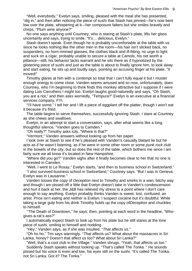"Well, everybody," Evelyn says, smiling, pleased with the meal she has presented, "dig in," and then after noticing the piece of sushi that Stash has pinned—he's now bent low over the plate, whispering at it—her composure falters but she smiles bravely and chirps, "Plum wine anyone?"

 No one says anything until Courtney, who is staring at Stash's plate, lifts her glass uncertainly and says, trying to smile, "It's… delicious, Evelyn."

 Stash doesn't speak. Even though he is probably uncomfortable at the table with us since he looks nothing like the other men in the room—his hair isn't slicked back, no suspenders, no horn-rimmed glasses, the clothes black and ill-fitting, no urge to light and suck on a cigar, probably unable to secure a table at Camols, his net worth a pittance—still, his behavior lacks warrant and he sits there as if hypnotized by the glistening piece of sushi and just as the table is about to finally ignore him, to look away and start eating, he sits up and loudly says, pointing an accusing finger at his plate, "It moved!"

 Timothy glares at him with a contempt so total that I can't fully equal it but I muster enough energy to come close. Vanden seems amused and so now, unfortunately, does Courtney, who I'm beginning to think finds this monkey attractive but I suppose if I were dating Luis Carruthers I might too. Evelyn laughs good-naturedly and says, "Oh Stash, you *are* a riot," and then asks worriedly, "Tempura?" Evelyn is an executive at a financial services company, FYI.

 "I'll have some," I tell her and I lift a piece of eggplant off the platter, though I won't eat it because it's fried.

 The table begins to serve themselves, successfully ignoring Stash. I stare at Courtney as she chews and swallows.

 Evelyn, in an attempt to start a conversation, says, after what seems like a long, thoughtful silence, "Vanden goes to Camden."

"Oh really?" Timothy asks icily. "Where is that?"

"Vermont," Vanden answers without looking up from her paper.

 I look over at Stash to see if he's pleased with Vanden's casually blatant lie but he acts as if he wasn't listening, as if he were in some other room or some *punk rock* club in the bowels of the city, but so does the rest of the table, which bothers me since I am fairly sure we all know it's located in New Hampshire.

 "Where did *you* go?" Vanden sighs after it finally becomes clear to her that no one is interested in Camden.

 "Well, I went to Le Ro*say*," Evelyn starts, "and then to business school in Switzerland." "I also survived business school in Switzerland," Courtney says. "But I was in Geneva. Evelyn was in Lausanne."

 Vanden tosses the copy of *Deception* next to Timothy and smirks in a wan, bitchy way and though I am pissed off a little that Evelyn doesn't take in Vanden's condescension and hurl it back at her, the J&B has relieved my stress to a point where I don't care enough to say anything. Evelyn probably thinks Vanden is sweet, lost, confused, an artist. Price isn't eating and neither is Evelyn; I suspect cocaine but it's doubtful. While taking a large gulp from his drink Timothy holds up the copy of*Deception* and chuckles to himself.

 '"The Death of Downtown," he says; then, pointing at each word in the headline, "Whogives-a-rat's-ass?"

 I automatically expect Stash to look up from his plate but he still stares at the lone piece of sushi, smiling to himself and nodding.

"Hey," Vanden says, as if she was insulted. "*That* affects us."

 "Oh ho ho," Tim says warningly. "*That* affects us? What about the massacres in Sri Lanka, honey? Doesn't that affect us too? What about Sri Lanka?"

 "Well, that's a cool club in the Village." Vanden shrugs. "Yeah, that affects us too." Suddenly Stash speaks without looking up. "That's called The *Tonka.* " He sounds pissed but his voice is even and low, his eyes still on the sushi. "It's called The Tonka, not Sri Lanka. Got it? The Tonka."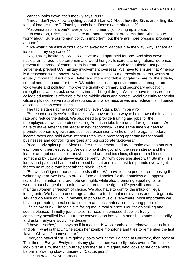Vanden looks down, then meekly says, "Oh."

 "I mean don't you know anything about Sri Lanka? About how the Sikhs are killing like tons of Israelis there?" Timothy goads her. "Doesn't *that* affect us?"

"Kappamaki roll anyone?" Evelyn cuts in cheerfully, holding up a plate.

 "Oh come on, Price," I say. "There are more important problems than Sri Lanka to worry about. Sure our foreign policy is important, but there *are* more pressing problems at hand."

 "Like what?" he asks without looking away from Vanden. "By the way, why is there an ice cube in my soy sauce?"

 "No," I start, hesitantly. "Well, we have to end apartheid for one. And slow down the nuclear arms race, stop terrorism and world hunger. Ensure a strong national defense, prevent the spread of communism in Central America, work for a Middle East peace settlement, prevent U.S. military involvement overseas. We have to ensure that America is a respected world power. Now that's not to belittle our domestic problems, which are equally important, if not *more*. Better and more affordable long-term care for the elderly, control and find a cure for the AIDS epidemic, clean up environmental damage from toxic waste and pollution, improve the quality of primary and secondary education, strengthen laws to crack down on crime and illegal drugs. We also have to ensure that college education is affordable for the middle class and protect Social Security for senior citizens plus conserve natural resources and wilderness areas and reduce the influence of political action committees."

The table stares at me uncomfortably, even Stash, but I'm on a roll.

 "But economically we're still a mess. We have to find a way to hold down the inflation rate and reduce the deficit. We also need to provide training and jobs for the unemployed as well as protect existing American jobs from unfair foreign imports. We have to make America the leader in new technology. At the same time we need to promote economic growth and business expansion *and* hold the line against federal income taxes and hold down interest rates while promoting opportunities for small businesses and controlling mergers and big corporate takeovers."

 Price nearly spits up his Absolut after this comment but I try to make eye contact with each one of them, especially Vanden, who if she got rid of the green streak and the leather and got some color—maybe joined an aerobics class, slipped on a blouse, something by Laura Ashley—*might* be pretty. But why does she sleep with Stash? He's lumpy and pale and has a bad cropped haircut and is at least ten pounds overweight; there's no muscle tone beneath the black T-shirt.

 "But we can't ignore our social needs either. We have to stop people from abusing the welfare system. We have to provide food and shelter for the homeless and oppose racial discrimination and promote civil rights while also promoting equal rights for women but change the abortion laws to protect the right to life yet still somehow maintain women's freedom of choice. We also have to control the influx of illegal immigrants. We have to encourage a return to traditional moral values and curb graphic sex and violence on TV, in movies, in popular music, everywhere. Most importantly we have to promote general social concern and less materialism in young people."

 I finish my drink. The table sits facing me in total silence. Courtney's smiling and seems pleased. Timothy just shakes his head in bemused disbelief. Evelyn is completely mystified by the turn the conversation has taken and she stands, unsteadily, and asks if anyone would like dessert.

 "I have… sor*bet*," she says as if in a daze. "Kiwi, carambola, cherimoya, cactus fruit and oh… what is that…" She stops her zombie monotone and tries to remember the last flavor. "Oh yes, Japanese pear."

 Everyone stays silent. Tim quickly looks over at me. I glance at Courtney, then back at Tim, then at Evelyn. Evelyn meets my glance, then worriedly looks over at Tim. I also look over at Tim, then at Courtney and then at Tim again, who looks at me once more before answering slowly, unsurely, "Cactus pear."

"Cactus *fruit*," Evelyn corrects.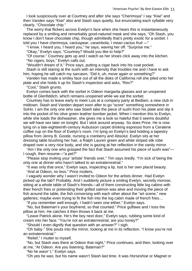I look suspiciously over at Courtney and after she says "Cherimoya" I say "Kiwi" and then Vanden says "Kiwi" also and Stash says quietly, but enunciating each syllable very clearly, "Chocolate chip."

 The worry that flickers across Evelyn's face when she hears this is instantaneously replaced by a smiling and remarkably good-natured mask and she says, "Oh Stash, you know I don't have chocolate chip, though admittedly that's pretty *exotic* for a sor*bet*. I told you I have cherimoya, cactus*pear*, carambola, I *mean* cactus *fruit* —"

 "I know. I heard you, I heard you," he says, waving her off. "Surprise me." "Okay," Evelyn says. "Courtney? Would you like to help?"

 "Of course." Courtney gets up and I watch as her shoes click away into the kitchen. "No cigars, boys," Evelyn calls out.

"Wouldn't dream of it," Price says, putting a cigar back into his coat pocket.

 Stash is still staring at the sushi with an intensity that troubles me and I have to ask him, hoping he will catch my sarcasm, "Did it, uh, move again or something?"

 Vanden has made a smiley face out of all the disks of California roll she piled onto her plate and she holds it up for Stash's inspection and asks, "Rex?"

"Cool," Stash grunts.

 Evelyn comes back with the sorbet in Odeon margarita glasses and an unopened bottle of Glenfiddich, which remains unopened while we eat the sorbet.

 Courtney has to leave early to meet Luis at a company party at Bedlam, a new club in midtown. Stash and Vanden depart soon after to go "score" something somewhere in SoHo. I am the only one who saw Stash take the piece of sushi from his plate and slip it into the pocket of his olive green leather bomber jacket. When I mention this to Evelyn, while she loads the dishwasher, she gives me a look so hateful that it seems doubtful we will have sex later on tonight. But I stick around anyway. So does Price. He is now lying on a late-eighteenth-century Aubusson carpet drinking espresso from a Ceralene coffee cup on the floor of Evelyn's room. I'm lying on Evelyn's bed holding a tapestry pillow from Jenny B. Goode, nursing a cranberry and Absolut. Evelyn sits at her dressing table brushing her hair, a Ralph Lauren green and white striped silk robe draped over a very nice body, and she is gazing at her reflection in the vanity mirror.

 "Am I the only one who grasped the fact that Stash assumed his piece of sushi was"— I cough, then resume—"a pet?"

 "Please stop inviting your 'artiste' friends over," Tim says tiredly. "I'm sick of being the only one at dinner who hasn't talked to an extraterrestrial."

 "It was only that *once*," Evelyn says, inspecting a lip, lost is her own placid beauty. "And at Odeon, no less," Price mutters.

 I vaguely wonder why I wasn't invited to Odeon for the artists dinner. Had Evelyn picked up the tab? Probably. And I suddenly picture a smiling Evelyn, secretly morose, sitting at a whole table of Stash's friends—all of them constructing little log cabins with their french fries or pretending their grilled salmon was alive and moving the piece of fish around the table, the fish conversing with each other about the "art scene," new galleries; maybe even trying to fit the fish into the log cabin made of french fries…

"If you remember well enough, *I* hadn't seen one either," Evelyn says.

 "No, but Bateman's your boyfriend, so that counted." Price guffaws and I toss the pillow at him. He catches it then throws it back at me.

 "Leave Patrick alone. He's the boy next door," Evelyn says, rubbing some kind of cream into her face. "You're not an extraterrestrial, are you honey?"

"Should I even dignify that question with an answer?" I sigh.

 "Oh baby." She pouts into the mirror, looking at me in its reflection. "*I* know you're not an extraterrestrial."

"Relief," I mutter to myself.

 "No, but Stash was there at Odeon that night," Price continues, and then, looking over at me, "At Odeon. Are you listening, Bateman?"

"No he *wasn'* t," Evelyn says.

"Oh yes he *was*, but his name wasn't Stash last time. It was *Horseshoe* or *Magnet* or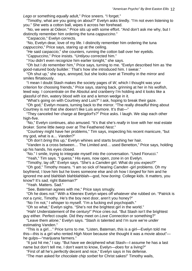*Lego* or something *equally* adult," Price sneers. "I forget."

 "Timothy, what *are* you going on about?" Evelyn asks tiredly. "I'm not even listening to you." She wets a cotton ball, wipes it across her forehead.

 "No, we were at Odeon." Price sits up with some effort. "And don't ask me why, but I distinctly remember him ordering the tuna *cappuccino*."

"Car*paccio*," Evelyn corrects.

 "No, Evelyn dear, love of my life. I distinctly remember him ordering the tuna *cappuccino*," Price says, staring up at the ceiling.

"He said car*paccio*," she counters, running the cotton ball over her eyelids.

"*Cappuccino*," Price insists. "Until*you* corrected him."

"*You* didn't even recognize him earlier tonight," she says.

 "Oh but I *do* remember him," Price says, turning to me. "Evelyn described him as 'the good-natured body builder.' That's how she introduced him. I swear."

 "Oh shut up," she says, annoyed, but she looks over at Timothy in the mirror and smiles flirtatiously.

 "I mean I doubt Stash makes the society pages of *W*, which I thought was your criterion for choosing friends," Price says, staring back, grinning at her in his wolfish, lewd way. I concentrate on the Absolut and cranberry I'm holding and it looks like a glassful of thin, watery blood with ice and a lemon wedge in it.

"What's going on with Courtney and Luis?" I ask, hoping to break their gaze.

 "Oh god," Evelyn moans, turning back to the mirror. "The really *dreadful* thing about Courtney is *not* that she doesn't like Luis anymore. It's that—"

 "They canceled her charge at Bergdorf's?" Price asks. I laugh. We slap each other high-five.

 "No," Evelyn continues, also amused. "It's that she's *really* in love with her real estate *broker.* Some little *twerp* over at The Feathered *Nest*."

 "Courtney might have her problems," Tim says, inspecting his recent manicure, "but my god, what is a… *Vanden*?"

"Oh don't *bring* this up," Evelyn whines and starts brushing her hair.

 "Vanden is a cross between… The Limited and… used Benetton," Price says, holding up his hands, his eyes closed.

"No." I smile, trying to integrate myself into the conversation. "Used Fiorucci."

"Yeah," Tim says. "I guess." His eyes, now open, zone in on Evelyn.

"Timothy, lay *off*," Evelyn says. "She's a *Camden* girl. What do you *expect*?"

 "Oh god," Timothy moans. "I am so sick of hearing *Camden* -girl problems. Oh my boyfriend, I love him but he loves someone else and oh how I *longed* for him and he ignored me and blahblah blahblahblah—god, how *boring*. College kids. It *matters,* you know? It's *sad,* right Bateman?"

"Yeah. Matters. Sad."

"See, Bateman agrees with me," Price says smugly.

 "Oh he does *not*." With a Kleenex Evelyn wipes off whatever she rubbed on. "Patrick is *not* a cynic, Timothy. He's the boy next door, aren't you honey?"

"No I'm not," I whisper to myself. "I'm a fucking evil psychopath."

"Oh so what," Evelyn sighs. "She's not the brightest girl in the world."

 "Hah! Understatement of the century!" Price cries out. "But Stash isn't the brightest guy either. Perfect couple. Did they meet on *Love Connection* or something?"

 "Leave them *alone*," Evelyn says. "Stash *is* talented and I'm sure we're *under* estimating Vanden."

 "This is a girl…" Price turns to me. "Listen, Bateman, this is a girl—Evelyn told me this—this is a girl who rented *High Noon* because she thought it was a movie about" he gulps—"marijuana farmers."

 "It just hit me," I say. "But have we deciphered what Stash—I assume he has a last name but don't tell me, I don't want to know, Evelyn—*does* for a living?"

"First of all he's *perfectly* decent and nice," Evelyn says in his defense.

"The man asked for *chocolate chip sorbet* for Christ sakes!" Timothy wails,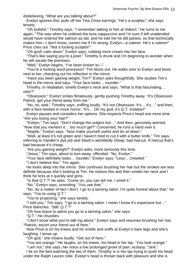disbelieving. "What are you *talking* about?"

 Evelyn ignores this, pulls off her Tina Chow earrings. "He's a sculptor," she says tersely.

 "Oh bullshit," Timothy says. "I remember talking to him at Odeon." He turns to me again. "*This* was when he ordered the tuna cappuccino and I'm sure if left unattended would have ordered the salmon *au lait,* and he told me he *did* parties, so that technically makes him—I don't know, correct me if I'm wrong, Evelyn—a *caterer.* He's a *caterer*!" Price cries out. "Not a fucking sculptor!"

"Oh gosh calm *down*," Evelyn says, rubbing more cream into her face.

 "That's like saying you're a *poet*." Timothy is drunk and I'm beginning to wonder when he will vacate the premises.

"Well," Evelyn begins, "I've been known to—"

 "You're a fucking word processor!" Tim blurts out. He walks over to Evelyn and bows next to her, checking out his reflection in the mirror.

 "Have you been gaining weight, Tim?" Evelyn asks thoughtfully. She studies Tim's head in the mirror and says, "Your face looks… rounder."

 Timothy, in retaliation, smells Evelyn's neck and says, "What is that fascinating… odor?"

 "Obsession." Evelyn smiles flirtatiously, gently pushing Timothy away. "It's Ob*session*. Patrick, get your *friend* away from *me*."

 "No, no, wait," Timothy says, sniffing loudly. "It's not Ob*session.* It's… it's…" and then, with a face twisted in mock horror, "It's… Oh my god, it's *Q.T. Instatan*!"

 Evelyn pauses and considers her options. She inspects Price's head one more time. "Are you losing your hair?"

"Evelyn," Tim says. "Don't change the subject but…" And then, genuinely worried,

"Now that you mention it… too much gel?" Concerned, he runs a hand over it.

"Maybe," Evelyn says. "Now make yourself useful and do *sit down*."

 "Well, at least it's not green and I haven't tried to cut it with a butter knife," Tim says, referring to Vanden's dye job and Stash's admittedly cheap, bad haircut. A haircut that's bad because it's cheap.

"Are you gaining weight?" Evelyn asks, more seriously this time.

"Jesus," Tim says, about to turn away, offended. "No, Evelyn."

"Your face definitely looks… rounder," Evelyn says. "Less… chiseled."

"I don't believe this." Tim again.

 He looks deep into the mirror. She continues brushing her hair but the strokes are less definite because she's looking at Tim. He notices this and then smells her neck and I think he licks at it quickly and grins.

"Is that Q.T.?" he asks. "Come on, you can tell me. I smell it."

"No," Evelyn says, unsmiling. "*You* use that."

 "No. As a matter of fact I don't. I go to a tanning salon. I'm quite honest about that," he says. "*You're* using Q.T."

"*You're* projecting," she says lamely.

 "I told you," Tim says. "I go to a tanning salon. I mean I know it's expensive but…" Price blanches. "Still, *Q.T.*?"

"Oh how *brave* to admit you go to a tanning *salon*," she says.

"Q.T." He chuckles.

 "I don't know what you're *talk* ing about," Evelyn says and resumes brushing her hair. "Patrick, escort your friend *out* of here."

 Now Price is on his knees and he smells and sniffs at Evelyn's bare legs and she's laughing. I tense up.

"Oh god," she moans loudly. "Get *out* of here."

"You are *orange*." He laughs, on his knees, his head in her lap. "You look *orange*."

"I am *not*," she says, her voice a low prolonged growl of pain, ecstasy. "Jerk."

 I lie on the bed watching the two of them. Timothy is in her lap trying to push his head under the Ralph Lauren robe. Evelyn's head is thrown back with pleasure and she is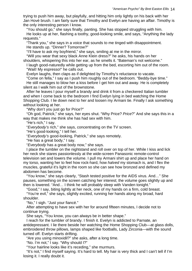trying to push him away, but playfully, and hitting him only lightly on his back with her Jan Hové brush. I am fairly sure that Timothy and Evelyn are having an affair. Timothy is the only interesting person I know.

 "You should go," she says finally, panting. She has stopped struggling with him. He looks up at her, flashing a toothy, good-looking smile, and says, "Anything the lady requests."

 "Thank you," she says in a voice that sounds to me tinged with disappointment. He stands up. "Dinner? Tomorrow?"

"I'll have to ask my boyfriend," she says, smiling at me in the mirror.

 "Will you wear that sexy black Anne Klein dress?" he asks, his hands on her shoulders, whispering this into her ear, as he smells it. "Bateman's not welcome."

 I laugh good-naturedly while getting up from the bed, escorting him out of the room. "Wait! My espresso!" he calls out.

Evelyn laughs, then claps as if delighted by Timothy's reluctance to vacate.

 "Come on fella," I say as I push him roughly out of the bedroom. "Beddy-bye time." He still manages to blow her a kiss before I get him out and away. He is completely silent as I walk him out of the brownstone.

 After he leaves I pour myself a brandy and drink it from a checkered Italian tumbler and when I come back to the bedroom I find Evelyn lying in bed watching the Home Shopping Club. I lie down next to her and loosen my Armani tie. Finally I ask something without looking at her.

"Why don't you just go for Price?"

 "Oh god, Patrick," she says, her eyes shut. "Why Price? *Price*?" And she says this in a way that makes me think she has had sex with him.

"He's rich," I say.

"*Everybody's* rich," she says, concentrating on the TV screen.

"He's good-looking," I tell her.

"*Everybody's* good-looking, Patrick," she says remotely.

"He has a great body," I say.

"*Everybody* has a great body now," she says.

 I place the tumbler on the nightstand and roll over on top of her. While I kiss and lick her neck she stares passionlessly at the wide-screen Panasonic remote-control television set and lowers the volume. I pull my Armani shirt up and place her hand on my torso, wanting her to feel how rock-hard, how *halved* my stomach is, and I flex the muscles, grateful it's light in the room so she can see how bronzed and defined my abdomen has become.

 "You know," she says clearly, "Stash tested positive for the AIDS virus. And…" She pauses, something on the screen catching her interest; the volume goes slightly up and then is lowered. "And… I think he will probably sleep with Vanden tonight."

"Good," I say, biting lightly at her neck, one of my hands on a firm, cold breast.

 "You're evil," she says, slightly excited, running her hands along my broad, hard shoulder.

"No," I sigh. "Just your fiancé."

 After attempting to have sex with her for around fifteen minutes, I decide not to continue trying.

She says, "You know, you can always be in better shape."

 I reach for the tumbler of brandy. I finish it. Evelyn is addicted to Parnate, an antidepressant. I lie there beside her watching the Home Shopping Club—at glass dolls, embroidered throw pillows, lamps shaped like footballs, Lady Zirconia—with the sound turned off. Evelyn starts drifting.

"Are you using minoxidil?" she asks, after a long time.

"No. I'm not," I say. "Why should I?"

"Your hairline looks like it's receding," she murmurs.

 "It's not," I find myself saying. It's hard to tell. My hair is very thick and I can't tell if I'm losing it. I really doubt it.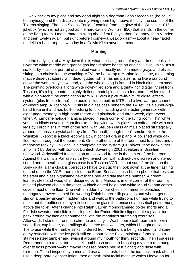I walk back to my place and say good night to a doorman I don't recognize (he could be anybody) and then dissolve into my living room high above the city, the sounds of the Tokens singing "The Lion Sleeps Tonight" coming from the glow of the Wurlitzer 1015 jukebox (which is not as good as the hard-to-find Wurlitzer 850) that stands in the comer of the living room. I masturbate, thinking about first Evelyn, then Courtney, then Vanden and then Evelyn again, but right before I come—a weak orgasm—about a near-naked model in a halter top I saw today in a Calvin Klein advertisement.

# **Morning**

 In the early light of a May dawn this is what the living room of my apartment looks like: Over the white marble and granite gas-log fireplace hangs an original David Onica. It's a six-foot-by-four-foot portrait of a naked woman, mostly done in muted grays and olives, sitting on a chaise longue watching MTV, the backdrop a Martian landscape, a gleaming mauve desert scattered with dead, gutted fish, smashed plates rising like a sunburst above the woman's yellow head, and the whole thing is framed in black aluminum steel. The painting overlooks a long white down-filled sofa and a thirty-inch digital TV set from Toshiba; it's a high-contrast highly defined model plus it has a four-corner video stand with a high-tech tube combination from NEC with a picture-in-picture digital effects system (plus freeze-frame); the audio includes built-in MTS and a five-watt-per-channel on-board amp. A Toshiba VCR sits in a glass case beneath the TV set; it's a super-highband Beta unit and has built-in editing function including a character generator with eight-page memory, a high-band record and playback, and three-week, eight-event timer. A hurricane halogen lamp is placed in each corner of the living room. Thin white venetian blinds cover all eight floor-to-ceiling windows. A glass-top coffee table with oak legs by Turchin sits in front of the sofa, with Steuben glass animals placed strategically around expensive crystal ashtrays from Fortunoff, though I don't smoke. Next to the Wurlitzer jukebox is a black ebony Baldwin concert grand piano. A polished white oak floor runs throughout the apartment. On the other side of the room, next to a desk and a magazine rack by Gio Ponti, is a complete stereo system (CD player, tape deck, tuner, amplifier) by Sansui with six-foot Duntech Sovereign 2001 speakers in Brazilian rosewood. A downfilled futon lies on an oakwood frame in the center of the bedroom. Against the wall is a Panasonic thirty-one-inch set with a direct-view screen and stereo sound and beneath it in a glass case is a Toshiba VCR. I'm not sure if the time on the Sony digital alarm clock is correct so I have to sit up then look down at the time flashing on and off on the VCR, then pick up the Ettore Sottsass push-button phone that rests on the steel and glass nightstand next to the bed and dial the time number. A cream leather, steel and wood chair designed by Eric Marcus is in one corner of the room, a molded plywood chair in the other. A black-dotted beige and white Maud Sienna carpet covers most of the floor. One wall is hidden by four chests of immense bleached mahogany drawers. In bed I'm wearing Ralph Lauren silk pajamas and when I get up I slip on a paisley ancient madder robe and walk to the bathroom. I urinate while trying to make out the puffiness of my reflection in the glass that encases a baseball poster hung above the toilet. After I change into Ralph Lauren monogrammed boxer shorts and a Fair Isle sweater and slide into silk polka-dot Enrico Hidolin slippers I tie a plastic ice pack around my face and commence with the morning's stretching exercises. Afterwards I stand in front of a chrome and acrylic Washmobile bathroom sink—with soap dish, cup holder, and railings that serve as towel bars, which I bought at Hastings Tile to use while the marble sinks I ordered from Finland are being sanded—and stare at my reflection with the ice pack still on. I pour some Plax antiplaque formula into a stainless-steel tumbler and swish it around my mouth for thirty seconds. Then I squeeze Rembrandt onto a faux-tortoiseshell toothbrush and start brushing my teeth (too hung over to floss properly—but maybe I flossed before bed last night?) and rinse with Listerine. Then I inspect my hands and use a nailbrush. I take the ice-pack mask off and use a deep-pore cleanser lotion, then an herb-mint facial masque which I leave on for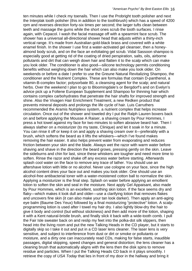ten minutes while I check my toenails. Then I use the Probright tooth polisher and next the Interplak tooth polisher (this in addition to the toothbrush) which has a speed of 4200 rpm and reverses direction forty-six times per second; the larger tufts clean between teeth and massage the gums while the short ones scrub the tooth surfaces. I rinse again, with Cepacol. I wash the facial massage off with a spearmint face scrub. The shower has a universal all-directional shower head that adjusts within a thirty-inch vertical range. It's made from Australian gold-black brass and covered with a white enamel finish. In the shower I use first a water-activated gel cleanser, then a honeyalmond body scrub, and on the face an exfoliating gel scrub. Vidal Sassoon shampoo is especially good at getting rid of the coating of dried perspiration, salts, oils, airborne pollutants and dirt that can weigh down hair and flatten it to the scalp which can make you look older. The conditioner is also good—silicone technology permits conditioning benefits without weighing down the hair which can also make you look older. On weekends or before a date I prefer to use the Greune Natural Revitalizing Shampoo, the conditioner and the Nutrient Complex. These are formulas that contain D-panthenol, a vitamin-B-complex factor; polysorbate 80, a cleansing agent for the scalp; and natural herbs. Over the weekend I plan to go to Bloomingdale's or Bergdorf's and on Evelyn's advice pick up a Foltene European Supplement and Shampoo for thinning hair which contains complex carbohydrates that penetrate the hair shafts for improved strength and shine. Also the Vivagen Hair Enrichment Treatment, a new Redken product that prevents mineral deposits and prolongs the life cycle of hair. Luis Carruthers recommended the Aramis Nutriplexx system, a nutrient complex that helps increase circulation. Once out of the shower and toweled dry I put the Ralph Lauren boxers back on and before applying the Mousse A Raiser, a shaving cream by Pour Hommes, I press a hot towel against my face for two minutes to soften abrasive beard hair. Then I always slather on a moisturizer (to my taste, Clinique) and let it soak in for a minute. You can rinse it off or keep it on and apply a shaving cream over it—preferably with a brush, which softens the beard as it lifts the whiskers—which I've found makes removing the hair easier. It also helps prevent water from evaporating and reduces friction between your skin and the blade. Always wet the razor with warm water before shaving and shave in the direction the beard grows, pressing gently on the skin. Leave the sideburns and chin for last, since these whiskers are tougher and need more time to soften. Rinse the razor and shake off any excess water before starting. Afterwards splash cool water on the face to remove any trace of lather. You should use an aftershave lotion with little or no alcohol. Never use cologne on your face, since the high alcohol content dries your face out and makes you look older. One should use an alcohol-free antibacterial toner with a water-moistened cotton ball to normalize the skin. Applying a moisturizer is the final step. Splash on water before applying an emollient lotion to soften the skin and seal in the moisture. Next apply Gel Appaisant, also made by Pour Hommes, which is an excellent, soothing skin lotion. If the face seems dry and flaky—which makes it look dull and older—use a clarifying lotion that removes flakes and uncovers fine skin (it can also make your tan look darker). Then apply an anti-aging eye balm (Baume Des Yeux) followed by a final moisturizing "protective" lotion. A scalpprogramming lotion is used after I towel my hair dry. I also lightly blow-dry the hair to give it body and control (but without stickiness) and then add more of the lotion, shaping it with a Kent natural-bristle brush, and finally slick it back with a wide-tooth comb. I pull the Fair Isle sweater back on and reslip my feet into the polka-dot silk slippers, then head into the living room and put the new Talking Heads in the CD player, but it starts to digitally skip so I take it out and put in a CD laser lens cleaner. The laser lens is very sensitive, and subject to interference from dust or dirt or smoke or pollutants or moisture, and a dirty one can inaccurately read CDs, making for false starts, inaudible passages, digital skipping, speed changes and general distortion; the lens cleaner has a cleaning brush that automatically aligns with the lens then the disk spins to remove residue and particles. When I put the Talking Heads CD back in it plays smoothly. I retrieve the copy of *USA Today* that lies in front of my door in the hallway and bring it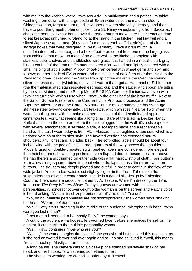with me into the kitchen where I take two Advil, a multivitamin and a potassium tablet, washing them down with a large bottle of Evian water since the maid, an elderly Chinese woman, forgot to turn the dishwasher on when she left yesterday, and then I have to pour the grapefruit-lemon juice into a St. Rémy wineglass I got from Baccarat. I check the neon clock that hangs over the refrigerator to make sure I have enough time to eat breakfast unhurriedly. Standing at the island in the kitchen I eat kiwifruit and a sliced Japanese apple-pear (they cost four dollars each at Gristede's) out of aluminum storage boxes that were designed in West Germany. I take a bran muffin, a decaffeinated herbal tea bag and a box of oat-bran cereal from one of the large glassfront cabinets that make up most of an entire wall in the kitchen; complete with stainless-steel shelves and sandblasted wire glass, it is framed in a metallic dark grayblue. I eat half of the bran muffin after it's been microwaved and lightly covered with a small helping of apple butter. A bowl of oat-bran cereal with wheat germ and soy milk follows; another bottle of Evian water and a small cup of decaf tea after that. Next to the Panasonic bread baker and the Salton Pop-Up coffee maker is the Cremina sterling silver espresso maker (which is, oddly, still warm) that I got at Hammacher Schlemmer (the thermal-insulated stainless-steel espresso cup and the saucer and spoon are sitting by the sink, stained) and the Sharp Model R-1810A Carousel II microwave oven with revolving turntable which I use when I heat up the other half of the bran muffin. Next to the Salton Sonata toaster and the Cuisinart Little Pro food processor and the Acme Supreme Juicerator and the Cordially Yours liqueur maker stands the heavy-gauge stainless-steel two-and-one-half-quart teakettle, which whistles "Tea for Two" when the water is boiling, and with it I make another small cup of the decaffeinated applecinnamon tea. For what seems like a long time I stare at the Black & Decker Handy Knife that lies on the counter next to the sink, plugged into the wall: it's a sliver/peeler with several attachments, a serrated blade, a scalloped blade and a rechargeable handle. The suit I wear today is from Alan Flusser. It's an eighties drape suit, which is an updated version of the thirties style. The favored version has extended natural shoulders, a full chest and a bladed back. The soft-rolled lapels should be about four inches wide with the peak finishing three quarters of the way across the shoulders. Properly used on double-breasted suits, peaked lapels are considered more elegant than notched ones. Low-slung pockets have a flapped double-besom design—above the flap there's a slit trimmed on either side with a flat narrow strip of cloth. Four buttons form a low-slung square; above it, about where the lapels cross, there are two more buttons. The trousers are deeply pleated and cut full in order to continue the flow of the wide jacket. An extended waist is cut slightly higher in the front. Tabs make the suspenders fit well at the center back. The tie is a dotted silk design by Valentino Couture. The shoes are crocodile loafers by A. Testoni. While I'm dressing the TV is kept on to *The Patty Winters Show.* Today's guests are women with multiple personalities. A nondescript overweight older woman is on the screen and Patty's voice is heard asking, "Well, is it schizophrenia or what's the deal? *Tell us*."

 "No, oh no. Multiple personalities are *not* schizophrenics," the woman says, shaking her head. "We are *not* dangerous."

 "Well," Patty starts, standing in the middle of the audience, microphone in hand. "Who were you last month?"

"Last month it seemed to be mostly Polly," the woman says.

 A cut to the audience—a housewife's worried face; before she notices herself on the monitor, it cuts back to the multiple-personality woman.

"Well," Patty continues, "*now* who are you?"

 "Well…," the woman begins tiredly, as if she was sick of being asked this question, as if she had answered it over and over again and still no one believed it. "Well, this month I'm… Lambchop. Mostly… Lambchop."

 A long pause. The camera cuts to a close-up of a stunned housewife shaking her head, another housewife whispering something to her.

The shoes I'm wearing are crocodile loafers by A. Testoni.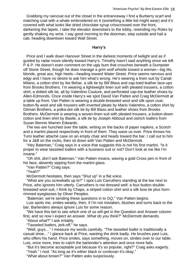Grabbing my raincoat out of the closet in the entranceway I find a Burberry scarf and matching coat with a whale embroidered on it (something a little kid might wear) and it's covered with what looks like dried chocolate syrup crisscrossed over the front, darkening the lapels. I take the elevator downstairs to the lobby, rewinding my Rolex by gently shaking my wrist. I say good morning to the doorman, step outside and hail a cab, heading downtown toward Wall Street.

# **Harry's**

 Price and I walk down Hanover Street in the darkest moments of twilight and as if guided by radar move silently toward Harry's. Timothy hasn't said anything since we left P & P. He doesn't even comment on the ugly bum that crouches beneath a Dumpster off Stone Street, though he does manage a grim wolf whistle toward a woman—big tits, blonde, great ass, high heels—heading toward Water Street. Price seems nervous and edgy and I have no desire to ask him what's wrong. He's wearing a linen suit by Canali Milano, a cotton shirt by Ike Behar, a silk tie by Bill Blass and cap-toed leather lace-ups from Brooks Brothers. I'm wearing a lightweight linen suit with pleated trousers, a cotton shirt, a dotted silk tie, all by Valentino Couture, and perforated cap-toe leather shoes by Allen-Edmonds. Once inside Harry's we spot David Van Patten and Craig McDermott at a table up front. Van Patten is wearing a double-breasted wool and silk sport coat, button-fly wool and silk trousers with inverted pleats by Mario Valentino, a cotton shirt by Gitman Brothers, a polka-dot silk tie by Bill Blass and leather shoes from Brooks Brothers. McDermott is wearing a woven-linen suit with pleated trousers, a button-down cotton and linen shirt by Basile, a silk tie by Joseph Abboud and ostrich loafers from Susan Bennis Warren Edwards.

 The two are hunched over the table, writing on the backs of paper napkins, a Scotch and a martini placed respectively in front of them. They wave us over. Price throws his Tumi leather attaché case on an empty chair and heads toward the bar. I call out to him for a J&B on the rocks, then sit down with Van Patten and McDermott.

 "Hey Bateman," Craig says in a voice that suggests this is not his first martini. "Is it proper to wear tasseled loafers with a business suit or not? Don't look at me like I'm insane."

 "Oh shit, *don't* ask Bateman," Van Patten moans, waving a gold Cross pen in front of his face, absently sipping from the martini glass.

"Van Patten?" Craig says.

"Yeah?"

McDermott hesitates, then says "Shut up" in a flat voice.

 "What are you screwballs up to?" I spot Luis Carruthers standing at the bar next to Price, who ignores him utterly. Carruthers is not dressed well: a four-button doublebreasted wool suit, I think by Chaps, a striped cotton shirt and a silk bow tie plus hornrimmed eyeglasses by Oliver Peoples.

"Bateman: we're sending these questions in to *GQ*," Van Patten begins.

 Luis spots me, smiles weakly, then, if I'm not mistaken, blushes and turns back to the bar. Bartenders always ignore Luis for some reason.

 "We have this bet to see which one of us will get in the Question and Answer column first, and so now I expect an answer. *What do you think*?" McDermott demands.

"About *what*?" I ask irritably.

"Tasseled loafers, jerk-off," he says.

 "Well, guys…" I measure my words carefully. "The tasseled loafer is traditionally a casual shoe…" I glance back at Price, wanting the drink badly. He brushes past Luis, who offers his hand. Price smiles, says something, moves on, strides over to our table. Luis, once more, tries to catch the bartender's attention and once more fails.

 "But it's become acceptable just because it's so popular, right?" Craig asks eagerly. "Yeah." I nod. "As long as it's either black or cordovan it's okay."

"What about brown?" Van Patten asks suspiciously.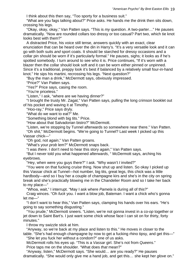I think about this then say, "Too sporty for a business suit."

 "What are you fags talking about?" Price asks. He hands me the drink then sits down, crossing his legs.

 "Okay, okay, okay," Van Patten says. "This is *my* question. A two-parter…" He pauses dramatically. "Now are rounded collars too dressy or too casual? Part two, which tie knot looks best with them?"

 A distracted Price, his voice still tense, answers quickly with an exact, clear enunciation that can be heard over the din in Harry's. "It's a very versatile look and it can go with both suits *and* sport coats. It should be starched for dressy occasions and a collar pin should be worn if it's particularly formal." He pauses, sighs; it looks as if he's spotted somebody. I turn around to see who it is. Price continues, "If it's worn with a blazer then the collar should look soft and it can be worn either pinned or unpinned. Since it's a traditional, preppy look it's best if balanced by a relatively small four-in-hand knot." He sips his martini, recrossing his legs. "Next question?"

"Buy the man a drink," McDermott says, obviously impressed.

"Price?" Van Patten says.

"Yes?" Price says, casing the room.

"You're priceless."

"Listen," I ask, "where are we having dinner?"

 "I brought the trusty Mr. Zagat," Van Patten says, pulling the long crimson booklet out of his pocket and waving it at Timothy.

"Hoo-ray," Price says dryly.

"What do we want to eat?" Me.

"Something blond with big tits." Price.

"How about that Salvadorian bistro?" McDermott.

"Listen, we're stopping by Tunnel afterwards so somewhere near there." Van Patten.

 "Oh shit," McDermott begins. "We're going to Tunnel? Last week I picked up this Vassar chick—"

"Oh god, not *again*," Van Patten groans.

"What's your *prob* lem?" McDermott snaps back.

"I was *there*. I don't need to hear this story *again*," Van Patten says.

 "But I never told you what happened af*terwards*, " McDermott says, arching his eyebrows.

"Hey, when were you guys there?" I ask. "Why wasn't *I* invited?"

 "You were on that fucking *cruise* thing. Now shut up and listen. So okay I picked up this Vassar chick at Tunnel—hot number, big tits, great legs, this chick was a little hardbody—and so I buy her a couple of champagne kirs and she's in the city on spring break and she's practically blowing me in the Chandelier Room and so I take her back to my place—"

"Whoa, wait," I interrupt. "May I ask where *Pamela* is during all of this?"

 Craig winces. "Oh *fuck* you. I want a blow job, Bate*man*. I want a chick who's gonna let me—"

 "I don't want to hear this," Van Patten says, clamping his hands over his ears. "He's going to say something disgusting."

 "You prude," McDermott sneers. "Listen, we're not gonna invest in a co-*op* together or jet down to Saint Bart's. I just want some chick whose face I can sit on for thirty, forty minutes."

I throw my swizzle stick at him.

 "Anyway, so we're back at my place and listen to this." He moves in closer to the table. "She's had enough champagne by now to get a fucking rhino tipsy, and get this—"

"She let you fuck her without a condom?" one of us asks.

 McDermott rolls his eyes up. "This is a *Vassar* girl. She's not from *Queens*." Price taps me on the shoulder. "What does *that* mean?"

 "Anyway, listen," McDermott says. "She would… are you ready?" He pauses dramatically. "She would only give me a hand job, and get this… she kept her *glove* on."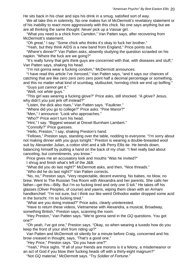He sits back in his chair and sips his drink in a smug, satisfied sort of way.

We all take this in solemnly. No one makes fun of McDermott's revelatory statement or of his inability to react more aggressively with this chick. No one says anything but we are all thinking the same thought: *Never* pick up a Vassar girl.

 "What you need is a chick from *Camden*," Van Patten says, after recovering from McDermott's statement.

"Oh *great*," I say. "Some chick who thinks it's okay to fuck her brother."

"Yeah, but they think AIDS is a new band from England," Price points out.

 "Where's dinner?" Van Patten asks, absently studying the question scrawled on his napkin. "Where the fuck are we going?"

 "It's really funny that girls think guys are concerned with that, with diseases and stuff," Van Patten says, shaking his head.

"I'm not gonna wear a fucking condom," McDermott announces.

 "I have read this article I've Xeroxed," Van Patten says, "and it says our chances of catching that are like zero zero zero zero point half a decimal percentage or something, and this no matter what kind of scumbag, slutbucket, horndog chick we end up boffing."

"Guys just *cannot* get it."

"Well, not *white* guys."

 "This girl was wearing a fucking glove?" Price asks, still shocked. "A *glove?* Jesus, why didn't *you* just jerk off instead?"

"Listen, the dick also rises," Van Patten says. "Faulkner."

"Where did you go to college?" Price asks. "Pine Manor?"

"Men," I announce: "Look who approaches."

"Who?" Price won't turn his head.

"Hint," I say. "Biggest weasel at Drexel Burnham Lambert."

"Connolly?" Price guesses.

"Hello, Preston," I say, shaking Preston's hand.

 "Fellows," Preston says, standing over the table, nodding to everyone. "I'm sorry about not making dinner with you guys tonight." Preston is wearing a double-breasted wool suit by Alexander Julian, a cotton shirt and a silk Perry Ellis tie. He bends down, balancing himself by putting a hand on the back of my chair. "I feel really bad about canceling, but commitments, you know."

Price gives me an accusatory look and mouths "Was he invited?"

I shrug and finish what's left of the J&B.

"What did you do last night?" McDermott asks, and then, "Nice threads."

"*Who* did he do last night?" Van Patten corrects.

 "No, no," Preston says. "Very respectable, decent evening. No babes, no blow, no brew. Went to The Russian Tea Room with Alexandra and her parents. She calls her father—get this—Billy. But I'm so fucking tired and only *one S* toli." He takes off his glasses (Oliver Peoples, of course) and yawns, wiping them clean with an Armani handkerchief. "I'm not sure, but I think our like weird Orthodox waiter dropped some acid in the borscht. I'm so fucking tired."

"What are you doing instead?" Price asks, clearly uninterested.

 "Have to return these videos, Vietnamese with Alexandra, a musical, Broadway, something British," Preston says, scanning the room.

 "Hey Preston," Van Patten says. "We're gonna send in the *GQ* questions. You got one?"

 "Oh yeah, I've got one," Preston says. "Okay, so when wearing a tuxedo how do you keep the front of your shirt from riding up?"

 Van Patten and McDermott sit silently for a minute before Craig, concerned and his brow creased in thought, says, 'That's a good one."

"Hey Price," Preston says. "Do you have one?"

 "Yeah," Price sighs. "If all of your friends are morons is it a felony, a misdemeanor or an act of God if you blow their fucking heads off with a thirty-eight magnum?"

"Not *GQ* material," McDermott says. "Try *Soldier of Fortune*."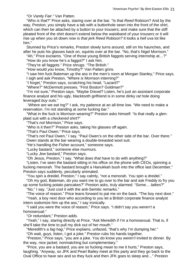"Or *Vanity Fair*." Van Patten.

 "Who *is* that?" Price asks, staring over at the bar. "Is that *Reed* Robison? And by the way, Preston, you simply have a tab with a buttonhole sewn into the front of the shirt, which can then be attached by a button to your trousers; and make sure that the stiff pleated front of the shirt doesn't extend below the waistband of your trousers or it will rise up when you sit down *now is that jerk Reed Robison?* It looks a *hell* uva lot like him."

 Stunned by Price's remarks, Preston slowly turns around, still on his haunches, and after he puts his glasses back on, squints over at the bar. "No, that's Nigel Morrison."

"Ah," Price exclaims. "One of those young British faggots serving internship at…?"

"How do you know he's a faggot?" I ask him.

"They're all faggots." Price shrugs. "The British."

"How would *you* know, Timothy?" Van Patten grins.

 "I saw him fuck Bateman up the ass in the men's room at Morgan Stanley," Price says. I sigh and ask Preston, "Where *is* Morrison interning?"

"I forget," Preston says, scratching his head. "Lazard?"

"Where?" McDermott presses. "First Boston? Goldman?"

 "I'm not sure," Preston says. "Maybe Drexel? Listen, he's just an assistant corporate finance analyst and his ugly, blacktooth girlfriend is in some dinky *rat* hole doing leveraged *buy* outs."

 .'Where are we *eat* ing?" I ask, my patience at an all-time low. "We need to make a reservation. I'm not standing at some fucking *bar*."

 "What in the fuck is Morrison wearing?" Preston asks himself. "Is that really a glenplaid suit with a *checkered* shirt?"

"That's *not* Morrison," Price says.

"Who is it then?" Preston asks, taking his glasses off again.

"That's Paul Owen," Price says.

 "That's not Paul Owen," I say. "Paul Owen's on the other side of the bar. Over there." Owen stands at the bar wearing a double-breasted wool suit.

"He's handling the Fisher account," someone says.

"Lucky bastard," someone else murmurs.

"Lucky *Jew* bastard," Preston says.

"Oh Jesus, Preston," I say. "What does *that* have to do with anything?"

 "Listen, I've seen the bastard sitting in his office on the phone with CEOs, spinning a fucking menorah. The bastard brought a Hanukkah bush into the office last December," Preston says suddenly, peculiarly animated.

"You spin a dreidel, Preston," I say calmly, "not a menorah. You spin a dreidel."

 "Oh my god, Bateman, do you want me to go over to the bar and ask Freddy to fry you up some fucking potato pancakes?" Preston asks, truly alarmed. "Some… *latkes*?"

"No," I say. "Just cool it with the anti-Semitic remarks."

 "The voice of reason." Price leans forward to pat me on the back. "The boy next door." "Yeah, a boy next door who according to you let a British corporate finance analyst intern sodomize him up the ass," I say ironically.

"I said you were the voice of reason," Price says. "I didn't say you *weren't* a

homosexual."

"*Or* redundant," Preston adds.

 "Yeah," I say, staring directly at Price. "Ask Meredith if I'm a homosexual. That is, if she'll take the time to pull my dick out of her mouth."

"Meredith's a *fag hag*," Price explains, unfazed, "that's why I'm dumping her."

"Oh wait, guys, listen, I got a joke." Preston rubs his hands together.

 "Preston," Price says, "you *are* a joke. You do know you *weren't* invited to dinner. By the way, nice jacket; nonmatching but complementary."

 "Price, you are a bastard, you are so fucking *mean* to me it hurts," Preston says, laughing. "Anyway, so JFK and Pearl Bailey meet at this party and they go back to the Oval Office to have sex and so they fuck and then JFK goes to sleep and…" Preston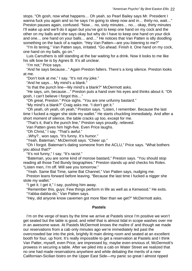stops. "Oh gosh, now what happens… Oh yeah, so Pearl Bailey says Mr. President I wanna fuck you again and so he says I'm going to sleep now and in... thirty-no, wait..." Preston pauses again, confused. "Now… no, sixty minutes… no… okay, thirty minutes I'll wake up and we'll do it again but you've got to keep one hand on my cock and the other on my balls and she says okay but why do I have to keep one hand on your dick and one… one hand on your balls… and…" He notices that Van Patten is idly doodling something on the back of a napkin. "Hey Van Patten—are you listening to me?"

 "I'm *lis* tening," Van Patten says, irritated. "Go ahead. Finish it. One hand on my cock, one hand on my balls, go on."

 Luis Carruthers is still standing at the bar waiting for a drink. Now it looks to me like his silk bow tie is by Agnes B. It's all unclear.

"*I'm* not," Price says.

 "And he says because..." Again Preston falters. There's a long silence. Preston looks at me.

"Don't look at *me*," I say. "It's not *my* joke."

"And he says… My mind's a blank."

"Is that the punch line—My mind's a blank?" McDermott asks.

 "He says, um, because…" Preston puts a hand over his eyes and thinks about it. "Oh gosh, I can't believe I forgot this…"

"Oh *great*, Preston." Price sighs. "You are one unfunny bastard."

"My mind's a blank?" Craig asks me. "I don't get it."

 "Oh yeah, oh yeah, oh yeah," Preston says. "Listen, I remember. Because the last time I fucked a nigger she stole my wallet." He starts chuckling immediately. And after a short moment of silence, the table cracks up too, except for me.

"That's it, that's the punch line," Preston says proudly, relieved.

Van Patten gives him high-five. Even Price laughs.

"Oh Christ," I say. "That's awful."

..Why?.. won says. "It's funny. It's *humor*."

"Yeah, Bateman," McDermott says. "Cheer up."

 "Oh I forgot. Bateman's dating someone from the ACLU," Price says. "What bothers you about that?"

"It's not funny," I say. "It's *racist*."

 "Bateman, you are some kind of morose bastard," Preston says. "You should stop reading all those Ted Bundy biographies." Preston stands up and checks his Rolex. "Listen men, I'm off. Will see you tomorrow."

"Yeah. Same Bat Time, same Bat Channel," Van Patten says, nudging me.

 Preston leans forward before leaving. "Because the last time I fucked a nigger she stole my wallet."

"I get it. I get it," I say, pushing him away.

 "Remember this, guys: Few things perform in life as well as a Kenwood." He exits. "Yabba-dabba-do," Van Patten says.

"Hey, did anyone know cavemen got more fiber than we get?" McDermott asks.

# **Pastels**

 I'm on the verge of tears by the time we arrive at Pastels since I'm positive we won't get seated but the table is good, and relief that is almost tidal in scope washes over me in an awesome wave. At Pastels McDermott knows the maître d' and though we made our reservations from a cab only minutes ago we're immediately led past the overcrowded bar into the pink, brightly lit main dining room and seated at an excellent booth for four, up front. It's really impossible to get a reservation at Pastels and I think Van Patter, myself, even Price, are impressed by, maybe even envious of, McDermott's prowess in securing a table. After we piled into a cab on Water Street we realized that no one had made reservations anywhere and while debating the merits of a new Californian-Sicilian bistro on the Upper East Side—my panic so great I almost ripped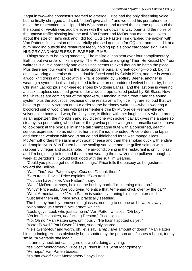Zagat in two—the consensus seemed to emerge. Price had the only dissenting voice but he finally shrugged and said, "I don't give a shit," and we used his portaphone to make the reservation. He slipped his Walkman on and turned the volume up so loud that the sound of Vivaldi was audible even with the windows halfway open and the noise of the uptown traffic blasting into the taxi. Van Patter and McDermott made rude jokes about the size of Tim's dick and I did too. Outside Pastels Tim grabbed the napkin with Van Patter's final version of his carefully phrased question for *GQ* on it and tossed it at a bum huddling outside the restaurant feebly holding up a sloppy cardboard sign: I AM HUNGRY AND HOMELESS PLEASE HELP ME.

 Things seem to be going smoothly. The maître d' has sent over four complimentary Bellinis but we order drinks anyway. The Ronettes are singing "Then He Kissed Me," our waitress is a little hardbody and even Price seems relaxed though he hates the place. Plus there are four women at the table opposite ours, all great-looking—blond, big tits: one is wearing a chemise dress in double-faced wool by Calvin Klein, another is wearing a wool knit dress and jacket with silk faille bonding by Geoffrey Beene, another is wearing a symmetrical skirt of pleated tulle and an embroidered velvet bustier by, I think, Christian Lacroix plus high-heeled shoes by Sidonie Larizzi, and the last one is wearing a black strapless sequined gown under a wool crepe tailored jacket by Bill Blass. Now the Shirelles are coming out of the speakers, "Dancing in the Street," and the sound system plus the acoustics, because of the restaurant's high ceiling, are so loud that we have to practically scream out our order to the hardbody waitress—who is wearing a bicolored suit of wool grain with passementerie trim by Myrone de Prémonville and velvet ankle boots and who, I'm fairly sure, is flirting with me: laughs sexily when I order, as an appetizer, the monkfish and squid ceviche with golden caviar; gives me a stare so steamy, so penetrating when I order the gravlax potpie with green tomatillo sauce I have to look back at the pink Bellini in the tall champagne flute with a concerned, *deadly* serious expression so as not to let her think I'm *too* interested. Price orders the tapas and then the venison with yogurt sauce and fiddlehead ferns with mango slices. McDermott orders the sashimi with goat cheese and then the smoked duck with endive and maple syrup. Van Patten has the scallop sausage and the grilled salmon with raspberry vinegar and guacamole. The air-conditioning in the restaurant is on full blast and I'm beginning to feel bad that I'm not wearing the new Versace pullover I bought last week at Bergdorfs. It would look good with the suit I'm wearing.

 "Could you please get rid of these things," Price tells the busboy as he gestures toward the Bellinis.

"Wait, Tim," Van Patten says. "*Cool* out.*I'll* drink them."

"*Euro* trash, David," Price explains. "*Euro* trash."

"You can have *mine*, Van Patten," I say.

"Wait," McDermott says, holding the busboy back. "I'm keeping mine too."

 "Why?" Price asks. "Are you trying to entice that Armenian chick over by the bar?" "What Armenian chick?" Van Patten is suddenly craning his neck, interested.

"Just take them all," Price says, practically seething.

 The busboy humbly removes the glasses, nodding to no one as he walks away. "Who made *you* boss?" McDermott whines.

"Look, guys. Look who just came in." Van Patten whistles. "Oh boy."

"Oh for Christ sakes, *not* fucking Preston," Price sighs.

"No. Oh no," Van Patten says ominously. "He hasn't spotted us yet."

"Victor Powell? Paul Owen?" I say, suddenly scared.

 "He's twenty-four and worth, oh, let's say, a *repulsive* amount of dough," Van Patten hints, grinning. He has obviously been spotted by the person and flashes a bright, toothy smile. "A veritable *shit* load."

I crane my neck but can't figure out who's doing anything.

"It's Scott Montgomery," Price says. "Isn't it? It's Scott Montgomery."

"Perhaps," Van Patten teases.

"It's that dwarf Scott Montgomery," says Price.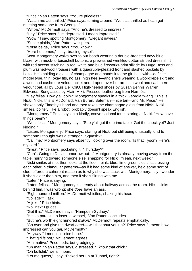"Price," Van Patten says. "You're priceless."

 "Watch me act thrilled," Price says, turning around. "Well, as thrilled as I can get meeting someone from Georgia."

"Whoa," McDermott says. "And he's dressed to im*press*."

"Hey," Price says. "I'm depressed, I mean impressed."

"Wow," I say, spotting Montgomery. "Elegant navies."

"Subtle plaids," Van Patten whispers.

"Lotsa beige," Price says. "You *know*."

"Here he comes," I say, bracing myself.

 Scott Montgomery walks over to our booth wearing a double-breasted navy blue blazer with mock-tortoiseshell buttons, a prewashed wrinkled-cotton striped dress shirt with red accent stitching, a red, white and blue fireworks-print silk tie by Hugo Boss and plum washed-wool trousers with a quadruple-pleated front and slashed pockets by Lazo. He's holding a glass of champagne and hands it to the girl he's with—definite model type, thin, okay tits, no ass, high heels—and she's wearing a wool-crepe skirt and a wool and cashmere velour jacket and draped over her arm is a wool and cashmere velour coat, all by Louis Dell'OliO. High-heeled shoes by Susan Bennis Warren Edwards. Sunglasses by Alain Mikli. Pressed-leather bag from Hermès.

 "Hey fellas. How y'all doin?" Montgomery speaks in a thick Georgia twang. "This is Nicki. Nicki, this is McDonald, Van Buren, Bateman—nice tan—and Mr. Price." He shakes only Timothy's hand and then takes the champagne glass from Nicki. Nicki smiles, politely, like a robot, probably doesn't speak English.

 "Montgomery," Price says in a kindly, conversational tone, staring at Nicki. "How have things been?"

 "Well, fellas," Montgomery says. "See y'all got the primo table. Get the check yet? Just kidding."

 "Listen, Montgomery," Price says, staring at Nicki but still being unusually kind to someone I thought was a stranger. "Squash?"

 "Call me," Montgomery says absently, looking over the room. "Is that Tyson? Here's my card."

"Great," Price says, pocketing it. "Thursday?"

 "Can't. Going to Dallas tomorrow but…" Montgomery is already moving away from the table, hurrying toward someone else, snapping for Nicki. "Yeah, next week."

 Nicki smiles at me, then looks at the floor—pink, blue, lime green tiles crisscrossing each other in triangular patterns—as if it had some kind of answer, held some sort of clue, offered a coherent reason as to why she was stuck with Montgomery. Idly I wonder if she's older than him, and then if she's flirting with me.

"Later," Price is saying.

 "Later, fellas…" Montgomery is already about halfway across the room. Nicki slinks behind him. I was wrong: she *does* have an ass.

"Eight hundred million." McDermott whistles, shaking his head.

"College?" I ask.

"A joke," Price hints.

"Rollins?" I guess.

"Get this," McDermott says. "Hampden-Sydney."

"He's a parasite, a loser, a weasel," Van Patten concludes.

"But he's worth eight hundred *million*," McDermott repeats emphatically.

 "Go over and give the dwarf *head—* will that shut you'up?" Price says. "I mean how impressed can you *get,* McDermott?"

"Anyway," I mention, "nice babe."

"That girl *is* hot," McDermott agrees.

"Affirmative." Price nods, but grudgingly.

"Oh man," Van Patten says, distressed. "I *know* that chick."

"Oh bullshit," we all moan.

"Let me guess," I say. "Picked her up at Tunnel, right?"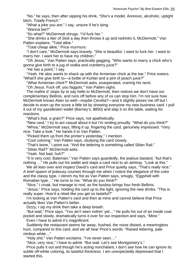"No," he says, then after sipping his drink, "She's a model. Anorexic, alcoholic, uptight bitch. *Totally* French."

"What a joke you are," I say, unsure if he's lying.

"Wanna bet?"

"So what?" McDermott shrugs. "I'd fuck her."

 "She drinks a liter of Stoli a day then throws it up and *redrinks* it, McDermott," Van Patten explains. "Total alkie."

"Total *cheap* alkie," Price murmurs.

 "I don't care," McDermott says bravely. "She is beautiful. I want to fuck her. I want to marry her. I want her to have my children."

 "Oh Jesus," Van Patten says, practically gagging. "Who wants to marry a chick who's gonna give birth to a jug of vodka and cranberry juice?"

"He *has* a point," I say.

 "Yeah. He also wants to shack up with the Armenian chick at the bar," Price sneers. "What'll she give birth to—a bottle of Korbel and a pint of peach juice?"

"*What* Armenian chick?" McDermott asks, exasperated, craning his neck.

"Oh Jesus. Fuck off, you faggots." Van Patten sighs.

 The maître d' stops by to say hello to McDermott, then notices we don't have our complimentary Bellinis, and runs off before any of us can stop him. I'm not sure how McDermott knows Alain so well—maybe Cecelia?—and it slightly pisses me off but I decide to even up the score a little bit by showing everyone my new business card. I pull it out of my gazelleskin wallet (Barney's, \$850) and slap it on the table, waiting for reactions.

"What's that, a gram?" Price says, not apathetically.

"New card." I try to act casual about it but I'm smiling proudly. "What do you think?"

 "Whoa," McDermott says, lifting it up, fingering the card, genuinely impressed. "Very nice. Take a look." He hands it to Van Patten.

"Picked them up from the printer's yesterday," I mention.

"Cool coloring," Van Patten says, studying the card closely.

"That's bone," I point out. "And the lettering is something called Silian Rail."

"Silian Rail?" McDermott asks.

"Yeah. Not bad, huh?"

 "It *is* very cool, Bateman," Van Patten says guardedly, the jealous bastard, "but that's nothing…." He pulls out his wallet and slaps a card next to an ashtray. "Look at this."

 We all lean over and inspect David's card and Price quietly says, "That's *really* nice." A brief spasm of jealousy courses through me when I notice the elegance of the color and the classy type. I clench my fist as Van Patten says, smugly, "Eggshell with Romalian type…" He turns to me. "What do you think?"

"Nice," I croak, but manage to nod, as the busboy brings four fresh Bellinis.

 "Jesus," Price says, holding the card up to the light, ignoring the new drinks. "This is really super. How'd a nitwit like you get so tasteful?"

 I'm looking at Van Patten's card and then at mine and cannot believe that Price actually likes Van Patten's better.

Dizzy, I sip my drink then take a deep breath.

 "But wait," Price says. "You ain't seen nothin' yet…" He pulls his out of an inside coat pocket and slowly, dramatically turns it over for our inspection and says, "*Mine*."

Even I have to admit it's magnificent.

 Suddenly the restaurant seems far away, hushed, the noise distant, a meaningless hum, compared to this card, and we all hear Price's words: "Raised lettering, pale nimbus white…"

"Holy shit," Van Patten exclaims. "I've never seen…"

"Nice, very nice," I have to admit. "But wait. Let's see Montgomery's."

 Price pulls it out and though he's acting nonchalant, I don't see how he can ignore its subtle off-white coloring, its tasteful thickness. I am unexpectedly depressed that I started this.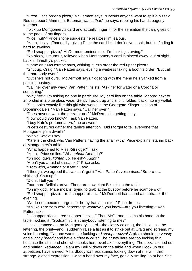"Pizza. Let's order a pizza," McDermott says. "Doesn't anyone want to split a pizza? Red snapper? Mmmmm. Bateman wants *that*," he says, rubbing his hands eagerly together.

 I pick up Montgomery's card and actually finger it, for the sensation the card gives off to the pads of my fingers.

"Nice, huh?" Price's tone suggests he realizes I'm jealous.

 "Yeah," I say offhandedly, giving Price the card like I don't give a shit, but I'm finding it hard to swallow.

"Red snapper pizza," McDermott reminds me. "I'm fucking starving."

 "No pizza," I murmur, relieved when Montgomery's card is placed away, out of sight, back in Timothy's pocket.

"Come on," McDermott says, whining. "Let's order the red upper pizza."

 "Shut up, Craig," Van Patten says, eyeing a waitress taking a booth's order. "But call that hardbody over."

 "But she's not ours," McDermott says, fidgeting with the menu he's yanked from a passing busboy.

 "Call her over *any* way," Van Patten insists. "Ask her for water or a Corona or something."

 "Why *her*?" I'm asking no one in particular. My card lies on the table, ignored next to an orchid in a blue glass vase. Gently I pick it up and slip it, folded, back into my wallet.

 "She looks exactly like this girl who works in the Georgette Klinger section of Bloomingdale's," Van Patten says. "Call her over."

"Does anyone want the pizza or not?" McDermott's getting testy.

"How would *you* know?" I ask Van Patten.

"I buy Kate's perfume *there*," he answers.

 Price's gestures gather the table's attention. "Did I forget to tell everyone that Montgomery's a dwarf?"

"Who's Kate?" I say.

 "*Kate* is the chick who Van Patter's having the affair with," Price explains, staring back at Montgomery's table.

"What happened to Miss *Kitt* ridge?" I ask.

"Yeah," Price smiles. "What *about* Amanda?"

"Oh god, guys, *lighten* up. Fidelity? *Right*."

"Aren't you afraid of dis*eases*?" Price asks.

"From *who*, Amanda or Kate?" I ask.

 "I thought we agreed that *we* can't get it." Van Patten's voice rises. "So-o-o-o… shithead. Shut up."

"Didn't I tell you—"

Four more Bellinis arrive. There are now eight Bellinis on the table.

"Oh my god," Price moans, trying to grab at the busboy before he scampers off.

 "Red snapper pizza… red snapper pizza…" McDermott has found a mantra for the evening.

"We'll soon become targets for horny Iranian chicks," Price drones.

 "It's like zero zero zero percentage whatever, you know—are you listening?" Van Patten asks.

 "…snapper pizza… red snapper pizza…" Then McDermott slams his hand on the table, rocking it. "Goddamnit, isn't anybody listening to me?"

 I'm still tranced out on Montgomery's card—the classy coloring, the thickness, the lettering, the print—and I suddenly raise a fist as if to strike out at Craig and scream, my voice booming, "No one wants the fucking *red snapper pizza*! A pizza should be *yeasty* and slightly *bready* and have a *cheesy crust*! The crusts here are too fucking thin because the shithead chef who cooks here overbakes everything! The pizza is dried out and brittle!" Red-faced, I slam my Bellini down on the table and when I look up our appetizers have arrived. A hardbody waitress stands looking down at me with this strange, glazed expression. I wipe a hand over my face, genially smiling up at her. She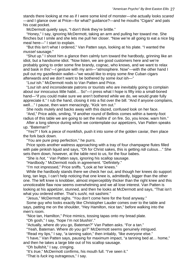stands there looking at me as if I were some kind of monster—she actually looks *scared* —and I glance over at Price—for what? guidance?—and he mouths "Cigars" and pats his coat pocket.

McDermott quietly says, "I don't think they're brittle."

 "Honey," I say, ignoring McDermott, taking an arm and pulling her toward me. She flinches but I smile and she lets me pull her closer. "Now we're all going to eat a nice big meal here—" I start to explain.

 "But this isn't what I ordered," Van Patten says, looking at his plate. "I wanted the *mussel* sausage."

 "Shut up." I shoot him a glance then calmly turn toward the hardbody, grinning like an idiot, but a handsome idiot. "Now listen, we are good customers here and we're probably going to order some fine brandy, cognac, who knows, and we want to relax and bask in this"—I gesture with my arm—"atmosphere. Now"—with the other hand I pull out my gazelleskin wallet—"we would like to enjoy some *fine* Cuban cigars afterwards and we don't want to be bothered by some *lout* ish—"

"*Lout* ish." McDermott nods to Van Patten and Price.

 "*Lout* ish and inconsiderate patrons or tourists who are inevitably going to complain about our innocuous little habit… So"—I press what I hope is fifty into a small-boned hand—"if you could make sure we aren't bothered while we do, we would *grate* fully appreciate it." I rub the hand, closing it into a fist over the bill. "And if anyone complains, well…" I pause, then warn menacingly, "Kick 'em out."

She nods mutely and backs away with this dazed, confused look on her face.

 "And," Price adds, smiling, "if another round of Bellinis comes within a twenty-foot radius of this table we are going to set the maître d' on fire. So, you know, warn him."

 After a long silence during which we contemplate our appetizers, Van Patten speaks up. "Bateman?"

 "Yes?" I fork a piece of monkfish, push it into some of the golden caviar, then place the fork back down.

"You are pure prep perfection," he purrs.

 Price spots another waitress approaching with a tray of four champagne flutes filled with pale pinkish liquid and says, "Oh for Christ sakes, this is getting *ridi* culous…" She sets them down, however, at the table next to us, for the four babes.

"She is *hot*, " Van Patten says, ignoring his scallop sausage.

"Hardbody." McDermott nods in agreement. "Definitely."

"I'm not impressed," Price sniffs. "Look at her knees."

 While the hardbody stands there we check her out, and though her knees do support long, tan legs, I can't help noticing that one knee is, admittedly, bigger than the other one. The left knee is knobbier, almost imperceptibly thicker than the right knee and this unnoticeable flaw now seems overwhelming and we all lose interest. Van Patten is looking at his appetizer, stunned, and then he looks at McDermott and says, "That isn't what you ordered either. That's *sushi,* not sashimi."

"Jesus," McDermott sighs. "You don't come here for the food anyway."

 Some guy who looks exactly like Christopher Lauder comes over to the table and says, patting me on the shoulder, "Hey Hamilton, nice tan," before walking into the men's room.

"Nice tan, Hamilton," Price mimics, tossing tapas onto my bread plate.

"Oh gosh," I say, "hope I'm not blushin'."

"Actually, where *do* you go, Bateman?" Van Patten asks. "For a tan."

"Yeah, Bateman. Where *do* you go?" McDermott seems genuinely intrigued.

"Read my lips," I say, "a tanning salon," then irritably, "like *everyone* else."

 "I have," Van Patten says, pausing for maximum impact, "a tanning bed at… home," and then he takes a large bite out of his scallop sausage.

"Oh bullshit," I say, cringing.

"It's *true*," McDermott confirms, his mouth full. "I've seen it."

"That is *fuck* ing outrageous," I say.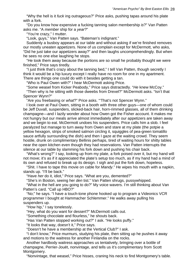"Why the hell is it *fuck* ing outrageous?" Price asks, pushing tapas around his plate with a fork.

 "Do you know how expensive a fucking tanning salon membership *is*?" Van Patten asks me. "A *member* ship for a *year*?"

"You're crazy," I mutter.

"Look, guys," Van Patten says. "Bateman's indignant."

 Suddenly a busboy appears at our table and without asking if we're finished removes our mostly uneaten appetizers. None of us complain except for McDermott, who asks, "Did he just take our appetizers away?" and then laughs uncomprehendingly. But when he sees no one else laughing he stops.

 "He took them away because the portions are so small he probably thought we were finished," Price says tiredly.

 "I just think that's crazy about the tanning bed," I tell Van Patten, though secretly I think it would be a hip luxury except I really have no room for one in my apartment. There are things one could do with it besides getting a tan.

"Who is Paul Owen with?" I hear McDermott asking Price.

"Some weasel from Kicker Peabody," Price says distractedly. "*He* knew McCoy."

 "Then why is he sitting with those dweebs from Drexel?" McDermott asks. "Isn't that Spencer Wynn?"

"Are you freebasing or *what*?" Price asks. "'That's not Spencer Wynn."

 I look over at Paul Owen, sitting in a booth with three other guys—one of whom could be Jeff Duvall, suspenders, slicked-back hair, horn-rimmed glasses, all of them drinking champagne—and I lazily wonder about how Owen got the Fisher account. It makes me not hungry but our meals arrive almost immediately after our appetizers are taken away and we begin to eat. McDermott undoes his suspenders. Price calls him a slob. I feel paralyzed but manage to turn away from Owen and stare at my plate (the potpie a yellow hexagon, strips of smoked salmon circling it, squiggles of pea-green tomatillo sauce artfully surrounding the dish) and then I gaze at the waiting crowd. They seem hostile, drunk on complimentary Bellinis perhaps, tired of waiting hours for shitty tables near the open kitchen even though they had reservations. Van Patten interrupts the silence at our table by slamming his fork down and pushing his chair back.

 "What's wrong?" I say, looking up from my plate, a fork poised over it, but my hand will not move; it's as if it appreciated the plate's setup too much, as if my hand had a mind of its own and refused to break up its design. I sigh and put the fork down, hopeless.

 "Shit. I have to tape this movie on cable for *Mandy*." He wipes his mouth with a napkin, stands up. "I'll be back."

"Have *her* do it, idiot," Price says. "What are you, demented?"

"She's in Boston, seeing her *den* tist." Van Patten shrugs, pussywhipped.

 "What in the hell are you going to do?" My voice wavers. I'm still thinking about Van Patten's card. "Call up HBO?"

 "No;" he says. "I have a touch-tone phone hooked up to program a Videonics VCR programmer I bought at Hammacher Schlemmer." He walks away pulling his suspenders up.

"How hip," I say tonelessly.

"Hey, what do you want for dessert?" McDermott calls out.

"Something chocolate and flourless," he shouts back.

"Has Van Patten stopped working out?" I ask. "He looks puffy."

"It looks that way, doesn't it," Price says.

"Doesn't he have a membership at the Vertical Club?" I ask.

 "I don't know," Price murmurs, studying his plate, then sitting up he pushes it away and motions to the waitress for another Finlandia on the rocks.

 Another hardbody waitress approaches us tentatively, bringing over a bottle of champagne, Perrier-Jouët, nonvintage, and tells us it's complimentary from Scott Montgomery.

"Nonvintage, that weasel," Price hisses, craning his neck to find Montgomery's table.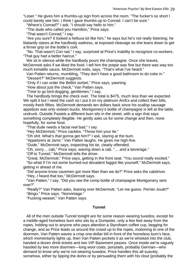"Loser." He gives him a thumbs-up sign from across the room. "The fucker's so short I could barely see him. I think I gave thumbs-up to Conrad. I can't be sure."

"Where's Conrad?" I ask. "I should say hello to him."

"The dude who called you Hamilton," Price says.

"That wasn't Conrad," I say.

 "Are you sure? It looked a helluva lot like him," he says but he's not really listening; he blatantly stares at the hardbody waitress, at exposed cleavage as she leans down to get a firmer grip on the bottle's cork.

 "No. That wasn't *Con* rad," I say, surprised at Price's inability to recognize co-workers. "That guy had a better haircut."

 We sit in silence while the hardbody pours the champagne. Once she leaves, McDermott asks if we liked the food. I tell him the potpie was fine but there was way too much tomatillo sauce. McDermott nods, says, "That's what I've heard."

 Van Patten returns, mumbling, "They don't have a good bathroom to do coke in." "Dessert?" McDermott suggests.

"Only if I can order the Bellini sorbet," Price says, yawning.

"How about just the check," Van Patten says.

"Time to go bird-dogging, gentlemen," I say.

 The hardbody brings the check over. The total is \$475, much less than we expected. We split it but I need the cash so I put it on my platinum AmEx and collect their bills, mostly fresh fifties. McDermott demands ten dollars back since his scallop sausage appetizer was only sixteen bucks. Montgomery's bottle of champagne is left at the table, undrunk. Outside Pastels a different bum sits in the street, with a sign that says something completely illegible. He gently asks us for some change and then, more hopefully, for some food.

"That dude needs a facial *real* bad," I say.

"Hey McDermott," Price cackles. "Throw him your tie."

"Oh shit. What's *that* gonna get him?" I ask, staring at the bum.

"Appetizers at Jams." Van Patten laughs. He gives me high-five.

"*Dude*," McDermott says, inspecting his tie, clearly offended.

"Oh, sorry… cab," Price says, waving down a cab. "… *and* a beverage."

"Off to Tunnel," McDermott tells the driver.

 "Great, McDermott," Price says, getting in the front seat. "You sound really excited." "So what if I'm not some burned-out decadent faggot like yourself," McDermott says,

getting in ahead of me.

 "Did anyone know cavemen got more fiber than we do?" Price asks the cabdriver. "Hey, *I* heard that too," McDermott says.

 "Van Patten," I say. "Did you see the comp bottle of champagne Montgomery sent over?"

 "Really?" Van Patten asks, leaning over McDermott. "Let me guess. Perrier-Jouët?" "*Bingo*," Price says. "Nonvintage."

"Fucking weasel," Van Patten says.

# **Tunnel**

 All of the men outside Tunnel tonight are for some reason wearing tuxedos, except for a middle-aged homeless bum who sits by a Dumpster, only a few feet away from the ropes, holding out to anyone who pays attention a Styrofoam coffee cup, begging for change, and as Price leads us around the crowd up to the ropes, motioning to one of the doormen, Van Patten waves a crisp one-dollar bill in front of the homeless bum's face, which momentarily lights up, then Van Patten pockets it as we're whisked into the club, handed a dozen drink tickets and two VIP Basement passes. Once inside we're vaguely hassled by two more doormen—long wool coats, ponytails, probably German—who demand to know why we're not wearing tuxedos. Price handles this all suavely, somehow, either by tipping the dorks or by persuading them with his clout (probably the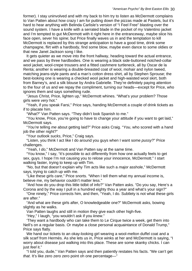former). I stay uninvolved and with my back to him try to listen as McDermott complains to Van Patten about how crazy I am for putting down the pizzas made at Pastels, but it's hard to hear anything with Belinda Carlisle's version of "I Feel Free" blasting over the sound system. I have a knife with a serrated blade in the pocket of my Valentino jacket and I'm tempted to gut McDermott with it right here in the entranceway, maybe slice his face open, sever his spine; but Price finally waves us in and the temptation to kill McDermott is replaced by this strange anticipation to have a good time, drink some champagne, flirt with a hardbody, find some blow, maybe even dance to some oldies or that new Janet Jackson song I like.

 It gets quieter as we move into the front hallway, heading toward the actual entrance, and we pass by three hardbodies. One is wearing a black side-buttoned notched-collar wool jacket, wool-crepe trousers and a fitted cashmere turtleneck, all by Oscar de la Renta; another is wearing a double-breasted coat of wool, mohair and nylon tweed, matching jeans-style pants and a man's cotton dress shirt, all by Stephen Sprouse; the best-looking one is wearing a checked wool jacket and high-waisted wool skirt, both from Barney's, and a silk blouse by Andra Gabrielle. They're definitely paying attention to the four of us and we repay the compliment, turning our heads—except for Price, who ignores them and says something rude.

 "Jesus Christ, Price, lighten up," McDermott whines. "What's your problem? Those girls were *very* hot."

 "Yeah, if you speak Farsi," Price says, handing McDermott a couple of drink tickets as if to placate him.

"What?" Van Patten says. "They didn't look Spanish to me."

 "You know, Price, you're going to have to change your attitude if you want to get laid," McDermott says.

 "*You're* telling *me* about getting laid?" Price asks Craig. "*You*, who scored with a hand job the other night?"

"Your outlook *sucks*, Price," Craig says.

 "Listen, you think I act like I do around you guys when I want some *pussy*?" Price challenges.

"Yeah, I *do*," McDermott and Van Patten say at the same time.

 "You know," I say, "it's possible to act differently from how one actually feels to get sex, guys. I hope I'm not causing you to relose your innocence, McDermott." I start walking faster, trying to keep up with Tim.

 "No, but that doesn't explain why Tim acts like such a *major* asshole," McDermott says, trying to catch up with me.

 "Like these girls *care*," Price snorts. "When I tell them what my annual income is, believe me, my behavior couldn't matter less."

 "And how do you drop this little tidbit of info?" Van Patten asks. "Do you say, Here's a Corona and by the way I pull in a hundred eighty thou a year and what's your sign?"

 "One ninety," Price corrects him, and then, "Yeah, I do. Subtlety is not what these girls are after."

 "And what are these girls after, O knowledgeable one?" McDermott asks, bowing slightly as he walks.

Van Patten laughs and still in motion they give each other high-five.

"Hey," I laugh, "you wouldn't ask if you *knew*."

 'They want a hardbody who can take them to Le Cirque twice a week, get them into Nell's on a regular basis. Or maybe a close personal acquaintance of Donald Trump," Price says flatly.

 We hand our tickets to an okay-looking girl wearing a wool-melton duffel coat and a silk scarf from Hermès. As she lets us in, Price winks at her and McDermott is saying, "I worry about disease just walking into this place. These are some skanky chicks. I can just *feel* it."

 "I told you, dude," Van Patten says and then patiently restates his facts. "We can't get *that*. It's like zero zero zero point oh one percentage—"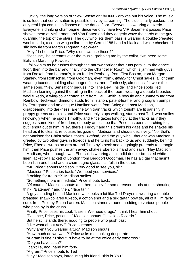Luckily, the long version of "New Sensation" by INXS drowns out his voice. The music is so loud that conversation is possible only by screaming. The club is fairly packed; the only real light coming in flashes off the dance floor. Everyone is wearing a tuxedo. Everyone is drinking champagne. Since we only have two VIP Basement passes Price shoves them at McDermott and Van Patten and they eagerly wave the cards at the guy guarding the top of the stairs. The guy who lets them pass is wearing a double-breasted wool tuxedo, a cotton wing-collar shirt by Cerruti 1881 and a black and white checkered silk bow tie from Martin Dingman Neckwear.

"Hey," I shout to Price. "Why didn't *we* use those?"

 "Because," he screams over the music, grabbing me by the collar, "*we* need some Bolivian Marching Powder…"

 I follow him as he rushes through the narrow corridor that runs parallel to the dance floor, then into the bar and finally into the Chandelier Room, which is jammed with guys from Drexel, from Lehman's, from Kidder Peabody, from First Boston, from Morgan Stanley, from Rothschild, from Goldman, even from *Citibank* for Christ sakes, all of them wearing tuxedos, holding champagne flutes, and effortlessly, almost as if it were the same song, "New Sensation" segues into "The Devil Inside" and Price spots Ted Madison leaning against the railing in the back of the room, wearing a double-breasted wool tuxedo, a wing-collar cotton shirt from Paul Smith, a bow tie and cummerbund from Rainbow Neckwear, diamond studs from Trianon, patent-leather and grosgrain pumps by Ferragamo and an antique Hamilton watch from Saks; and past Madison, disappearing into darkness, are the twin train tracks which tonight are lit garishly in preppy greens and pinks and Price suddenly stops walking, stares past Ted, who smiles knowingly when he spots Timothy, and Price gazes longingly at the tracks as if they suggest some kind of freedom, embody an escape that Price has been searching for, but I shout out to him, "Hey, there's Teddy," and this breaks his gaze and he shakes his head as if to clear it, refocuses his gaze on Madison and shouts decisively, "No, that's not Madison for Christ sakes, that's *Turnball*," and the guy who I thought was Madison is greeted by two other guys in tuxedos and he turns his back to us and suddenly, behind Price, Ebersol wraps an arm around Timothy's neck and laughingly pretends to strangle him, then Price pushes the arm away, shakes Ebersol's hand and says, "Hey Madison."

 Madison, who I thought was Ebersol, is wearing a splendid double-breasted white linen jacket by Hackett of London from Bergdorf Goodman. He has a cigar that hasn't been lit in one hand and a champagne glass, half full, in the other.

"Mr. Price," shouts Madison. "Very good to see you, sir."

"Madison," Price cries back. "We need your services."

"Looking for trouble?" Madison smiles.

"Something more immediate," Price shouts back.

 "Of course," Madison shouts and then, coolly for some reason, nods at me, shouting, I think, "Bateman," and then, "Nice tan."

 A guy standing behind Madison who looks a lot like Ted Dreyer is wearing a doublebreasted shawl-collared tuxedo, a cotton shirt and a silk tartan bow tie, all of it, I'm fairly sure, from Polo by Ralph Lauren. Madison stands around, nodding to various people who pass by in the crush.

Finally Price loses his cool. "Listen. We need drugs," I think I hear him shout.

"Patience, Price, patience," Madison shouts. "I'll talk to Ricardo."

But he still stands there, nodding to people who push past

"Like what about *now*?" Price screams.

"Why aren't you wearing a tux?" Madison shouts.

"How much do we want?" Price asks me, looking desperate.

"A gram is fine," I shout. "I have to be at the office early tomorrow."

"Do you have cash?"

I can't lie, nod, hand him forty.

"A gram," Price shouts to Ted

"Hey," Madison says, introducing his friend, "this is You."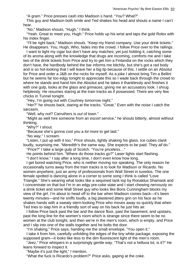"A gram." Price presses cash into Madison s hand. "*You*? What?"

 This guy and Madison both smile and Ted shakes his head and shouts a name I can't hear.

"No," Madison shouts, "Hugh." I think.

 "Yeah. Great to meet you, Hugh." Price holds up his wrist and taps the gold Rolex with his index finger.

 "I'll be right back," Madison shouts. "Keep my friend company. Use your drink tickets." He disappears. You, Hugh, Who, fades into the crowd. I follow Price over to the railings.

 I want to light my cigar but don't have any matches; yet just holding it, catching some of its aroma along with the knowledge that drugs are incoming, comforts me and I take two of the drink tickets from Price and try to get him a Finlandia on the rocks which they don't have, the hardbody behind the bar informs me bitchily, but she's got a rad body and is so hot-looking that I will leave her a big tip because of this. I settle on an Absolut for Price and order a J&B on the rocks for myself. As a joke I almost bring Tim a Bellini but he seems far too edgy tonight to appreciate this so I wade back through the crowd to where he stands and hand him the Absolut and he takes it thanklessly and finishes it with one gulp, looks at the glass and grimaces, giving me an accusatory look. I shrug helplessly. He resumes staring at the train tracks as if possessed. There are very few chicks in Tunnel tonight.

"Hey, I'm going out with Courtney tomorrow night."

 "*Her*?" he shouts back, staring at the tracks. "Great." Even with the noise I catch the sarcasm.

"Well, why *not*? Carruthers is *out* of town."

 "Might as well hire someone from an *escort* service," he shouts bitterly, almost without thinking.

"Why?" I shout.

"Because she's gonna cost you a *lot* more to get laid."

"No *way*," I scream.

 "Listen, I put up with it too," Price shouts, lightly shaking his glass. Ice cubes clank loudly, surprising me. "Meredith's the same way. She expects to be paid. They *all* do."

"Price?" I take a large gulp of Scotch. "You're priceless…"

He points behind him. "Where do those tracks go?" Laser lights start flashing.

"I don't know," I say after a long time, I don't even know how long.

 I get bored watching Price, who is neither moving nor speaking. The only reason he occasionally turns away from the train tracks is to look for Madison or Ricardo. No women anywhere, just an army of professionals from Wall Street in tuxedos. The one female spotted is dancing alone in a corner to some song I think is called "Love Triangle." She's wearing what looks like a sequined tank top by Ronaldus Shamask and I concentrate on that but I'm in an edgy pre-coke state and I start chewing nervously on a drink ticket and some Wall Street guy who looks like Boris Cunningham blocks my view of the girl. I'm about to head off to the bar when Madison comes back—it's been twenty minutes—and he sniffs loudly, a big plastered jittery grin on his face as he shakes hands with a sweaty stern-looking Price who moves away so quickly that when Ted tries to slap him in a friendly sort of way on his back he just hits air.

 I follow Price back past the bar and the dance floor, past the basement, and upstairs, past the long line for the women's room which is strange since there seem to be no women at the club tonight, and then we're in the men's room, which is empty, and Price and I slip into one of the stalls together and he bolts the door.

"I'm shaking," Price says, handing me the small envelope. "You open it."

 I take it from him, carefully unfolding the edges of the tiny white package, exposing the supposed gram—it looks like less to the dim fluorescent light of the men's room.

 "Jeez," Price whispers in a surprisingly gentle way. "That's not a helluva lot, is it?" He leans forward to inspect it.

"Maybe it's just the light," I mention.

"What the fuck is Ricardo's problem?" Price asks, gaping at the coke.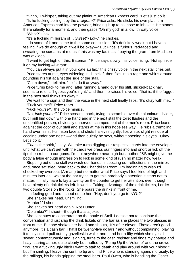"Shhh," I whisper, taking out my platinum American Express card. "Let's just do it." "Is he fucking selling it by the *milligram*?" Price asks. He sticks his own platinum

American Express card into the powder, bringing it up to his nose to inhale it. He stands there silently for a moment, and then gasps "Oh my god" in a low, throaty voice. "What?" I ask.

"It's a fucking milligram of… *Sweet'n Low*," he chokes.

 I do some of it and come to the same conclusion. "It's definitely weak but I have a feeling if we do enough of it we'll be okay—" But Price is furious, red-faced and sweating; he screams at me as if this was my fault, as if buying the gram from Madison was *my* idea.

 "I want to get high off this, Bateman," Price says slowly, his voice rising. "Not sprinkle it on my fucking All-Bran!"

 "You can always put it in your café au lait," this prissy voice in the next stall cries out. Price stares at me, eyes widening in disbelief, then flies into a rage and whirls around, pounding his fist against the side of the stall.

"Calm down," I tell him. "Let's do it anyway."

 Price turns back to me and, after running a hand over his stiff, slicked-back hair, seems to relent. "I guess you're right," and then he raises his voice, "that is, if the faggot in the next stall thinks it's okay."

We wait for a sign and then the voice in the next stall finally lisps, "It's okay with me..." "Fuck yourself!" Price roars.

"Fuck *yourself*," the voice mimics.

 "No, *fuck yourself*," Price screams back, trying to scramble over the aluminum divider, but I pull him down with one hand and in the next stall the toilet flushes and the unidentified person, obviously unnerved, scampers out of the men's room. Price leans against the door of our stall and stares at me in this hopeless way. He rubs a trembling hand over his still-crimson face and shuts his eyes tightly, lips white, slight residue of cocaine under one nostril—and then quietly he says, without opening his eyes, "Okay. Let's do it."

 "*That's* the spirit," I say. We take turns digging our respective cards into the envelope until what we can't get with the cards we press our fingers into and snort or lick off the tips then rub into our gums. I'm not anywhere near high but another J&B might give the body a false enough impression to kick in some kind of rush no matter how weak.

 Stepping out of the stall we wash our hands, inspecting our reflections in the mirror, and, once satisfied, head back to the Chandelier Room. I'm beginning to wish I'd checked my overcoat (Armani) but no matter what Price says I feel kind of high and minutes later as I wait at the bar trying to get this hardbody's attention it starts not to matter. I finally have to lay a twenty on the counter to get her attention, even though I have plenty of drink tickets left. It works. Taking advantage of the drink tickets, I order two double Stolis on the rocks. She pours the drinks in front of me.

I'm feeling good and I shout out to her, "Hey, don't you go to NYU?"

She shakes her head, unsmiling.

"Hunter?" I shout.

She shakes her head again. Not Hunter.

"Columbia?" I shout—though that's a joke.

 She continues to concentrate on the bottle of Stoli. I decide not to continue the conversation and just slap the drink tickets on the bar as she places the two glasses in front of me. But she shakes her head and shouts, "It's after eleven. Those aren't good anymore. It's a cash bar. That'll be twenty-five dollars," and without complaining, playing it totally cool, I pull out my gazelleskin wallet and hand her a fifty which she eyes, I swear, contemptuously and, sighing, turns to the cash register and finds my change and I say, staring at her, quite clearly but muffed by "Pump Up the Volume" and the crowd, "You are a fucking ugly bitch I want to stab to death and play around with your blood," but I'm smiling. I leave the cunt no tip and find Price who is standing again, morosely, by the railings, his hands gripping the steel bars. Paul Owen, who is handling the Fisher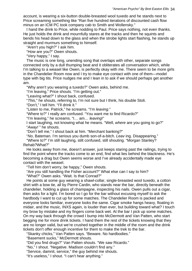account, is wearing a six-button double-breasted wool tuxedo and he stands next to Price screaming something like "Ran five hundred iterations of discounted cash flow minus on an ICM PC took company cab to Smith and Wollensky."

 I hand the drink to Price, while nodding to Paul. Price says nothing, not even thanks. He just holds the drink and mournfully stares at the tracks and then he squints and bends his head down to the glass and when the strobe lights start flashing, he stands up straight and murmurs something to himself.

"Aren't you high?" I ask him.

"How are you?" Owen shouts.

"Very happy," I say.

 The music is one long, unending song that overlaps with other, separate songs connected only by a dull thumping beat and it obliterates all conversation which, while I'm talking to a weasel like Owen, is perfectly okay with me. There seem to be more girls in the Chandelier Room now and I try to make eye contact with one of them—model type with big tits. Price nudges me and I lean in to ask if we should perhaps get another am.

"Why aren't you wearing a tuxedo?" Owen asks, behind me.

"I'm leaving," Price shouts. "I'm getting out."

"Leaving what?" I shout back, confused.

"*This*," he shouts, referring to, I'm not sure but I think, his double Stoli.

"Don't," I tell him. "I'll drink it."

"Listen to me, Patrick," he screams. "I'm *leaving*."

"Where to?" I really am confused. "You want me to find Ricardo?"

"I'm leaving," he screams. "I… am… *leaving*!"

 I start laughing, not knowing what he means. "Well, *where* are you going to go?" "*Away!* " he shouts.

"Don't tell me," I shout back at him. "Merchant banking?"

"*No*, Bateman. I'm serious you dumb son-of-a-bitch. *Leav* ing. Disappearing."

 "Where to?" I'm still laughing, stilt confused, still shouting. "Morgan Stanley? Rehab?What?"

 He looks away from me, doesn't answer, just keeps staring past the railings, trying to find the point where the tracks come to an end, find what lies behind the blackness. He's becoming a drag but Owen seems worse and I've already accidentally made eye contact with the weasel.

"Tell him don't worry, be happy," Owen shouts.

"Are you still handling the Fisher account?" What else can I say to him?

"What?" Owen asks. "Wait. Is that Conrad?"

 He points at some guy wearing a shawl-collar, single-breasted wool tuxedo, a cotton shirt with a bow tie, all by Pierre Cardin, who stands near the bar, directly beneath the chandelier, holding a glass of champagne, inspecting his nails. Owen pulls out a cigar, then asks for a light. I'm bored so I go for the bar without excusing myself to ask the hardbody I want to cut up for some matches. The Chandelier Room is packed and everyone looks familiar, everyone looks the same. Cigar smoke hangs heavy, floating in midair, and the music, INXS again, is louder than ever, but building toward what? I touch my brow by mistake and my fingers come back wet. At the bar I pick up some matches. On my way back through the crowd I bump into McDermott and Van Patten, who start begging me for more drink tickets. I hand them the rest of the tickets knowing that they are no longer valid, but we're crushed together in the middle of the room and the drink tickets don't offer enough incentive for them to make the trek to the bar.

"Skanky chicks," Van Patten says. "Beware. No hardbodies."

"Basement sucks," McDermott shouts.

"Did you find drugs?" Van Patten shouts. "We saw Ricardo."

"No," I shout. "Negative. Madison couldn't find any."

"Service, damnit, service," the guy behind me shouts.

"It's useless," I shout. "I can't hear anything."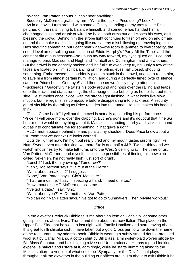"*What*?" Van Patten shouts. "I can't hear anything."

 Suddenly McDermott grabs my arm. "What the fuck is Price doing? Look." As in a movie, I turn around with some difficulty, standing on my toes to see Price perched on the rails, trying to balance himself, and someone has handed him a champagne glass and drunk or wired he holds both arms out and closes his eyes, as if blessing the crowd. Behind him the strobe light continues to flash off and on and off and on and the smoke machine is going like crazy, gray mist billowing up, enveloping him. He's shouting something but I cant hear what—the room is jammed to overcapacity, the sound level an earsplitting combination of Eddie Murphy's "Party All the Time" and the constant din of businessmen—so I push my way forward, my eyes glued on Price, and manage to pass Madison and Hugh and Turnball and Cunningham and a few others. But the crowd is too densely packed and it's futile to even keep trying. Only a few of the faces are fixated on Tim, still balancing on the railing, eyes half closed, shouting something. Embarrassed, I'm suddenly glad I'm stuck in the crowd, unable to reach him, to save him from almost certain humiliation, and during a perfectly timed byte of silence I can hear Price shout, "Goodbye!" and then, the crowd finally paying attention, "Fuckheads!" Gracefully he twists his body around and hops over the railing and leaps onto the tracks and starts running, the champagne flute bobbing as he holds it out to his side. He stumbles once, twice, with the strobe light flashing, in what looks like slow motion, but he regains his composure before disappearing into blackness. A security guard sits idly by the railing as Price recedes into the tunnel. He just shakes his head, I think.

 "Price! Come back!" I yell but the crowd is actually applauding his performance. "Price!" I yell once more, over the clapping. But he's gone and it's doubtful that if he *did* hear me he would do anything about it. Madison is standing nearby and sticks his hand out as if to congratulate me for something. "That guy's a *riot*."

 McDermott appears behind me and pulls at my shoulder. "Does Price know about a VIP room that we don't?" He looks worried.

 Outside Tunnel now, I'm high but really tired and my mouth tastes surprisingly like NutraSweet, even after drinking two more Stolis and half a J&B. Twelve-thirty and we watch limousines try to make left turns onto the West Side Highway. The three of us, Van Patten, McDermott and myself, discuss the possibilities of finding this new club called Nekenieh. I'm not really high, just sort of drunk.

"Lunch?" I ask them, yawning. "Tomorrow?"

"Can't," McDermott says. "Haircut at the Pierre."

"What about breakfast?" I suggest.

"Nope," Van Patten says. "Gio's. Manicure."

"That reminds me," I say, inspecting a hand. "I need one too."

"How about dinner?" McDermott asks me.

"I've got a date," I say. "Shit."

"What about you?" McDermott asks Van Patten.

"No can do," Van Patten says. "I've got to go to Sunmakers. Then private workout."

#### **Office**

 In the elevator Frederick Dibble tells me about an item on Page Six, or some other gossip column, about Ivana Trump and then about this new Italian-Thai place on the Upper East Side that he went to last night with Family Hamilton and starts raving about this great fusilli shiitake dish. I have taken out a gold Cross pen to write down the name of the restaurant in my address book. Dibble is wearing a subtly striped double-breasted wool suit by Canali Milano, a cotton shirt by Bill Blass, a mini-glen-plaid woven silk tie by Bill Blass Signature and he's holding a Missoni Uomo raincoat. He has a good-looking, expensive haircut and I stare at it, admiringly, while he starts humming along to the Muzak station—a version of what could be "Sympathy for the Devil"—that plays throughout all the elevators in the building our offices are in. I'm about to ask Dibble if he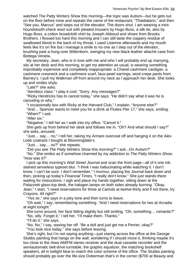watched The Patty Winters Show this morning—the topic was Autism—but he gets out on the floor before mine and repeats the name of the restaurant, "Thaidialano," and then "See you, Marcus" and steps out of the elevator. The doors shut. I am wearing a minihoundstooth-check wool suit with pleated trousers by Hugo Boss, a silk tie, also by Hugo Boss, a cotton broadcloth shirt by Joseph Abboud and shoes from Brooks Brothers. I flossed too hard this morning and I can still taste the coppery residue of swallowed blood in the back of my throat. I used Listerine afterwards and my mouth feels like it's on fire but I manage a smile to no one as I step out of the elevator, brushing past a hung-over Wittenborn, swinging my new black leather attaché case from Bottega Veneta.

 My secretary, Jean, who is in love with me and who I will probably end up marrying, sits at her desk and this morning, to get my attention as usual, is wearing something improbably expensive and completely inappropriate: a Chanel cashmere cardigan, a cashmere crewneck and a cashmere scarf, faux-pearl earrings, wool-crepe pants from Barney's. I pull my Walkman off from around my neck as I approach her desk. She looks up and smiles shyly.

"Late?" she asks.

"Aerobics class." I play it cool. "Sorry. Any messages?"

 "Ricky Hendricks has to cancel today," she says. "He didn't say what it was he is canceling or why."

"I occasionally box with Ricky at the Harvard Club," I explain. "Anyone else?"

 "And… Spencer wants to meet you for a drink at Fluties Pier 17," she says, smiling. "When?" I ask.

"After six."

"Negative," I tell her as I walk into my office. "Cancel it."

 She gets up from behind her desk and follows me in. "Oh? And what should I say?" she asks, amused.

 "Just… say… no," I tell her, taking my Armani overcoat off and hanging it on the Alex Loeb coatrack I bought at Bloomingdate's.

"Just… say… no?" she repeats.

"Did you see *The Patty Winters Show* this morning?" I ask...On Autism?"

 "No." She smiles as if somehow charmed by my addiction to *The Patty Winters Show*. "How was it?"

 I pick up this morning's *Wall Street Journal* and scan the front page—all of it one inkstained senseless typeset blur. "I think I was hallucinating while watching it. I don't know. I can't be sure. I don't remember," I murmur, placing the *Journal* back down and then, picking up today's *Financial Times,* "I really don't know." She just stands there waiting for instructions. I sigh and place my hands together, sitting down at the Palazzetti glass-top desk, the halogen lamps on both sides already burning. "Okay, Jean," I start. "I need reservations for three at Camols at twelve-thirty and if not there, try Crayons. All right?"

"Yes sir," she says in a joky tone and then turns to leave.

 "Oh wait," I say, remembering something. "And I need reservations for two at Arcadia at eight tonight."

 She turns around, her face falling slightly but still smiling. "Oh, something… romantic?" "No, silly. Forget it," I tell her. "I'll make them. Thanks."

"I'll do it," she says.

 "No. No," I say, waving her off. "Be a doll and just get me a Perrier, okay?" "You look nice today," she says before leaving.

 She's right, but I'm not saying anything—just staring across the office at the George Stubbs painting that hangs on the wall, wondering if I should move it, thinking maybe it's too close to the Aiwa AM/FM stereo receiver and the dual cassette recorder and the semiautomatic belt-drive turntable, the graphic equalizer, the matching bookshelf speakers, all in twilight blue to match the color scheme of the office. The Stubbs painting should probably go over the life-size Doberman that's in the corner (\$700 at Beauty and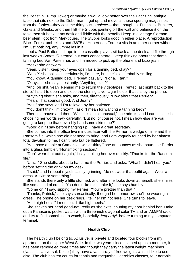the Beast in Trump Tower) or maybe it would look better over the Pacrizinni antique table that sits next to the Doberman. I get up and move all these sporting magazines from the forties—they cost me thirty bucks *apiece—* that I bought at Funchies, Bunkers, Gaks and Gleeks, and then I lift the Stubbs painting off the wall and balance it on the table then sit back at my desk and fiddle with the pencils I keep in a vintage German beer stein I got from Man-tiques. The Stubbs looks good in either place. A reproduction Black Forest umbrella stand (\$675 at Hubert des Forges) sits in an other corner without, I'm just noticing, any umbrellas in it.

 I put a Paul Butterfield tape in the cassette player, sit back at the desk and flip through last week's *Sports Illustrated*, but can't concentrate. I keep thinking about that damn tanning bed Van Patten has and I'm moved to pick up the phone and buzz jean.

"Yes?" she answers.

"Jean. Listen, keep your eyes open for a tanning bed, okay?"

"What?" she asks—incredulously, I'm sure, but she's still probably smiling.

"You know. A tanning bed," I repeat casually. "For a… tan."

"Okay…, " she says hesitantly. "Anything else?"

 "And, oh shit, yeah. Remind me to return the videotapes I rented last night back to the store." I start to open and close the sterling silver cigar holder that sits by the phone.

"Anything else?" she asks, and then, flirtatiously, "How about that Perrier?"

"Yeah. That sounds good. And Jean?"

"Yes," she says, and I'm relieved by her patience.

"You don't think I'm crazy?" I ask. "I mean for wanting a tanning bed?"

 There's a pause and then, "Well, it is a little unusual," she admits, and I can tell she is choosing her words *very* carefully. "But no, of course not. I mean how else are you going to keep up that devilishly handsome skin tone?"

"Good girl," I say before hanging up. I have a great secretary.

 She comes into the office five minutes later with the Perrier, a wedge of lime and the Ransom file, which she did not need to bring, and I am vaguely touched by her almost total devotion to me. I can't help but be flattered.

 "You have a table at Camols at twelve-thirty," she announces as she pours the Perrier into a glass tumbler. "Nonsmoking section."

 "Don't wear that outfit again," I say, looking her over quickly. "Thanks for the Ransom file."

 "Um…" She stalls, about to hand me the Perrier, and asks, "What? I didn't hear you," before setting the drink on my desk.

 "I said," and I repeat myself calmly, grinning, "do not wear that outfit again. Wear a dress. A skirt or something."

 She stands there only a little stunned, and after she looks down at herself, she smiles like some kind of cretin. "You don't like this, I take it," she says humbly.

"Come on," I say, sipping my Perrier. "You're prettier than that."

 'Thanks, Patrick," she says sarcastically, though I bet tomorrow she'll be wearing a dress. The phone on her desk rings. I tell her I'm not here. She turns to leave.

"And high heels," I mention. "I like high heels."

 She shakes her head good-naturedly as she exits, shutting my door behind her. I take out a Panasonic pocket watch with a three-inch diagonal color TV and an AM/FM radio and try to find something to watch, hopefully *Jeopardy!,* before turning to my computer terminal.

# **Health Club**

 The health club I belong to, Xclusive, is private and located four blocks from my apartment on the Upper West Side. In the two years since I signed up as a member, it has been remodeled three times and though they carry the latest weight machines (Nautilus, Universal, Keiser) they have a vast array of free weights which I like to use also. The club has ten courts for tennis and racquetball, aerobics classes, four aerobic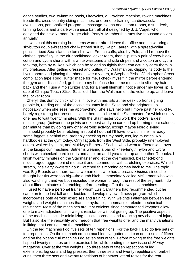dance studios, two swimming pools, Lifecycles, a Gravitron machine, rowing machines, treadmills, cross-country skiing machines, one-on-one training, cardiovascular evaluations, personalized programs, massage, sauna and steam rooms, a sun deck, tanning booths and a café with a juice bar, all of it designed by J. J. Vogel, who designed the new Norman Prager club, Petty's. Membership runs five thousand dollars annually.

 It was cool this morning but seems warmer after I leave the office and I'm wearing a six-button double-breasted chalk-striped suit by Ralph Lauren with a spread-collar pencil-striped Sea Island cotton shirt with French cuffs, also by Polo, and I remove the clothes, gratefully, in the air-conditioned locker room, then slip into a pair of crow-black cotton and Lycra shorts with a white waistband and side stripes and a cotton and Lycra tank top, both by Wilkes, which can be folded so tightly that I can actually carry them in my briefcase. After getting dressed and putting my Walkman on, clipping its body to the Lycra shorts and placing the phones over my ears, a Stephen Bishop/Christopher Cross compilation tape Todd Hunter made for me, I check myself in the mirror before entering the gym and, dissatisfied, go back to my briefcase for some mousse to slick my hair back and then I use a moisturizer and, for a small blemish I notice under my lower lip, a dab of Clinique Touch-Stick. Satisfied, I turn the Walkman on, the volume up, and leave the locker room.

 Cheryl, this dumpy chick who is in love with me, sits at her desk up front signing people in, reading one of the gossip columns in the *Post*, and she brightens up noticeably when she sees me approaching. She says hello but I move past her quickly, barely registering her presence since there's no line at the Stairmaster, for which usually one has to wait twenty minutes. With the Stairmaster you work the body's largest muscle group (between the pelvis and knees) and you can end up burning more calories per minute than by doing any other aerobic activity, except maybe Nordic skiing.

 I should probably be stretching first but if I do that I'll have to wait in line—already some faggot is behind me, probably checking out my back, ass, leg muscles. No hardbodies at the gym today. Only faggots from the West Side, probably unemployed actors, waiters by night, and Muldwyn Butner of Sachs, who I went to Exeter with, over at the biceps curl machine. Butner is wearing a pair of knee-length nylon and Lycra shorts with checkerboard inserts and a cotton and Lycra tank top and leather Reeboks. I finish twenty minutes on the Stairmaster and let the overmuscled, bleached-blond, middle-aged faggot behind me use it and I commence with stretching exercises. While I stretch, *The Patty Winters Show* I watched this morning comes back to me. The topic was Big Breasts and there was a woman on it who had a breast*reduction* since she thought her tits were too big—the dumb bitch. I immediately called McDermott who was also watching it and we both ridiculed the woman through the rest of the segment. I do about fifteen minutes of stretching before heading off to the Nautilus machines.

 I used to have a personal trainer whom Luis Carruthers had recommended but he came on to me last fall and I decided to develop my own fitness program which incorporates both aerobic exercises and training. With weights I alternate between free weights and weight machines that use hydraulic, pneumatic or electromechanical resistance. Most of the machines are very efficient since computerized keypads allow one to make adjustments in weight resistance without getting up. The positive aspects of the machines include minimizing muscle soreness and reducing any chance of injury. But I also like the versatility and freedom that free weights offer and the many variations in lifting that I can't get on the machines.

 On the leg machines I do five sets of ten repetitions. For the back I also do five sets of ten repetitions. On the stomach crunch machine I've gotten so I can do six sets of fifteen and on the biceps curl machine I do seven sets of ten. Before moving to the free weights I spend twenty minutes on the exercise bike while reading the new issue of *Money* magazine. Over at the free weights I do three sets of fifteen repetitions of leg extensions, leg curls and leg presses, then three sets and twenty repetitions of barbell curls, then three sets and twenty repetitions of bentover lateral raises for the rear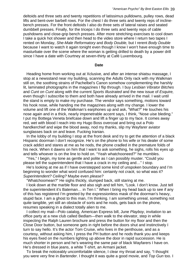#### *"American Psycho" By Bret Easton Ellis* 39

deltoids and three sets and twenty repetitions of latissimus pulldowns, pulley rows, dead lifts and bent-over barbell rows. For the chest I do three sets and twenty reps of inclinebench presses. For the front deltoids I also do three sets of lateral raises and seated dumbbell presses. Finally, for the triceps I do three sets and twenty reps of cable pushdowns and close-grip bench presses. After more stretching exercises to cool down I take a quick hot shower and then head to the video store where I return two tapes I rented on Monday, *She-Male Reformatory* and *Body Double,* but I rerent *Body Double* because I want to watch it again tonight even though I know I won't have enough time to masturbate over the scene where the woman is getting drilled to death by a power drill since I have a date with Courtney at seven-thirty at Café Luxembourg.

# **Date**

 Heading home from working out at Xclusive, and after an intense shiatsu massage, I stop at a newsstand near my building, scanning the Adults Only rack with my Walkman still on, the soothing strains of Pachelbel's Canon somehow complementing the harshly lit, laminated photographs in the magazines I flip through. I buy *Lesbian Vibrator Bitches* and *Cunt on Cunt* along with the current *Sports Illustrated* and the new issue of *Esquire,* even though I subscribe to them and both have already arrived in the mail. I wait until the stand is empty to make my purchase. The vendor says something, motions toward his hook nose, while handing me the magazines along with my change. I lower the volume and lift one of the Walkman's earphones up and ask, "What?" He touches his nose again and in a thick, nearly impenetrable accent says, I think, "Nose uise bleding." I put my Bottega Veneta briefcase down and lift a finger up to my face. It comes away red, wet with blood I reach into my Hugo Boss overcoat and bring out a Polo handkerchief and wipe the blood away, nod my thanks, slip my Wayfarer aviator sunglasses back on and leave. Fucking Iranian.

 In the lobby of my building I stop at the front desk and try to get the attention of a black Hispanic doorman I don't recognize. He's on the phone to his wife or his dealer of some crack addict and stares at me as he nods, the phone cradled in the premature folds of his neck. When it dawns on him that I want to ask something, he sighs, rolls his eyes up and tells whoever is on the line to hold on. "Yeah whatchooneed?" he mumbles.

 "Yes," I begin, my tone as gentle and polite as I can possibly muster. "Could you please tell the superintendent that I have a crack in my ceiling and…" I stop.

 He's looking at me as if I have overstepped some kind of unspoken boundary and I'm beginning to wonder what word confused him: certainly not *crack,* so what was it? *Superintendent? Ceiling?* Maybe even *please?*

"Whatchoomean?" He sighs thickly, slumped back, still staring at me.

 I look down at the marble floor and also sigh and tell him, "Look. I don't know. Just tell the superintendent it's Bateman… in Ten I." When I bring my head back up to see if any of this has registered I'm greeted by the expressionless mask of the doorman's heavy, stupid face. I am a ghost to this man, I'm thinking. I am something unreal, something not quite tangible, yet still an obstacle of sorts and he nods, gets back on the phone, resumes speaking in a dialect totally alien to me.

 I collect my mail—Polo catalog, American Express bill, June *Playboy*, invitation to an office party at a new club called Bedlam—then walk to the elevator, step in while inspecting the Ralph Lauren brochure and press the button for my floor and then the Close Door button, but someone gets in right before the doors shut and instinctively I turn to say hello. It's the actor Tom Cruise, who lives in the penthouse, and as a courtesy, without asking him, I press the PH button and he nods thank you and keeps his eyes fixed on the numbers lighting up above the door in rapid succession. He is much shorter in person and he's wearing the same pair of black Wayfarers I have on. He's dressed in blue jeans, a white T-shirt, an Armani jacket.

 To break the noticeably uncomfortable silence, I clear my throat and say, "I thought you were very fine in *Bartender*. I thought it was quite a good movie, and *Top Gun* too. I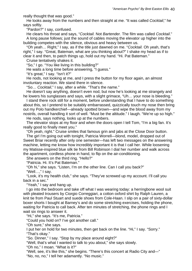really thought that was good."

 He looks away from the numbers and then straight at me. "It was called *Cocktail*," he says softly.

"Pardon?" I say, confused.

 He clears his throat and says, "*Cocktail.* Not *Bartender.* The film was called *Cocktail*." A long pause follows; just the sound of cables moving the elevator up higher into the building competes with the silence, obvious and heavy between us.

 "Oh yeah… Right," I say, as if the title just dawned on me. "*Cocktail.* Oh yeah, that's right," I say. "Great, Bateman, what are you thinking about?" I shake my head as if to clear it and then, to patch things up, hold out my hand. "Hi. Pat Bateman."

Cruise tentatively shakes it.

"So," I go. "You like living in this building?"

He waits a long time before answering, "I guess."

"It's great," I say. "Isn't it?"

 He nods, not looking at me, and I press the button for my floor again, an almost involuntary reaction. We stand there in silence.

"So… *Cocktail*," I say, after a while. "That's the name."

 He doesn't say anything, doesn't even nod, but now he's looking at me strangely and he lowers his sunglasses and says, with a slight grimace, "Uh… your nose is bleeding."

 I stand there rock still for a moment, before understanding that I have to do something about this, so I pretend to be suitably embarrassed, quizzically touch my nose then bring out my Polo handkerchief—already spotted brown—and wipe the blood away from my nostrils, overall handling it sort of well. "Must be the altitude." I laugh. "We're up so high."

He nods, says nothing, looks up at the numbers.

 The elevator stops at my floor and when the doors open I tell Tom, "I'm a big fan. It's really good to finally meet you."

"Oh yeah, right." Cruise smiles that famous grin and jabs at the Close Door button.

 The girl I'm going out with tonight, Patricia Worrell—blond, model, dropped out of Sweet Briar recently after only one semester—has left two messages on the answering machine, letting me know how incredibly important it is that I call her. While loosening my Matisse-inspired blue silk tie from Bill Robinson I dial her number and walk across the apartment, cordless phone in hand, to flip on the air-conditioning.

She answers on the third ring. "Hello?"

"Patricia. Hi. It's Pat Bateman."

 "Oh hi," she says. "Listen, I'm on the other line. Can I call you back?" "Well…," I say.

 "Look, it's my health club," she says. "They've screwed up my account. I'll call you back in a sec."

"Yeah," I say and hang up.

 I go into the bedroom and take off what I was wearing today: a herringbone wool suit with pleated trousers by Ciorgio Correggiari, a cotton oxford shirt by Ralph Lauren, a knit tie from Paul Stuart and suede shoes from Cole-Haan. I slip on a pair of sixty-dollar boxer shorts I bought at Barney's and do some stretching exercises, holding the phone, waiting for Patricia to call back. After ten minutes of stretching, the phone rings and I wait six rings to answer it.

"Hi," she says. "It's me, Patricia."

"Could you hold on? I've got another call."

"Oh sure," she says.

 I put her on hold for two minutes, then get back on the line. "Hi," I say. "Sorry." "That's okay."

"So. Dinner," I say. "Stop by my place around eight?"

"Well, that's what I wanted to talk to you about," she says slowly.

"Oh no," I moan. "What is it?"

 "Well, see, it's like this," she begins. "There's this concert at Radio City and—" "No, no, no," I tell her adamantly. "No music."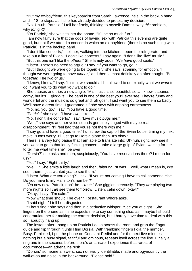"But my ex-boyfriend, this keyboardist from Sarah Lawrence, he's in the backup band and—" She stops, as if she has already decided to protest my decision.

 "No. Uh-uh, Patricia," I tell her firmly, thinking to myself: Damnit, why *this* problem, why *tonight?*

"Oh Patrick," she whines into the phone. "It'll be so much fun."

 I am now fairly sure that the odds of having sex with Patricia this evening are quite good, but not if we attend a concert in which an ex-boyfriend (there is no such thing with Patricia) is in the backup band.

 "I don't like concerts," I tell her, walking into the kitchen. I open the refrigerator and take out a liter of Evian. "I don't like concerts," I say again. "I don't like 'live' music."

"But this one isn't like the *others*." She lamely adds, "We *have* good seats."

"Listen. There's no need to argue," I say. "If you want to go, *go.* "

 "But I thought we were going to be to*geth* er," she says, straining for emotion. "I thought we were going to have *dinner*," and then, almost definitely an afterthought, "Be toge*ther.* The *two* of us."

 "I know, I know," I say. "Listen, we should all be allowed to do exactly what we *want* to do. *I* want you to do what *you* want to do."

 She pauses and tries a new angle. "Mis music is so beautiful, so… I know it sounds corny, but it's… gl*orious*. The band is one of the best you'll ever see. They're funny and wonderful and the music is so great and, oh gosh, I just want you to see them so badly. We'll have a great time, I guarantee it," she says with dripping earnestness.

"No, no, you go," I say. "You have a good time."

"Pa*trick*," she says. "I have *two* tickets."

"No. I don't like concerts," I say. "Live music *bugs* me."

"Well," she says and her voice sounds genuinely tinged with maybe real

disappointment, "I'll feel bad that you're not there with me."

 "I say go and have a good time." I unscrew the cap off the Evian bottle, timing my next move. "Don't worry. I'll just go to Dorsia alone then. It's okay."

 There is a very long pause that I am able to translate into: Uh-huh, right, now see if you want to go to that lousy fucking concert. I take a large gulp of Evian, waiting for her to tell me what time she'll be over.

 "Dorsia?" she asks and then, suspiciously, "You have reservations there? I mean for us?"

"Yes" I say, "Eight-thirty,"

 "Well…" She emits a little laugh and then, faltering, "It was… well, what I mean is, *I've* seen them. I just wanted *you* to see them."

 "Listen. What are you doing?" I ask. "If you're not coming I have to call someone else. Do you have Emily Hamilton's number?"

 "Oh now now, Patrick, don't be… *rash*." She giggles nervously. "They *are* playing two more nights so I *can* see them tomorrow. Listen, calm down, okay?"

"Okay," I say. "I'm calm."

"Now what time should I be over?" Restaurant Whore asks.

"I said eight," I tell her, disgusted.

 "'That's fine," she says and then in a seductive whisper, "See you at eight." She lingers on the phone as if she expects me to say something else, as if maybe I should congratulate her for making the correct decision, but I hardly have time to deal with this so I abruptly hang up.

 The instant after I hang up on Patricia I dash across the room and grab the Zagat guide and flip through it until I find Dorsia. With trembling fingers I dial the number. Busy. Panicked, I put the phone on Constant Redial and for the next five minutes nothing but a busy signal, faithful and ominous, repeats itself across the line. Finally a ring and in the seconds before there's an answer I experience that rarest of occurrences—an adrenaline rush.

 "Dorsia," someone answers, sex not easily identifiable, made androgynous by the wall-of-sound noise in the background. "Please hold."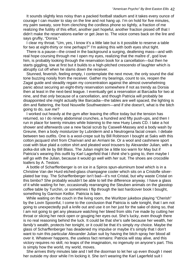It sounds slightly less noisy than a packed football stadium and it takes every ounce of courage I can muster to stay on the line and not hang up. I'm on hold for five minutes, my palm sweaty, sore from clenching the cordless phone so tightly, a fraction of me realizing the futility of this effort, another part hopeful, another fraction pissed off that I didn't make the reservations earlier or get Jean to. The voice comes back on the lire and says grufliy, "Dorsia."

 I clear my throat. "Um, yes, I know it's a little late but is it possible to reserve a table for two at eight-thirty or nine perhaps?" I'm asking this with both eyes shut tight.

 There is a pause—the crowd in the background a surging, deafening mass—and with real hope coursing through me I open my eyes, realizing that the maître d', god love him, is probably looking through the reservation book for a cancellation—but then he starts giggling, low at first but it builds to a high-pitched crescendo of laughter which is abruptly cut off when he slams down the receiver.

 Stunned, feverish, feeling empty, I contemplate the next move, the only sound the dial tone buzzing noisily from the receiver. Gather my bearings, count to six, reopen the Zagat guide and steadily regain my concentration against the almost overwhelming panic about securing an eight-thirty reservation somewhere if not as trendy as Dorsia then at least in the next-best league. I eventually get a reservation at Barcadia for two at nine, and that *only* because of a cancellation, and though Patricia will probably be disappointed she might actually like Barcadia—the tables are well spaced, the lighting is dim and flattering, the food Nouvelle Southwestern—and if she doesn't, what is the bitch going to do, *sue me*?

 I worked out heavily at the gym after leaving the office today but the tension has returned, so I do ninety abdominal crunches, a hundred and fifty push-ups, and then I run in place for twenty minutes while listening to the new Huey Lewis CD. I take a hot shower and afterwards use a new facial scrub by Caswell-Massey and a body wash by Greune, then a body moisturizer by Lubriderm and a Neutrogena facial cream. I debate between two outfits. One is a wool-crepe suit by Bill Robinson I bought at Saks with this cotton jacquard shirt from Charivari and an Armani tie. Or a wool and cashmere sport coat with blue plaid a cotton shirt and pleated wool trousers by Alexander Julian, with a polka-dot silk tie by Bill Blass. The Julian might be a little too warm for May but if Patricia's wearing this outfit by Karl Lagerfeld that I *think* she's going to, then maybe I *will* go with the Julian, because it would go well with *her* suit. The shoes are crocodile loafers by A. Testoni.

 A bottle of Scharffenberger is on ice in a Spiros spun-aluminum bowl which is in a Christine Van der Hurd etched-glass champagne cooler which sits on a Cristofle silverplated bar tray. The Scharffenberger isn't bad—it's not Cristal, but why waste Cristal on this bimbo? She probably wouldn't be able to tell the difference anyway. I have a glass of it while waiting for her, occasionally rearranging the Steuben animals on the glasstop coffee table by Turchin, or sometimes I flip through the last hardcover book I bought, something by Garrison Keillor. Patricia is late.

 While waiting on the couch in the living room, the Wurlitzer jukebox playing "Cherish" by the Lovin Spoonful, I come to the conclusion that Patricia is safe tonight, that I am not going to unexpectedly pull a knife out and use it on her just for the sake of doing so, that I am not going to get any pleasure watching her bleed from slits I've made by cutting her throat or slicing her neck open or gouging her eyes out. She's lucky, even though there is no real reasoning behind the luck. It could be that she's safe because her wealth, her *family's* wealth, protects her tonight, or it could be that it's simply *my* choice. Maybe the glass of Scharffenberger has deadened my impulse or maybe it's simply that I don't want to ruin this particular Alexander Julian suit by having the bitch spray her blood all over it. Whatever happens, the useless fact remains: Patricia will stay alive, and this victory requires no skill, no leaps of the imagination, no ingenuity on anyone's part. This is simply how the world, my world, moves.

 She arrives thirty minutes late and I tell the doorman to let her up even though I meet her outside my door while I'm locking it. She isn't wearing the Karl Lagerfeld suit I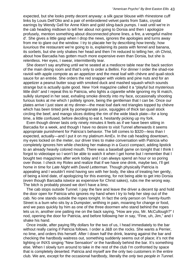expected, but she looks pretty decent anyway: a silk gazar blouse with rhinestone cuff links by Louis Dell'Olio and a pair of embroidered velvet pants from Saks, crystal earrings by Wendy Gell for Anne Klein and gold sling-back pumps. I wait until we're in the cab heading midtown to tell her about not going to Dorsia and then I apologize profusely, mention something about disconnected phone lines, a fire, a vengeful maître d'. She gives a little gasp when I drop the news, ignores the apologies and turns away from me to glare out the window. I try to placate her by describing how trendy, how *luxurious* the restaurant we're going to is, explaining its pasta with fennel and banana, its *sorbets*, but she only shakes her head and then I'm reduced to telling her, oh Christ, about how Barcadia has gotten much more expensive even than Dorsia, but she is relentless. Her eyes, I swear, intermittently tear.

 She doesn't say anything until we're seated at a mediocre table near the back section of the main dining room and that's only to order a Bellini. For dinner I order the shad-roe ravioli with apple compote as an appetizer and the meat loaf with chèvre and quail-stock sauce for an entrée. She orders the red snapper with violets and pine nuts and for an appetizer a peanut butter soup with smoked duck and mashed squash which sounds strange but is actually quite good. *New York* magazine called it a "playful but mysterious little dish" and I repeat this to Patricia, who lights a cigarette while ignoring my lit match, sulkily slumped in her seat, exhaling smoke directly into my face, occasionally shooting furious looks at me which I politely ignore, being the gentleman that I can be. Once our plates arrive I just stare at my dinner—the meat loaf dark red triangles topped by chèvre which has been tinted pink by pomegranate juice, squiggles of thick tan quail stock circling the beef, and mango slices dotting the rim of the wide black plate—for a long time, a little confused, before deciding to eat it, hesitantly picking up my fork.

 Even though dinner lasts only ninety minutes it feels as if we have been sitting in Barcadia for a week, and though I have no desire to visit Tunnel afterwards it seems appropriate punishment for Patricia's behavior. The bill comes to \$320—less than I expected, actually—and I put it on my platinum AmEx. In the cab heading downtown, my eyes locked on the meter, our driver tries to make conversation with Patricia who completely ignores him while checking her makeup in a Gucci compact, adding lipstick to an already heavily colored mouth. There was a baseball game on tonight that I think I forgot to videotape so I won't be able to watch it when I get home but I remember that I bought two magazines after work today and I can always spend an hour or so poring over those. I check my Rolex and realize that if we have one drink, maybe two, I'll get home in time for *Late Night with David Letterman.* Though physically Patricia is appealing and I wouldn't mind having sex with her body, the idea of treating her gently, of being a kind date, of apologizing for this evening, for not being able to get into Dorsia (even though Barcadia is*twice* as expensive for Christ sakes), rubs me the wrong way. The bitch is probably pissed we don't have a limo.

 The cab stops outside Tunnel. I pay the fare and leave the driver a decent tip and hold the door open for Patricia who ignores my hand when I try to help her step out of the cab. No one stands outside the ropes tonight. In fact the only person on Twenty-fourth Street is a bum who sits by a Dumpster, writhing in pain, moaning for change or food, and we pass quickly by him as one of the three doormen who stand behind the ropes lets us in, another one patting me on the back saying, "How are you, Mr. McCullough?" I nod, opening the door for Patricia, and before following her in say, "Fine, uh, Jim," and I shake his hand.

 Once inside, after paying fifty dollars for the two of us, I head immediately to the bar without really caring if Patricia follows. I order a J&B on the rocks. She wants a Perrier, no lime, and orders this herself. After I down half the drink, leaning against the bar and checking the hardbody waitress out, something suddenly seems out of place; it's not the lighting or INXS singing "New Sensation" or the hardbody behind the bar. It's something else. When I slowly turn around to take in the rest of the club I'm confronted by space that is completely deserted. Patricia and myself are the only two customers in the entire club. We are, except for the occasional hardbody, literally the *only two people in Tunnel.*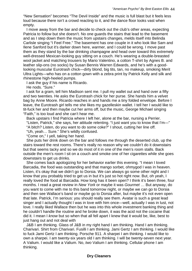"New Sensation" becomes "The Devil Inside" and the music is full blast but it feels less loud because there isn't a crowd reacting to it, and the dance floor looks vast when empty.

 I move away from the bar and decide to check out the club's other areas, expecting Patricia to follow but she doesn't. No one guards the stairs that lead to the basement and as I step down them the music from upstairs changes, melds itself into Belinda Carlisle singing "I Feel Free." The basement has one couple in it who look like Sam and Ilene Sanford but it's darker down here, *warmer,* and I could be wrong. I move past them as they stand by the bar drinking champagne and head over toward this extremely well-dressed Mexican-looking guy sitting on a couch. He's wearing a double-breasted wool jacket and matching trousers by Mario Valentino, a cotton T-shirt by Agnes B. and leather slip-ons (no socks) by Susan Bennis Warren Edwards, and he's with a goodlooking muscular Eurotrash chick—dirty blond, big tits, tan, no makeup, smoking Merit Ultra Lights—who has on a cotton gown with a zebra print by Patrick Kelly and silk and rhinestone high-heeled pumps.

I ask the guy if his name is Ricardo.

He nods. "Sure."

 I ask for a gram, tell him Madison sent me. I pull my wallet out and hand over a fifty and two twenties. He asks the Eurotrash chick for her purse. She hands him a velvet bag by Anne Moore. Ricardo reaches in and hands me a tiny folded envelope. Before I leave, the Eurotrash girl tells me she likes my gazelleskin wallet. I tell her I would like to tit-fuck her and then maybe cut her arms off, but the music, George Michael singing "Faith," is too loud and she can't hear me.

 Back upstairs I find Patricia where I left her, alone at the bar, nursing a Perrier. "Listen, Patrick," she says, her attitude relenting. "I just want you to know that I'm—" "A bitch? Listen, do you want to do some coke?" I shout, cutting her line off. "Uh, yeah… Sure." She's wildly confused.

"Come on," I yell, taking her hand.

 She puts her drink down on the bar and follows me through the deserted club, up the stairs toward the rest rooms. There's really no reason why we couldn't do it downstairs but that seems tacky and so we do most of it in one of the men's room stalls. Back outside the men's room I sit on a couch and smoke one of her cigarettes while she goes downstairs to get us drinks.

 She comes back apologizing for her behavior earlier this evening. "I mean I loved Barcadia, the food was outstanding and that mango sorbet, ohmygod I was in heaven. Listen, it's okay that we didn't go to Dorsia. We can always go some other night and I know that you probably tried to get us in but it's just so hot right now. But, oh yeah, I really loved the food at Barcadia. How long has it been open? I think it's been three, four months. I read a great review in *New York* or maybe it was *Gourmet* … But anyway, do you want to come with me to this band tomorrow night, or maybe we can go to Dorsia and then see Wallace's band or maybe go to Dorsia after, but maybe it's not even open that late. Patrick, I'm serious: you should really see them. Avatar is such a great lead singer and I actually thought I was in love with him once—well, actually I was in lust, not love. I really liked Wallace then but he was into this whole investment banking thing and he couldn't handle the routine and he broke down, it was the acid not the cocaine that did it. I mean I *know* but so when that all fell apart I knew that it would be, like, best to just hang out and not deal with

 J&B I am thinking. Glass of J&B in my right hand I am thinking. Hand I am thinking. Charivari. Shirt from Charivari. Fusilli I am thinking. Jami Gertz I am thinking. I would like to fuck Jami Gertz I am thinking. Porsche 911. A sharpei I am thinking. I would like to own a sharpei. I am twenty-six years old I am thinking. I will be twenty-seven next year. A Valium. I would like a Valium. No, *two* Valium I am thinking. Cellular phone I am thinking.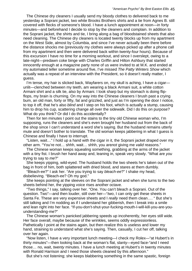The Chinese dry cleaners I usually send my bloody clothes to delivered back to me yesterday a Soprani jacket, two white Brooks Brothers shirts and a tie from Agnes B. still covered with flecks of someone's blood. I have a lunch appointment at noon—in forty minutes—and beforehand I decide to stop by the cleaners and complain. In addition to the Soprani jacket, the shirts and tie, I bring along a bag of bloodstained sheets that also need cleaning. The Chinese dry cleaners is located twenty blocks up from my apartment on the West Side, almost by Columbia, and since I've never actually been there before the distance shocks me (previously my clothes were always picked up after a phone call from my apartment and then were delivered back within twenty-four hours). Because of this excursion I have no time for a morning workout, and since I overslept, owing to a late-night—predawn coke binge with Charles Griffin and Hilton Ashbury that started innocently enough at a magazine party none of us were invited to at M.K. and ended at my automated teller sometime around five, I've missed *The Patty Winters Show* which actually was a repeat of an interview with the President, so it doesn't really matter, I guess.

I'm tense, my hair is slicked back, Wayfarers on, my skull is aching, I have a cigarunlit—clenched between my teeth, am wearing a black Armani suit, a white cotton Armani shirt and a silk tie, also by Armani. I look sharp but my stomach is doing flipflops, my brain is churning. On my way into the Chinese cleaners I brush past a crying bum, an old man, forty or fifty, fat and grizzled, and just as I'm opening the door I notice, to top it off, that he's also *blind* and I step on his foot, which is actually a stump, causing him to drop his cup, scattering change all over the sidewalk. Did I do this on purpose? What do you think? Or did I do this accidentally?

 Then for ten minutes I point out the stains to the tiny old Chinese woman who, I'm supposing, runs the cleaners and she's even brought her husband out from the back of the shop since I can't understand a word she's saying. But the husband remains utterly mute and doesn't bother to translate. The old woman keeps jabbering in what I guess is Chinese and finally I have to interrupt.

 "Listen, wait…" I hold up a hand with the cigar in it, the Soprani jacket draped over my other arm. "You're not… shhh, wait… shhh, you are*not* giving me *valid* reasons."

 The Chinese woman keeps squealing something, grabbing at the arms of the jacket with a tiny fist. I brush her hand away and, leaning in, speak very slowly. "What are *you* trying to say to *me*?"

 She keeps yipping, wild-eyed. The husband holds the two sheets he's taken out of the bag in front of him, both splattered with dried blood, and stares at them dumbly.

 "Bleach-ee?" I ask her. "Are you trying to say *bleach-ee*?" I shake my head, disbelieving. "Bleach-ee? Oh my god."

 She keeps pointing at the sleeves on the Soprani jacket and when she turns to the two sheets behind her, the yipping voice rises another octave.

 "Two things," I say, talking over her. "One. You can't bleach a Soprani. Out of the question. Two"—and then louder, still over her—"*two*, I can only get these sheets in Santa Fe. These are very expensive sheets and I *really* need them clean…. " But she's still talking and I'm nodding as if I understand her gibberish, then I break into a smile and lean right into her face. "If-you-don't-shut-your-fucking-mouth-I-will-kill-you-are-youunderstanding-me?"

 The Chinese woman's panicked jabbering speeds up incoherently, her eyes still wide. Her face overall, maybe because of the wrinkles, seems oddly expressionless. Pathetically I point at the stains again, but then realize this is useless and lower my hand, straining to understand what she's saying. Then, casually, I cut her off, talking over her again.

 "Now listen, I have a very important lunch meeting—I check my Rolex—"at Hubert's in thirty minutes"—then looking back at the woman's flat, slanty—eyed face-"and I need those… no, wait, *twenty* minutes. I have a lunch meeting at Hubert's in twenty minutes with Ronald Harrison and I need those sheets cleaned by this after*noon*."

But she's not listening; she keeps blabbering something in the same spastic, foreign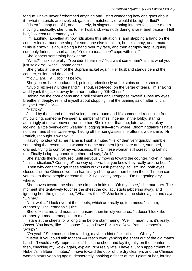tongue. I have never firebombed anything and I start wondering how one goes about it—what materials are involved, gasoline, matches… or would it be lighter fluid?

 "Listen." I snap out of it, and sincerely, in singsong, leaning into her face—her mouth moving chaotically, she turns to her husband, who nods during a rare, brief pause—I tell her, "I *cannot* understand you."

 I'm laughing, appalled at how ridiculous this situation is, and slapping a hand on the counter look around the shop for someone else to talk to, but it's empty, and I mutter, "This is crazy." I sigh, rubbing a hand over my face, and then abruptly stop laughing, suddenly furious. I snarl at her, "You're a *fool*. I *can't* cope with this."

She jabbers something back at me.

 "What?" I ask spitefully. "You didn't hear me? You want some ham? Is that what you just said? You want… some *ham*?"

 She grabs at the arm of the Soprani jacket again. Her husband stands behind the counter, sullen and detached.

"*You… are… a… fool!* " I bellow.

She jabbers back, undaunted, pointing relentlessly at the stains on the sheets.

 "Stupid bitch-ee? Understand?" I shout, red-faced, on the verge of tears. I'm shaking and I yank the jacket away from her, muttering "Oh Christ."

 Behind me the door opens and a bell chimes and I compose myself. Close my eyes, breathe in deeply, remind myself about stopping in at the tanning salon after lunch, maybe Hermès or—

"Patrick?"

 Jolted by the sound of a real voice, I turn around and it's someone I recognize from my building, someone I've seen a number of times lingering in the lobby, staring admiringly at me whenever I run into her. She's older than me, late twenties, okaylooking, a little overweight, wearing a jogging suit—from where, Bloomingdale's? I have no idea—and she's…*beaming.* Taking off her sunglasses she offers a wide smile. "Hi Patrick, I thought it was you."

 Having no idea what her name is I sigh a muted "Hello" then very quickly mumble something that resembles a woman's name and then I just stare at her, stumped, drained, trying to control my viciousness, the Chinese woman still screeching behind me. Finally I clap my hands together and say, "Well."

 She stands there, confused, until nervously moving toward the counter, ticket in hand. "Isn't it ridiculous? Coming *all* the way up *here,* but you know they really *are* the best."

 'Then why can't they get *these* stains out?" I ask patiently, still smiling, both eyes closed until the Chinese woman has finally shut up and then I open them. "I mean can you talk to these people or *some* thing?" I delicately propose. "I'm not getting *any* where."

 She moves toward the sheet the old man holds up. "Oh my, I see," she murmurs. The moment she tentatively touches the sheet the old lady starts jabbering away, and ignoring her, the girl asks me, "What *are* those?" She looks at the stains again and says, "Oh my."

 "Um, well…" I look over at the sheets, which are really quite a mess. "It's, um, cranberry juice, cranapple juice."

 She looks at me and nods, as if unsure, then timidly ventures, "It doesn't look like cranberry, I mean cranapple, to me."

 I stare at the sheets for a long time before stammering, "Well, I mean, um, it's really… *Bosco*. You know, like…" I pause. "Like a Dove Bar. It's a Dove Bar… Hershey's Syrup?"

"Oh yeah." She nods, understanding, maybe a hint of skepticism. "Oh my."

 "Listen, if you could talk to them"—I reach over, yanking the sheet out of the old man's hand—"I would *really* appreciate it." I fold the sheet and lay it gently on the counter, then, checking my Rolex again, explain, "I'm really late. I have a lunch appointment at Hubert's in fifteen minutes." I move toward the door of the dry cleaners and the Chinese woman starts yapping again, desperately, shaking a finger at me. I glare at her, forcing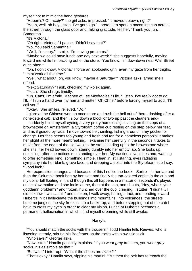myself not to mimic the hand gestures.

"Hubert's? Oh *really*?" the girl asks, impressed. "It moved uptown, right?"

 "Yeah, well, oh boy, listen, I've got to go." I pretend to spot an oncoming cab across the street through the glass door and, faking gratitude, tell her, "Thank you, uh… Samantha."

"It's Victoria."

"Oh right, Victoria." I pause. "Didn't I say that?"

"No. You said Samantha."

"'Well, I'm sorry." I smile. "I'm having problems."

 "Maybe we could have lunch one day next week?" she suggests hopefully, moving toward me while I'm backing out of the store. "You know, I'm downtown near Wall Street quite often."

 "Oh, I don't know, Victoria." I force an apologetic grin, avert my gaze from her thighs. "I'm at work all the time."

 "Well, what about, oh, you know, maybe a Saturday?" Victoria asks, afraid she'll offend.

"Next Saturday?" I ask, checking my Rolex again.

"Yeah." She shrugs timidly.

 "Oh. Can't, I'm afraid. Matinee of *Les Misérables*," I lie. "Listen. I've *really* got to go. I'll…" I run a hand over my hair and mutter "Oh Christ" before forcing myself to add, "I'll call you."

"Okay." She smiles, relieved. "Do."

 I glare at the Chinese woman once more and rush the hell out of there, dashing after a nonexistent cab, and then I slow down a block or two up past the cleaners and-

 . suddenly I find myself eyeing a very pretty homeless girl sitting on the steps of a brownstone on Amsterdam, a Styrofoam coffee cup resting on the step below her feet, and as if guided by radar I move toward her, smiling, fishing around in my pocket for change. Her face seems too young and fresh and tan for a homeless person's; it makes her plight all the more heartbreaking. I examine her carefully in the seconds it takes to move from the edge of the sidewalk to the steps leading up to the brownstone where she sits, her head bowed down, staring dumbly into her empty lap. She looks up, unsmiling, after she notices me standing over her. My nastiness vanishes and, wanting to offer something kind, something simple, I lean in, still staring, eyes radiating sympathy into her blank, grave face, and dropping a dollar into the Styrofoam cup I say, "Good luck."

 Her expression changes and because of this I notice the book—Sartre—in her lap and then the Columbia book bag by her side and finally the tan-colored coffee in the cup and my dollar bill floating in it and though this all happens in a matter of seconds it's played out in slow motion and she looks at me, then at the cup, and shouts, "Hey, what's your goddamn problem?" and frozen, hunched over the cup, cringing, I stutter, "I didn't… I didn't know it was… full," and shaken, I walk away, hailing a taxi, and heading toward Hubert's in it I hallucinate the buildings into mountains, into volcanoes, the streets become jungles, the sky freezes into a backdrop, and before stepping out of the cab I have to cross my eyes in order to clear my vision. Lunch at Hubert's becomes a permanent hallucination in which I find myself dreaming while still awake.

## **Harry's**

 "You should match the socks with the trousers," Todd Hamlin tells Reeves, who is listening intently, stirring his Beefeater on the rocks with a swizzle stick.

"Who says?" George asks.

 "Now listen," Hamlin patiently explains. "If you wear *gray* trousers, you wear *gray* socks. It's as simple as that."

"But wait," I interrupt. "What if the shoes are *black?* "

"That's okay," Hamlin says, sipping his martini. "But then the belt has to *match* the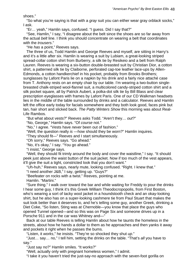shoes."

 "So what you're saying is that with a *gray* suit you can either wear gray or*black* socks," I ask.

"Er… yeah," Hamlin says, confused. "I guess. Did I say that?"

 "See, Hamlin," I say, "I disagree about the belt since the shoes are so far away from the actual *belt* line. I think you should concentrate on wearing a belt that coordinates with the *trousers*."

"He *has* a point," Reeves says.

 The three of us, Todd Hamlin and George Reeves and myself, are sitting in Harry's and it's a little after six. Hamlin is wearing a suit by Lubiam, a great-looking striped spread-collar cotton shirt from Burberry, a silk tie by Resikeio and a belt from Ralph Lauren. Reeves is wearing a six-button double-breasted suit by Christian Dior, a cotton shirt, a patterned silk tie by Claiborne, perforated cap-toe leather lace-ups by Allen-Edmonds, a cotton handkerchief in his pocket, probably from Brooks Brothers; sunglasses by Lafont Paris lie on a napkin by his drink and a fairly nice attaché case from T. Anthony rests on an empty chair by our table. I'm wearing a two-button singlebreasted chalk-striped wool-flannel suit, a multicolored candy-striped cotton shirt and a silk pocket square, all by Patrick Aubert, a polka-dot silk tie by Bill Blass and clear prescription eyeglasses with frames by Lafont Paris. One of our CD Walkman headsets lies in the middle of the table surrounded by drinks and a calculator. Reeves and Hamlin left the office early today for facials somewhere and they both look good, faces pink but tan, hair short and slicked back. *The Patty Winters Show* this morning was about Real-Life Rambos.

"But what about vests?" Reeves asks Todd. "Aren't they… *out*?"

"No, George," Hamlin says. "Of *course* not."

"No," I agree. "Vests have *never* been out of fashion."

"Well, the question really *is* —how should they be worn?" Hamlin inquires.

"They should fit—" Reeves and I start simultaneously.

"Oh sorry," Reeves says. "Go ahead."

"No, it's okay," I say. "You go ahead."

"I insist," George says.

 "Well, they should fit trimly around the body and cover the waistline," I say. "It should peek just above the waist button of the suit jacket. Now if too much of the vest appears, it'll give the suit a tight, constricted look that you don't want."

"Uh-huh," Reeves says, nearly mute, looking confused. "Right. I knew that."

"I need another J&B," I say, getting up. "Guys?"

"Beefeater on rocks with a twist." Reeves, pointing at me.

Hamlin. "Martini."

 "Sure thing." I walk over toward the bar and while waiting for Freddy to pour the drinks I hear some guy, I think it's this Greek William Theodocropopolis, from First Boston, who's wearing a sort of tacky wool jacket in a houndstooth check and an okay-looking shirt, but he also has on a super-looking cashmere tie from Paul Stuart that makes the suit look better than it deserves to, and he's telling some guy, another Greek, drinking a Diet Coke, "So listen, Sting was at Chernoble—you know that place the guys who opened Tunnel opened—and so this was on Page Six and someone drives up in a Porsche 911 and in the car was Whitney and—"

 Back at our table Reeves is telling Hamlin about how he taunts the homeless in the streets, about how he hands a dollar to them as he approaches and then yanks it away and pockets it right when he passes the bums.

"Listen, it *works*," he insists. "They're so shocked they shut *up*."

 "Just… say… no," I tell him, setting the drinks on the table. "That's *all* you have to say."

"Just say no?" Hamlin smiles. "It works?"

"Well, actually only with pregnant homeless women," I admit.

"I take it you haven't tried the just-say-no approach with the seven-foot gorilla on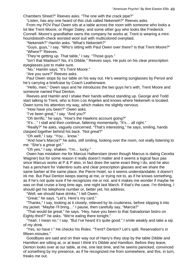Chambers Street?" Reeves asks. "The one with the crack pipe?"

"Listen, has *any* one heard of this club called Nekenieh?" Reeves asks.

 From my POV Paul Owen sits at a table across the room with someone who looks a lot like Trent Moore, or Roger Daley, and some other guy who looks like Frederick Connell. Moore's grandfather owns the company he works at. Trent is wearing a minihoundstooth-check worsted wool suit with multicolored overplaid.

"Nekenieh?" Hamlin asks. "What's Nekenieh?"

 "Guys, guys," I say. "Who's sitting with Paul Owen over there? Is that Trent Moore?" "Where?" Reeves.

'They're getting up. That table," I say. "Those guys."

 "Isn't that Madison? No, it's Dibble," Reeves says. He puts on his clear prescription eyeglasses just to make sure.

"No," Hamlin says. "It's Trent Moore."

"Are you sure?" Reeves asks.

 Paul Owen stops by our table on his way out. He's wearing sunglasses by Persol and he's carrying a briefcase by Coach Leatherware.

 "Hello, men," Owen says and he introduces the two guys he's with, Trent Moore and someone named Paul Denton.

 Reeves and Hamlin and I shake their hands without standing up. George and Todd start talking to Trent, who is from Los Angeles and knows where Nekenieh is located. Owen turns his attention my way, which makes me slightly nervous.

"How have you been?" Owen asks.

"I've been great," I say. "And you?"

"Oh terrific," he says. "How's the Hawkins account going?"

"It's…" I stall and then continue, faltering momentarily, "It's… all right."

 "Really?" he asks, vaguely concerned. "That's interesting," he says, smiling, hands clasped together behind his back. "Not *great*?"

"Oh well," I say. "You… know."

 "And how's Marcia?" he asks, still smiling, looking over the room, not really listening to me. "She's a *great* girl."

"Oh yes," I say, shaken. "I'm… lucky."

 Owen has mistaken me for Marcus Halberstam (even though Marcus is dating Cecelia Wagner) but for some reason it really doesn't matter and it seems a logical faux pas since Marcus works at P & P also, in fact does the same exact thing I do, and he also has a penchant for Valentino suits and clear prescription glasses and we share the same barber at the same place, the Pierre Hotel, so it seems understandable; it doesn't irk me. But Paul Denton keeps staring at me, or trying not to, as if he knows something, as if he's not quite sure if he recognizes me or not, and it makes me wonder if maybe he was on that cruise a long time ago, one night last March. If that's the case, I'm thinking, I should get his telephone number or, better yet, his address.

"Well, we should have drinks," I tell Owen.

"*Great*," he says. "Let's. Here's my card."

 "Thanks," I say, looking at it closely, relieved by its crudeness, before slipping it into my jacket. "Maybe I'll bring…" I pause, then carefully say, "Marcia?"

 "That would be *great*," he says. "Hey, have you been to that Salvadorian bistro on Eighty-third?" he asks. "We're eating there tonight."

 "Yeah. I mean no," I say. "But I've heard it's quite good." I smile weakly and take a sip of my drink.

 "Yes, so have I." He checks his Rolex. "Trent? Denton? Let's split. Reservation's in fifteen.minutes."

 Goodbyes are said and on their way out of Harry's they stop by the table Dibble and Hamilton are sitting at, or at least I *think* it's Dibble and Hamilton. Before they leave, Denton looks over at our table, at me, one last time, and he seems panicked, convinced of something by my presence, as if he recognized me from somewhere, and this, in turn, freaks *me* out.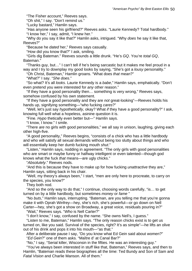"The Fisher account," Reeves says.

"Oh shit," I say. "Don't remind us."

"Lucky bastard," Hamlin says.

 "Has anyone seen his girlfriend?" Reeves asks. "Laurie Kennedy? Total hardbody." "I know her," I say, admit, "I knew her."

 "Why do you say it like that?" Hamlin asks, intrigued. "Why *does* he say it like that, Reeves?"

"Because he *dated* her," Reeves says casually.

"How did you know that?" I ask, smiling.

 "Girls dig Bateman." Reeves sounds a little drunk. "He's *GQ*. You're *total GQ*, Bateman."

 "Thanks guy, but…" I can't tell if he's being sarcastic but it makes me feel proud in a way and I try to downplay my good looks by saying, "She's got a *lousy* personality."

"Oh Christ, Bateman," Hamlin groans. "What does *that* mean?"

"What?" I say. "*She does*."

 "So what? It's all *looks*. Laurie Kennedy is a *babe*," Hamlin says, emphatically. "Don't even pretend you were interested for *any* other reason."

 "If they have a good personality then… something is very wrong," Reeves says, somehow confused by his own statement.

 "If they have a good personality and they are *not* great-looking"—Reeves holds his hands up, signifying something—"who fucking *cares*?"

 "Well, let's just say *hypothetically,* okay? What *if* they have a good personality?" I ask, knowing full well what a hopeless, asinine question it is.

"Fine. *Hypo* thetically even better but—" Hamlin says.

"I know, I know." I smile.

 "There *are* no girls with good personalities," we all say in unison, laughing, giving each other high-five.

 "A good personality," Reeves begins, "consists of a chick who has a little hardbody and who will satisfy all sexual demands without being too slutty about things and who will essentially keep her dumb fucking mouth *shut*."

 "Listen," Hamlin says, nodding in agreement. "The only girls with good personalities who are smart or maybe funny or halfway intelligent or even talented—though god knows what the fuck *that* means—are ugly chicks."

"*Absolutely*." Reeves nods.

 "And this is because they have to make up for how fucking *unattractive* they are," Hamlin says, sitting back in his chair.

 "Well, my theory's always been," I start, "men are only here to procreate, to carry on the species, you know?"

They both nod.

 "And so the only way to do that," I continue, choosing words carefully, "is… to get turned on by a little hardbody, but sometimes *money* or *fame* "

 "No *buts*," Hamlin says, interrupting. "Bateman, are you telling me that you're gonna make it with Oprah Winfrey—hey, she's rich, she's powerful—or go down on Nell Carter—hey, she's got a show on Broadway, a great voice, residuals pouring in?"

"Wait," Reeves says. "*Who* is Nell Carter?"

"I don't know," I say, confused by the name. "She owns Nell's, I guess."

 "Listen to me, Bateman," Hamlin says. "The only reason chicks exist is to get us turned on, like you said. Survival of the species, right? It's as simple"—he lifts an olive out of his drink and pops it into his mouth—"as that."

 After a deliberate pause I say, "Do you know what Ed Gein said about women?" "*Ed Gein*?" one of them asks. "Maître d' at Canal Bar?"

"No," I say, "Serial killer, Wisconsin in the fifties. He was an interesting guy."

 "You've always been interested in stuff like that, Bateman," Reeves says, and then to Hamlin, "Bateman reads these biographies all the time: Ted Bundy and Son of Sam and *Fatal Vision* and Charlie Manson. All of them."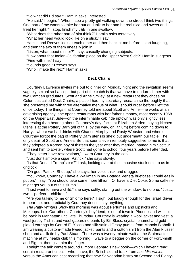"So what did Ed say?" Hamlin asks, interested.

 "He said," I begin, " 'When I see a pretty girl walking down the street I think two things. One part of me wants to take her out and talk to her and be real nice and sweet and treat her right.'" I stop, finish my J&B in one swallow.

"What does the other part of him think?" Hamlin asks tentatively.

"What her head would look like on a stick," I say.

 Hamlin and Reeves look at each other and then back at me before I start laughing, and then the two of them uneasily join in.

"Listen, what about dinner?" I say, casually changing subjects.

 "How about that Indian-Californian place on the Upper West Side?" Hamlin suggests. "Fine with me," I say.

"Sounds good," Reeves says.

"Who'll make the rez?" Hamlin asks.

#### **Deck Chairs**

 Courtney Lawrence invites me out to dinner on Monday night and the invitation seems vaguely sexual so I accept, but part of the catch is that we have to endure dinner with two Camden graduates, Scott and Anne Smiley, at a new restaurant they chose on Columbus called Deck Chairs, a place I had my secretary research so thoroughly that she presented me with three alternative menus of what I should order before I left the office today. The things that Courtney told me about Scott and Anne—he works at an advertising agency, she opens restaurants with her father's money, most recently 1968 on the Upper East Side—on the interminable cab ride uptown was only slightly less interesting than hearing about Courtney's day: facial at Elizabeth Arden, buying kitchen utensils at the Pottery Barn (all of this, by the way, on lithium) before coming down to Harry's where we had drinks with Charles Murphy and Rusty Webster, and where Courtney forgot the bag of Pottery Barn utensils she'd put underneath our table. The only detail of Scott and Anne's life that seems even remotely suggestive to me is that they adopted a Korean boy of thirteen the year after they married, named him Scott Jr. and sent him to Exeter, where Scott had gone to school four years before I attended.

"They better have reservations," I warn Courtney in the cab.

"Just don't smoke a cigar, Patrick," she says slowly.

 "Is that Donald Trump's car?" I ask, looking over at the limousine stuck next to us in gridlock.

"Oh god, Patrick. Shut up," she says, her voice thick and drugged.

 "You know, Courtney, I have a Walkman in my Bottega Veneta briefcase I could easily put on," I say. "You should take some more lithium. Or have a Diet Coke. Some caffeine might get you out of this slump."

 "I just want to have a child," she says softly, staring out the window, to no one. "Just… two… perfect… children."

 "Are you talking to me or Shlomo here?" I sigh, but loudly enough for the Israeli driver to hear me, and predictably Courtney doesn't say anything.

 *The Patty Winters Show* this morning was about Perfumes and Lipsticks and Makeups. Luis Carruthers, Courtney's boyfriend, is out of town in Phoenix and will not be back in Manhattan until late Thursday. Courtney is wearing a wool jacket and vest, a wool jersey T-shirt and wool gabardine pants by Bill Blass, crystal, enamel and gold plated earrings by Gerard E. Yosca and silk-satin d'Orsay pumps from Manolo Blahnik. I am wearing a custom-made tweed jacket, pants and a cotton shirt from the Alan Flusser shop and a silk tie by Paul Stuart. There was a twenty-minute wait at the Stairmaster machine at my health club this morning. I wave to a beggar on the corner of Forty-ninth and Eighth, then give him the finger.

 Tonight the talk centers around Elmore Leonard's new book—which I haven't read; certain restaurant critics—who I have; the British sound track from *Les Misérables* versus the American cast recording; that new Salvadorian bistro on Second and Eighty-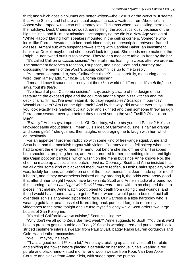#### *"American Psycho" By Bret Easton Ellis* 52

third; and which gossip columns are better written—the *Post* 's or the *News* 's. It seems that Anne Smiley and I share a mutual acquaintance, a waitress from Abetone's in Aspen who I raped with a can of hairspray last Christmas when I was skiing there over the holidays. Deck Chairs is crowded, earsplitting, the acoustics lousy because of the high ceilings, and if I'm not mistaken, accompanying the din is a New Age version of "White Rabbit" blaring from speakers mounted in the ceiling corners. Someone who looks like Forrest Atwater—slicked-back blond hair, nonprescription redwood-framed glasses, Armani suit with suspenders—is sitting with Caroline Baker, an investment banker at Drexel, maybe, and she doesn't look too good. She needs more makeup, the Ralph Lauren tweed outfit is too severe. They're at a mediocre table up front by the bar.

 "It's called California *classic* cuisine," Anne tells me, leaning in close, after we ordered. The statement deserves a reaction, I suppose, and since Scott and Courtney are discussing the merits of the *Post* 's gossip column, it's up to me to reply.

 "You mean compared to, say, Cali*fornia* cuisine?" I ask carefully, measuring each word, then lamely add, "Or *post-* California cuisine?"

 "I mean I know it sounds so trendy but there *is* a world of difference. It's *sub* tle," she says, "but it's *there*."

 "I've heard of post-California cuisine," I say, acutely aware of the design of the restaurant: the exposed pipe and the columns and the open pizza kitchen and the… deck chairs. "In fact I've even eaten it. No baby vegetables? Scallops in burritos? Wasabi crackers? Am I on the right track? And by the way, did anyone ever tell you that you look exactly like Garfield but run over and skinned and then someone threw an ugly Ferragamo sweater over you before they rushed you to the vet? Fusilli? Olive oil on Brie?"

 "Exactly," Anne says, impressed. "Oh Courtney, where *did* you find Patrick? He's so knowledgeable about things. I mean Luis's idea of California cuisine is half an orange and some *gelati*," she gushes, then laughs, encouraging me to laugh with her, which I do, hesitantly.

 For an appetizer I ordered radicchio with some kind of free-range squid. Anne and Scott both had the monkfish ragout with violets. Courtney almost fell asleep when she had to exert the energy to read the menu, but before she slid off her chair I grabbed both shoulders, propping her up, and Anne ordered for her, something simple and light like Cajun popcorn perhaps, which wasn't on the menu but since Anne knows Noj, the chef, he made up a special little batch… *just for Courtney!* Scott and Anne insisted that we all order some kind of blackened medium-rare redfish, a Desk Chairs specialty which was, luckily for them, an entrée on one of the mock menus that Jean made up for me. If it hadn't, and if they nevertheless insisted on my ordering it, the odds were pretty good that after dinner tonight I would have broken into Scott and Anne's studio at around two this morning—after *Late Night with David Letterman* —and with an ax chopped them to pieces, first making Anne watch Scott bleed to death from gaping chest wounds, and then I would have found a way to get to Exeter where I would pour a bottle of acid all over their son's slanty-eyed zipperhead face. Our waitress is a little hardbody who is wearing gold faux-pearl tasseled lizard sling-back pumps. I forgot to return my videotapes to the store tonight and I curse myself silently while Scott orders two large bottles of San Pellegrino.

"It's called California *classic* cuisine," Scott is telling me.

 "Why don't we all go to Zeus Bar next week?" Anne suggests to Scott. "You think we'd have a problem getting a table on Friday?" Scott is wearing a red and purple and black striped cashmere intarsia sweater from Paul Stuart, baggy Ralph Lauren corduroys and Cole-Haan leather moccasins.

"Well… maybe," he says.

 "That's a good idea. I *like* it a lot," Anne says, picking up a small violet off her plate and sniffing the flower before placing it carefully on her tongue. She's wearing a red, purple and black hand-knitted mohair and wool sweater from Koos Van Den Akker Couture and slacks from Anne Klein, with suede open-toe pumps.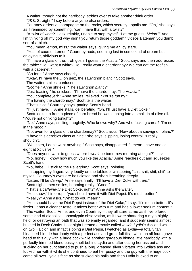A waiter, though not the hardbody, strides over to take another drink order.

"J&B. Straight," I say before anyone else orders.

 Courtney orders a champagne on the rocks, which secretly appalls me. "Oh," she says as if reminded by something, "can I have that with a twist?"

 "A twist of *what*?" I ask irritably, unable to stop myself. "Let me guess. *Melon*?" And I'm thinking oh my god why didn't you return those goddamn videos Bateman you dumb son-of-a-bitch.

"You mean *lemon*, miss," the waiter says, giving me an icy stare.

 "Yes, of course. Lemon." Courtney nods, seeming lost in some kind of dream but enjoying it, oblivious to it.

 "I'll have a glass of the… oh gosh, I guess the Acacia," Scott says and then addresses the table: "Do I want a white? Do I really want a chardonnay? We can eat the redfish with a cabernet."

"Go for it," Anne says cheerily.

"Okay, I'll have the… oh jeez, the sauvignon blanc," Scott says.

The waiter smiles, confused.

"*Scottie*," Anne shrieks. "The sauvignon *blanc*?"

"Just teasing," he snickers. "I'll have the chardonnay. The Acacia."

"You complete *jerk*." Anne smiles, relieved. "You're *fun* ny."

"I'm having the chardonnay," Scott tells the waiter.

"That's nice," Courtney says, patting Scott's hand.

"I'll just have…" Anne stalls, deliberating. "Oh, I'll just have a Diet Coke."

 Scott looks up from a piece of corn bread he was dipping into a small tin of olive oil. "You're not drinking tonight?"

 "No," Anne says, smiling naughtily. Who knows why? And who fucking cares? "I'm not in the mood."

 "Not even for a glass of the chardonnay?" Scott asks. "How about a sauvignon blanc?" "I have this aerobics class at nine," she says, slipping, losing control. "I really shouldn't."

 "Well then, I don't want anything," Scott says, disappointed. "I mean I have one at eight at Xclusive."

"Does anyone want to guess where I *won't* be tomorrow morning at eight?" I ask.

 "No, honey. I know how much you like the Acacia." Anne reaches out and squeezes Scott's hand.

"No, babe. I'll stick to the Pellegrino," Scott says, pointing.

I'm tapping my fingers very loudly on the tabletop, whispering "shit, shit, shit, shit" to myself. Courtney's eyes are half closed and she's breathing deeply.

"Listen. I'll be *daring*," Anne says finally. "I'll have a Diet Coke with *rum*."

Scott sighs, then smiles, beaming really. "Good."

"That's a *caffeine-fine* Diet Coke, right?" Anne asks the waiter.

"You know," I interrupt, "you should have it with Diet Pepsi. It's much better."

"Really?" Anne asks. "What do you mean?"

 "You should have the Diet Pepsi instead of the Diet Coke," I say. "It's much better. It's fizzier. It has a cleaner taste. It mixes better with rum and has a lower sodium content."

 The waiter, Scott, Anne, and even Courtney—they all stare at me as if I've offered some kind of diabolical, apocalyptic observation, as if I were shattering a myth highly held, or destroying an oath that was solemnly regarded, and it suddenly seems almost hushed in Deck Chairs. Last night I rented a movie called *Inside Lydia's Ass* and while on two Halcion and in fact sipping a Diet Pepsi, I watched as Lydia—a totally tan bleached-blonde hardbody with a perfect ass and great full tits—while on all fours gave head to this guy with a huge cock while another gorgeous blonde little hardbody with a perfectly trimmed blond pussy knelt behind Lydia and after eating her ass out and sucking on her cunt started to push a long, greased silver vibrator into Lydia's ass and fucked her with it while she continued to eat her pussy and the guy with the huge cock came all over Lydia's face as she sucked his balls and then Lydia bucked to an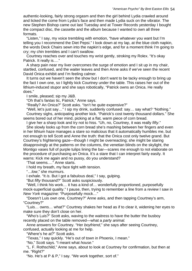authentic-looking, fairly strong orgasm and then the girl behind Lydia crawled around and licked the come from Lydia's face and then made Lydia suck on the vibrator. The new Stephen Bishop came out last Tuesday and at Tower Records yesterday I bought the compact disc, the cassette and the album because I wanted to own all three formats.

 "Listen," I say, my voice trembling with emotion, "have whatever you want but I'm telling you I recommend the Diet Pepsi." I look down at my lap, at the blue cloth napkin, the words Deck Chairs sewn into the napkin's edge, and for a moment think I'm going to cry; my chin trembles and I can't swallow.

 Courtney reaches over and touches my wrist gently, stroking my Rolex. "It's okay Patrick. It really is.…"

 A sharp pain near my liver overcomes the surge of emotion and I sit up in my chair, startled, confused, and the waiter leaves and then Anne asks if we've seen the recent David Onica exhibit and I'm feeling calmer.

 It turns out we haven't seen the show but I don't want to be tacky enough to bring up the fact I own one, so I lightly kick Courtney under the table. This raises her out of the lithium-induced stupor and she says robotically, "Patrick owns an Onica. He really does."

I smile, pleased; sip my J&B.

"Oh that's fan*tas* tic, Patrick," Anne says.

"Really? An Onica?" Scott asks. "Isn't he *quite* expensive?"

 "Well, let's just say…" I sip my drink, suddenly confused: say… say what? "Nothing." Courtney sighs, anticipating another kick. "Patrick's cost twenty thousand dollars." She seems bored out of her mind, picking at a flat, warm piece of corn bread.

I give her a sharp look and try not to hiss. "Uh, no, Courtney, it was really *fifty*."

 She slowly looks up from the corn bread she's mashing between her fingers and even in her lithium haze manages a stare so malicious that it automatically humbles me, but not enough to tell Scott and Anne the truth: that the Onica cost only twelve grand. But Courtney's frightening gaze—though I might be overreacting; she might be staring disapprovingly at the patterns on the columns, the venetian blinds on the skylight, the Montigo vases full of purple tulips lining the bar—scares me enough to not elaborate on the procedure of purchasing an Onica. It's a stare that I can interpret fairly easily. It warns: Kick me again and no pussy, do you understand?

'That seems.…" Anne starts.

I hold my breath, my face tight with tension.

"…*low*," she murmurs.

I exhale. "It *is*. But I got a fabulous deal," I say, gulping.

"But *fifty* thousand?" Scott asks suspiciously.

 "Well, I think his work… it has a kind of… wonderfully proportioned, purposefully mock-superficial quality." I pause, then, trying to remember a line from a review I saw in *New York* magazine: "Purposefully mock…"

 "Doesn't Luis own one, Courtney?" Anne asks, and then tapping Courtney's arm, "Courtney?"

 "Luis… owns… what?" Courtney shakes her head as if to clear it, widening her eyes to make sure they don't close on her.

 "Who's Luis?" Scott asks, waving to the waitress to have the butter the busboy recently placed on the table removed—what a *party animal.*

 Anne answers for Courtney. "Her *boyfriend*," she says after seeing Courtney, confused, actually looking at me for help.

"Where's he at?" Scott asks.

"Texas," I say quickly. "He's out of town in Phoenix, I mean."

"No," Scott says. "I meant what *house*."

 "L. F. Rothschild," Anne says, about to look at Courtney for confirmation, but then at me. "Right?"

"No. He's at P & P," I say. "We work together, sort of."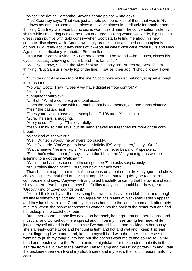"Wasn't he dating Samantha Stevens at one point?" Anne asks.

 "No," Courtney says. "That was just a photo someone took of them that was in *W*." I down my drink as soon as it arrives and wave almost immediately for another and I'm thinking Courtney *is* a babe but no sex is worth this dinner. The conversation violently shifts while I'm staring across the room at a great-looking woman—blonde, big tits, tight dress, satin pumps with gold cones—when Scott starts telling me about his new compact disc player while Anne unwittingly prattles on to a stoned and completely oblivious Courtney about new kinds of low-sodium wheat-rice cake, fresh fruits and New Age music, particularly Manhattan Steamroller.

 "It's Aiwa," Scott's saying. "You've *got* to hear it. The sound"—he pauses, closes his eyes in ecstasy, chewing on corn bread—"is fan*tastic*."

 "Well, you know, Scottie, the Aiwa *is* okay." Oh holy shit, *dream on, Scot-tie*, I'm thinking. "But Sansui is really *top* of the line." I pause, then add, "I should know. I own one."

 "But I thought *Aiwa* was top of the line." Scott looks worried but not yet upset enough to please me.

"No way, Scott," I say. "Does Aiwa have digital remote control?'-"

"Yeah," he says.

"Computer controls?"

"Uh-huh." What a completq and total *dufus.*

 "Does the system come with a turntable that has a metacrylate and brass platter?" "Yes," the bastard lies!

"Does your system have an… Accophase T-106 tuner?" I ask him.

"Sure," he says, shrugging.

"Are you sure?" I say. "Think carefully."

 "Yeah. I think so," he says, but his hand shakes as it reaches for more of the corn bread.

"What kind of speakers?"

"Well, Duntech wood," he answers too quickly.

"*So solly*, dude. You've got to have the Infinity IRS V speakers," I say. "Or—"

"Wait a minute," he interrupts. "V speakers? I've never beard of V speakers."

 "See, that's what I mean," I say. "If you don't have the V's, you might as well be listening to a goddamn Walkman."

"What's the bass response on those speakers?" he asks suspiciously.

"An ultralow fifteen hertz," I purr, enunciating each word.

 That shuts him up for a minute. Anne drones on about nonfat frozen yogurt and chow chows. I sit back, satisfied at having stumped Scott, but too quickly he regains his composure and says, "Anyway"—trying to act blissfully uncaring that he owns a cheap, shitty stereo—"we bought the new Phil Collins today. You should hear how great 'Groovy Kind of Love' sounds on it."

 "Yeah, I think it's by far the best song he's written," I say, blah blah blah, and though it's finally something Scott and I can agree on, the plates of blackened redfish appear and they look bizarre and Courtney excuses herself to the ladies' room and, after thirty minutes, when she hasn't reappeared I wander into the back of the restaurant and find her asleep in the coatcheck room.

 But at her apartment she lies naked on her back, her legs—tan and aerobicized and muscular and worked out—are spread and I'm on my knees giving her head while jerking myself off and in the time since I've started licking and sucking on her pussy she's already come twice and her cunt is tight and hot and wet and I keep it spread open, fingering it with one hand, keeping myself hard with the other. I lift her ass up, wanting to push my tongue into her, but she doesn't want me to and so I raise up my head and reach over to the Portian antique nightstand for the condom that sits in the ashtray from Palio next to the halogen Tensor lamp and the D'Oro pottery urn and I tear the package open with two shiny slick fingers and my teeth, then slip it, easily, onto my cock.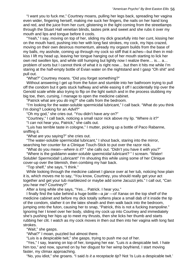"I want you to fuck *me*," Courtney moans, pulling her legs back, spreading her vagina even wider, fingering herself, making me suck her fingers, the nails on her hand long and red, and the juice from her cunt, glistening in the light coming from the streetlamps through the Stuart Hall venetian blinds, tastes pink and sweet and she rubs it over my mouth and lips and tongue before it cools.

 "Yeah," I say, moving on top of her, sliding my dick gracefully into her cunt, kissing her on the mouth hard, pushing into her with long fast strokes, my cock, my hips crazed, moving on their own desirous momentum, already my orgasm builds from the base of my balls, my asshole, coming up through my cock so stiff that it aches—but then in midkiss I lift my head up, leaving her tongue hanging out of her mouth starting to lick her own red swollen lips, and while still humping but lightly now I realize there… is… a… problem of sorts but I cannot think of what it is right now… but then it hits me while I'm staring at the half-empty bottle of Evian water on the nightstand and I gasp "Oh shit" and pull out.

"What?" Courtney moans. "Did you forget something?"

 Without answering I get up from the futon and stumble into her bathroom trying to pull off the condom but it gets stuck halfway and while easing it off I accidentally trip over the Genold scale while also trying to flip on the light switch and in the process stubbing my big toe, then, cursing, I manage to open the medicine cabinet.

"Patrick what are you *do* ing?" she calls from the bedroom.

 "I'm looking for the water-soluble spermicidal lubricant," I call back. "What do you think I'm doing? Looking for an *Advil*?"

"Oh my god," she cries out. "You didn't have *any* on?"

"Courtney," I call back, noticing a small razor nick above my lip. "Where *is* it?"

"I *can* not hear you, Patrick," she calls out.

 "Luis has terrible taste in cologne," I mutter, picking up a bottle of Paco Rabanne, sniffing it.

"What *are* you saying?" she cries out.

 "The water-soluble spermicidal lubricant," I shout back, staring into the mirror, searching her counter for a Clinique Touch-Stick to put over the razor nick.

"What do you mean—*where is it?* " she calls out. "Didn't you have it *with* you?"

 "Where is the goddamn *water-soluble spermicidal lubricant?* " I scream. "Water! Soluble! Spermicidal! Lubricant!" I'm shouting this while using some of her Clinique cover-up over the blemish, then combing my hair back.

"Top shelf," she says, "I think."

While looking through the medicine cabinet I glance over at her tub, noticing how plain it is, which moves me to say, "You know, Courtney, you should really get your act together and get your tub marbleized or maybe add some Jacuzzi jets." I call out, "Can you hear me? Courtney?"

After a long while she says, "Yes… Patrick. I hear you."

 I finally find the tube behind a huge bottle—a *jar* —of Xanax on the top shelf of the medicine cabinet and before my dick totally softens place a small dab of it inside the tip of the condom, slather it on the latex sheath and then walk back into the bedroom, jumping onto the futon, causing her to snap, "Patrick, this is not a fucking *trampoline*." Ignoring her I kneel over her body, sliding my cock up into Courtney and immediately she's pushing her hips up to meet my thrusts, then she licks her thumb and starts rubbing her clit. I watch as my cock moves in then out then into her vagina with long fast strokes.

"Wait," she gasps.

"What?" I moan, puzzled but almost there.

"Luis is a despicable twit," she gasps, trying to push me out of her.

 "Yes," I say, leaning on top of her, tonguing her ear. "Luis *is* a despicable twit. I hate him too," and now, spurred on by her disgust for her wimp boyfriend, I start moving faster, my climax approaching.

"No, you idiot," she groans. "I said *Is it a receptacle tip*? Not 'Is Luis a despicable twit.'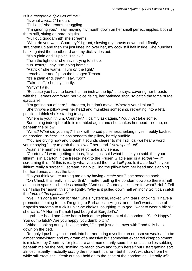Is it a *receptacle tip?* Get off me."

"Is what a *what*?" I moan.

"Pull out," she groans, struggling.

 "I'm ignoring you," I say, moving my mouth down on her small perfect nipples, both of them stiff, sitting on hard, big tits.

"Pull out, goddamnit!" she screams.

 "What do you want, Courtney?" I grunt, slowing my thrusts down until I finally straighten up and then I'm just kneeling over her, my cock still half inside. She hunches back against the headboard and my dick slides out.

"It's a plain end." I point. "I think."

"Turn the light on," she says, trying to sit up.

"Oh Jesus," I say. "I'm going home."

"Patrick," she warns. "Turn *on* the light."

I reach over and flip on the halogen Tensor.

"It's a plain end, *see*?" I say. "So?"

"Take it off," she says curtly.

"Why?" I ask.

 "Because you have to leave half an inch at the tip," she says, covering her breasts with the Hermès comforter, her voice rising, her patience shot, "to catch the force *of the ejaculate*!"

 "I'm getting out of here," I threaten, but don't move. "Where's your lithium?" She throws a pillow over her head and mumbles something, retreating into a fetal position. I think she's starting to cry.

"Where is your lithium, Courtney?" I calmly ask again. "You *must* take some."

 Something indecipherable is mumbled again and she shakes her head—no, no, no beneath the pillow.

 "What? *What* did you say?" I ask with forced politeness, jerking myself feebly back to an erection. "*Where?* " Sobs beneath the pillow, barely audible.

 "You are crying now and though it sounds clearer to me I still *cannot* hear a word you're saying." I try to grab the pillow off her head. "Now *speak up*!"

Again she mumbles, again it doesn't make any sense.

 "Courtney," I warn, getting furious, "if you just said what I think you said: that your lithium is in a carton in the freezer next to the Frusen Glädjé and is a *sorbet* "—I'm screaming this—'if this is really what you said then I will *kill* you. Is it a *sorbet*? Is your lithium really a *sorbet*?" I scream, finally pulling the pillow from her head and slapping her hard once, across the face.

"Do you think you're turning me on by having *unsafe sex*?" she screams back.

 "Oh Christ, this really isn't worth it," I mutter, pulling the condom dowp so there is half an inch to spare—a little less actually. "And see, Courtney, it's there for what? Huh? Tell us." I slap her again, this time lightly. "Why is it pulled down half an inch? So it can catch the *force of the ejaculate!* "

 "Well, it's *not* a turn-on *for me*." She's hysterical, racked with tears, choking. "I have a promotion coming to me. I'm going to Barbados in August and I don't want a case of Kaposi's sarcoma to fuck it up!" She chokes, coughing. "Oh god I want to wear a bikini," she wails. "A Norma Kamali I just bought at Bergdorf's."

 I grab her head and force her to look at the placement of the condom. "See? Happy? You dumb bitch? Are you happy, you dumb bitch?"

 Without looking at my dick she sobs, "Oh god just get it over with," and falls back down on the bed.

 Roughly I push my cock back into her and bring myself to an orgasm so weak as to be almost nonexistent and my groan of a massive but somewhat expected disappointment is mistaken by Courtney for pleasure and momentarily spurs her on as she lies sobbing beneath me on the bed, sniffling, to reach down and touch herself but I start getting soft almost instantly—actually *during* the moment I came—but if I don't withdraw from her while still erect she'll freak out so I hold on to the base of the condom as I literally *wilt*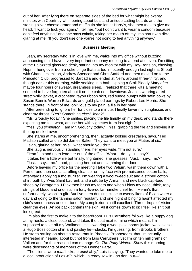out of her. After lying there on separate sides of the bed for what might be twenty minutes with Courtney whimpering about Luis and antique cutting boards and the sterling silver cheese grater and muffin tin she left at Harry's, she then tries to give me head. "I want to fuck you again," I tell her, "but I don't want to wear a condom because I don't feel anything," and she says calmly, taking her mouth off my limp shrunken dick, glaring at me, "If you don't use one you're not going to feel anything anyway."

# **Business Meeting**

 Jean, my secretary who is in love with me, walks into my office without buzzing, announcing that I have a very important company meeting to attend at eleven. I'm sitting at the Palazzetti glass-top desk, staring into my monitor with my Ray-Bans on, chewing Nuprin, hung over from a coke binge that started innocently enough last night at Shout! with Charles Hamilton, Andrew Spencer and Chris Stafford and then moved on to the Princeton Club, progressed to Barcadia and ended at Nell's around three-thirty, and though earlier this morning, while soaking in a bath, sipping a Stoli Bloody Mary after maybe four hours of sweaty, dreamless sleep, I realized that there *was* a meeting, I seemed to have forgotten about it on the cab ride downtown. Jean is wearing a red stretch-silk jacket, a crocheted rayon ribbon skirt, red suede pumps with satin bows by Susan Bennis Warren Edwards and gold-plated earrings by Robert Lee Morris. She stands there, in front of me, oblivious to my pain, a file in her hand.

 After pretending to ignore her for close to a minute, I finally lower my sunglasses and clear my throat. "Yes? Something *else? Jean*?"

 "Mr. Grouchy today." She smiles, placing the file timidly on my desk, and stands there expecting me to... what, amuse her with vignettes from last night?

 "Yes, you *simpleton*. I am Mr. Grouchy today," I hiss, grabbing the file and shoving it in the top desk drawer.

 She stares at me, uncomprehending, then, actually looking crestfallen, says, "Ted Madison called and so did James Baker. They want to meet you at Fluties at six."

I sigh, glaring at her. "Well, what should you do?"

She laughs nervously, standing there, her eyes wide. "I'm not sure."

"Jean." I stand up to lead her out of the office. "What… do.. you… say?"

 It takes her a little while but finally, frightened, she guesses, "Just… say… no?" "Just… say… no." I nod, pushing her out and slamming the door.

 Before leaving my office for the meeting I take two Valium, wash them down with a Perrier and then use a scruffing cleanser on my face with premoistened cotton balls, afterwards applying a moisturizer. I'm wearing a wool tweed suit and a striped cotton shirt, both by Yves Saint Laurent, and a silk tie by Armani and new black cap-toed shoes by Ferragamo. I Plax then brush my teeth and when I blow my nose, thick, ropy strings of blood and snot stain a forty-five-dollar handkerchief from Hermi's that, unfortunately, wasn't a gift. But I've been drinking close to twenty liters of Evian water a day and going to the tanning salon regularly and one night of binging hasn't affected my skin's smoothness or color tone. My complexion is still excellent. Three drops of Visine clear the eyes. An ice pack tightens the skin. All it comes down to is: I feel like shit but look great.

 I'm also the first to make it to the boardroom. Luis Carruthers follows like a puppy dog at my heels, a close second, and takes the seat next to mine which means I'm supposed to take off my Walkman. He's wearing a wool plaid sports jacket, wool slacks, a Hugo Boss cotton shirt and paisley tie—slacks, I'm guessing, from Brooks Brothers. He starts rattling on about a restaurant in Phoenix, Propheteers, that I'm actually interested in hearing about but not from Luis Carruthers, yet I'm on ten milligrams of Valium and for that reason I can manage. On *The Patty Winters Show* this morning were descendants of members of the Donner Party.

 "The clients were *total* hicks, pre*dict* ably," Luis is saying. "They wanted to take me to a local production of *Les Miz*, which I already *saw* in *Lon* don, but—"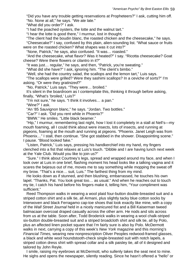"Did you have any trouble getting reservations at Propheteers?" I ask, cutting him off. "No. None at all," he says. "We ate late."

"What did you order?" I ask.

"I had the poached oysters, the lotte and the walnut tart."

"I hear the lotte is good there," I murmur, lost in thought.

"The client had the boudin blanc, the roasted chicken and the cheesecake," he says.

 "Cheesecake?" I say, confused by this plain, alien-sounding list. "What sauce or fruits were on the roasted chicken? What shapes was it cut into?"

"None, Patrick," he says, also confused. "It was… roasted."

 "And the cheesecake, what flavor? Was it heated?" I say. "Ricotta cheesecake? Goat cheese? Were there flowers or cilantro in it?"

"It was just… regular," he says, and then, "Patrick, you're sweating."

"What did she have?" I ask, ignoring him. "The client's bimbo."

"Well, she had the country salad, the scallops and the lemon tart," Luis says.

 "The scallops were grilled? Were they sashimi scallops? In a ceviche of sorts?" I'm asking. "Or were they *gratinized*?"

"No, Patrick," Luis says. "They were… broiled."

 It's silent in the boardroom as I contemplate this, thinking it through before asking, finally, "What's 'broiled,' Luis?"

"I'm not sure," he says. "I think it involves… a pan."

"Wine?" I ask.

"An '85 Sauvignon blanc," he says. "Jordan. Two bottles."

"Car?" I ask. "Did you rent while in Phoenix?"

"BMW." He smiles. "Little black beamer."

 "Hip," I murmur, remembering last night, how I lost it completely in a stall at Nell's—my mouth foaming, all I could think about were insects, lots of insects, and running at pigeons, foaming at the mouth and running at pigeons. "Phoenix. Janet Leigh was from Phoenix…" I stall, then continue. "She got stabbed in the shower. Disappointing scene." I pause. "Blood looked fake."

 "Listen, Patrick," Luis says, pressing his handkerchief into my hand, my fingers clenched into a fist that relaxes at Luis's touch. "Dibble and I are having lunch next week at the Yale Club. Would you like to join us?"

 "Sure." I think about Courtney's legs, spread and wrapped around my face, and when I look over at Luis in one brief, flashing moment his head looks like a talking vagina and it scares the bejesus out of me, moves me to say something while mopping the sweat off my brow. "That's a nice… suit, Luis." The farthest thing from my mind.

 He looks down as if stunned, and then blushing, embarrassed, he touches his own lapel. "Thanks, Pat. You look great too… as usual." And when he reaches out to touch my tie, I catch his hand before his fingers make it, telling him, "Your compliment was sufficient."

 Reed Thompson walks in wearing a wool plaid four-button double-breasted suit and a striped cotton shirt and a silk tie, all Armani, plus slightly tacky blue cotton socks by Interwoven and black Ferragamo cap-toe shoes that look exactly like mine, with a copy of the *Wall Street Journal* held in a nicely manicured fist and a Bill Kaiserman tweed balmacaan overcoat draped casually across the other arm. He nods and sits across from us at the table. Soon after, Todd Broderick walks in wearing a wool chalk-striped six-button double-breasted suit and a striped broadcloth shirt and silk tie, all by Polo, plus an affected linen pocket square that I'm fairly sure is also by Polo. McDermott walks in next, carrying a copy of this week's *New York* magazine and this morning's *Financial Times,* wearing new nonprescription Oliver Peoples redwood-framed glasses, a black and white wool houndstooth-check single-breasted suit with notch lapels, a striped cotton dress shirt with spread collar and a silk paisley tie, all of it designed and tailored by John Reyle.

 I smile, raising my eyebrows at McDermott, who sullenly takes the seat next to mine. He sighs and opens the newspaper, silently reading. Since he hasn't offered a "hello" or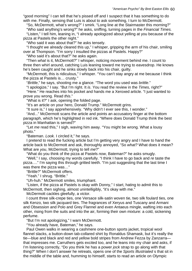"good morning" I can tell that he's pissed off and I suspect that it has something to do with me. Finally, sensing that Luis is about to ask something, I turn to McDermott.

 "So, McDermott, what's wrong?" I smirk. "Long line at the Stairmaster this morning?" "Who said anything's wrong?" he asks, sniffing, turning pages in the *Financial Times.* "Listen," I tell him, leaning in, "I already apologized about yelling at you because of the pizza at Pastels the other night."

"Who said it was about that?" he asks tensely.

 "I thought we already cleared this up," I whisper, gripping the arm of his chair, smiling over at Thompson. "I'm sorry I insulted the pizzas at Pastels. Happy?"

"Who said it's about that?" he asks again.

 "Then *what* is it, McDermott?" I whisper, noticing movement behind me. I count to three then whirl around, catching Luis leaning toward me trying to eavesdrop. He knows he's been caught and he sinks slowly back into his chair, guilty.

 "McDermott, this is ridiculous," I whisper. "You can't stay angry at me because I think the pizza at Pastels is… crusty."

"*Brittle*," he says, shooting me a glance. "The word you used was *brittle*."

"I apologize," I say. "But I'm right. It *is*. You read the review in the *Times,* right?"

 "Here." He reaches into his pocket and hands me a Xeroxed article. "I just wanted to prove you wrong. Read *this*."

"What is it?" I ask, opening the folded page.

"It's an article on your hero, Donald Trump." McDermott grins.

"It sure is," I say apprehensively. "Why didn't I ever see this, I wonder."

 "And..." McDermott scans the article and points an accusatory finger at the bottom paragraph, which he's highlighted in red ink. "Where does Donald Trump think the best pizza in Manhattan is served?"

 "Let *me* read this," I sigh, waving him away. "You might be wrong. What a lousy photo."

"Bateman. *Look.* I circled it," he says.

 I pretend to read the fucking article but I'm getting very angry and I have to hand the article back to McDermott and ask, thoroughly annoyed, "So *what?* What does it mean? What are *you*, McDermott, trying to tell *me*?"

"What do you think of the pizza at Pastels *now*, Bateman?" he asks smugly.

 "Well," I say, choosing my words carefully. "I think I have to go back and *re* taste the pizza…." I'm saying this through gritted teeth. "I'm just suggesting that the last time I was there the pizza was…"

"Brittle?" McDermott offers.

"Yeah." I shrug. "Brittle."

"Uh-huh." McDermott smiles, triumphant.

 "Listen, if the pizza at Pastels is okay with Donny," I start, hating to admit this to McDermott, then sighing, almost unintelligibly, "it's okay with me."

McDermott cackles gleefully, a victor.

 I count three silk-crepe ties, one Versace silk-satin woven tie, two silk foulard ties, one silk Kenzo, two silk jacquard ties. The fragrances of Xeryus and Tuscany and Armani and Obsession and Polo and Grey Flannel and even Antaeus mingle, wafting into each other, rising from the suits and into the air, forming their own mixture: a cold, sickening perfume.

"But I'm not apologizing," I warn McDermott.

"You already have, Bateman," he says.

 Paul Owen walks in wearing a cashmere one-button sports jacket, tropical wool flannel slacks, a button-down tab-collared shirt by Ronaldus Shamask, but it's really the tie—blue and black and red and yellow bold stripes from Andrew Fezza by Zanzarra that impresses me. Carruthers gets excited too, and he leans into my chair and asks, if I'm listening correctly, "Do you think he has a power *jock* strap to go along with that thing?" When I don't answer he retreats, opens one of the *Sports Illustriated* s that sit in the middle of the table and, humming to himself, starts to read an article on Olympic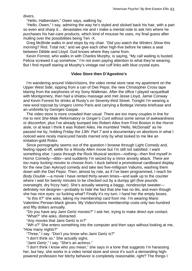divers.

"Hello, Halberstam," Owen says, walking by.

 "Hello, Owen," I say, admiring the way he's styled and slicked back his hair, with a part so even and sharp it… devastates me and I make a mental note to ask him where he purchases his hair-care products, which kind of mousse he uses, my final guess after mulling over the possibilities being Ten -X.

 Greg McBride walks in and stops by my chair. "Did you watch the *Winters Show* this morning? Riot. Total riot," and we give each other high-five before he takes a seat between Dibble and Lloyd. God knows where they came from.

 Kevin Forrest, who walks in with Charles Murphy, is saying, "My call waiting is busted. Felicia screwed it up somehow." I'm not even paying attention to what they're wearing. But I find myself staring at Murphy's vintage owl cuff links with blue crystal eyes.

### **Video Store then D'Agostino's**

 I'm wandering around VideoVisions, the video rental store near my apartment on the Upper West Side, sipping from a can of Diet Pepsi, the new Christopher Cross tape blaring from the earphones of my Sony Walkman. After the office I played racquetball with Montgomery, then had a shiatsu massage and met Jesse Lloyd, Jamie Conway and Kevin Forrest for drinks at Rusty's on Seventy-third Street. Tonight I'm wearing a new wool topcoat by Ungaro Uomo Paris and carrying a Bottega Veneta briefcase and an umbrella by Georges Gaspar.

 The video store is more crowded than usual. There are too many couples in line for me to rent *She-Male Reformatory* or *Ginger's Cunt* without some sense of awkwardness or discomfort, plus I've already bumped into Robert Ailes from First Boston in the Horror aisle, or at least I think it was Robert Ailes. He mumbled "Hello, McDonald" as he passed me by, holding *Friday the 13th: Part 7* and a documentary on abortions in what I noticed were nicely manicured hands marred only by what looked to me like an imitation-gold Rolex.

 Since pornography seems out of the question I browse through Light Comedy and, feeling ripped off, settle for a Woody Allen movie but I'm still not satisfied. I want something else. I pass through the Rock Musical section—nothing—then find myself in Horror Comedy—ditto—and suddenly I'm seized by a minor anxiety attack. *There are too many fucking movies to choose from*. I duck behind a promotional cardboard display for the new Dan Aykroyd comedy and take two five-milligram Valiums, washing them down with the Diet Pepsi. Then, almost by rote, as if I've been programmed, I reach for *Body Double* —a movie I have rented thirty-seven times—and walk up to the counter where I wait for twenty minutes to be checked out by a dumpy girl (five pounds overweight, dry frizzy hair). She's actually wearing a baggy, nondescript sweater definitely not designer—probably to hide the fact that she has no tits, and even though she has nice eyes: so fucking what? Finally it's my turn. I hand her the empty boxes.

 "Is this it?" she asks, taking my membership card from me. I'm wearing Mario Valentino Persian-black gloves. My VideoVisions membership costs only two hundred and fifty dollars annually.

 "Do you have any Jami Gertz movies?" I ask her, trying to make direct eye contact. "What?" she asks, distracted.

"Any movies that Jami Gertz is in?"

 "*Wh* o?" She enters something into the computer and then says without looking at me, "How many nights?"

"Three," I say. "Don't you know who Jami Gertz is?"

"I don't think so." She actually sighs.

"Jami *Gertz*," I say. "She's an *actress*."

 "I don't think I know who you mean," she says in a tone that suggests I'm harassing her, but hey, she works in a video rental store and since it's such a demanding highpowered profession her bitchy behavior is completely reasonable, *right*? The things I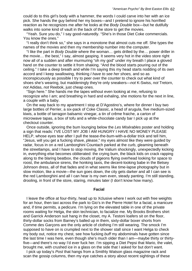could do to this girl's body with a hammer, the words I could carve into her with an ice pick. She hands the guy behind her my boxes—and I pretend to ignore his horrified reaction as he recognizes me after he looks at the *Body Double* box—but he dutifully walks into some kind of vault in the back of the store to get the movies.

 "Yeah. Sure you do," I say good-naturedly. "She's in those Diet Coke commercials. You know the ones."

 "I really don't think so," she says in a monotone that almost cuts me off. She types the names of the movies and then my membership number into the computer.

 "I like the part in *Body Double* where the woman… gets drilled by the… power driller in the movie… the best," I say, almost gasping. It seems very hot in the video store right now all of a sudden and after murmuring "oh my god" under my breath I place a gloved hand on the counter to settle it from shaking. "And the blood starts pouring out of the ceiling." I take a deep breath and while I'm saying this my head starts nodding of its own accord and I keep swallowing, thinking *I have to see her shoes,* and so as inconspicuously as possible I try to peer over the counter to check out what kind of shoes she's wearing, but maddeningly they're only sneakers—*not* K-Swiss, *not* Tretorn, *not* Adidas, *not* Reebok, just cheap ones.

 "Sign here." She hands me the tapes without even looking at me, refusing to recognize who I am; and breathing in hard and exhaling, she motions for the next in line, a couple with a baby.

 On the way back to my apartment I stop at D'Agostino's, where for dinner I buy two large bottles of Perrier, a six-pack of Coke Classic, a head of arugula, five medium-sized kiwis, a bottle of tarragon balsamic vinegar, a tin of crême fraiche, a carton of microwave tapas, a box of tofu and a white-chocolate candy bar I pick up at the checkout counter.

 Once outside, ignoring the bum lounging below the *Les Misérables* poster and holding a sign that reads: I'VE LOST MY JOB I AM HUNGRY I HAVE NO MONEY PLEASE HELP, whose eyes tear after I pull the tease-the-bum-with-a-dollar trick and tell him, "Jesus, will you get a fucking shave, *please*," my eyes almost like they were guided by radar, focus in on a red Lamborghini Countach parked at the curb, gleaming beneath the streetlamps, and I have to stop moving, the Valium shockingly, unexpectedly kicking in, everything else becomes obliterated: the crying bum, the black kids on crack rapping along to the blaring beatbox, the clouds of pigeons flying overhead looking for space to roost, the ambulance sirens, the honking taxis, the decent-looking babe in the Betsey Johnson dress, all of that fades and in what seems like time-lapse photography but in slow motion, like a movie—the sun goes down, the city gets darker and all I can see is the red Lamborghini and all I can hear is my own even, steady panting. I'm still standing, drooling, in front of the store, staring, minutes later (I don't know how many).

#### **Facial**

 I leave the office at four-thirty, head up to Xclusive where I work out with free weights for an hour, then taxi across the park to Gio's in the Pierre Hotel for a facial, a manicure and, if time permits, a pedicure. I'm lying on the elevated table in one of the private rooms waiting for Helga, the skin technician, to facialize me. My Brooks Brothers shirt and Garrick Anderson suit hang in the closet, my A. Testoni loafers sit on the floor, thirty-dollar socks from Barney's balled up in them, sixty-dollar boxer shorts from Comme des Garçons are the only article of clothing I'm still wearing. The smock I'm supposed to have on is crumpled next to the shower stall since I want Helga to check my body out, notice my chest, see how fucking *buff* my abdominals have gotten since the last time I was here, even though she's much older than I am—maybe thirty or thirtyfive—and there's no way I'd ever fuck her. I'm sipping a Diet Pepsi that Mario, the valet, brought me, with crushed ice in a glass on the side that I asked for but don't want.

 I pick up today's *Post* that hangs from a Smithly Watson glass magazine rack and scan the gossip columns, then my eye catches a story about recent sightings of these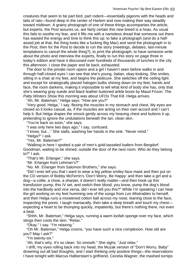#### *"American Psycho" By Bret Easton Ellis* 63

creatures that seem to be part bird, part rodent—essentially pigeons with the heads and tails of rats—found deep in the center of Harlem and now making their way steadily toward midtown. A grainy photograph of one of these things accompanies the article, but experts, the *Post* assures us, are fairly certain this new breed is a hoax. As usual this fails to soothe my fear, and it fills me with a nameless dread that someone out there has wasted the energy and time to think this up: to fake a photograph (and do a halfassed job at that, the thing looks like a fucking Big Mac) and send the photograph in to the *Post*, then for the *Post* to decide to run the story (meetings, debates, last-minute temptations to cancel the whole thing?), to print the photograph, to have someone write about the photo and interview the experts, finally to run this story on page three in today's edition and have it discussed over hundreds of thousands of lunches in the city this afternoon. I close the paper and lie back, exhausted.

 The door to the private room opens and a girl I haven't seen before walks in and through half-closed eyes I can see that she's young, Italian, okay-looking. She smiles, sitting in a chair at my feet, and begins the pedicure. She switches off the ceiling light and except for strategically placed halogen bulbs shining down on my feet, hands and face, the room darkens, making it impossible to tell what kind of body she has, only that she's wearing gray suede and black leather buttoned ankle boots by Maud Frizon. *The Patty Winters Show* this morning was about UFOs That Kill. Helga arrives.

"Ah, Mr. Bateman," Helga says. "How are you?"

 "Very good, Helga," I say, flexing the muscles in my stomach and chest. My eyes are closed so it looks casual, as, if the muscles are acting on their own accord and I can't help it. But Helga drapes the smock gently across my heaving chest and buttons it up, pretending to ignore the undulations beneath the tan, clean skin.

"You're back so soon," she says.

"I was only here two days ago," I say, confused.

"I know, but…" She stalls, washing her hands in the sink. "Never mind."

"Helga?" I ask.

"Yes, Mr. Bateman?"

 "Walking in here I spotted a pair of men's gold-tasseled loafers from Bergdorf Goodman, waiting to be shined, outside the door of the next room. Who do they belong to?" I ask.

"That's Mr. Erlanger," she says.

"Mr. Erlanger from Lehman's?"

"No. Mr. Erlanger from Salomon Brothers," she says.

 "Did I ever tell you that I want to wear a big yellow smiley-face mask and then put on the CD version of Bobby McFerrin's 'Don't Worry, Be Happy' and then take a girl and a dog—a collie, a chow, a sharpei, it doesn't really matter—and then hook up this transfusion pump, this IV set, and switch their blood, you know, pump the dog's blood into the hardbody and vice versa, did I ever tell you this?" While I'm speaking I can hear the girl working on my feet humming one of the songs from *Les Misérables* to herself, and then Helga runs a moistened cotton ball across my nose, leaning close to the face, inspecting the pores. I laugh maniacally, then take a deep breath and touch my chest expecting a heart to be thumping quickly, impatiently, but there's nothing there, not even a beat.

 "Shhh, Mr. Bateman," Helga says, running a warm loofah sponge over my face, which stings then cools the skin. "Relax."

"Okay." I say. "I'm relaxing."

 "Oh Mr. Bateman," Helga croons, "you have such a nice complexion. How old are you? May I ask?"

"I'm twenty-six."

"Ah, that's why. It's so clean. So smooth." She sighs. "Just relax."

 I drift, my eyes rolling back into my head, the Muzak version of "Don't Worry, Baby" drowning out all bad thoughts, and I start thinking only positive things—the reservations I have tonight with Marcus Halberstam's girlfriend, Cecelia Wagner, the mashed turnips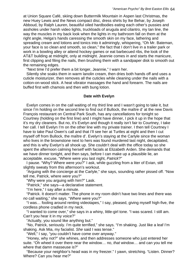at Union Square Café, skiing down Buttermilk Mountain in Aspen last Christmas, the new Huey Lewis and the News compact disc, dress shirts by Ike Behar, by Joseph Abboud, by Ralph Lauren, beautiful oiled hardbodies eating each other's pussies and assholes under harsh video lights, truckloads of arugula and cilantro, my tan line, the way the muscles in my back look when the lights in my bathroom fall on them at the right angle, Helga's hands caressing the smooth skin on my face, lathering and spreading cream and lotions and tonics into it admiringly, whispering, "Oh Mr. Bateman, your face is so clean and smooth, so clean," the fact that I don't live in a trailer park or work in a bowling alley or attend hockey games or eat barbecued ribs, the look of the AT&T building at midnight, only at midnight. Jeannie comes in and starts the manicure, first clipping and filing the nails, then brushing them with a sandpaper disk to smooth out the remaining edges.

"Next time I'd prefer them a bit longer, Jeannie," I warn her.

 Silently she soaks them in warm lanolin cream, then dries both hands off and uses a cuticle moisturizer, then removes all the cuticles while cleaning under the nails with a cotton-on-wood stick. A heat vibrator massages the hand and forearm. The nails are buffed first with chamois and then with bung lotion.

# **Date with Evelyn**

 Evelyn comes in on the call waiting of my third line and I wasn't going to take it, but since I'm holding on the second line to find out if Bullock, the maître d' at the new Davis François restaurant on Central Park South, has any cancellations for tonight so Courtney (holding on the first line) and I might have dinner, I pick it up in the hope that it's my dry cleaners. But no, it's Evelyn and though it really isn't fair to Courtney, I take her call. I tell Evelyn I'm on the other line with my private trainer. I then tell Courtney I have to take Paul Owen's call and that I'll see her at Turtles at eight and then I cut myself off from Bullock, the maître d'. Evelyn's staying at the Carlyle since the woman who lives in the brownstone next to hers was found murdered last night, decapitated, and this is why Evelyn's all shook up. She couldn't deal with the office today so she spent the afternoon calming herself with facials at Elizabeth Arden. She demands that we have dinner tonight, and then says, before I can make up a plausible lie, an acceptable. excuse, "Where were you last night, *Patrick*?"

 I pause. "Why? Where were *you*?" I ask, while guzzling from a liter of Evian, still slightly sweaty from this afternoon's workout.

 "Arguing with the concierge at the Carlyle," she says, sounding *rather* pissed off. "Now tell me, Patrick, where *were* you?"

"Why were you arguing with him?" Lask.

"Patrick," she says—a declarative statement.

"I'm here," I say after a minute.

 "Patrick. It doesn't matter. The phone in my room didn't have two lines and there was *no* call waiting," she says. "*Where* were you?"

 "I was… fooling around renting videotapes," I say, pleased, giving myself high-five, the cordless phone cradled in my neck.

 "I wanted to come over," she says in a whiny, little-girl tone. "I was scared. I still am. Can't you hear it in my voice?"

"Actually, you sound like anything but."

 "No, Patrick, seriously. I'm quite terrified," she says. "I'm shaking. Just like a leaf I'm shaking. Ask Mia, my facialist. *She* said I was tense."

"Well," I say, "you couldn't have come over anyway."

 "Honey, why not?" she whines, and then addresses someone who just entered her suite. "Oh wheel it over there near the window… no, *that* window… and can you tell me where that damn masseuse is?"

 "Because your neighbor's head was in my freezer." I yawn, stretching. "Listen. Dinner? Where? Can you hear me?"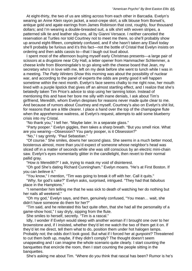At eight-thirty, the two of us are sitting across from each other in Barcadia. Evelyn's wearing an Anne Klein rayon jacket, a wool-crepe skirt, a silk blouse from Bonwit's, antique gold and agate earrings from James Robinson that cost, roughly, four thousand dollars; and I'm wearing a double-breasted suit, a silk shirt with woven stripes, a patterned silk tie and leather slip-ons, all by Gianni Versace. I neither canceled the reservation at Turtles nor told Courtney not to meet me there, so she'll probably show up around eight-fifteen, completely confused, and if she hasn't taken any Elavil today she'll probably be furious and it's this fact—not the bottle of Cristal that Evelyn insists on ordering and then adds cassis to—that I laugh out loud about.

 I spent most of the afternoon buying myself early Christmas presents—a large pair of scissors at a drugstore near City Hall, a letter opener from Hammacher Schlemmer, a cheese knife from Bloomingdale's to go along with the cheese board that Jean, my secretary who's in love with me, left on my desk before she went to lunch while I was in a meeting. *The Patty Winters Show* this morning was about the possibility of nuclear war, and according to the panel of experts the odds are pretty good it will happen sometime within the next month. Evelyn's face seems chalky to me right now, her mouth lined with a purple lipstick that gives off an almost startling effect, and I realize that she's belatedly taken Tim Price's advice to stop using her tanning lotion. Instead of mentioning this and have her bore me silly with inane denials, I ask about Tim's girlfriend, Meredith, whom Evelyn despises for reasons never made quite clear to me. And because of rumors about Courtney and myself, Courtney's also on Evelyn's shit list, for reasons that are a little clearer. I place a hand over the top of the champagne flute when the apprehensive waitress, at Evelyn's request, attempts to add some blueberry crisis into my Cristal.

"No thank you," I tell her. "Maybe later. In a separate glass."

 "Party pooper." Evelyn giggles, then takes a sharp breath. "But you smell nice. What are you wearing—Obsession? You party pooper, is it Obsession?"

"No," I say grimly. "Paul Sebastian."

 "Of course." She smiles, downs her second glass. She seems in a much better mood, boisterous almost, more than you'd expect of someone whose neighbor's head was sliced off in a matter of seconds while she was still conscious by an electric mini-chain saw. Evelyn's eyes momentarily glitter in the candlelight, then revert to their normal pallid gray.

"How *is* Meredith?" I ask, trying to mask my void of disinterest.

 "Oh god She's dating Richard Cunningham." Evelyn moans. "He's at First Boston. If you can *believe* it."

"You know," I mention, "Tim was going to break it off with her. Call it quits."

 "*Why*, for god's sake?" Evelyn asks, surprised, intrigued. "They had that *fabulous* place in the Hamptons."

 "I remember him telling me that he was sick to death of watching her do nothing but her nails all weekend."

 "Oh my god," Evelyn says, and then, genuinely confused, "You mean… wait, she didn't have someone do them for her?"

 "Tim said, and he reiterated this fact quite often, that she had all the personality of a game-show host," I say dryly, sipping from the flute.

She smiles to herself, secretly. "Tim is a rascal."

 Idly, I wonder if Evelyn would sleep with another woman if I brought one over to her brownstone and, if I insisted, whether they'd let me watch the two of them get it on. If they'd let me direct, tell them what to do, position them under hot halogen lamps. Probably not; the odds don't look good. But what if I forced her at *gunpoint?* Threatened to cut them both up, maybe, if they didn't comply? The thought doesn't seem unappealing and I can imagine the whole scenario quite clearly. I start counting the banquettes that encircle the room, then I start counting the people sitting in the banquettes.

She's asking me about Tim. "Where do you think that rascal has been? Rumor is he's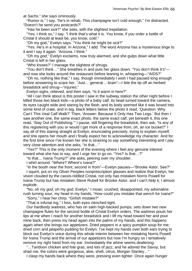at *Sachs*," she says ominously.

 "Rumor is," I say, "he's in rehab. This champagne isn't cold enough." I'm distracted. "Doesn't he send you postcards?"

"Has he been sick?" she asks, with the slightest trepidation.

 "Yes, I think so," I say. "I think that's what it is. You know, if you order a bottle of Cristal it should at least be, you know, *cold*."

"Oh my god," Evelyn says. "You think he might be *sick*?"

 "Yes. He's in a hospital. In Arizona," I add. The word *Arizona* has a mysterious tinge to it and I say it again. "Arizona. I think."

 "Oh my *god*," Evelyn exclaims, now truly alarmed, and she gulps down what little Cristal is left in her glass.

"Who knows?" I manage the slightest of shrugs.

 "You don't think…" She breathes in and puts her glass down. "You don't think it's" and now she looks around the restaurant before leaning in, whispering—"AIDS?"

 "Oh no, nothing like that," I say, though immediately I wish I had paused long enough before answering to scare her. "Just… general… brain"—I bite the tip off an herbed breadstick and shrug—"injuries."

Evelyn sighs, relieved, and then says, "Is it warm in here?"

 "All I can think about is this poster I saw in the subway station the other night before I killed those two black kids—a photo of a baby calf, its head turned toward the camera, its eyes caught wide and staring by the flash, and its body seemed like it was boxed into some kind of crate, and in big, black letters below the photo it read, 'Question: Why Can't This Veal Calf Walk?' Then, 'Answer: Because It Only Has Two Legs.' But then I saw another one, the same exact photo, the same exact calf, yet beneath it, this one read, 'Stay Out of Publishing.'" I pause, still fingering the breadstick, then ask, "Is any of this registering with you or would I get more of a response from, oh, an ice bucket?" I say all of this staring straight at Evelyn, enunciating precisely, trying to explain myself, and she opens her mouth and I finally expect her to acknowledge my character. And for the first time since I've known her she is straining to say something interesting and I pay very close attention and she asks, "Is that…"

 "Yes?" This is the only moment of the evening where I feel any genuine interest toward what she has to say, and I urge her to go on. "Yes? Is that…?"

"Is that… Ivana Trump?" she asks, peering over my shoulder.

I whirl around. "Where? Where's Ivana?"

 "In the booth near the front, second in from"—Evelyn pauses—"Brooke Astor. See?" I squint, put on my Oliver Peoples nonprescription glasses and realize that Evelyn, her vision clouded by the cassis-riddled Cristal, not only has mistaken Norris Powell for Ivana Trump but has mistaken Steve Rubell for Brooke Astor, and I can't help it, I almost explode.

 "No, oh my *god*, oh my *god*, Evelyn," I moan, crushed, disappointed, my adrenaline rush turning sour, my head in my hands. "How could you mistake that *wench* for Ivana?"

"Sorry," I hear her chirp. "Girlish mistake?"

"That is in*furiat* ing," I hiss, both eyes clenched tight.

 Our hardbody waitress, who has on satin high-backed pumps, sets down two new champagne flutes for the second bottle of Cristal Evelyn orders. The waitress pouts her lips at me when I reach for another breadstick and I lift my head toward her and pout mine back, then press my head again into the palms of my hands, and this happens again when she brings our appetizers. Dried peppers in a spicy pumpkin soup for me; dried corn and jalapeño pudding for Evelyn. I've kept my hands over both ears trying to block out Evelyn's voice during this whole interim between her mistaking Norris Powell for Ivana Trump and the arrival of our appetizers but now I'm hungry so I tentatively remove my right hand from my ear. Immediately the whine seems deafening.

 "…Tandoori chicken and foie gras, and lots of jazz, and he adored the Savoy, but shad roe, the colors were gorgeous, aloe, shell, citrus, Morgan Stanley…"

I clasp my hands back where they were, pressing even tighter. Once again hunger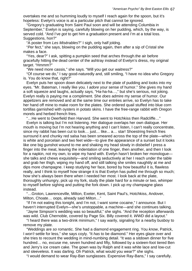overtakes me and so humming loudly to myself I reach again for the spoon, but it's hopeless: Evelyn's voice is at a particular pitch that cannot be ignored.

 "Gregory's graduating from Saint Paul soon and will be attending Columbia in September," Evelyn is saying, carefully blowing on her pudding, which, by the way, is served cold. "And I've *got* to get him a graduation present and I'm at a total loss. Suggestions, hon?"

"A poster from *Les Misérables*?" I sigh, only half joldng.

 "*Per* fect," she says, blowing on the pudding again, then after a sip of Cristal she makes a face.

 "Yes, dear?" I ask, spitting a pumpkin seed that arches through.the air before gracefully hitting the dead center of the ashtray instead of Evelyn's dress, my original target. "Hmmm?"

"We need more cassis," she says. "Will you get our waitress?"

 "Of course we do," I say good-naturedly and, still smiling, "I have no idea who Gregory is. You do know that, right?"

 Evelyn puts her spoon down delicately next to the plate of pudding and looks into my eyes. "Mr. Bateman, I really like you. I *adore* your sense of humor." She gives my hand a soft squeeze and laughs, actually *says,* "Ha-ha-ha…," but she's serious, not joking. Evelyn really *is* paying me a compliment. She *does* admire my sense of humor. Our appetizers are removed and at the same time our entrées arrive, so Evelyn has to take her hand off mine to make room for the plates. She ordered quail stuffed into blue corn tortillas garnished with oysters in potato skins. I have the free-range rabbit with Oregon morels and herbed french fries.

"…He went to Deerfield then Harvard. She went to Hotchkiss then Radcliffe…"

 Evelyn is talking but I'm not listening. Her dialogue overlaps her own dialogue. Her mouth is moving but I'm not hearing anything and I can't listen, I can't really concentrate, since my rabbit has been cut to look… just… like... a… star! Shoestring french fries surround it and chunky red salsa has been smeared across the top of the plate—which is white and porcelain and two feet wide—to give the appearance of a sunset but it looks like one big gunshot wound to me and shaking my head slowly in disbelief I press a finger into the meat, leaving the indentation of one finger, then another, and then I look for a napkin, not my own, to wipe my hand with. Evelyn hasn't broken her monologue she talks and chews exquisitely—and smiling seductively at her I reach under the table and grab her thigh, wiping my hand off, and still talking she smiles naughtily at me and dips more champagne. I keep studying her face, bored by how beautiful it is, flawless really, and I think to myself how strange it is that Evelyn has pulled me through so much; how she's always been there when I needed her most. I look back at the plate, thoroughly unhungry, pick up my fork, study the plate hard for a minute or two, whimper to myself before sighing and putting the fork down. I pick up my champagne glass instead.

 "…Groton, Lawrenceville, Milton, Exeter, Kent, Saint Paul's, Hotchkiss, Andover, Milton, Choate… oops, already said Milton…"

 "If I'm not eating this tonight, and I'm not, I want some cocaine," I announce. But I haven't interrupted Evelyn—she's unstoppable, a machine—and she continues talking.

 "Jayne Simpson's wedding was so beautiful," she sighs. "And the reception afterwards was wild. Club Chernoble, covered by Page Six. Billy covered it. *WWD* did a layout."

 "I heard there was a two-drink minimum," I say warily, signaling for a nearby busboy to remove my plate.

 "Weddings are *so* romantic. She had a diamond engagement ring. You *know*, Patrick, I *won't* settle for less," she says coyly. "It *has* to be diamond." Her eyes glaze over and she tries to recount the wedding in mind-numbing detail. "It was a sitdown dinner for five hundred… no, excuse me, seven hundred and fifty, followed by a sixteen-foot tiered Ben and Jerry's ice cream cake. The gown was by Ralph and it was white lace and low-cut and sleeveless. It was darling. Oh Patrick, what would you wear?" she sighs.

"I would demand to wear Ray-Ban sunglasses. Expensive Ray-Bans," I say carefully.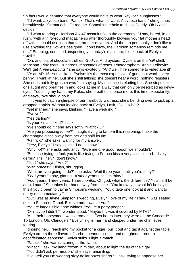"In fact I would demand that everyone would have to wear Ray-Ban sunglasses."

 "I'd want, a zydeco band, Patrick. That's what I'd want. A zydeco band," she gushes breathlessly. "Or mariachi. Or reggae. Something ethnic to shock Daddy. Oh I *can't* decide."

 "I'd want to bring a Harrison AK-47 assault rifle to the ceremony; " I say, bored, in a rush, "with a thirty-round magazine so after thoroughly blowing your fat mother's head off with it I could use it on that fag brother of yours. And though personally I don't like to use anything the Soviets designed, I don't know, the Harrison somehow reminds me of…" Stopping, confused, inspecting yesterday's manicure, I look back at Evelyn. "Stoli?"

 "Oh, and lots of chocolate truffles. *Godiva*. And oysters. Oysters on the *half* shell. Marzipan. Pink *tents*. Hundreds, *thousands* of roses. Photographers. Annie Leibovitz. We'll get *Annie Leibovitz*," she says excitedly. "*And* we'll hire someone to videotape it!"

 "Or an AR-15. You'd like it, Evelyn: it's the most expensive of guns, but worth every penny." I wink at her. But she's still talking; she doesn't hear a word; nothing registers. She does not fully grasp *a word* I'm saying. My essence is eluding her. She stops her onslaught and breathes in and looks at me in a way that can only be described as dewyeyed. Touching my hand, my Rolex, she breathes in once more, this time expectantly, and says, "We should do it."

 I'm trying to catch a glimpse of our hardbody waitress; she's bending over to pick up a dropped napkin. Without looking back at Evelyn, I ask, "Do… what?"

"Get married," she says, blinking. "Have a wedding."

"Evelyn?"

"Yes darling?"

"Is your kir… spiked?" I ask.

"We should do it," she says softly. "Patrick…"

 "Are you proposing *to me*?" I laugh, trying to fathom this reasoning. I take the champagne glass away from her and sniff its rim.

"*Pat* rick?" she asks, waiting for my answer.

"Jeez, Evelyn," I say, stuck. "I don't know."

"Why *not*?" she asks petulantly. "Give me *one* good reason we shouldn't."

 "Because trying to fuck you is like trying to French-kiss a very… small and… lively gerbil?" I tell her. "I don't know."

"Yes?" she says. "And?"

"With braces?" I finish, shrugging.

"What are you going to do?" she asks. "Wait three years until you're thirty?"

"*Four* years," I say, glaring. "It's*four* years until I'm thirty."

 "Four years. Three years. Three *months*. Oh god, what's the difference? You'll still be an old man." She takes her hand away from mine. "You know, you wouldn't be saying this if you'd been to Jayne Simpson's wedding. You'd take one look at it and want to marry me immediately."

 "But I *was* at Jayne Simpson's wedding, Evelyn, love of my life," I say. "I was seated next to Sukhreet Gabel. Believe me, I was *there.* "

"You're im*pos* sible," she whines. "You're a party pooper."

"Or maybe I didn't," I wonder aloud. "Maybe I… was it covered by MTV?"

 "And their honeymoon was*so* romantic. Two hours later they were on the Concorde. To London. Oh, Claridge's." Evelyn sighs, her hand clasped under her chin, eyes tearing.

 Ignoring her, I reach into my pocket for a cigar, pull it out and tap it against the table. Evelyn orders three flavors of sorbet: peanut, licorice and doughnut. I order a

decaffeinated espresso. Evelyn sulks. I light a match.

"Patrick," she warns, staring at the flame.

"What?" I ask, my hand frozen in midair, about to light the tip of the cigar.

"You didn't ask permission," she says, unsmiling.

"Did I tell you I'm wearing sixty-dollar boxer shorts?" I ask, trying to appease her.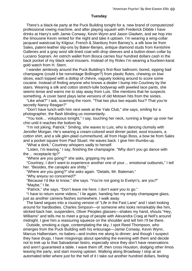### **Tuesday**

 There's a black-tie party at the Puck Building tonight for a. new brand of computerized professional rowing machine, and after playing squash with Frederick Dibble I have drinks at Harry's with Jamie Conway, Kevin Wynn and Jason Gladwin, and we hop into the limousine Kevin rented for the night and take it uptown. I'm wearing a wing-collar jacquard waistcoat by Kilgour, French & Stanbury from Barney's, a silk bow tie from Sales, patent-leather slip-ons by Baker-Benjes, antique diamond studs from Kentshire Galleries and a gray wool silk-lined coat with drop sleeves and a button-down collar by Luciano Soprani. An ostrich wallet from Bosca carries four hundred dollars cash in the back pocket of my black wool trousers. Instead of my Rolex I'm wearing a fourteen-karat gold watch from H. Stern.

 I wander aimlessly around the Puck Building's first-floor ballroom, bored, sipping bad champagne (could it be nonvintage Bollinger?) from plastic flutes, chewing on kiwi slices, each topped with a dollop of chèvre, vaguely looking around to score some cocaine. Instead of finding anyone who knows a dealer I bump into Courtney by the stairs. Wearing a silk and cotton stretch-tulle bodywrap with jeweled lace pants, she seems tense and warns me to stay away from Luis. She mentions that he suspects something. A cover band plays lame versions of old Motown hits from the sixties.

 "Like what?" I ask, scanning the room. "That two plus two equals four? That you're secretly Nancy Reagan?"

 "Don't have lunch with him next week at the Yale Club," she says, smiling for a photographer, the flash blinding us momentarily.

 "You look… voluptuous tonight," I say, touching her neck, running a finger up over her chin until it reaches the bottom lip.

 "I'm not joking, Patrick." Smiling, she waves to Luis, who is dancing clumsily with Jennifer Morgan. He's wearing a cream-colored wool dinner jacket, wool trousers, a cotton shirt, and a silk glen-plaid cummerbund, all from Hugo Boss, a bow tie from Sales and a pocket square from Paul Stuart. He waves back. I give him thumbs-up.

"What a dork," Courtney whispers sadly to herself.

 "Listen, I'm leaving," I say, finishing the champagne. "Why don't you go dance with the… receptacle tip?"

"Where *are* you going?" she asks, gripping my arm.

 "Courtney, I don't want to experience another one of your… emotional outbursts," I tell her. "Besides, the canapés are shitty."

"Where *are* you going?" she asks again. "Details, Mr. Bateman."

"Why are*you* so concerned?"

 "Because I'd like to know," she says. "You're not going to Evelyn's, are you?" "Maybe," I lie.

"Patrick," she says. "Don't leave me here. I don't *want* you to go."

 "I *have* to return some videos," I lie again, handing her my empty champagne glass, just as another camera flashes somewhere. I walk away.

 The band segues into a rousing version of "Life in the Fast Lane" and I start looking around for hardbodies. Charles Simpson—or someone who looks remarkably like him, slicked-back hair, suspenders, Oliver Peoples glasses—shakes my hand, shouts "Hey, Williams" and tells me to meet a group of people with Alexandra Craig at Nell's around midnight. I give him a reassuring squeeze on the shoulder and tell him I'll be there.

 Outside, smoking a cigar, contemplating the sky, I spot Reed Thompson, who emerges from the Puck Building with his entourage—Jamie Conway, Kevin Wynn, Marcus Halberstam, no babes—and invites me along to dinner; and though I suspect they have drugs, I have misgivings about spending the evening with them and decide not to trek up to that Salvadorian bistro, especially since they don't have reservations and aren't guaranteed a table. I wave them off, then cross Houston, dodging other limos leaving the party, and start moving uptown. Walking along Broadway I stop at an automated teller where just for the hell of it I take out another hundred dollars, feeling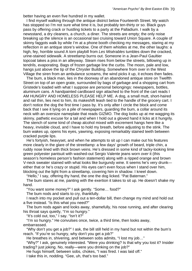better having an even five hundred in my wallet.

 I find myself walking through the antique district below Fourteenth Street. My watch has stopped so I'm not sure what time it is, but probably ten-thirty or so. Black guys pass by offering crack or hustling tickets to a party at the Palladium. I walk by a newsstand, a dry cleaners, a church, a diner. The streets are empty; the only noise breaking up the silence is an occasional taxi cruising toward Union Square. A couple of skinny faggots walk by while I'm at a phone booth checking my messages, staring at my reflection in an antique store's window. One of them whistles at me, the other laughs: a high, fey, horrible sound A torn playbill from *Les Misérables* tumbles down the cracked, urine-stained sidewalk. A streetlamp burns out. Someone in a Jean-Paul Gaultier topcoat takes a piss in an alleyway. Steam rises from below the streets, billowing up in tendrils, evaporating. Bags of frozen garbage line the curbs. The moon, pale and low, hangs just above the tip of the Chrysler Building. Somewhere from over in the West Village the siren from an ambulance screams, the wind picks it up, it echoes then fades.

 The bum, a black man, lies in the doorway of an abandoned antique store on Twelfth Street on top of an open grate, surrounded by bags of garbage and a shopping cart from Gristede's loaded with what I suppose are personal belongings: newspapers, bottles, aluminum cans. A handpainted cardboard sign attached to the front of the cart reads I AM HUNGRY AND HOMELESS PLEASE HELP ME. A dog, a small mutt, short-haired and rail thin, lies next to him, its makeshift leash tied to the handle of the grocery cart. I don't notice the dog the first time I pass by. It's only after I circle the block and come back that I see it lying on a pile of newspapers, guarding the bum, a collar around its neck with an oversize nameplate that reads GIZMO. The dog looks up at me wagging its skinny, pathetic excuse for a tail and when I hold out a gloved hand it licks at it hungrily. The stench of some kind of cheap alcohol mixed with excrement hangs here like a heavy, invisible cloud, and I have to hold my breath, before adjusting to the stink. The bum wakes up, opens his eyes, yawning, exposing remarkably stained teeth between cracked purple lips.

 He's fortyish, heavyset, and when he attempts to sit up I can make out his features more clearly in the glare of the streetlamp: a few days' growth of beard, triple chin, a ruddy nose lined with thick brown veins. He's dressed in some kind of tacky-looking lime green polyester pantsuit with washed-out Sergio Valente jeans worn *over* it (this season's homeless person's fashion statement) along with a ripped orange and brown V-neck sweater stained with what looks like burgundy wine. It seems he's very drunk either that or he's crazy or stupid. His eyes can't even focus when I stand over him, blocking out the light from a streetlamp, covering him in shadow. I kneel down.

"Hello," I say, offering thy hand, the one the dog licked. "Pat Baternan."

 The bum stares at me, panting with the exertion it takes to sit up. He doesn't shake my hand.

"You want some money?" I ask gently. "Some… food?"

The bum nods and starts to cry, thankfully.

 I reach into my pocket and pull out a ten-dollar bill, then change my mind and hold out a five instead. "Is this what you need?"

 The bum nods again and looks away, shamefully, his nose running, and after clearing his throat says quietly, "I'm so hungry."

"It's cold out, too," I say. "Isn't it?"

 "I'm so hungry." He convulses once, twice, a third time, then looks away, embarrassed.

 "Why don't you get a job?" I ask, the bill still held in my hand but not within the bum's reach. "If you're so hungry, why don't you get a job?"

He breathes in, shivering, and between sobs admits, "I lost my job..."

 "Why?" I ask, genuinely interested. "Were you drinking? Is that why you lost it? Insider trading? just joking. No, really—were you drinking on the job?"

He hugs himself, between sobs, chokes, "I was fired. I was laid off."

I take this in, nodding. "Gee, uh, that's too bad."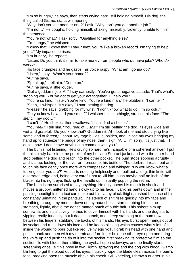"I'm so hungry," he says, then starts crying hard, still holding himself. His dog, the thing called Gizmo, starts whimpering.

"Why don't you get another one?" I ask. "Why don't you get another job?"

 "I'm not…" He coughs, holding himself, shaking miserably, violently, unable to finish the sentence.

"You're not what?" I ask softly. "Qualified for anything else?"

"Tm hungry," he whispers.

 "I know that, I know that," I say. 'Jeez, you're like a broken record. I'm trying to help you…" My impatience rises.

"I'm hungry," he repeats.

 "Listen. Do you think it's fair to take money from people who *do* have jobs? Who *do* work?"

His face crumples and he gasps, his voice raspy, "What am I gonna do?"

"Listen," I say. "What's your name?"

"Al," he says.

"Speak up," I tell him. "Come on."

"Al," he says, a little louder.

 "Get a goddamn job, Al," I say earnestly. "You've got a negative attitude. That's what's stopping you. You've got to get your act together. I'll help you."

"You're so kind, mister. You're kind. You're a kind man," he blubbers. "I can tell."

"Shhh," I whisper. "It's okay." I start petting the dog.

"Please," he says, grabbing for my wrist. "I don't know what to do. I'm so cold."

 "Do you know how bad you smell?" I whisper this soothingly, stroking his face. "The *stench,* my god…"

"I can't…" He chokes, then swallows. "I can't find a shelter."

 "You *reek*," I tell him. "You *reek* of… *shit*." I'm still petting the dog, its eyes wide and wet and grateful. "Do you know that? Goddamnit, Al—look at me and stop crying like some kind of *faggot*," I shout. My rage builds, subsides, and I close my eyes,bringing my hand up to squeeze the bridge of my nose, then I sigh: "Al... I'm sorry. It's just that... I don't know. I don't have anything in common with you."

 The bum's not listening. He's crying so hard he's incapable of a coherent answer. I put the bill slowly back into the pocket of my Luciano Soprani jacket and with the other hand stop petting the dog and reach into the other pocket. The bum stops sobbing abruptly and sits up, looking for the fiver or, I presume, his bottle of Thunderbird. I reach out and touch his face gently once more with compassion and whisper, "Do you know what a fucking loser you are?" He starts nodding helplessly and I pull out a long, thin knife with a serrated edge and, being very careful not to kill him, push maybe half an inch of the blade into his right eye, flicking the handle up, instantly popping the retina.

 The bum is too surprised to say anything. He only opens his mouth in shock and moves a grubby, mittened hand slowly up to his face. I yank his pants down and in the passing headlights of a taxi can make out his flabby black thighs, rashed because of his constantly urinating in the pantsuit. The stench of shit rises quickly into my face and breathing through my mouth, down on my haunches, I start stabbing him in the stomach, lightly, above the dense matted patch of pubic hair. This sobers him up somewhat and instinctively he tries to cover himself with his hands and the dog starts yipping, really furiously, but it doesn't attack, and I keep stabbing at the bum now between his fingers, stabbing the backs of his hands. His eye, burst open, hangs out of its socket and runs down his face and he keeps blinking which causes what's left of it inside the wound to pour out like red, veiny egg yolk. I grab his head with one hand and push it back and then with my thumb and forefinger hold the other eye open and bring the knife up and push the tip of it into the socket, first breaking its protective film so the socket fills with blood, then slitting the eyeball open sideways, and he finally starts screaming once I slit his nose in two, lightly spraying me and the dog with blood, Gizmo blinking to get the blood out of his eyes. I quickly wipe the blade clean across the bum's face, breaking open the muscle above his cheek. Still kneeling, I throw a quarter in his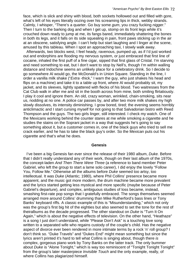face, which is slick and shiny with blood, both sockets hollowed out and filled with gore, what's left of his eyes literally oozing over his screaming lips in thick, webby strands. Calmly, I whisper, "There's a quarter. Go buy some *gum*, you crazy fucking *nigger*." Then I turn to the barking dog and when I get up, stomp on its front legs while it's crouched down ready to jump at me, its fangs bared, immediately shattering the bones in both its legs, and it falls on its side squealing in pain, front paws sticking up in the air at an obscene, satisfying angle. I can't help but start laughing and I linger at the scene, amused by this tableau. When I spot an approaching taxi, I slowly walk away.

 Afterwards, two blocks west, I feel heady, ravenous, pumped up, as if I'd just worked out and endorphins are flooding my nervous system, or just embraced that first line of cocaine, inhaled the first puff of a fine cigar, sipped that first glass of Cristal. I'm starving and need something to eat, but I don't want to stop by Nell's, though I'm within walling distance and Indochine seems an unlikely place for a celebratory drink. So I decide to go somewhere Al would go, the McDonald's in Union Square. Standing in the line, I order a vanilla milk shake ("*Extra* -thick," I warn the guy, who just shakes his head and flips on a machine) and take it to a table up front, where Al would probably sit, my jacket, and its sleeves, lightly spattered with flecks of his blood. Two waitresses from the Cat Club walk in after me and sit in the booth across from mine, both smiling flirtatiously. I play it cool and ignore them. An old, crazy woman, wrinkled, chain-smoking, sits near us, nodding at no one. A police car passes by, and after two more milk shakes my high slowly dissolves, its intensity diminishing. I grow bored, tired; the evening seems horribly anticlimactic and I start cursing myself for not going to that Salvadorian bistro with Reed Thompson and the guys. The two girls linger, still interested. I check my watch. One of the Mexicans working behind the counter stares at me while smoking a cigarette and he studies the stains on the Soprani jacket in a way that suggests he's going to say something about it, but a customer comes in, one of the black guys who tried to sell me crack earlier, and he has to take the black guy's order. So the Mexican puts out his cigarette and that's what he does.

#### **Genesis**

 I've been a big Genesis fan ever since the release of their 1980 album, *Duke.* Before that I didn't really understand any of their work, though on their last album of the 1970s, the concept-laden *And Then There Were Three* (a reference to band member Peter Gabriel, who left the group to start a lame solo career), I did enjoy the lovely "Follow You, Follow Me." Otherwise all the albums before *Duke* seemed too artsy, too intelleotual. It was *Duke* (Atlantic; 1980), where Phil Collins' presence became more apparent, and the music got more modern, the drum machine became more prevalent and the lyrics started getting less mystical and more specific (maybe because of Peter Gabriel's departure), and complex, ambiguous studies of loss became, instead, smashing first-rate pop songs that I gratefully embraced. The songs themselves seemed arranged more around Collins' drumming than Mike Rutherford's bass lines or Tony Banks' keyboard riffs. A classic example of this is "Misunderstanding," which not only was the group's first big hit of the eighties but also seemed to set the tone for the rest of theiralbums as the decade progressed. The other standout on *Duke* is "Turn It On Again," which is about the negative effects of television. On the other hand, "Heathaze" is a song I just don't understand, while "Please Don't Ask" is a touching love song written to a separated wife who regains custody of the couple's child. Has the negative aspect of divorce ever been rendered in more intimate terms by a rock 'n' roll group? I don't think so. "Duke Travels" and "Dukes End" might mean something but since the lyrics aren't printed it's hard to tell what Collins is singing about, though there *is* complex, gorgeous piano work by Tony Banks on the latter track. The only bummer about *Duke* is "Alone Tonight," which is way too reminiscent of "Tonight Tonight Tonight" from the group's later masterpiece *Invisible Touch* and the only example, really, of where Collins has plagiarized himself.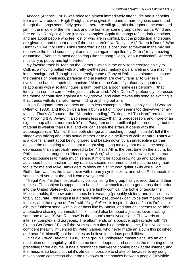*Abacab* (Atlantic; 1981) was released almost immediately after *Duke* and it benefits from a new producer, Hugh Padgham, who gives the band a more eighties sound and though the songs seem fairly generic, there are still great bits throughout: the extended jam in the middle of the title track and the horns by some group called Earth, Wind and Fire on "No Reply at All" are just two examples. Again the songs reflect dark emotions and are about people who feel lost or who are in conflict, but the production and sound are gleaming and upbeat (even if the titles aren't: "No Reply at All," "Keep It Dark," "Who Dunnit?" "Like It or Not"). Mike Rutherford's bass is obscured somewhat in the mix but otherwise the band sounds tight and is once again propelled by Collins' truly amazing drumming. Even at its most despairing (like the song "Dodo," about extinction), *Abacab* musically is poppy and lighthearted.

 My favorite track is "Man on the Corner," which is the only song credited solely to Collins, a moving ballad with a pretty synthesized melody plus a riveting drum machine in the background. Though it could easily come off any of Phil's solo albums, because the themes of loneliness, paranoia and alienation are overly familiar to Genesis it evokes the band's hopeful humanism. "Man on the Corner" profoundly equates a relationship with a solitary figure (a bum, perhaps a poor homeless person?), "that lonely man on the corner" who just stands around. "Who Dunnit?" profoundly expresses the theme of confusion against a funky groove, and what makes this song so exciting is that it ends with its narrator never finding anything out at all.

 Hugh Padgham produced next an even less conceptual effort, simply called *Genesis* (Atlantic; 1983), and though it's a fine album a lot of it now seems too derivative for my tastes. 'That's All" sounds like "Misunderstanding," "Taking It All Too Hard" reminds me of "Throwing It All Away." It also seems less jazzy than its predecessors and more of an eighties pop album, more rock 'n' roll. Padgham does a brilliant job of producing, but the material is weaker than usual and you can sense the strain. It opens with the autobiographical "Mama," that's both strange and touching, though I couldn't tell if the singer was talking about his actual mother or to a girl he likes to call "Mama." 'That's All" is a lover's lament about being ignored and beaten down by an unreceptive partner; despite the despairing tone it's got a bright sing-along melody that makes the song less depressing than it probably needed to be. "That's All" is the best tune on the album, but Phil's voice is strongest on "House by the Sea," whose lyrics are, however, too streamof-consciousness to make much sense. It might be about growing up and accepting adulthood but it's unclear; at any rate, its second instrumental part puts the song more in focus for me and Mike Banks gets to show off his virtuosic guitar skills while Tom Rutherford washes the tracks over with dreamy synthesizers, and when Phil repeats the song's third verse at the end it can give you chills.

 "Illegal Alien" is the most explicitly political song the group has yet recorded and their funniest. The subject is supposed to be sad—a wetback trying to get across the border into the United States—but the details are highly comical: the bottle of tequila the Mexican holds, the new pair of shoes he's wearing (probably stolen); and it all seems totally accurate. Phil sings it in a brash, whiny pseudo-Mexican voice that makes it even funnier, and the rhyme of "*fun* " with "*illegal alien* " is inspired. "Just a Job to Do" is the album's funkiest song, with a killer bass line by Banks, and though it seems to be about a detective chasing a criminal, I think it could also be about a jealous lover tracking someone down. "Silver Rainbow" is the album's most lyrical song. The words are intense, complex and gorgeous. The album ends on a positive, upbeat note with "It's Gonna Get Better." Even if the lyrics seem a tiny bit generic to some, Phil's voice is so confident (heavily influenced by Peter Gabriel, who never made an album this polished and heartfelt himself) that he makes us believe in glorious possibilities.

*Invisible Touch* (Atlantic: 1986) is the group's undisputed masterpiece. It's an epic meditation on intangibility, at the same time it deepens and enriches the meaning of the preceding three albums. It has a resonance that keeps coming back at the listener, and the music is so beautiful that it's almost impossible to shake off because every song makes some connection about the unknown or the spaces between people ("Invisible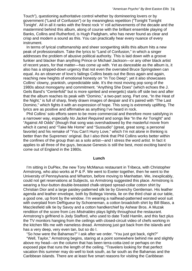Touch"), questioning authoritative control whether by domineering lovers or by government ("Land of Confusion") or by meaningless repetition ("Tonight Tonight Tonight'. All in all it ranks with the finest rock 'n' roll achievements of the decade and the mastermind behind this album, along of course with the brilliant ensemble playing of Banks, Collins and Rutherford, is Hugh Padgham, who has never found as clear and crisp and modern a sound as this. You can practically hear every nuance of every instrument.

 In terms of lyrical craftsmanship and sheer songwriting skills this album hits a new peak of professionalism. Take the lyrics to "Land of Confusion," in which a singer addresses the problem of abusive political authority. This is laid down with a groove funkier and blacker than anything Prince or Michael Jackson—or any other black artist of recent years, for that matter—has come up with. Yet as danceable as the album is, it also has a stripped-down urgency that not even the overrated Bruce Springsteen can equal. As an observer of love's failings Collins beats out the Boss again and again, reaching new heights of emotional honesty on "In Too Deep"; yet it also showcases Collins' clowny, prankish, unpredictable side. It's the most moving pop song of the 1980s about monogamy and commitment. "Anything She Does" (which echoes the J. Geils Band's "Centerfold" but is more spirited and energetic) starts off side two and after that the album reaches its peak with "Domino," a two-part song. Part one, "In the Heat of the Night," is full of sharp, finely drawn images of despair and it's paired with "The Last Domino," which fights it with an expression of hope. This song is extremely uplifting. The lyrics are as positive and affirmative as anything I've heard in rock.

 Phil Collins' solo efforts seem to be more commercial and therefore more satisfying in a narrower way, especially *No Jacket Required* and songs like "In the Air Tonight" and "Against All Odds" (though that song was overshadowed by the masterful movie from which it came) and "Take Me Home" and "Sussudio" (great, great song; a personal favorite) and his remake of "You Can't Hurry Love," which I'm not alone in thinking is better than the Supremes' original. But I also think that Phil Collins works better within the confines of the group than as a solo artist—and I stress the word *artist.* In fact it applies to all three of the guys, because Genesis is still the best, most exciting band to come out of England in the 1980s.

### **Lunch**

 I'm sitting in DuPlex, the new Tony McManus restaurant in Tribeca, with Christopher Armstrong, who also works at P & P. We went to Exeter together, then he went to the University of Pennsylvania and Wharton, before moving to Manhattan. We, inexplicably, could not get reservations at Subjects, so Armstrong suggested this place. Armstrong is wearing a four-button double-breasted chalk-striped spread-collar cotton shirt by Christian Dior and a large paisley-patterned silk tie by Givenchy Gentleman. His leather agenda and leather envelope, both by Bottega Veneta, lie on the third chair at our table, a good one, up front by the window. I'm wearing a nailhead-patterned worsted wool suit with overplaid from DeRigueur by Schoeneman, a cotton broadcloth shirt by Bill Blass, a Macclesfield silk tie by Savoy and a cotton handkerchief by Ashear Bros. A Muzak rendition of the score from *Les Misérables* plays lightly throughout the restaurant. Armstrong's girlfriend is Jody Stafford, who used to date Todd Hamlin, and this fact plus the TV monitors hanging from the ceilings with closed-circuit video of chefs working in the kitchen fills me with nameless dread. Armstrong just got back from the islands and has a very deep, very even tan, but so do I.

"So how were the Bahamas?" I ask after we order. "You just got back, right?"

 "Well, Taylor," Armstrong begins, staring at a point somewhere behind me and slightly above my head—on the column that has been terra-cotta-ized or perhaps on the exposed pipe that runs the length of the ceiling. "Travelers looking for that perfect vacation this summer may do well to look south, as far south as the Bahamas and the Caribbean islands. There are at least five smart reasons for visiting the Caribbean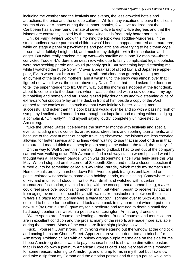including the weather and the festivals and events, the less crowded hotels and attractions, the price and the unique cultures. While many vacationers leave the cities in search of cooler climates during the summer months, few have realized that the Caribbean has a year-round climate of seventy-five to eighty-five degrees and that the islands are constantly cooled by the trade winds. It is frequently hotter north in…"

 On *The Patty Winters Show* this morning the topic was Toddler-Murderers. In the studio audience were parents of children who'd been kidnapped, tortured and murdered, while on stage a panel of psychiatrists and pediatricians were trying to help them *cope* —somewhat futilely I might add, and much to my delight—with their confusion and anger. But what really cracked me up was—via satellite on a lone TV monitor—three convicted Toddler-Murderers on death row who due to fairly complicated legal loopholes were now seeking parole and would probably get it. But something kept distracting me while I watched the huge Sony TV over a breakfast of sliced kiwi and Japanese applepear, Evian water, oat-bran muffins, soy milk and cinnamon granola, ruining my enjoyment of the grieving mothers, and it wasn't until the show was almost over that I figured out what it was: the crack above my David Onica that I had asked the doorman to tell the superintendent to fix. On my way out this morning I stopped at the front desk, about to complain to the doorman, when I was confronted with a *new* doorman, my age but balding and homely and *fat.* Three glazed jelly doughnuts *and* two steaming cups of extra-dark *hot chocolate* lay on the desk in front of him beside a copy of the *Post* opened to the comics and it struck me that I was infinitely better-looking, more successful and richer than this poor bastard would ever be and so with a passing rush of sympathy I smiled and nodded a curt though not impolite good morning without lodging a complaint. "Oh really?" I find myself saying loudly, completely uninterested, to Armstrong.

 "Like the United States it celebrates the summer months with festivals and special events including music concerts, art exhibits, street fairs and sporting tournaments, and because of the vast number of people traveling elsewhere, the islands are less crowded, allowing for better service and no lines when waiting to use that sailboat or dine in that restaurant. I mean I think most people go to sample the culture, the food, the history…"

 On the way to Wall Street this morning, due to gridlock I had to get out of the company car and was walking down Fifth Avenue to find a subway station when I passed what I thought was a Halloween parade, which was disorienting since I was fairly sure this was May. When I stopped on the corner of Sixteenth Street and made a closer inspection it turned out to be something called a "Gay Pride Parade," which made my stomach turn. Homosexuals proudly marched down Fifth Avenue, pink triangles emblazoned on pastel-colored windbreakers, some even holding hands, most singing "Somewhere" out of key and in unison. I stood in front of Paul Smith and watched with a certain traumatized fascination, my mind reeling with the concept that a human being, a *man,* could feel pride over sodomizing another man, but when I began to receive fey catcalls from aging, overmuscled beachboys with walruslike mustaches in between the lines *"There's a place for us, Somewhere a place for us,"* I sprinted over to Sixth Avenue, decided to be late for the office and took a cab back to my apartment where I put on a new suit (by Cerruti 1881), gave myself a pedicure and tortured to death a small dog I had bought earlier this week in a pet store on Lexington. Armstrong drones on.

 "Water sports are of course the leading attraction. But golf courses and tennis courts are in excellent condition and the pros at many of the resorts are made more available during the summer. Many of the courts are lit for night playing as well…"

 Fuck… yourself… Armstrong, I'm thinking while staring out the window at the gridlock and pacing bums on Church Street. Appetizers arrive: sun-dried-tomato brioche for Armstrong. Poblano chilies with an oniony orange-purple marmalade on the side for me. I hope Armstrong doesn't want to pay because I need to show the dim-witted bastard that I in fact *do* own a platinum American Express card. I feel very sad at this moment for some reason, listening to Armstrong, and a lump forms in my throat but I swallow and take a sip from my Corona and the emotion passes and during a pause while he's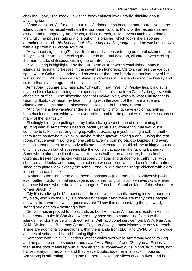chewing, I ask, "The food? How's the food?" almost involuntarily, thinking about anything but.

 "Good question. As for dining out, the Caribbean has become more attractive as the island cuisine has mixed well with the European culture. Many of the restaurants are owned and managed by Americans, British, French, Italian, even Dutch expatriates..." Mercifully, he pauses, taking a bite out of his brioche, which looks like a sponge drenched in blood—*his brioche looks like a big bloody sponge* —and he washes it down with a sip from his Corona. My turn.

 "How about sightseeing?" I ask disinterestedly, concentrating on the blackened chilies, the yellowish marmalade circling the plate in an artful octagon, cilantro leaves circling the marmalade, chili seeds circling the cilantro leaves.

 "Sightseeing is highlighted by the European culture which established many of the islands as regional fortresses in the seventeen hundreds. Visitors can see the various spots where Columbus landed and as we near the three hundredth anniversary of his first sailing in 1590 there is a heightened awareness in the islands as to the history and culture that is an integral part of island life…"

 Armstrong: you are an… asshole*.* "Uh-huh." I nod. "Well…" Paisley ties, plaid suits, my aerobics class, returning videotapes, spices to pick up from Zabar's, beggars, whitechocolate truffles… The sickening scent of Drakkar Noir, which is what Christopher is wearing, floats over near my face, mingling with the scent of the marmalade and cilantro, the onions and the blackened chilies. "Uh-huh," I say, repeat.

 "And for the active vacationer there is mountain climbing, cave exploring, sailing, horseback riding and white-water river rafting, and for the gamblers there are casinos on many of the islands…"

 Fleetingly I imagine pulling out my knife, slicing a wrist, one of mine, aiming the spurting vein at Armstrong's head or better yet his suit, wondering if he would still continue to talk. I consider getting up without excusing myself, taking a cab to another restaurant, somewhere in SoHo, maybe farther uptown, having a drink, using the rest room, maybe even making a phone call to Evelyn, coming back to Duplex, and every molecule that makes up my body tells me that Armstrong would still be talking about not only his vacation but what seems like the world's vacation in the fucking Bahamas. Somewhere along the line the waiter removes half-eaten appetizers, brings fresh Coronas, free-range chicken with raspberry vinegar and guacamole, calf's liver with shad roe and leeks, and though I'm not sure who ordered what it doesn't really matter since both plates look exactly the same. I end up with the free-range chicken with extra tomatillo sauce, I think.

 "Visitors to the Caribbean don't need a passport—just proof of U.S. citizenship—and even better, Taylor, is that *language* is no barrier. English is spoken *everywhere,* even on those islands where the local language is French or Spanish. Most of the islands are former British…"

 "My life is a living hell," I mention off the cuff, while casually moving leeks around on my plate, which by the way is a porcelain triangle. "And there are many more people I, uh, want to… want to, well, I guess *murder*." I say this emphasizing the last word, staring straight into Armstrong's face.

 "Service has improved to the islands as both American Airlines and Eastern Airlines have created hubs in San Juan where they have set up connecting flights to those islands they don't serve with direct flights. With additional service from BWIA, Pan Am, ALM, Air Jamaica, Bahamas Air and Cayman Airways, most islands are easy to reach. There are additional connections within the islands from LIAT and BWIA, which provide a series of scheduled island-hopping flights…"

 Someone who I think is Charles Fletcher walks over while Armstrong keeps talking and he pats me on the shoulder and says "Hey Simpson" and "See you at Fluties" and then at the door meets up with a very attractive woman—big tits, blond, tight dress, not his secretary, not his wife—and they leave Duplex together in a black limousine. Armstrong is still eating, cutting into the perfectly square slices of calf's liver, and he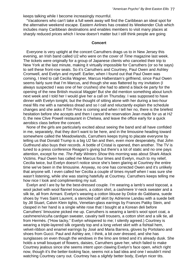keeps talking while I become increasingly mournful.

 "Vacationers who can't take a full week away will find the Caribbean an ideal spot for the alternative weekend escape. Eastern Airlines has created its Weekender Club which includes many Caribbean destinations and enables members to visit many places at sharply reduced prices which I know doesn't matter but I still think people are going

### **Concert**

 Everyone is very uptight at the concert Carruthers drags us to in New Jersey this evening, an Irish band called U2 who were on the cover of *Time* magazine last week. The tickets were originally for a group of Japanese clients who canceled their trip to New York at the last minute, making it virtually impossible for Carruthers (or so he says) to sell these front-row seats. So it's Carruthers and Courtney, Paul Owen and Ashley Cromwell, and Evelyn and myself. Earlier, when I found out that Paul Owen was coming, I tried to call Cecilia Wagner, Marcus Halberstam's girlfriend, since Paul Owen seems fairly sure that I'm Marcus, and though she was flattered by my invitation (I always suspected I was one of her crushes) she had to attend a black-tie party for the opening of the new British musical *Maggie!* But she did mention something about lunch next week and I told her I would give her a call on Thursday. I was supposed to have dinner with Evelyn tonight, but the thought of sitting alone with her during a two-hour meal fills me with a nameless dread and so I call and reluctantly explain the schedule changes and she asks if Tim Price is coming and when I tell her no, there is the briefest hesitation before she accepts and then I cancel the reservation Jean made for us at H*2* 0, the new Clive Powell restaurant in Chelsea, and leave the office early for a quick aerobics class before the concert.

 None of the girls are particularly excited about seeing the band and all have confided in me, separately, that they don't want to be here, and in the limousine heading toward somewhere called the Meadowlands, Carruthers keeps trying to placate everyone by telling us that Donald Trump is a big U2 fan and then, even more desperately, that John Gutfreund also buys their records. A bottle of Cristal is opened, then another. The TV is tuned to a press conference Reagan's giving but there's a lot of static and no one pays attention, except for me. *The Patty Winters Show* this morning was about Shark Attack Victims. Paul Owen has called me Marcus four times and Evelyn, much to my relief, Cecilia twice, but Evelyn doesn't notice since she's been glaring at Courtney the entire time we've been in the limousine. Anyway, no one has corrected Owen and it's unlikely that anyone will. I even called her Cecilia a couple of times myself when I was sure she wasn't listening, while she was staring hatefully at Courtney. Carruthers keeps telling me how nice I look and complimenting my suit.

 Evelyn and I are by far the best-dressed couple. I'm wearing a lamb's wool topcoat, a wool jacket with wool flannel trousers, a cotton shirt, a cashmere V-neck sweater and a silk tie, all from Armani. Evelyn's wearing a cotton blouse by Dolce do Gabbana, suede shoes by Yves Saint Laurent, a stenciled calf skirt by Adrienne Landau with a suede belt by Jill Stuart, Calvin Klein tights, Venetian-glass earrings by Frances Patiky Stein, and clasped in her hand is a single white rose that I bought at a Korean deli before Carruthers' limousine picked me up. Carruthers is wearing a lamb's wool sport coat, a cashmere/vicuña cardigan sweater, cavalry twill trousers, a cotton shirt and a silk tie, all from Hermès. ("How tacky," Evelyn whispered to me; I silently agreed.) Courtney is wearing a triple-layered silk organdy top and a long velvet skirt with a fishtail hem, velvet-ribbon and enamel earrings by José and Maria Barrera, gloves by Portolano and shoes from Gucci. Paul and Ashley are, I think, a bit *over* dressed, and she has sunglasses on even though the windows in the limo are tinted and it's already dusk. She holds a small bouquet of flowers, daisies, Carruthers gave her, which failed to make Courtney jealous since she seems intent upon clawing Evelyn's face open, which right now, though it's the better-looking face, seems not a bad idea and one I wouldn't mind watching Courtney carry out. Courtney has a *slightly* better body, Evelyn nicer tits.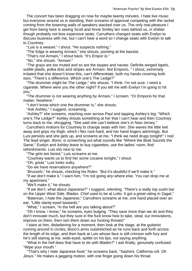#### *"American Psycho" By Bret Easton Ellis* 78

 The concert has been dragging on now for maybe twenty minutes. I hate live music but everyone around us is standing, their screams of approval competing with the racket coming from the towering walls of speakers stacked over us. The only real pleasure I get from being here is seeing Scott and Anne Smiley ten rows behind us, in shittier though probably not less expensive seats. Carruthers changes seats with Evelyn to discuss business with me, but I can't hear a word so I change seats with Evelyn to talk to Courtney.

"Luis is a *weasel*," I shout. "He suspects nothing."

"The Edge is wearing Armani," she shouts, pointing at the bassist.

"That's *not* Armani," I shout back. "It's Em*por* io."

"No," she shouts. "Ar*mani*."

 "The grays are too muted and so are the taupes and navies. Definite winged lapels, subtle plaids, polka dots and stripes are Armani. *Not* Emporio, " I shout, extremely irritated that she doesn't know this, can't differentiate, both my hands covering both ears. "There's a difference. Which one's The Ledge?"

 "The drummer might be The Ledge," she shouts. "I think. I'm not sure. I need a cigarette. Where were you the other night? If you tell me with Evelyn I'm going to hit you."

 "The drummer is not wearing anything by Armani," I scream. "Or Emporio for that matter. Nowhere."

"I don't know which one the drummer is," she shouts.

"Ask Ashley," I suggest, screaming.

 "Ashley?" she screams, reaching over across Paul and tapping Ashley's leg. "Which one's The Ledge?" Ashley shouts something at her that I can't hear and then Courtney turns back to me, shrugging. "She said she can't believe she's in New Jersey."

 Carruthers motions for Courtney to change seats with him. She waves the little twit away and grips my thigh, which I flex rock-hard, and her hand lingers admiringly. But Luis persists and she gets up, and screams at me, "I think we need drugs tonight!" I nod. The lead singer, Bono, is screeching out what sounds like "Where the Beat Sounds the Same." Evelyn and Ashley leave to buy cigarettes, use the ladies' room, find refreshments. Luis sits next to me.

"The girls are bored," Luis screams at me.

"Courtney wants us to find her some cocaine tonight," I shout.

"Oh, *great*." Luis looks sulky.

"Do we have reservations anywhere?"

"*Brussels*," he shouts, checking his Rolex. "But it's *doubtful* if we'll make it."

 "If we *don't* make it," I warn him, "I'm not going *any* where else. You can drop me at my apartment."

"We'll *make* it," he shouts.

 "If we *don't*, what about Japanese?" I suggest, relenting. 'There's a really top sushi bar on the Upper West Side. Blades. Chef used to be at Loito. It got a *great* rating in Zagat."

 "Bateman, I *hate* the Japanese," Carruthers screams at me, one hand placed over an ear. "Little slanty-eyed bastards."

"What," I scream, "in the hell are you talking about?"

 "Oh I know, I know," he screams, eyes bulging. "They save more than we do and they don't innovate much, but they sure in the fuck know how to take, *steal*, our innovations, improve on them, then ram them down our fucking throats!"

 I stare at him, disbelieving for a moment, then look at the stage, at the guitarist running around in circles, Bono's arms outstretched as he runs back and forth across the length of its edge, and then back at Luis whose face is still crimson with fury and he's still staring at me, wide-eyed, spittle on his lips, not saying anything.

 "What in the *hell* does that have to do with *Blades*?" I ask finally, genuinely confused. "Wipe your mouth."

 '"That's why I *hate* Japanese food," he screams back. "Sashimi. California roll. Oh *Jesus*." He makes a gagging motion, with one finger going down his throat.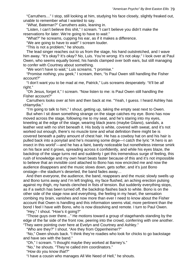"Carruthers…" I stop, still looking at him, studying his face closely, slightly freaked out, unable to remember what I wanted to say.

"*What*, Bateman?" Carruthers asks, leaning in.

 "Listen, I can't believe this shit," I scream. "I can't believe you didn't make the reservations for *later*. We're going to have to *wait*."

"What?" he screams, cupping his ear, as if it makes a difference.

"We are going to have to *wait*!" I scream louder.

"This is not a problem," he shouts.

 The lead singer reaches out to us from the stage, his hand outstretched, and I wave him away. "It's okay? It's *okay*? No, Luis. You're *wrong*. It's not *okay*." I look over at Paul Owen, who seems equally bored, his hands clamped over both ears, but still managing to confer with Courtney about something.

"We won't have to wait," Luis screams. "I promise."

 "Promise *nothing*, you geek," I scream, then, "Is Paul Owen still handling the Fisher account?"

 "I don't want you to be mad at me, Patrick," Luis screams desperately. "It'll be *all* right."

 "Oh Jesus, forget it," I scream. "Now listen to me: is Paul Owen still handling the Fisher account?"

 Carruthers looks over at him and then back at me. "Yeah, I guess. I heard Ashley has chlamydia."

"I'm going to talk to him," I shout, getting up, taking the empty seat next to Owen.

 But when I sit down something strange on the stage catches my eye. Bono has now moved across the stage, following me to my seat, and he's staring into my eyes, kneeling at the edge of the stage, wearing black jeans (maybe Gitano), sandals, a leather vest with no shirt beneath it. His body is white, covered with sweat, and it's not worked out enough, there's no muscle tone and what definition there might be is covered beneath a paltry amount of chest hair. He has a cowboy hat on and his hair is pulled back into a ponytail and he's moaning some dirge—I catch the lyric "A hero is an insect in this world"—and he has a faint, barely noticeable but nonetheless intense smirk on his face and it grows, spreading across it confidently, and while his eyes blaze, the backdrop of the stage turns red and suddenly I get this tremendous surge of feeling, this rush of knowledge and my own heart beats faster because of this and it's not impossible to believe that an invisible cord attached to Bono has now encircled me and now the audience disappears and the music slows down, gets softer, and it's just Bono onstage—the stadium's deserted, the band fades away…

 And then everyone, the audience, the band, reappears and the music slowly swells up and Bono turns away and I'm left tingling, my face flushed, an aching erection pulsing against my thigh, my hands clenched in fists of tension. But suddenly everything stops, as if a switch has been turned off, the backdrop flashes back to white. Bono is on the other side of the stage now and everything, the feeling in my heart, the sensation combing my brain, vanishes and now more than ever I need to know about the Fisher account that Owen is handling and this information seems vital, more pertinent than the bond I feel I have with Bono, who is now dissolving and remote. I turn to Paul Owen.

"Hey," I shout. "How's it going?"

 "Those guys over there…" He motions toward a group of stagehands standing by the edge of the far side of the front row, peering into the crowd, conferring with one another. "They were pointing over here at Evelyn and Courtney and Ashley."

"Who are they?" I shout. "Are they from Oppenheimer?"

 "No," Owen shouts back. "I think they're roadies who look for chicks to go backstage and have sex with the band."

"Oh," I scream. "I thought maybe they worked at Barney's."

"No," he shouts. "They're called *trim* coordinators."

"How do you know *that*?"

"I have a cousin who manages All We Need of Hell," he shouts.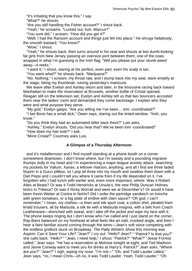"It's irritating that you know this," I say.

"What?" he shouts.

"Are you still handling the Fisher account?" I shout back.

"Yeah," he screams. "Lucked out, huh, Marcus?"

"You sure did," I scream. "How did you get it?"

 "Well, I had the Ransom account and things just fell into place." He shrugs helplessly, the smooth bastard. "You know?"

"Wow," I shout.

 "Yeah," he shouts back, then turns around in his seat and shouts at two dumb-looking fat girls from New Jersey passing an oversize joint between them, one of the cows wrapped in what I'm guessing is the Irish flag. "Will you please put your *skunk-weed* away—it *reeks*."

"I want it," I shout, staring at his perfect, even part; even his scalp is tan.

"You want *what*?" he shouts back. "Marijuana?"

 "No. Nothing," I scream, my throat raw, and I slump back into my seat, stare emptily at the stage, biting my thumbnail, ruining yesterday's manicure.

 We leave after Evelyn and Ashley return and later, in the limousine racing back toward Manhattan to make the reservation at Brussels, another bottle of Cristal opened, Reagan still on the television set, Evelyn and Ashley tell us that two bouncers accosted them near the ladies' room and demanded they come backstage. I explain who they were and what purpose they serve.

 "My *god*," Evelyn gasps. "Are you telling me I've been… *trim* -coordinated?" "I bet Bono has a small dick," Owen says, staring out the tinted window. "Irish, you

know."

"Do you think they had an automated teller back there?" Luis asks.

"Ashley," Evelyn shouts. "Did you hear that? We've been *trim* -coordinated!"

"How does my hair look?" I ask.

"More Cristal?" Courtney asks Luis.

# **A Glimpse of a Thursday Afternoon**

 and it's midafternoon and I find myself standing at a phone booth on a corner somewhere downtown, I don't know where, but I'm sweaty and a pounding migraine thumps dully in my head and I'm experiencing a major-league anxiety attack, searching my pockets for Valium, Xanax, a leftover Halcion, anything, and all I find are three faded Nuprin in a Gucci pillbox, so I pop all three into my mouth and swallow them down with a Diet Pepsi and I couldn't tell you where it came from if my life depended on it. I've forgotten who I had lunch with earlier and, even more important, *where.* Was it Robert Ailes at Beats? Or was it Todd Hendricks at Ursula's, the new Philip Duncan Holmes bistro in Tribeca? Or was it Ricky Worrall and were we at December's? Or would it have been Kevin Weber at Contra in NoHo? Did I order the partridge sandwich on brioche with green tomatoes, or a big plate of endive with clam sauce? "Oh god, *I can't remember*," I moan, my clothes—a linen and silk sport coat, a cotton shirt, pleated linen khald trousers, all by Matsuda, a silk tie with a Matsuda insignia, with a belt from Coach Leatherware—drenched with sweat, and I take off the jacket and wipe my face with it. The phone keeps ringing but I don't know who I've called and I just stand on the corner, Ray-Bans balanced on my forehead at what feels like an odd, crooked angle, and then I hear a faint familiar sound coming through the wires—Jean's soft voice competing with the endless gridlock stuck on Broadway. *The Patty Winters Show* this morning was Aspirin: Can It Save Your Life? "Jean?" I cry out. "Hello? *Jean?* " "Patrick? Is that you?" she calls back. "*Hello?* " "*Jean,* I need *help*," I shout. "Patrick?" "What?" "Jesse Forrest called," Jean says. "He has a reservation at Melrose tonight at eight, and Ted Madison and Jamie Conway want to meet you for drinks at Harry's. Patrick?" Jean asks. "Where are you?" "Jean?" I sigh, wiping my nose. "I'm not—" "Oh, and Todd Lauder called," Jean says, "no, I mean Chris—oh no, it was Todd Lauder. Yeah, Todd Lauder." "Oh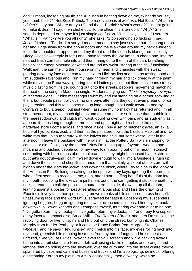god," I moan, loosening my tie, the August sun beating down on me, "what do you say, you dumb bitch?" "Not *Bice,* Patrick. The reservation is at *Melrose.* Not Bice." "What am I *doing*?" I cry out. "Where are you?" and then, "Patrick? What's wrong?" "I'm not going to make it, Jean," I say, then choke out, "to the office this afternoon." "Why?" She sounds depressed or maybe it's just simple confusion. "Just… say… no…," I scream. "What is it, Patrick? Are you all right?" she asks. "Stop sounding so fucking… sad. *Jesus*," I shout. "Patrick I'm sorry. I mean I meant to say just say no, but—" I hang up on her and lunge away from the phone booth and the Walkman around my neck suddenly feels like a boulder strapped around my throat (and the sounds blaring from it—early Dizzy Gillespie—deeply irritate) and I have to throw the Walkman, a cheap one, into the nearest trash can I stumble into and then I hang on to the rim of the can, breathing heavily, the cheap Matsuda jacket tied around my waist, staring at the still-functioning Walkman, the sun melting the mousse on my head and it mingles with the sweat pouring down my face and I can taste it when I lick my lips and it starts tasting good and I'm suddenly ravenous and I run my hand through my hair and lick greedily at the palm while moving up Broadway, ignoring the old ladies passing out fliers, past jeans stores, music blasting from inside, pouring out onto the streets, people's movements matching the beat of the song, a Madonna single, Madonna crying out, "*life is a mystery, everyone must stand alone…*," bike messengers whiz by and I'm standing on a corner scowling at them, but people pass, oblivious, no one pays attention, they don't even pretend to *not* pay attention, and this fact sobers me up long enough that I walk toward a nearby Conran's to buy a teapot, but just when I assume my normalcy has returned and I'm all straightened out, my stomach tightens and the cramps are so intense that I hobble into the nearest doorway and clutch my waist, doubling over with pain, and as suddenly as it appears it fades long enough for me to stand up straight and rush into the next hardware store I come across, and once inside I buy a set of butcher knives, an ax, a bottle of hydrochloric acid, and then, at the pet store down the block, a Habitrail and two white rats that I plan to torture with the knives and acid, but somewhere, later in the afternoon, I leave the package with the rats in it at the Pottery Barn while shopping for candles or did I finally buy the teapot? Now I'm lunging up Lafayette, sweating and moaning and pushing people out of my way, foam pouring out of my mouth, stomach contracting with horrendous abdominal cramps—they might be caused by the steroids but that's doubtful—and I calm myself down enough to walk into a Gristede's, rush up and down the aisles and shoplift a canned ham that I calmly walk out of the store with, hidden under the Matsuda jacket, and down the block, where I try to hide in the lobby of the American Felt Building, breaking the tin open with my keys, ignoring the doorman, who at first seems to recognize me, then, after I start stuffing handfuls of the ham into my mouth, scooping the lukewarm pink meat out of the can, getting it stuck beneath my nails, threatens to call the police. I'm outta there, outside, throwing up all the ham, leaning against a poster for *Les Misérables* at a bus stop and I kiss the drawing of Eponine's lovely face, her lips, leaving brown streaks of bile smeared across her soft, unassuming face and the word DYKE scrawled beneath it. Loosening my suspenders, ignoring beggars, beggars ignoring me, sweat-drenched, delirious, I find myself back downtown in Tower Records and I compose myself, muttering over and over to no one, "I've gotta return my videotapes, I've gotta return my videotapes," and I buy two copies of my favorite compact disc, Bruce Willis, *The Return of Bruno,* and then I'm stuck in the revolving door for five full spins and I trip out onto the street, bumping into Charles Murphy from Kidder Peabody or it could be Bruce Barker from Morgan Stanley, *whoever,* and he says "Hey, Kinsley" and I belch into his face, my eyes rolling back into my head, greenish bile dripping in strings from my bared fangs, and he suggests, unfazed, "See you at Fluties, okay? Severt too?" I screech and while backing away I bump into a fruit stand at a Korean deli, collapsing stacks of apples and oranges and lemons, that go rolling onto the sidewalk, over the curb and into the street where they're splattered by cabs and cars and buses and trucks and I'm apologizing, delirious, offering a screaming Korean my platinum AmEx accidentally, then a twenty, which he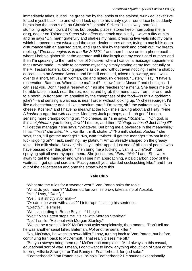immediately takes, but still he grabs me by the lapels of the stained, wrinkled jacket I've forced myself back into and when I look up into his slanty-eyed round face he suddenly bursts into the chorus of Lou Christie's "Lightnin' Strikes." I pull away, horrified, stumbling uptown, toward home, but people, places, stores keep interrupting me, a drug, dealer on Thirteenth Street who offers me crack and blindly I wave a fifty at him and he says "Oh, man" gratefully and shakes my hand, pressing five vials into my palm which I proceed to *eat whole* and the crack dealer stares at me, trying to mask his deep disturbance with an amused glare, and I grab him by the neck and croak out, my breath reeking, "*The best engine is in the BMW 750iL*," and then I move on to a phone booth, where I babble gibberish at the operator until I finally spit out my credit card number and then I'm speaking to the front office of Xclusive, where I cancel a massage appointment that I never made. I'm able to compose myself by simply staring at my feet, actually at the A. Testoni loafers, kicking pigeons aside, and without even noticing, I enter a shabby delicatessen on Second Avenue and I'm still confused, mixed up, sweaty, and I walk over to a short, fat Jewish woman, old and hideously dressed. "Listen," I say. "I have a reservation. Bateman. Where's the maître d? I know Jackie Mason," and she sighs, "I can seat you. Don't need a reservation," as she reaches for a menu. She leads me to a horrible table in back near the rest rooms and I grab the menu away from her and rush to a booth up front and I'm appalled by the cheapness of the food—"Is this a goddamn joke?"—and sensing a waitress is near I order without looking up. "A cheeseburger. I'd like a cheeseburger and I'd like it medium rare." "I'm sorry, sir," the waitress says. "No cheese. Kosher," and I have no idea what the fuck she's talking about and I say, "Fine. A *kosher* burger but *with cheese,* Monterey Jack perhaps, and—oh god," I moan, sensing more cramps coming on. "No cheese, sir," she says. "*Kosher…* " "Oh god, is this a *nightmare,* you fucking *Jew*?" I mutter, and then, "*Cottage cheese?* Just *bring it*?" "I'll get the manager," she says. "Whatever. But bring me a beverage in the meanwhile," I hiss. "Yes?" she asks. "A… vanilla… milk shake…" "No milk shakes. *Kosher*," she says, then, "I'll get the manager." "No, *wait*." "Mister I'll get the manager." "What in the fuck is going on?" I ask, seething, my platinum AmEx already slapped on the greasy table. "No milk shake. *Kosher*," she says, thick-upped, just one of billions of people who have passed over this planet. "Then bring me a fucking… vanilla… *malted*!" I roar, spraying spit all over my open menu. She just stares. "*Extra thick*!" I add. She walks away to get the manager and when I see him approaching, a bald carbon copy of the waitress, I get up and scream, "Fuck yourself you retarded cocksucking kike," and I run out of the delicatessen and onto the street where this

# **Yale Club**

"What are the rules for a sweater vest?" Van Patten asks the table.

"What do you mean?" McDermott furrows his brow, takes a sip of Absolut.

"Yes," I say, "*Cla* rify."

"Well, is it strictly in*for* mal—"

"Or can it be worn with a *suit*?" I interrupt, finishing his sentence.

"Exactly." He smiles.

"Well, according to Bruce Boyer—" I begin.

"Wait." Van Patten stops me. "Is he with Morgan Stanley?"

"No." I smile. "He's not with Morgan Stanley."

 "Wasn't he a serial killer?" McDermott asks suspiciously, then moans. "Don't tell me he was another serial killer, Bateman. *Not* another serial killer."

 "No, Mc*Dufus,* he wasn't a *serial* killer," I say, turning back to Van Patten, but before continuing turn back to McDermott. 'That really pisses me off."

 "But you *always* bring them up," McDermott complains. "And always in this casual, educational sort of way. I mean, I don't want to know anything about Son of Sam or the fucking Hillside Strangler or Ted Bundy or Featherhead, for god sake."

"Featherhead?" Van Patten asks. "Who's Featherhead? He sounds exceptionally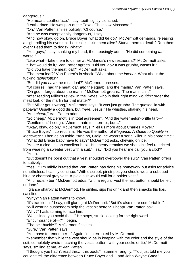dangerous."

"He means Leatherface," I say, teeth tightly clenched.

"Leatherface. He was part of the Texas Chainsaw Massacre."

"Oh." Van Patten smiles politely. "Of course."

"And he *was* exceptionally dangerous," I say.

 "And now okay, go on. Bruce Boyer, what did *he* do?" McDermott demands, releasing a sigh, rolling his eyes up. "Let's see—skin them alive? Starve them to death? Run them over? Feed them to dogs? What?"

 "You guys," I say, shaking my head, then teasingly admit, "He did something *far* worse."

"Like what—take them to dinner at McManus's new restaurant?" McDermott asks.

 "That would do it," Van Patter agrees. "Did you go? It was grubby, wasn't it?" "Did you have the meat loaf?" McDermott asks.

 "The meat loaf?" Van Patten's in shock. "What about the *interior*. What about the fucking *tablecloths*?"

"But did you *have* the meat loaf?" McDermott presses.

 "Of course I had the meat loaf, *and* the squab, *and* the marlin," Van Patten says. "Oh god, I forgot about the marlin," McDermott groans. "The marlin chili."

 "After reading Miller's review in the *Times*, who in their right mind *wouldn't* order the meat loaf, or the marlin for that matter?"

 "But Miller got it wrong," McDermott says. "It was just grubby. The quesadilla with papaya? Usually a good dish, but *there,* Jesus." He whistles, shaking his head.

"And *cheap*," Van Patten adds.

 "So cheap." McDermott is in total agreement. "And the watermelon-brittle tart—" "Gentlemen." I cough. "Ahem. I hate to interrupt, but…"

"Okay, okay, go on," McDermott says. "Tell us more about Charles Moyer."

 "Bruce Boyer," I correct him. "He was the author of *Elegance. A Guide to Quality in Menswear*." Then as an aside, "And no, Craig, he wasn't a serial killer in his spare time." "What did Brucie baby have to say?" McDermott asks, chewing on ice.

 "You're a clod. It's an excellent book. His theory remains we shouldn't feel restricted from wearing a sweater vest with a suit," I say. "Did you hear me call you a clod?" "Yeah."

 "But doesn't he point out that a vest shouldn't overpower the suit?" Van Patten offers tentatively.

 "Yes…" I'm mildly irritated that Van Patten has done his homework but asks for advice nonetheless. I calmly continue. "With discreet, pinstripes you should wear a subdued blue or charcoal gray vest. A plaid suit would call for a bolder vest."

 "And re*mem* ber," McDermott adds, "with a regular vest the last button should be left undone."

 I glance sharply at McDermott. He smiles, sips his drink and then smacks his lips, satisfied.

"Why?" Van Patten wants to know.

"It's traditional," I say, still glaring at McDermott. "But it's also more comfortable."

 "Will wearing suspenders help the vest sit better?" I heapr Van Patten ask. "Why?" I ask, turning to face him.

"Well, since you avoid the…" He stops, stuck, looking for the right word.

"Encumbrance of—?" I begin.

"The belt buckle?" McDermott finishes.

"Sure," Van Patten says.

"You have to remember—" Again I'm interrupted by McDermott.

 "Remember that while the vest should be in keeping with the color and the style of the suit, completely avoid matching the vest's pattern with your socks or tie," McDermott says, smiling at me, at Van Patten.

 "I thought you hadn't read this… this book," I stammer angrily. "You just told me you couldn't tell the difference between Bruce Boyer and… and John Wayne Gacy."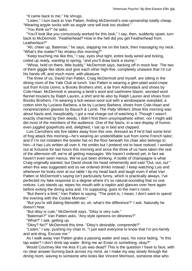"It came back to me." He shrugs.

 "Listen." I turn back to Van Patten, finding McDermott's one-upmanship totally cheap. "Wearing argyle socks with as argyle vest will look too studied."

"You think so?" he asks.

 "You'll look like you consciously worked for this look," I say, then, suddenly upset, turn back to McDermott. "*Featherhead?* How in the hell did you get Featherhead from Leatherface?"

 "Ah, cheer up, Bateman," he says, slapping me on the back, then massaging my neck. "What's the matter? No shiatsu this morning?"

 "Keep touching me like this," I say, eyes shut tight, entire body wired and ticking, coiled up ready, *wanting* to spring, "and you'll draw back a stump."

 "Whoa, hold on there, little buddy," McDermott says, backing off in mock fear. The two of them giggle like idiots and give each other high-five, completely unaware that I'd cut his hands off, and much more, with pleasure.

 The three of us, David Van Patten, Craig McDermott and myself, are sitting in the dining room of the Yale Club at lunch. Van Patten is wearing a glen-plaid wool-crepe suit from Krizia Uomo, a Brooks Brothers shirt, a tie from Adirondack and shoes by Cole-Haan. McDermott is wearing a lamb's wool and cashmere blazer, worsted wool flannel trousers by Ralph Lauren, a shirt and tie *also* by Ralph Lauren and shoes from Brooks Brothers. I'm wearing a tick-weave wool suit with a windowpane overplaid, a cotton shirt by Luciano Barbera, a tie by Luciano Barbera, shoes from Cole-Haan and nonprescription glasses by Bausch & Lomb. *The Patty Winters Show* this morning was about Nazis and, inexplicably, I got a real charge out of watching it. Though I wasn't exactly charmed by their deeds, I didn't find them unsympathetic either, nor I might add did most of the members of the audience. One of the Nazis, in a rare display of humor, even juggled grapefruits and, delighted, I sat up in bed and clapped.

 Luis Carruthers sits five tables away from this one, dressed as if he'd had some kind of frog attack this morning—he's wearing an unidentifiable suit from some French tailor; and if I'm not mistaken the bowler hat on the floor beneath his chair also belongs to him—it has Luis written all over it. He smiles but I pretend not to have noticed. I worked out at Xclusive for two hours this morning and since the three of us have taken the rest of the afternoon off, we're all getting massages. We haven't ordered yet, in fact we haven't even seen menus. We've just been drinking. A bottle of champagne is what Craig originally wanted, but David shook his head vehemently and said "Out, out, *out* " when this was suggested and so we ordered drinks instead. I keep watching Luis and whenever he looks over at our table I tip my head back and laugh even if what Van Patten or McDermott's saying isn't particularly funny, which is practically always. I've perfected my fake response to a degree where it's so natural-sounding that no one notices. Luis stands up, wipes his mouth with a napkin and glances over here again before exiting the dining area and, I'm supposing, goes to the men's room.

 "But there's a limit," Van Patten is saying. "The point is, I mean, I don't want to spend the evening with the Cookie Monster."

 "But you're still dating Meredith so, uh, what's the difference?" I ask. Naturally he doesn't hear.

"But ditsy is cute," McDermott says. "Ditsy is very cute."

"Bateman?" Van Patten asks. "Any style opinions on ditsiness?"

"What?" I ask, getting up.

"Ditsy? No?" McDermott this time. "Ditsy's desirable, *comprende*?"

 "Listen," I say, pushing my chair in. "I just want everyone to know that I'm pro-family and anti-drug. Excuse me."

 As I walk away Van Patten grabs a passing waiter and says, his voice fading, "Is this tap water? I don't drink tap water. Bring me an Evian or something, okay?"

 Would Courtney like me less if Luis was dead? This is the question I have to face, with no clear answer burning back across my mind, as I make my way slowly through the dining room, waving to someone who looks like Vincent Morrison, someone else who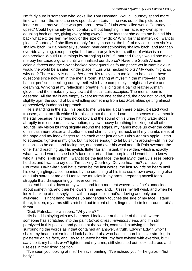I'm fairly sure is someone who looks like Tom Newman. Would Courtney spend more time with me—the time she now spends with Luis—if he was out of the picture, no longer an alternative, if he was perhaps… *dead*? If Luis were killed would Courtney be upset? Could I genuinely be of comfort without laughing in her face, my own spite doubling back on me, giving everything away? Is the fact that she dates me behind his back what excites her, my body or the size of my dick? Why, for that matter, do I want to please Courtney? If she likes me only for my muscles, the heft of my cock, then she's a shallow bitch. *But* a physically superior, near-perfect-looking shallow bitch, and *that* can override anything, except maybe bad breath or yellow teeth, either of which is a real dealbreaker. Would I ruin things by strangling Luis? If I married Evelyn would she make me buy her Lacroix gowns until we finalized our divorce? Have the South African colonial forces and the Soviet-backed black guerrillas found peace yet in Namibia? Or would the world be a safer, kinder place if Luis was hacked to bits? *My* world might, so why not? There really is no… *other hand.* It's really even too late to be asking these questions since now I'm in the men's room, staring at myself in the mirror—tan and haircut perfect—checking out my teeth which are completely straight and white and gleaming. Winking at my reflection I breathe in, sliding on a pair of leather Armam gloves, and then make my way toward the stall Luis occupies. The men's room is deserted. All the stalls are empty except for the one at the end, the door not locked, left slightly ajar, the sound of Luis whistling something from *Les Misérables* getting almost oppressively louder as I approach.

 He's standing in the stall, his back to me, wearing a cashmere blazer, pleated wool trousers, a cotton-silk white shirt, pissing into the toilet. I can tell he senses movement in the stall because he stiffens noticeably and the sound of his urine hitting water stops abruptly in midstream. In slow motion, my own heavy breathing blocking out all other sounds, my vision blurring slightly around the edges, my hands move up over the collar of his cashmere blazer and cotton-flannel shirt, circling his neck until my thumbs meet at the nape and my index fingers touch each other just above Luis's Adam's apple. I start to squeeze, tightening my grip, but it's loose enough to let Luis turn around—still in slow motion—so he can stand facing me, one hand over his wool and silk Polo sweater, the other hand reaching up. His eyelids flutter for an instant, then widen, which is exactly what I want. I want to see Luis's face contort and turn purple and I want him to know who it is who is killing him. I want to be the last face, the last *thing,* that Luis sees before he dies and I want to cry out, "I'm fucking Courtney. Do you hear me? *I'm* fucking Courtney. Ha-ha-ha," and have these be the last words, the last *sounds* he hears until his own gurglings, accompanied by the crunching of his trachea, drown everything else out. Luis stares at me and I tense the muscles in my arms, preparing myself for a struggle that, disappointingly, never comes.

 Instead he looks down at my wrists and for a moment wavers, as if he's undecided about something, and then he lowers 'his head and… *kisses* my left wrist, and when he looks back up at me, shyly, it's with an expression that's… loving and only part awkward. His right hand reaches up and tenderly touches the side of my face. I stand there, frozen, my arms still stretched out in front of me, fingers still circled around Luis's throat.

"God, Patrick,.. he whispers. "Why *here?* "

 His hand is playing with my hair now. I look over at the side of the stall, where someone has scratched into the paint *Edwin gives marvelous head,* and I'm still paralyzed in this position and gazing at the words, confused, studying the frame surrounding the words as if that contained an answer, a truth. Edwin? Edwin who? I shake my head to clear it and look back at Luis, who has this horrible, love-struck grin plastered on his face, and I try to squeeze harder, my face twisted with exertion, but I *can't* do it, my hands *won't* tighten, and my arms, still stretched out, look ludicrous and useless in their fixed position.

 "I've seen you looking at me," he says, panting. "I've noticed your"—he gulps—"hot body."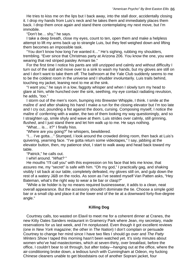He tries to kiss me on the lips but I back away, into the stall door, accidentally closing it. I drop my hands from Luis's neck and he takes them and immediately places them back. I drop them once again and stand there contemplating my next move, but I'm immobile.

"Don't be… shy," he says.

 I take a deep breath, close my eyes, count to ten, open them and make a helpless attempt to lift my arms back up to strangle Luis, but they feel weighed down and lifting them becomes an impossible task.

 "You don't know how long I've wanted it…" He's sighing, rubbing my shoulders, trembling. "Ever since that Christmas party at Arizona 206. You know the one, you were wearing that red striped paisley Armani tie."

 For the first time I notice his pants are still unzipped and calmly and without difficulty I turn out of the stall and move over to a sink to wash my hands, but my gloves are still on and I don't want to take them off. The bathroom at the Yale Club suddenly seems to me to be the coldest room in the universe and I shudder involuntarily. Luis trails behind, touching my jacket, leaning next to me at the sink.

 "I want you," he says in a low, faggoty whisper and when I slowly turn my head to glare at him, while hunched over the sink, seething, my eye contact radiating revulsion, he adds, "*too*."

 I storm out of the men's room, bumping into Brewster Whipple, I think. I smile at the maître d' and after shaking *his* hand I make a run for the closing elevator but I'm too late and I cry out, pounding a fist against the doors, cursing. Composing myself, I notice the maître d' conferring with a waiter, the two of them looking my way questioningly, and so I straighten up, smile shyly and wave at them. Luis strides over calmly, still grinning, *flushed*, and I just stand there and let him walk up to me. He says nothing.

"What… is… it?" I finally hiss.

"Where are you going?" he whispers, bewildered.

 "I… I've gotta…" Stumped, I look around the crowded dining room, then back at Luis's quivering, yearning face. "I've gotta return some videotapes," I say, jabbing at the elevator button, then, my patience shot, I start to walk away and head back toward my table.

"Patrick," he calls out.

I whirl around. "*What?* "

 He mouths "I'll call you" with this expression on his face that lets me know, that *assures* me, my "secret" is safe with him. "Oh my god," I practically gag, and shaking visibly I sit back at our table, completely defeated, my gloves still on, and gulp down the rest of a watery J&B on the rocks. As soon as I've seated myself Van Patten asks, "Hey Bateman, what's the right way to wear a tie bar or clasp?"

 "While a tie holder is by no means required businesswear, it adds to a clean, neat overall appearance. But the accessory shouldn't dominate the tie. Choose a simple gold bar or a small clip and place it at the lower end of the tie at a downward forty-five-degree angle."

# **Killing Dog**

 Courtney calls, too wasted on Elavil to meet me for a coherent dinner at Cranes, the new Kitty Oates Sanders restaurant in Gramercy Park where Jean, my secretary, made reservations for us last week, and I'm nonplussed. Even though it got excellent reviews (one in *New York* magazine; the other in *The Nation*) I don't complain or persuade Courtney to change her mind since I have two files I should go over and *The Patty Winters Show* I taped this morning hasn't been watched yet. It's sixty minutes about women who've had mastectomies, which at seven-thirty, over breakfast, before the office, I couldn't bear to sit through, but after today—hanging out at the office, where the air-conditioning broke down, a tedious lunch with Cunningham at Odeon, my fucking Chinese cleaners unable to get bloodstains out of another Soprani jacket, four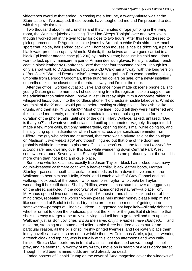videotapes overdue that ended up costing me a fortune, a twenty-minute wait at the Stairmasters—I've adapted; these events have toughened me and I'm prepared to deal with this particular topic.

 Two thousand abdominal crunches and thirty minutes of rope jumping in the living room, the Wurlitzer jukebox blasting "The Lion Sleeps Tonight" over and over, even though I worked out in the gym today for close to two hours. After this I get dressed to pick up groceries at D'Agostino's: blue jeans by Armani, a white Polo shirt, an Armani sport coat, no tie, hair slicked back with Thompson mousse; since it's drizzling, a pair of black waterproof lace-ups by Manolo Blahnik; three knives and two guns carried in a black Epi leather attaché case (\$3,200) by Louis Vuitton; because it's cold and I don't want to fuck up my manicure, a pair of Armani deerskin gloves. Finally, a belted trench coat in black leather by Cianfranco Ferré that cost four thousand dollars. Though it's only a short walk to D'Agostino's, I put on a CD Walkman anyway, with the long version of Bon Jovi's "Wanted Dead or Alive" already in it. I grab an Etro wood-handled paisley umbrella from Bergdorf Goodman, three hundred dollars on sale, off a newly installed umbrella rack in the closet near the entranceway and I'm out the door.

 After the office I worked out at Xclusive and once home made obscene phone calls to young Dalton girls, the numbers I chose coming from the register I stole a copy of from the administration office when I broke in last Thursday night. "I'm a corporate raider," I whispered lasciviously into the cordless phone. "I orchestrate hostile takeovers. What do you think of that?" and I would pause before making sucking noises, freakish piglike grunts, and then ask, "Huh, *bitch*?" Most of the time I could tell they were frightened and this pleased me greatly, enabled me to maintain a strong, pulsing erection for the duration of the phone calls, until one of the girls, Hilary Wallace, asked, unfazed, "Dad, is that you?" and whatever enthusiasm I'd built up plummeted. Vaguely disappointed, I made a few more calls, but only halfheartedly, opening today's mail while doing so, and I finally hung up in midsentence when I came across a personalized reminder from Clifford, the guy who helps me at Armani, that there was a private sale at the boutique on Madison… *two weeks ago!* and though I figured out that one of the doormen probably withheld the card to piss me off, it still doesn't erase the fact that I *missed the fucking sale,* and dwelling over this loss while wandering down Central Park West somewhere around Seventy-sixth, Seventy-fifth, it strikes me profoundly that the world is more often than not a bad and cruel place.

 Someone who looks almost exactly like Jason Taylor—black hair slicked back, navy double-breasted cashmere coat with a beaver collar, black leather boots, Morgan Stanley—passes beneath a streetlamp and nods as I turn down the volume on the Walkman to hear him say "Hello, Kevin" and I catch a whiff of Grey Flannel and, still walking, I look back at the person who resembles Taylor, who *could* be Taylor, wondering if he's still dating Shelby Phillips, when I almost stumble over a beggar lying on the street, sprawled in the doorway of an abandoned restaurant—a place Tony McManus opened two summers ago called Amnesia—and she's black and out-of-hermind crazy, repeating the words "Money please help mister money please help mister" like some kind of Buddhist chant. I try to lecture her on the merits of getting a job somewhere—perhaps at Cineplex Odeon, I suggested not impolitely—silently debating whether or not to open the briefcase, pull out the knife or the gun. But it strikes me that she's too easy a target to be truly satisfying, so I tell her to go to hell and turn up the Walkman just as Bon Jovi cries "*It's all the same, only the names have changed…* " and move on, stopping at an automated teller to take three hundred dollars out for no particular reason, all the bills crisp, freshly printed twenties, and I delicately place them in my gazelleskin wallet so as not to wrinkle them. At Columbus Circle, a juggler wearing a trench cloak and top hat, who is usually at this location afternoons and who calls himself Stretch Man, performs in front of a small, uninterested crowd; though I smell prey, and he seems fully worthy of my wrath, I move on in search of a less dorky target. Though if he'd been a mime, odds are he'd already be dead.

Faded posters of Donald Trump on the cover of *Time* magazine cover the windows of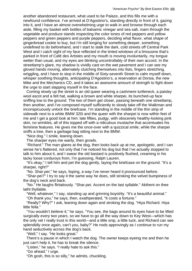another abandoned restaurant, what used to be Palaze, and this fills me with a newfound confidence. I've arrived at D'Agostino's, standing directly in front of it, gazing into it, and I have an almost overwhelming urge to walk in and browse through each aisle, filling my basket with bottles of balsamic vinegar and sea salt, roam through the vegetable and produce stands inspecting the color tones of red peppers and yellow peppers and green peppers and purple peppers, deciding what flavor, what *shape* of gingerbread cookie to buy, but I'm still longing for something deeper, something undefined to do beforehand, and I start to stalk the dark, cold streets off Central Park West and I catch sight of my face reflected in the tinted windows of a limousine that's parked in front of Café des Artistes and my mouth is moving involuntarily, my tongue wetter than usual, and my eyes are blinking uncontrollably of their own accord. In the streetlamp's glare, my shadow is vividly cast on the wet pavement and I can see my gloved hands moving, alternately clutching themselves into fists, fingers stretching, wriggling, and I have to stop in the middle of Sixty-seventh Street to calm myself down, whisper soothing thoughts, anticipating D'Agostino's, a reservation at Dorsia, the new Mike and the Mechanics CD, and it takes an awesome amount of strength to fight down the urge to start slapping myself in the face.

 Coming slowly up the street is an old queer wearing a cashmere turtleneck, a paisley wool ascot and a felt hat, walking a brown and white sharpei, its bunched-up face sniffing low to the ground. The two of them get closer, passing beneath one streetlamp, then another, and I've composed myself sufficiently to slowly take off the Walkman and inconspicuously unlock the briefcase. I'm standing in the middle of the thin strip of sidewalk next to a white BMW 320i and the queer with the sharpei is now within feet of me and I get a good look at him: late fifties, pudgy, with obscenely healthy-looking pink skin, no wrinkles, all of this topped off with a ridiculous mustache that accentuates his feminine features. He gives me the once-over with a quizzical smile, while the sharpei sniffs a tree, then a garbage bag sitting next to the BMW.

"Nice dog." I smile, leaning down.

The sharper eyes me warily, then growls.

 "*Richard*." The man glares at the dog, then looks back up at me, apologetic, and I can sense he's flattered, not only that I've noticed his dog but that I've actually stopped to talk to him about it, and I swear the old bastard is positively flushed, creaming in his tacky loose corduroys from, I'm guessing, Ralph Lauren.

 "It's okay," I tell him and pet the dog gently, laying the briefcase on the ground. "It's a sharpei, right?"

"No. Shar-*pei*," he says, lisping, a way I've never heard it pronounced before.

 "Shar-pei?" I try to say it the same way he does, still stroking the velvet bumpiness of the dog's neck and back.

 "No." He laughs flirtatiously. "Shar-*pei*. Accent on the last syllable." Akthent on thee latht thyllable.

 "Well, whatever," I say, standing up and grinning boyishly. "It's a beautiful animal." "Oh thank you," he says, then, exathperated, "It costs a fortune."

 "Really? Why?" I ask, leaning down again and stroking the dog. "Hiya Richard. Hiya little fella."

 "You wouldn't *believe* it," he says. "You see, the bags around its eyes have to be lifted surgically *every two years,* so we have to go all the way down to Key West—which has the only vet I really trust in this world—and a little snip, a little tuck, and Richard can see splendidly once again, can't you, baby?" He nods approvingly as I continue to run my hand seductively across the dog's back.

"Well," I say. "He looks great."

 There's a pause in which I watch the dog. The owner keeps eyeing me and then he just can't help it, he has to break the silence.

"Listen," he says. "I really hate to ask this."

"Go ahead," I urge.

"Oh gosh, this is so silly," he admits, chuckling.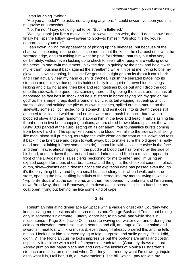I start laughing. "Why?"

 "Are you a model?" he asks, not laughing anymore. "I could swear I've seen you in a magazine or somewhere."

"No, I'm not," I say, deciding not to lie. "But I'm flattered."

 "Well, you look just like a movie star." He waves a limp wrist, then, "I don't know," and finally he lisps the following—I swear to God—to himself: "Oh stop it, silly, you're embarrassing yourself."

 I lean down, giving the appearance of picking up the briefcase, but because of the shadows I'm leaning into he doesn't see me pull out the knife, the sharpest one, with the serrated edge, and I'm asking him what he paid for Richard, naturally but also very deliberately, without even looking up to check to see if other people are walking down the street. In one swift movement I pick the dog up quickly by the neck and hold it with my left arm, pushing it back against the streetlamp while it nips at me, trying to bite my gloves, its jaws snapping, but since I've got such a tight grip on its throat it can't bark and I can actually *hear* my hand crush its trachea. I push the serrated blade into its stomach and quickly slice open its hairless belly in a squirt of brown blood, its legs kicking and clawing at me, then blue and red intestines bulge out and I drop the dog onto the sidewalk, the queer just standing there, still gripping the leash, and this has all happened so fast he's in shock and he just stares in horror saying "oh my god oh my god" as the sharpei drags itself around in a circle, its tail wagging, squealing, and it starts licking and sniffing the pile of its own intestines, spilled out in a mound on the sidewalk, some still connected to its stomach, and as it goes into its death throes still attached to its leash I whirl around on its owner and I push him back, hard, with a bloodied glove and start randomly stabbing him in the face and head, finally slashing his throat open in two brief chopping motions; an arc of red-brown blood splatters the white BMW 320i parked at the curb, setting off its car alarm, four fountainlike bursts coming from below his chin. The spraylike sound of the blood. He falls to the sidewalk, shaking like mad, blood still pumping, as I wipe the knife clean on the front of his jacket and toss it back in the briefcase and begin to walk away, but to make sure the old queer is really dead and not faking it (they sometimes do) I shoot him with a silencer twice in the face and then I leave, almost slipping in the puddle of blood that has formed by the side of his head, and I'm down the street and out of darkness and like in a movie I appear in front of the D'Agostino's, sales clerks beckoning for me to enter, and I'm using an expired coupon for a box of oat-bran cereal and the girl at the checkout counter—black, dumb, slow—doesn't get it, doesn't notice the expiration date has passed even though it's the only thing I buy, and I get a small but incendiary thrill when I walk out of the store, opening the box, stuffing handfuls of the cereal into my mouth, trying to whistle "Hip to Be Square" at the same time, and then I've opened my umbrella and I'm running down Broadway, then up Broadway, then down again, screaming like a banshee, my coat open, flying out behind me like some kind of cape.

#### **Girls**

 Tonight an infuriating dinner at Raw Space with a vaguely ditzed-out Courtney who keeps asking me questions about spa menus and George Bush and Tofutti that belong only in someone's nightmare. I utterly ignore her, to no avail, and while she's in midsentence—Page Six, Jackie O—I resort to waving our waiter over and ordering the cold corn chowder lemon bisque with peanuts and dill, an arugula Caesar salad and swordfish meat loaf with kiwi mustard, even though I already ordered this and he tells me so. I look up at him, not even trying to feign surprise, and smile grimly. "Yes, I did, didn't I?" The Floridian cuisine looks impressive but the portions are small and costly, especially in a place with a dish of crayons on each table. (Courtney draws a Laura Ashley print on her paper place mat and I draw the insides of Monica Lustgarden's stomach and chest on mine and when Courtney, charmed by what I'm drawing, inquires as to what it is, I tell her, "Uh, a… watermelon"). The bill, which I pay for with my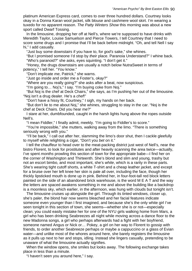platinum American Express card, comes to over three hundred dollars. Courtney looks okay in a Donna Karan wool jacket, silk blouse and cashmere wool skirt. I'm wearing a tuxedo for no apparent reason. *The Patty Winters Show* this morning was about a new sport called Dwarf Tossing.

 In the limousine, dropping her off at Nell's, where we're supposed to have drinks with Meredith Taylor, Louise Samuelson and Pierce Towers, I tell Courtney that I need to score some drugs and I promise that I'll be back before midnight. "Oh, and tell Nell I say hi," I add casually.

"Just buy some down*stairs* if you have to, for *god's* sake," she whines.

 "But I promised someone I'd stop by *their* place. Paranoia Understand?" I whine back. "Who's paranoid?" she asks, eyes squinting. "I don't get it."

 "Honey, the drugs downstairs are usually a notch below NutraSweet in terms of potency," I tell her. "*You* know."

"Don't implicate *me*, Patrick," she warns.

"Just go inside and order me a Foster's, *okay*?"

"Where are you really going?" she asks after a beat, now suspicious.

"I'm going to… Noj's," I say. "I'm buying coke from Noj."

 "But Noj is the chef at Deck Chairs," she says, as I'm pushing her out of the limousine. "Noj isn't a drug dealer. He's a *chef*!"

"Don't have a hissy fit, Courtney," I sigh, my hands on her back.

 "But don't lie to me about Noj," she whines, struggling to stay in the car. "Noj is the chef at Deck Chairs. Did you hear me?"

 I stare at her, dumbfounded, caught in the harsh lights hung above the ropes outside Nell's.

"I mean Fiddler," I finally admit, meekly. "I'm going to Fiddler's to score."

 "You're impossible," she mutters, walking away from the limo. "There is something seriously wrong with you."

 "I'll be back," I call out after her, slamming the limo's door shut, then I cackle gleefully to myself while relighting a cigar, "Don't you *bet* on it."

 I tell the chauffeur to head over to the meat-packing district just west of Nell's, near the bistro Florent, to look for prostitutes and after heavily scanning the area twice—actually, I've spent *months* prowling this section of town for the appropriate babe—I find her on the corner of Washington and Thirteenth. She's blond and slim and young, trashy but not an escort bimbo, and most important, she's *white*, which is a rarity in these parts. She's wearing tight cutoff shorts, a white T-shirt and a cheap leather jacket, and except for a bruise over her left knee her skin is pale all over, including the face, though her thickly lipsticked mouth is done up in pink. Behind her, in four-foot-tall red block letters painted on the side of an abandoned brick warehouse, is the word M E A T and the way the letters are spaced awakens something in me and above the building like a backdrop is a moonless sky, which earlier, in the afternoon, was hung with clouds but tonight isn't.

 The limousine cruises up alongside the girl. Through its tinted windows, closer up, she's paler, the blond hair now seems bleached and her facial features indicate someone even younger than I first imagined, and because she's the only white girl I've seen tonight in this section of town, she seems—whether she is or not—especially clean; you could easily mistake her for one of the NYU girls walking home from Mars, a girl who has been drinking Seabreezes all night while moving across a dance floor to the new Madonna songs, a girl who perhaps afterwards had a fight with her boyfriend, someone named Angus or Nick or… Pokey, a girl on her way to Florent to gossip with friends, to order another Seabreeze perhaps or maybe a cappuccino or a glass of Evian water—and unlike most of the whores around here, she barely registers the limousine as it pulls up next to her and stops, idling. Instead she lingers casually, pretending to be unaware of what the limousine actually signifies.

 When the window opens, she smiles but looks away. The following exchange takes place in less than a minute.

"I haven't seen you around here," I say.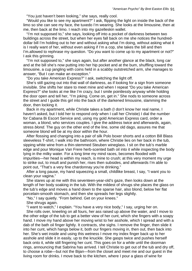"You just haven't been looking," she says, really cool.

 "Would you like to see my apartment?" I ask, flipping the light on inside the back of the limo so she can see my face, the tuxedo I'm wearing. She looks at the limousine, then at me, then back at the limo. I reach into my gazelleskin wallet.

 "I'm not supposed to," she says, looking off into a pocket of darkness between two buildings across the street, but when her eyes fall back on me she notices the hundreddollar bill I'm holding out to her and without asking what I'm doing, without asking what it is I really want of her, without even asking if I'm a cop, she takes the bill and then I'm.allowed to rephrase my question. "Do you want to come up to my apartment or not?" I ask this grinning.

 "I'm not supposed to," she says again, but after another glance at the black, long car and at the bill she's now putting into her hip pocket and at the bum, shuffling toward the limousine, a cup jangling with coins held in a scabby outstretched arm, she manages to answer, "But I can make an exception."

"Do you take American Express?" I ask, switching the light off.

 She's still gazing out into that wall of darkness, as if looking for a sign from someone invisible. She shifts her stare to meet mine and when I repeat "Do you take American Express?" she looks at me like I'm crazy, but I smile pointlessly anyway while holding the door open and tell her, "I'm joking. Come on, get in." She nods to someone across the street and I guide this girl into the back of the darkened limousine, slamming the door, then locking it.

 Back in my apartment, while Christie takes a bath (I don't know her real name, I haven't asked, but I told her to respond *only* when I call her Christie) I dial the number for Cabana Bi Escort Service and, using my gold American Express card, order a woman, a blond, who services couples. I give the address twice and afterwards, again, stress *blond.* The guy on the other end of the line, some old dago, assures me that someone blond will be at my door within the hour.

 After flossing and changing into a pair of silk Polo boxer shorts and a cotton Bill Blass sleeveless T-shirt, I walk into the bathroom, where Christie lies on her back in the tub, sipping white wine from a thin-stemmed Steuben wineglass. I sit on the tub's marble edge and pour Monique Van Frere herb-scented bath oil into it while inspecting the body lying in the milky water. For a long time my mind races, becomes flooded with impurities—her head is within my reach, is mine to crush; at this very moment my urge to strike out, to insult and punish her, rises then subsides, and afterwards I'm able to point out, "That's a very fine chardonnay you're drinking."

 After a long pause, my hand squeezing a small, childlike breast, I say, "I want you to clean your vagina."

 She stares up at me with this seventeen-year-old's gaze, then looks down at the length of her body soaking in the tub. With the mildest of shrugs she places the glass on the tub's edge and moves a hand down to the sparse hair, also blond, below her flat porcelain-smooth stomach, and then she spreads her legs slightly.

"No," I say quietly. "From behind. Get on your knees."

She shrugs again.

"I want to watch," I explain. "You have a very nice body," I say, urging her on.

 She rolls over, kneeling on all fours, her ass raised up above the water, and I move to the other edge of the tub to get a better view of her cunt, which she fingers with a soapy hand. I move my hand above her moving wrist to her asshole, which I spread and with a dab of the bath oil finger lightly. It contracts, she sighs. I remove the finger, then slide it into her cunt, which hangs below it, both our fingers moving in, then out, then back into her. She's wet inside and using this wetness I move my index finger back up to her asshole and slide it in easily, up to the knuckle. She gasps twice and pushes herself back onto it, while still fingering her cunt. This goes on for a while until the doorman rings, announcing that Sabrina has arrived. I tell Christie to get out of the tub and dry off, to choose a robe—but not the Bijan—from the closet and meet me and our guest in the living room for drinks. I move back to the kitchen, where I pour a glass of wine for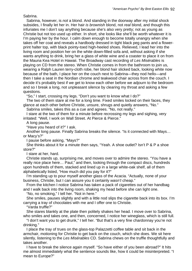Sabrina.

 Sabrina, however, is *not* a blond. And standing in the doorway after my initial shock subsides, I finally let her in. Her hair *is brownish* blond, not *real* blond, and though this infuriates me I don't say anything because she's also very pretty; not as young as Christie but not too used up either. In short, she looks like she'll be worth whatever it is I'm paying her by the hour. I calm down enough to become totally unangry when she takes off her coat and reveals a hardbody dressed in tight black peg pants and a flowerprint halter top, with black pointy-toed high-heeled shoes. Relieved, I lead her into the living room and position her on the white down-filled sofa and, without asking if she wants anything to drink, bring her a glass of white wine and a coaster to place it on from the Mauna Kea Hotel in Hawaii. The Broadway cast recording of *Les Misérables* is playing on CD from the stereo. When Christie comes in from the bathroom to join us, wearing a Ralph Lauren terry-cloth robe, her blond hair slicked back, looking white now because of the bath, I place her on the couch next to Sabrina—they nod hello—and then I take a seat in the Nordian chrome and teakwood chair across from the couch. I decide it's probably best if we get to know each other before we adjourn to the bedroom and so I break a long, not unpleasant silence by clearing my throat and asking a few questions.

"So," I start, crossing my legs. "Don't you want to know what I do?"

 The two of them stare at me for a long time. Fixed smiles locked on their faces, they glance at each other before Christie, unsure, shrugs and quietly answers, "No."

Sabrina smiles, takes this as a cue and agrees. "No, not really."

 I stare at the two of them for a minute before recrossing my legs and sighing, very irritated: "Well, I work on Wall Street. At Pierce & Pierce."

A long pause.

"Have you heard of it?" I ask.

 Another long pause. Finally Sabrina breaks the silence. "Is it connected with Mays… or Macy's?"

I pause before asking, "Mays?"

 She thinks about it for a minute then says, "Yeah. A shoe outlet? Isn't P & P a shoe store?"

I stare at her, hard.

 Christie stands up, surprising me, and moves over to admire the stereo. "You have a really nice place here… Paul," and then, looking through the compact discs, hundreds upon hundreds of them, stacked and lined up in a large white-oak shelf, all of them alphabetically listed, "How much did you pay for it?"

 I'm standing up to pour myself another glass of the Acacia. "Actually, none of your business, Christie, but I can assure you it certainly *wasn't* cheap."

 From the kitchen I notice Sabrina has taken a pack of cigarettes out of her handbag and I walk back into the living room, shaking my head before she can light one.

"No, no smoking," I tell her. "Not in here."

 She smiles, pauses slightly and with a little nod slips the cigarette back into its box. I'm carrying a tray of chocolates with me and I offer one to Christie.

"Varda truffle?"

 She stares blankly at the plate then politely shakes her head. I move over to Sabrina, who smiles and takes one, and then, concerned, I notice her wineglass, which is still full.

 "I don't want you to get drunk," I tell her. "But that's a very fine chardonnay you're not drinking."

 I place the tray of trues on the glass-top Palazzetti coffee table and sit back in the armchair, motioning for Christie to get back on the couch, which she does. We sit here silently, listening to the *Les Misérables* CD. Sabrina chews on the truffle thoughtfully and takes another.

 I have to break the silence again myself. "So have either of you been abroad?" It hits me almost immediately what the sentence sounds like, how it could be misinterpreted. "I mean to Europe?"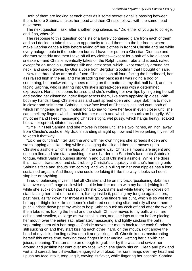Both of them are looking at each other as if some secret signal is passing between them, before Sabrina shakes her head and then Christie follows with the same head movement.

 The next question I ask, after another long silence, is, "Did either of you go to college, and if so, where?"

 The response to this question consists of a barely contained glare from each of them, and so I decide to take this as an opportunity to lead them into the bedroom, where I make Sabrina dance a little before taking off her clothes in front of Christie and me while every halogen bulb in the bedroom burns. I have her put on a Christian Dior lace and charmeuse teddy and then I take off all my clothes—except for a pair of Nike all-sport sneakers—and Christie eventually takes off the Ralph Lauren robe and is buck naked except for an Angela Cummings silk and latex scarf, which I knot carefully around her neck, and suede gloves by Gloria Jose from Bergdorf Goodman that I bought on sale.

 Now the three of us are on the futon. Christie is on all fours facing the headboard, her ass raised high in the air, and I'm straddling her back as if I was riding a dog or something, but backward, my knees resting on the mattress, my dick half hard, and I'm facing Sabrina, who is staring into Christie's spread-open ass with a determined expression. Her smile seems tortured and she's wetting her own lips by fingering herself and tracing her glistening index finger across them, like she's applying lip gloss. With both my hands I keep Christie's ass and cunt spread open and I urge Sabrina to move in closer and sniff them. Sabrina is now face level at Christie's ass and cunt, both of which I'm fingering lightly. I motion for Sabrina to move her face in even closer until she can smell my fingers which I push into her mouth and which she sucks on hungrily. With my other hand I keep massaging Christie's tight, wet pussy, which hangs heavy, soaked below her spread, dilated asshole.

 "Smell it," I tell Sabrina and she moves in closer until she's two inches, an inch, away from Christie's asshole. My dick is standing straight up now and I keep jerking myself off to keep it that way.

 "Lick her cunt first," I tell Sabrina and with her own fingers she spreads it open and starts lapping at it like a dog while massaging the clit and then she moves up to Christie's asshole which she laps at in the same way. Christie's moans are urgent and uncontrolled and she starts pushing her ass harder into Sabrina's face, onto Sabrina's tongue, which Sabrina pushes slowly in and out of Christie's asshole. While she does this I watch, transfixed, and start rubbing Christie's clit quickly until she's humping onto Sabrina's face and shouts "I'm coming" and while pulling on her own nipples has a long, sustained orgasm. And though she could be faking it I like the way it looks so I don't slap her or anything.

 Tired of balancing myself, I fail off Christie and lie on my back, positioning Sabrina's face over my stiff, huge cock which I guide into her mouth with my hand, jerking it off while she sucks on the head. I pull Christie toward me and while taking her gloves off start kissing her hard on the mouth, licking inside it, pushing my tongue against hers, past hers, as far down her throat as it will go. She fingers her cunt, which is so wet that her upper thighs look like someone's slathered something slick and oily all over them. I push Christie down past my waist to help Sabrina suck my cock off and after the two of them take turns licking the head and the shaft, Christie moves to my balls which are aching and swollen, as large as two small plums, and she laps at them before placing her mouth over the entire sac, alternately massaging and lightly sucking the balls, separating them with her tongue. Christie moves her mouth back to the cock Sabrina's still sucking on and they start kissing each other, hard, on the mouth, right above the head of my dick, drooling saliva onto it and jacking it off. Christie keeps masturbating herself this entire time, working three fingers in her vagina, wetting her clit with her juices, moaning. This turns me on enough to grab her by the waist and swivel her around and position her cunt over my face, which she gladly sits on. Clean and pink and wet and spread, her clit swollen, engorged with blood, her cunt hangs over my head and I push my face into it, tonguing it, craving its flavor, while fingering her asshole. Sabrina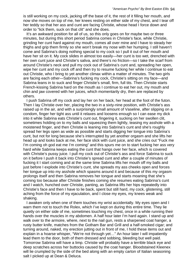is still working on my cock, jacking off the base of it, the rest of it filling her mouth, and now she moves on top of me, her knees resting on either side of my chest, and I tear off her teddy so that her ass and cunt are facing Christie, whose head I force down and order to "lick them, suck on that clit" and she does.

 It's an awkward position for all of us, so this only goes on for maybe two or three minutes, but during this short period Sabrina comes in Christie's face, while Christie, grinding her cunt hard against my mouth, comes all over mine and I have to steady her thighs and grip them firmly so she won't break my nose with her humping. I still haven't come and Sabrina's doing nothing special to my cock so I pull it out of her mouth and have her sit on it. My cock slides in almost too easily—her cunt is too wet, drenched with her own cunt juice and Christie's saliva, and there's no friction—so I take the scarf from around Christie's neck and pull my cock out of Sabrina's cunt and, spreading her open, wipe her cunt and my cock off and then try to resume fucking her while I continue to eat out Christie, who I bring to yet another climax within a matter of minutes. The two girls are facing each other—Sabrina's fucking my cock, Christie's sitting on my face—and Sabrina leans in to suck and finger Christie's small, firm, full tits. Then Christie starts French-kissing Sabrina hard on the mouth as I continue to eat her out, my mouth and chin and jaw covered with her juices, which momentarily dry, then are replaced by others.

 I push Sabrina off my cock and lay her on her back, her head at the foot of the futon. Then I lay Christie over her, placing the two in a sixty-nine position, with Christie's ass raised up in the air, and with a surprisingly small amount of Vaseline, after slipping on a condom, finger her tight ass until it relaxes and loosens enough so I can ease my dick into it while Sabrina eats Christie's cunt out, fingering it, sucking on her swollen clit, sometimes holding on to my balls and squeezing them lightly, teasing my asshole with a moistened finger, and then Christie is leaning into Sabrina's cunt and she's roughly spread her legs open as wide as possible and starts digging her tongue into Sabrina's cunt, but not for long because she's interrupted by yet another orgasm and she lifts her head up and looks back at me, her face slick with cunt juice, and she cries out "Fuck me I'm coming oh god eat me I'm coming" and this spurs me on to start fucking her ass very hard while Sabrina keeps eating the cunt that hangs over her face, which is covered with Christie's pussy juice. I pull my cock out of Christie's ass and force Sabrina to suck on it before I push it back into Christie's spread cunt and after a couple of minutes of fucking it I start coming and at the same time Sabrina lifts her mouth off my balls and just before I explode into Christie's cunt, she spreads my ass cheeks open and forces her tongue up into my asshole which spasms around it and because of this my orgasm prolongs itself and then Sabrina removes her tongue and starts moaning that she's coming too because after Christie finishes coming she resumes eating Sabrina's cunt and I watch, hunched over Christie, panting, as Sabrina lifts her hips repeatedly into Christie's face and then I have to lie back, spent but still hard, my cock, glistening, still aching from the force of my ejaculation, and I close my eyes, my knees weak and shaking.

 I awaken only when one of them touches my wrist accidentally. My eyes open and I warn them not to touch the Rolex, which I've kept on during this entire time. They lie quietly on either side of me, sometimes touching my chest, once in a while running their hands over the muscles in my abdomen. A half hour later I'm hard again. I stand up and walk over to the armoire, where, next to the nail gun, rests a sharpened coat hanger, a rusty butter knife, matches from the Gotham Bar and Grill and a half-smoked cigar; and turning around, naked, my erection jutting out in front of me, I hold these items out and explain in a hoarse whisper, "We're not through yet…" An hour later I will impatiently lead them to the door, both of them dressed and sobbing, bleeding but well paid. Tomorrow Sabrina will have a limp. Christie will probably have a terrible black eye and deep scratches across her buttocks caused by the coat hanger. Bloodstained Kleenex will lie crumpled by the side of the bed along with an empty carton of Italian seasoning salt I picked up at Dean & Deluca.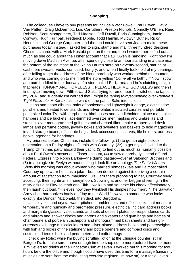## **Shopping**

 The colleagues I have to buy presents for include Victor Powell, Paul Owen, David Van Patten, Craig McDermott, Luis Carruthers, Preston Nichols, Connolly O'Brien, Reed Robison, Scott Montgomery, Ted Madison, Jeff Duvall, Boris Cunningham, Jamie Conway, Hugh Turnball, Frederick Dibble, Todd Hamlin, Muldwyn Butner, Ricky Hendricks and George Carpenter, and though I could have sent Jean to make these purchases today, instead I asked her to sign, stamp and mail three hundred designer Christmas cards with a Mark Kostabi print on them and then I wanted her to find out as much as she could about the Fisher account that Paul Owen is handling. Right now I'm moving down Madison Avenue, after spending close to an hour standing in a daze near the bottom of the staircase at the Ralph Lauren store on Seventy-second, staring at cashmere sweater vests, confused, hungry, and when I finally took hold of my bearings, after failing to get the address of the blond hardbody who worked behind the counter and who was coming on to me, I left the store yelling "*Come* all ye faithfull" Now I scowl at a bum huddled in the doorway of a store called EarKarma and he's clutching a sign that reads HUNGRY AND HOMELESS… PLEASE HELP ME, GOD BLESS and then I find myself moving down Fifth toward Saks, trying to remember if I switched the tapes in my VCR, and suddenly I'm worried that I might be taping *thirtysomething* over *Pamela's Tight Fuckhole.* A Xanax fails to ward off the panic. Saks intensifies it.

 …pens and photo albums, pairs of bookends and lightweight luggage, electric shoe polishers and heated towel stands and silver-plated insulated carafes and portable palm-sized color TVs with earphones, birdhouses and candleholders, place mats, picnic hampers and ice buckets, lace-trimmed oversize linen napkins and umbrellas and sterling silver monogrammed golf tees and charcoal-filter smoke trappers and desk lamps and perfume bottles, jewelry boxes and sweaters and baskets to hold magazines in and storage boxes, office tote bags, desk accessories, scarves, file holders, address books, agendas for handbags…

 My priorities before Christmas include the following: (1) to get an eight o'clock reservation on a Friday night at Dorsia with Courtney, (2z) to get myself invited to the Trump Christmas party aboard their yacht, (3) to find out as much as humanly possible about Paul Owen's mysterious Fisher account, (4) to saw a hardbody's head off and Federal Express it to Robin Barker—the dumb bastard—over at Salomon Brothers and (5) to apologize to Evelyn without making it look like an apology. *The Patty Winters Show* this morning was about women who married homosexuals and I almost called Courtney up to warn her—as a joke—but then decided against it, deriving a certain amount of satisfaction from imagining Luis Carruthers proposing to her, Courtney shyly accepting, their nightmarish honeymoon. Scowling at another beggar shivering in the misty drizzle at Fifty-seventh and Fifth, I walk up and squeeze his cheek affectionately, then laugh out loud. "His eyes how they twinkled! His dimples how merry!" The Salvation Army choir harmonizes badly on "Joy to the World." I wave to someone who looks exactly like Duncan McDonald, then duck into Bergdorf's.

 …paisley ties and crystal water pitchers, tumbler sets and office clocks that measure temperature and humidity and barometric pressure, electric calling card address books and margarita glasses, valet stands and sets of dessert plates, correspondence cards and mirrors and shower clocks and aprons and sweaters and gym bags and bottles of champagne and porcelain cachepots and monogrammed bath sheets and foreigncurrency-exchange minicalculators and silver-plated address books and paperweights with fish and boxes of fine stationery and bottle openers and compact discs and customized tennis balls and pedometers and coffee mugs…

 I check my Rolex while I'm buying scruffing lotion at the Clinique counter, still in Bergdorf's, to make sure I have enough time to shop some more before I have to meet Tim Severt for drinks at the Princeton Club at seven. I worked out this morning for two hours before the office and though I could have used this time for a massage (since my muscles are sore from the exhausting exercise regimen I'm now on) or a facial, even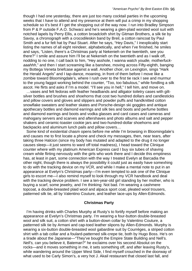though I had one yesterday, there are just too many cocktail parties in the upcoming weeks that I *have* to attend and my presence at them will put a crimp in my shopping schedule so it's best if I get the shopping out of the way now. I run into Bradley Simpson from P & P outside F.A.O. Schwarz and he's wearing a glen-plaid worsted wool suit with notched lapels by Perry Ellis, a cotton broadcloth shirt by Gitman Brothers, a silk tie by Savoy, a chronograph with a crocodileskin band by Breil, a cotton raincoat by Paul Smith and a fur felt hat by Paul Stuart. After he says, "Hey Davis," I inexplicably start listing the names of all eight reindeer, alphabetically, and when I've finished, he smiles and says, "Listen, there's a Christmas party at Nekenieh on the twentieth, see you there?" I smile and assure him I'll be at Nekenieh on the twentieth and as I walk off, nodding to no one, I call back to him, "Hey asshole, I wanna watch you*die,* mothe*rfuckaaahhh*," and then I start screaming like a banshee, moving across Fifty-eighth, banging my Bottega Veneta briefcase against a wall. Another choir, on Lexington, sings "Hark the Herald Angels" and I tap-dance, moaning, in front of them before I move like a zombie toward Bloomingdale's, where I rush over to the first tie rack I see and murmur to the young faggot working behind the counter, "Too, too fabulous," while fondling a silk ascot. He flirts and asks if I'm a model. "I'll see you in hell," I tell him, and move on.

 …vases and felt fedoras with feather headbands and alligator toiletry cases with giltsilver bottles and brushes and shoehorns that cost two hundred dollars and candlesticks and pillow covers and gloves and slippers and powder puffs and handknitted cotton snowflake sweaters and leather skates and Porsche-design ski goggles and antique apothecary bottles and diamond earrings and silk ties and boots and perfume bottles and diamond earrings and boots and vodka glasses and card cases and cameras and mahogany servers and scarves and aftershaves and photo albums and salt and pepper shakers and ceramic-toaster cookie jars and two-hundred-dollar shoehorns and backpacks and aluminum lunch pails and pillow covers…

 Some kind of existential chasm opens before me while I'm browsing in Bloomingdale's and causes me to first locate a phone and check my messages, then, near tears, after taking three Halcion (since my body has mutated and adapted to the drug it no longer causes sleep—it just seems to ward off total madness), I head toward the Clinique counter where with my platinum American Express card I buy six tubes of shaving cream while flirting nervously with the girls who work there and I decide this emptiness has, at least in part, some connection with the way I treated Evelyn at Barcadia the other night, though there is always the possibility it could just as easily have somexhing to do with the tracking device on my VCR, and while I make a mental note to put in an appearance at Evelyn's Christmas party—I'm even tempted to ask one of the Clinique girls to escort me—I also remind myself to look through my VCR handbook and deal with the tracking device problem. I see a ten-year-old girl standing by her mother, who is buying a scarf, some jewelry, and I'm thinking: Not bad. I'm wearing a cashmere topcoat, a double-breasted plaid wool and alpaca sport coat, pleated wool trousers, patterned silk tie, all by Valentino Couture, and leather lace-ups by Allen-Edmonds.

## **Christmas Party**

 I'm having drinks with Charles Murphy at Rusty's to fortify myself before making an appearance at Evelyn's Christmas party. I'm wearing a four-button double-breasted wool and silk suit, a cotton shirt with a button-down collar by Valentino Couture, a patterned silk tie by Armani and cap-toed leather slipons by Allen-Edmonds. Murphy is wearing a six-button double-breasted wool gabardine suit by Courrèges, a striped cotton shirt with a tab collar and a foulard-patterned silk-crepe tie, both by Hugo Boss. He's on a tirade about the Japanese—"They've bought the Empire State Building and Nell's. *Nell's,* can you believe it, Bateman?" he exclaims over his second Absolut on the rocks—and it moves something in me, it sets something off, and after leaving Rusty's, while wandering around the Upper West Side, I find myself crouched in the doorway of what used to be Carly Simon's, a very hot J. Akail restaurant that closed last fall, and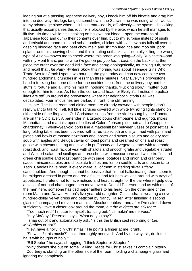#### *"American Psycho" By Bret Easton Ellis* 97

leaping out at a passing Japanese delivery boy, I knock him off his bicycle and drag him into the doorway, his legs tangled somehow in the Schwinn he was riding which works to my advantage since when I slit his throat—easily, effortlessly—the spasmodic kicking that usually accompanies this routine is blocked by the bike, which he still manages to lift five, six times while he's choking on his own hot blood. I open the cartons of Japanese food and dump their contents over him, but to my surprise instead of sushi and teriyaki and hand rolls and soba noodles, chicken with cashew nuts falls all over his gasping bloodied face and beef chow mein and shrimp fried rice and moo shu pork splatter onto his heaving chest, and this irritating setback—accidentally killing the wrong type of Asian—moves me to check where this order was going—Sally Rubinstein—and with my Mont Blanc pen to write *I'm gonna get you too… bitch* on the back of it, then place the order over the dead kid's face and shrug apologetically, mumbling "Uh, sorry" and recall that *The Patty Winters Show* this morning was about Teenage Girls Who Trade Sex for Crack I spent two hours at the gym today and can now complete two hundred abdominal crunches in less than three minutes. Near Evelyn's brownstone I hand a freezing bum one of the fortune cookies I took from the delivery boy and he stuffs it, fortune and all, into his mouth, nodding thanks. "Fucking slob," I mutter loud enough for him to hear. As I turn the corner and head for Evelyn's, I notice the police lines are *still* up around the brownstone where her neighbor Victoria Bell was decapitated. Four limousines are parked in front, one still running.

 I'm late. The living room and dining room are already crowded with people I don't really want to talk to. Tall, full blue spruces covered with white twinkling lights stand on either side of the fireplace. Old Christmas songs from the sixties sung by the Ronettes are on the CD player. A bartender in a tuxedo pours champagne and eggnog, mixes Manhattans and martinis, opens bottles of Calera Jensen pinot noir and a Chappellet chardonnay. Twenty-year-old ports line a makeshift bar between vases of poinsettias. A long folding table has been covered with a red tablecloth and is jammed with pans and plates and bowls of roasted hazelnuts and lobster and oyster bisques and celery root soup with apples and Beluga caviar on toast points and creamed onions and roast goose with chestnut stung and caviar in puff pastry and vegetable tarts with tapenade, roast duck and roast rack of veal with shallots and gnocchi gratin and vegetable strudel and Waldorf salad and scallops and bruschetta with mascarpone and white truffles and green chili soufflé and roast partridge with sage, potatoes and onion and cranberry sauce, mincemeat pies and chocolate truffles and lemon soufflé tarts and pecan tarte Tatin. Candles have been lit everywhere, all of them in sterling silver Tiffany candleholders. And though I cannot be positive that I'm not hallucinating, there seem to be midgets dressed in green and red elf suits and felt hats walking around with trays of appetizers. I pretend not to have noticed and head straight for the bar where I gulp down a glass of not-bad champagne then move over to Donald Petersen, and as with most of the men here, someone has tied paper antlers to his head. On the other side of the room Maria and Darwin Hutton's five-year-old daughter, Cassandra, is wearing a sevenhundred-dollar velvet dress and petticoat by Nancy Halser. After finishing a second glass of champagne I move to martinis—Absolut doubles—and after I've calmed down sufficiently I take a closer look around the room, *but the midgets are still there.*

"Too much red," I mutter to myself, trancing out. "It's makin' me nervous."

"Hey McCloy," Petersen says. "What do you say?"

 I snap out of it and automatically ask, "Is this the British cast recording of *Les Misérables* or not?"

"Hey, have a holly jolly Christmas." He points a finger at me, drunk.

 "So what *is* this music?" I ask, thoroughly annoyed. "And by the way, sir, deck the halls with boughs of holly."

"Bill Septor," he says, shrugging. "I think Septor or Skeptor."

 "Why doesn't she put on some Talking Heads for Christ *sakes*," I complain bitterly. Courtney is standing on the other side of the room, holding a champagne glass and ignoring me completely.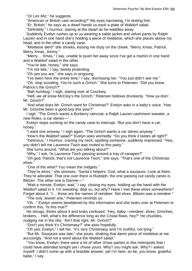"Or *Les Miz*," he suggests.

"American or British cast recording?" My eyes narrowing, I'm testing him.

"Er, British," he says as a dwarf hands us each a plate of Waldorf salad.

"Definitely," I murmur, staring at the dwarf as he waddles away.

 Suddenly Evelyn rushes up to us wearing a sable jacket and velvet pants by Ralph Lauren and in one hand she's holding a piece of mistletoe, which she places above my head, and in the other a candy cane.

 "Mistletoe alert!" she shrieks, kissing me dryly on the cheek. "Merry Xmas, Patrick. Merry Xmas, Jimmy."

 "Merry… Xmas," I say, unable to push her away since I've got a martini in one hand and a Waldorf salad in the other.

"You're late, honey," she says.

"I'm not late," I say, barely protesting.

"Oh yes you are," she says in singsong.

"I've been here the entire time," I say, dismissing her. "You just didn't see me."

 "Oh, stop scowling. You're such a Grinch." She turns to Petersen. "Did you know Patrick's the Grinch?"

"Bah humbug," I sigh, staring over at Courtney.

 "Hell, we all know McCloy's the Grinch," Petersen bellows drunkenly. "How ya doin', Mr. Grinch?"

 "And what does Mr. Grinch want for Christmas?" Evelyn asks in a baby's voice. "Has Mr. Grinchie been a good boy this year?"

 I sigh. "The Grinch wants a Burberry raincoat, a Ralph Lauren cashmere sweater, a new Rolex, a car stereo—"

 Evelyn stops sucking on the candy cane to interrupt. "But you don't *have* a *car*, honey."

"I want one anyway." I sigh again. "The Grinch wants a car stereo anyway."

"How's the Waldorf salad?" Evelyn asks worriedly. "Do you think it tastes all right?"

 "Delicious," I murmur, craning my neck, spotting someone, suddenly impressed. "Hey, you didn't tell me Laurence Tisch was invited to this party."

She turns around. "What are you talking about?"

"Why," I ask, "is Laurence Tisch passing around a tray of canapes?"

 "Oh god, Patrick, that's *not* Laurence Tisch," she says. "That's one of the Christmas elves."

"One of the *what?* You mean the midgets."

 'They're *elves*," she stresses. "Santa's helpers. God, what a sourpuss. Look at them. They're adorable. That one over there is Rudolph, the one passing out candy canes is Blitzen. The other one is Donner—"

 "Wait a minute, Evelyn, wait," I say, closing my eyes, holding up the hand with the Waldorf salad in it. I'm sweating, déjà vu, but why? Have I met these elves somewhere? Forget about it. "I… those are the names of reindeer. Not elves. Blitzen was a *reindeer*."

"The only Jewish one," Petersen reminds us.

 "Oh..." Evelyn seems bewildered by this information and she looks over at Petersen to confirm this. "Is this true?"

 He shrugs, thinks about it and looks confused. "Hey, baby—reindeer, elves, Grinches, brokers… Hell, what's the difference long as the Cristal flows, hey?" He chuckles, nudging me in the ribs. "Ain't that right, Mr. Grinch?"

"Don't you think it's Christmasy?" she asks hopefully.

"Oh yes, Evelyn," I tell her. "It's very Christmasy and I'm truthful, not lying."

 "But Mr. Sourpuss was late," she pouts, shaking that damn piece of mistletoe at me accusingly. "And not a word about the Waldorf salad."

 "You know, Evelyn, there were a lot of other *Xmas* parties in this metropolis that I could have attended tonight yet I chose yours. Why? you might ask. Why? I asked myself. I didn't come up with a feasible answer, yet I'm here, so be, you know, grateful, babe," I say.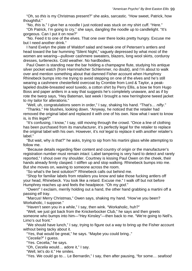"Oh, so *this* is my Christmas present?" she asks, sarcastic. "How sweet, Patrick, how thoughtful."

"No, *this* is." I give her a noodle I just noticed was stuck on my shirt cuff. "Here."

 "Oh Patrick, I'm going to cry," she says, dangling the noodle up to candlelight. "It's gorgeous. Can I put it on now?"

 "No. Feed it to one of the elves. That one over there looks pretty hungry. Excuse me but I need another drink."

 I hand Evelyn the plate of Waldorf salad and tweak one of Petersen's antlers and head toward the bar humming "Silent Night," vaguely depressed by what most of the women are wearing—pullover cashmere sweaters, blazers, long wool skirts, corduroy dresses, turtlenecks. Cold weather. No hardbodies.

 Paul Owen is standing near the bar holding a champagne flute, studying his antique silver pocket watch (from Harnmahcher Schlemmer, no doubt), and I'm about to walk over and mention something about that damned Fisher account when Humphrey Rhinebeck bumps into me trying to avoid stepping on one of the elves and he's still wearing a cashmere chesterfield overcoat by Crombie from Lord & Taylor, a peaklapeled double-breasted wool tuxedo, a cotton shirt by Perry Ellis, a bow tie from Hugo Boss and paper antlers in a way that suggests he's completely unaware, and as if by rote the twerp says, "Hey Bateman, last week I brought a new herringbone tweed jacket to my tailor for alterations."

"Well, uh, congratulations seem in order," I say, shaking his hand. "That's… *nifty*."

 "Thanks." He blushes, looking down. "Anyway, he noticed that the retailer had removed the original label and replaced it with one of his own. Now what I want to know is, is this *legal*?"

 "It's confusing, I know," I say, still moving through the crowd. "Once a line of clothing has been purchased from its manufacturer, it's perfectly legal for the retailer to replace the original label with his own. However, it's *not* legal to replace it with *another* retailer's label."

 "But wait, why *is* that?" he asks, trying to sip from his martini glass while attempting to follow me.

 "Because details regarding fiber content and country of origin or the manufacturer's registration number must remain *intact*. Label tampering is very hard to detect and rarely reported," I shout over my shoulder. Courtney is kissing Paul Owen on the cheek, their hands already firmly clasped. I stiffen up and stop walking. Rhinebeck bumps into me. But she moves on, waving to someone across the room.

"So what's the best solution?" Rhinebeck calls out behind me.

 "Shop for familiar labels from retailers you know and take those fucking antlers off your head, Rhinebeck. You look like a retard. Excuse me." I walk off but not before Humphrey reaches up and feels the headpiece. "Oh my *god*."

 "Owen!" I exclaim, merrily holding out a hand, the other hand grabbing a martini off a passing elf tray.

 "Marcus! Merry Christmas," Owen says, shaking my hand. "How've you been? Workaholic, I suppose."

"Haven't seen you in a while," I say, then wink. "Workaholic, huh?"

 "Well, we just got back from the Knickerbocker Club," he says and then greets someone who bumps into him—"Hey Kinsley"—then back to me. "We're going to Nell's. Limo's out front."

 "We should have lunch," I say, trying to figure out a way to bring up the Fisher account without being tacky about it.

"Yes, that would be great," he says. "Maybe you could bring.."

"*Cecelia*?" I guess.

"Yes. Cecelia," he says.

"Oh, *Cecelia* would… adore it," I say.

"Well, let's do it." He smiles.

"Yes. We could go to… Le Bernardin," I say, then after pausing, "for some… *seafood*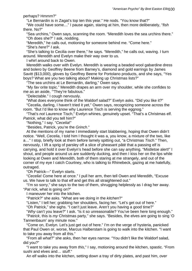perhaps? Hmmm?"

"Le Bernardin is in Zagat's top ten this year." He nods. "You know that?"

 "We could have some…" I pause again, staring at him, then more deliberately, "*fish* there. No?"

 "Sea urchins," Owen says, scanning the room. "Meredith loves the sea urchins there." "Oh does she?" I ask, nodding.

 "Meredith," he calls out, motioning for someone behind me. "Come here." "She's *here*?" *I* ask.

 "She's talking to Cecilia over there," he says. "Meredith," he calls out, waving. I turn around. Meredith and Evelyn make their way over to us.

I whirl around back to Owen.

 Meredith walks over with Evelyn. Meredith is wearing a beaded wool gabardine dress and bolero by Geoffrey Beene from Barney's, diamond and gold earrings by James Savitt (\$13,000), gloves by Geoffrey Beene for Portolano products, and she says, "Yes boys? What are you two talking about? Making up Christmas lists?"

"The sea urchins at Le Bernardin, darling," Owen says.

 "My *fav* orite topic." Meredith drapes an arm over my shoulder, while she confides to me as an aside, '"They're fabulous."

"Delectable." I cough nervously.

"What does everyone think of the Waldorf salad?" Evelyn asks. "Did you like it?"

 "Cecelia, darling, I haven't tried it yet," Owen says, recognizing someone across the room. "But I'd like to know why Laurence Tisch is serving the eggnog."

 "That's *not* Laurence Tisch," Evelyn whines, genuinely upset. "That's a Christmas elf. *Patrick*, what did you tell him?"

"Nothing," I say. "*Cecelia*!"

"Besides, Patrick, you're the *Grinch*."

 At the mentions of my name I immediately start blabbering, hoping that Owen didn't notice. "Well, *Cecelia*, I told him I thought it was a, you know, a mixture of the two, like a…" I stop, briefly look at them before lamely spitting out, "a Christmas *Tisch*." Then, nervously, I lift a sprig of parsley off a slice of pheasant pâté that a passing elf is carrying, and hold it over Evelyn's head before she can say anything. "Mistletoe alert!" I shout, and people around us are suddenly ducking, and then I kiss her on the lips while looking at Owen and Meredith, both of them staring at me strangely, and out of the corner of my eye I catch Courtney, who is talking to Rhinebeck, gazing at me hatefully, outraged.

"Oh Patrick—" Evelyn starts.

 "*Cecelia*! Come here at once." I pull her arm, then tell Owen and Meredith, "Excuse us. We have to talk to that elf and get this all straightened out."

 "I'm so sorry," she says to the two of them, shrugging helplessly as I drag her away. "*Pat* rick, what is going on?"

I maneuver her into the kitchen.

"Patrick?" she asks. "What are we doing in the *kitchen*?"

"Listen," I tell her; grabbing her shoulders, facing her. "Let's get out of here."

"Oh Patrick," she sighs. "I can't just leave. Aren't you having a good time?"

"*Why* can't you leave?" I ask. "Is it so unreasonable? You've been here long enough."

 "Pat*rick*, this is *my* Christmas party," she says. "Besides, the elves are going to sing 'O Tannenbaum' any minute now."

 "Come on, Evelyn. Let's just get out of here." I'm on the verge of hysteria, panicked that Paul Owen or, worse, Marcus Halberstam is going to walk into the kitchen. "I want to take you away from all this."

 "From all *what*?" she asks, then her eyes narrow. "You didn't like the Waldorf salad, did you?"

 "I want to take you away from *this*," I say, motioning around the kitchen, spastic. "From sushi and elves and… *stuff*."

An elf walks into the kitchen, setting down a tray of dirty plates, and past him, *over*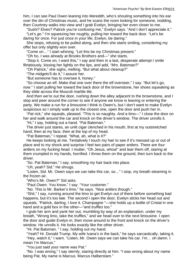him, I can see Paul Owen leaning into Meredith, who's shouting something into his ear over the din of Christmas music, and he scans the room looking for someone, nodding, then Courtney walks into view and I grab Evelyn, bringing her even closer to me.

 "Sushi? Elves? Patrick you're con*fusing* me," Evelyn says. "And I *don't* appreciate it." "Let's *go*." I'm squeezing her roughly, pulling her toward the back door. "Let's be

daring for once. For just once in your life, Evelyn, be daring." She stops, refusing to be pulled along, and then she starts smiling, considering my offer but only slightly won over.

"Come on…" I start whining. "Let this be *my* Christmas present."

"Oh ho, I was already at Brooks Brothers and—" she starts.

 "Stop it. Come on, I want this," I say and then in a last, desperate attempt I smile flirtatiously, kissing her lightly on the lips, and add, "*Mrs*. Batsman?"

"Oh Patrick," she sighs, melting. "But what about cleanup?"

"The midgets'll do it," I assure her.

"But someone has to oversee it, honey."

 "So choose an elf. Make that one over there the elf overseer," I say. "But let's go, *now*." I start pulling her toward the back door of the brownstone, her shoes squeaking as they slide across the Muscoli marble tile.

 And then we're out the door, rushing down the alley adjacent to the brownstone, and I stop and peer around the corner to see if anyone we know is leaving or entering the party. We make a run for a limousine I think is Owen's, but I don't want to make Evelyn suspicious so I simply walk up to the closest one, open the door and push her in.

 "*Pat* rick," she squeals, pleased. "This is so naughty. *And* a limo—" I close the door on her and walk around the car and knock on the driver's window. The driver unrolls it.

"Hi," I say, holding out a hand. "Pat Bateman."

 The driver just stares, an unlit cigar clenched in his mouth, first at my outstretched hand; then at my face, then at the top of my head.

"Pat Bateman," I repeat. "What, ah, what is it?"

 He keeps looking at me. Tentatively I touch my hair to see if it's messed up or out of place and to my shock and surprise I feel two pairs of paper antlers. There are *four* antlers on my *fucking head.* I mutter, "Oh Jesus, whoa!" and tear them off, staring at them crumpled in my hands, horrified. I throw them on the ground, then turn back to the driver.

"So. Pat Bateman," I say, smoothing my hair back into place.

"Uh, yeah? Sid." He shrugs.

 "Listen, Sid. Mr. Owen says we can take this car, so…" I stop, my breath steaming in the frozen air.

"Who's Mr. Owen?" Sid asks.

"Paul *Owen*. You know," I say. "Your customer."

"No. This is Mr. Barker's limo," he says. "Nice antlers though."

 "Shit," I say, running around the limo to get Evelyn out of there before something bad happens, but it's too late. The second I open the door, Evelyn sticks her head out and squeals, "Patrick, darling, I *love* it. *Champagne* "—she holds up a bottle of Cristal in one hand and a gold box in the other—"and *truffles* too."

 I grab her arm and yank her out, mumbling by way of an explanation, under my breath, "Wrong limo, take the truffles," and we head over to the next limousine. I open the door and guide Evelyn in, then move around to the front and knock on the driver's window. He unrolls it. He looks exactly like the other driver.

"Hi. Pat Batsman, " I say, holding out my hand.

"Yeah? Hi. Donald Trump. My wife Ivana's in the back," he says sarcastically, taking it.

 "Hey, watch it," I warn. "Listen, Mr. Owen says we can take his car. I'm… oh damn. I mean I'm Marcus."

"You just said your name was Pat."

 "No. I was wrong," I say sternly, staring directly at him. "I was wrong about my name being Pat. My name is Marcus. Marcus Halberstam."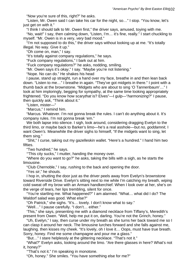"Now you're sure of this, right?" he asks.

 "Listen, Mr. Owen said I can take his car for the night, so…" I stop. "You know, let's just get on with it."

"I think I should talk to Mr. Owen first," the driver says, amused, toying with me.

 "No, wait!" I say, then calming down, "Listen, I'm… it's fine, really." I start chuckling to myself. "Mr. Owen is in a very, *very* bad mood."

 "I'm not supposed to do this," the driver says without looking up at me. "It's totally illegal. No way. Give it up."

"Oh come on, man," I say.

"It's totally against company regulations," he says.

"Fuck company regulations," I bark out at him.

"Fuck company regulations?" he asks, nodding, smiling.

"Mr. Owen says it's *okay*," I say. "Maybe you're not listening."

"Nope. No can do." He shakes his head

 I pause, stand up straight, run a hand over my face, breathe in and then lean back down. "Listen to me…" I breathe in again. "They've got midgets in there." I point with a thumb back at the brownstone. "Midgets who are about to sing 'O Tannenbaum'…" I look at him imploringly, begging for sympathy, at the same time looking appropriately frightened. "Do you know how scary*that* is? Elves"—I gulp—"*harmonizing*?" I pause, then quickly ask, "Think about it."

"Listen, mister—"

"Marcus," I remind him.

 "Marcus. Whatever. I'm not gonna break the rules. I can't do anything about it. It's company rules. I'm not gonna break 'em."

We both lapse into silence. I sigh, look around, considering dragging Evelyn to the third limo, or maybe back to Barker's limo—he's a real asshole—but *no, goddamnit,* I want *Owen's.* Meanwhile the driver sighs to himself, "If the midgets want to sing, let them sing."

 "Shit," I curse, taking out my gazelleskin wallet. "Here's a hundred." I hand him two fifties.

"Two hundred," he says.

'"This city sucks," I mutter, handing the money over.

 "Where do you want to go?" he asks, taking the bills with a sigh, as he starts the limousine.

"Club Chernoble," I say, rushing to the back and opening the door.

"Yes *sir*," he shouts.

 I hop in, shutting the door just as the driver peels away from Evelyn's brownstone toward Riverside Drive. Evelyn's sitting next to me while I'm catching my breath, wiping cold sweat off my brow with an Armani handkerchief. When I look over at her, she's on the verge of tears, her lips trembling, silent for once.

 "You're startling me. What happened?" I am alarmed. "What… what did I do? The Waldorf salad was good. What else?"

"Oh Patrick," she sighs. "It's… lovely. I don't know what to say."

"Well…" I pause carefully. "I don't… either."

 'This," she says, presenting me with a diamond necklace from Tiffany's, Meredith's present from Owen. "Well, help me put it on, darling. You're not the Grinch, honey."

 "Uh, Evelyn," I say, then curse under my breath as she turns her back toward me so I can clasp it around her neck. The limousine lurches forward and she falls against me, laughing. then kisses my cheek. "It's lovely, oh I love it… Oops, must have true breath. Sorry, honey. Find me some champagne and pour me a glass."

"But…" I stare helplessly at the glittering necklace. "That's not it."

 "What?" Evelyn asks, looking around the limo. "Are there glasses in here? What's not it, honey?"

'"That's not it." I'm speaking in monotone.

"Oh, honey." She smiles. "You have something else for me?"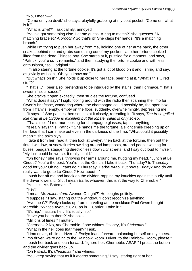"No, I mean—"

 "Come on, you devil," she says, playfully grabbing at my coat pocket. "Come on, what is it?"

"What is *what*?" I ask calmly, annoyed.

 "You've got something else. Let me guess. A ring to match?" she guesses. "A matching bracelet? A *brooch?* So that's itl" She claps her hands. "It's a matching brooch."

 While I'm trying to push her away from me, holding one of her arms back, the other snakes behind me and grabs something out of my pocket—another fortune cookie I lifted from the dead Chinese boy. She stares at it, puzzled for a moment, and says, "Patrick, you're so… romantic," and then, studying the fortune cookie and with less enthusiasm, "so… original."

I'm also staring at the fortune cookie. It's got a lot of blood on it and I shrug and say. as jovially as I can, "Oh, you know me."

 "But what's on it?" She holds it up close to her face, peering at it. "What's this… red stuff?"

 "That's…" I peer also, pretending to be intrigued by the stains, then I grimace. "That's sweet 'n' sour sauce."

She cracks it open excitedly, then studies the fortune, confused.

 "What does it say?" I sigh, fooling around with the radio then scanning the limo for Owen's briefcase, wondering where the champagne could possibly be, the open box from Tiffany's, empty, empty on the floor, suddenly, overwhelmingly, depressing me.

 "It says…" She pauses then squints at it closely, rereading it. "It says, *The fresh grilled joie gras at Le Cirque is excellent but the lobster salad is only so-so*."

"That's nice," I murmur, looking for champagne glasses, tapes, anything.

 "It really says this, Patrick." She hands me the fortune, a slight smile creeping up on her face that I can make out even in the darkness of the limo. "What could it possibly mean?" she asks slyly.

 I take it from her, read it, then look at Evelyn, then back at the fortune, then out the tinted window, at snow flurries swirling around lampposts, around people waiting for buses, beggars staggering directionless down city streets, and I say out loud to myself, "My luck could be worse. It really could."

 "Oh honey," she says, throwing her arms around me, hugging my head. "Lunch at Le Cirque? You're the best. You're not the Grinch. I take it back. Thursday? Is Thursday good for you? Oh no. I can't do it Thursday. Herbal wrap. But how's Friday? And do we really want to go to La Cirque? How about—"

 I push her off me and knock on the divider, rapping my knuckles against it loudly until the driver lowers it. "Sid, I mean Earle, whoever, this isn't the way to Chernoble."

"Yes it is, Mr. Bateman—"

"Hey!"

"I mean Mr. *Halberstam.* Avenue C, right?" He coughs politely.

"I suppose," I say, staring out the window. "I don't recognize anything.

 "Avenue C?" Evelyn looks up from marveling at the necklace Paul Owen bought Meredith. "What's Avenue C? C as in… Cartier, I take it?"

"It's hip," I assure her. "It's totally hip."

"Have you been there?" she asks.

"Millions of times," I mutter.

"Chernoble? No, *not* Chernoble, " she whines. "Honey, it's *Christmas*."

"What in the hell does *that* mean?" I ask.

"Limo driver, oh limo driver…" Evelyn leans forward, balancing herself on my knees.

"Limo driver, we're going to the Rainbow Room. Driver, to the Rainbow Room, please." I push her back and lean forward. "Ignore her. Chernoble. ASAP." I press the button and the divider goes back up.

"Oh Patrick. It's *Christmas*," she whines.

"You keep saying that as if it *means* something," I say, staring right at her.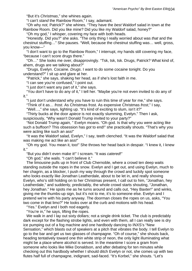"But it's *Christmas*," she whines again.

"I can't *stand* the Rainbow Room," I say, adamant.

 "Oh why *not,* Patrick?" she whines. "They have the *best* Waldorf salad in town at the Rainbow Room. Did you like mine? Did you like my Waldorf salad, honey?"

"Oh my god," I whisper, covering my face with both heads.

 "Honestly. Did you?" she asks. "The only thing I really worried about was *that* and the chestnut stuffing…" She pauses. "Well, because the chestnut stuffing was… well, gross, you know—"

 "I don't want to go to the Rainbow Room," I interrupt, my hands still covering my face, "because I can't score drugs there."

 "Oh…" She looks me over, disapprovingly. "Tsk, tsk, tsk. Drugs, Patrick? What kind of, ahem, drugs are we talking about?"

 "Drugs, Evelyn. Cocaine. *Drugs*. I want to do some cocaine tonight. Do you understand?" I sit up and glare at her.

"Patrick," she says, shaking her head, as if she's lost faith in me.

"I can see you're confused," I point out.

"I just don't want any part of it," she says.

 "You don't have to do any of it," I tell her. "Maybe you're not even invited to do any of it."

"I just don't understand why you have to ruin this time of year for me," she says.

"Think of it as… *frost.* As Christmas frost. As expensive Christmas *frost*," I say,

"Well…," she says, lighting up. "It's kind of exciting to slum, isn't it?"

 "Thirty bucks at the door *apiece* is not exactly slumming, Evelyn." Then I ask, suspiciously, "Why wasn't Donald Trump invited to your party?"

 "Not Donald Trump *again,* " Evelyn moans. "Oh god. Is that why you were acting like such a buffoon? This obsession has *got* to end!" she practically shouts. "That's why you were acting like such an ass!"

 "It was the Waldorf salad, Evelyn," I say, teeth clenched. "It was the Waldorf salad that was making me act like an ass!"

 "Oh my god. You mean it, too!" She throws her head back in despair. "I knew it, I knew it."

"But you didn't even make it!" I scream. "It was *catered*!"

"Oh god," she wails. "I can't believe it."

 The limousine pulls up in front of Club Chernoble, where a crowd ten deep waits standing outside the ropes in the snow. Evelyn and I get out, and using Evelyn, much to her chagrin, as a blocker, I push my way through the crowd and luckily spot someone who looks exactly like Jonathan Leatherdale, about to be let in, and really shoving Evelyn, who's still holding on to her Christmas present, I call out to him, "Jonathan, hey Leatherdale," and suddenly, predictably, the whole crowd starts shouting, "Jonathan, hey Jonathan." He spots me as he turns around and calls out, "Hey Baxter!" and winks, giving me the thumbs-up sign, but it's not to me, it's to someone else. Evelyn and I pretend we're with his party anyway. The doorman closes the ropes on us, asks, "You two come in that limo?" He looks over at the curb and motions with his head.

"Yes." Evelyn and I both nod eagerly.

"You're in," he says, lifting the ropes.

We walk in and I lay out sixty dollars; not a single drink ticket. The club is predictably dark except for the flashing strobe lights, and even with them, all I can really see is dry ice pumping out of a fog machine and one hardbody dancing to INXS's "New Sensation," which blasts out of speakers at a pitch that vibrates the body. I tell Evelyn to go to the bar and get us two glasses of champagne. "Oh of course," she shouts back, heading tentatively toward one thin white strip of neon, the only light illuminating what might be a place where alcohol is served. In the meantime I score a gram from someone who looks like Mike Donaldson, and after debating for ten minutes while checking out this hardbody whether I should ditch Evelyn or not, she comes up with two flutes half full of champagne, indignant, sad-faced. "It's Korbel," she shouts. "Let's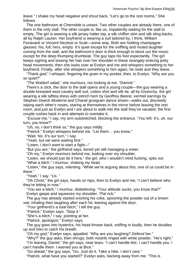*leave*." I shake my head negative and shout back, "Let's go to the rest rooms." She follows.

 The one bathroom at Chernoble is unisex. Two other couples are already there, one of them in the only stall. The other couple is, like us, impatiently waiting for the stall to empty. The girl is wearing a silk jersey halter top, a silk chiffon skirt and silk sling-backs, all by Ralph Lauren. Her boyfriend is wearing a suit tailored by, I think, William Fioravanti or Vincent Nicolosi or Scali—some wop. Both are holding champagne glasses: his, full; hers, empty. It's quiet except for the sniffling and muted laughter coming from the stall, and the bathroom's door is thick enough to block out the music except for the deep thumping drumbeat. The guy taps his foot expectantly. The girl keeps sighing and tossing her hair over her shoulder in these strangely enticing jerky head movements; then she looks over at Evelyn and me and whispers something to her boyfriend. Finally, after she whispers something to him again, he nods and they leave.

 "Thank *god*," I whisper, fingering the gram in my pocket; then, to Evelyn, "Why are you so quiet?"

"The Waldorf salad," she murmurs, not looking at me. "Damnit."

 There's a click, the door to the stall opens and a young couple—the guy wearing a double-breasted wool cavalry twill suit, cotton shirt and silk tie, all by Givenchy, the girl wearing a silk taffeta dress with ostrich hem by Geoffrey Beene, vermeil earrings by Stephen Dweck Moderne and Chanel grosgrain dance shoes—walks out, discreetly wiping each other's noses, staring at themselves in the mirror before leaving the rest room, and just as Evelyn and I are about to walk into the stall they've vacated, the first couple rushes back in and attempts to overtake it.

 "*Excuse* me," I say, my arm outstretched, blocking the entrance. "*You* left. It's, uh, our turn, you know?"

"Uh, no, I don't think so," the guy says mildly.

"Pat*rick*," Evelyn whispers behind me. "Let them… you know."

"Wait. No. It's *our* turn," I say.

"Yeah, but *we* were waiting first."

"Listen, I don't *want* to start a fight—"

"But you *are*," the girlfriend says, bored yet still managing a sneer.

"Oh my," Evelyn murmurs behind me, looking over my shoulder.

"Listen, we should just do it here," the girl, who I wouldn't mind fucking, spits out.

"What a *bitch*," I murmur, shaking my head.

 "Listen," the guy says, relenting. "While we're arguing about this, one of us could be *in* there."

"Yeah," I say. "*Us.* "

 "Oh Christ," the girl says, hands on hips, then to Evelyn and me, "I can't believe who they're letting in now."

 "*You* are a bitch," I murmur, disbelieving. "Your attitude *sucks*, you know that?" Evelyn gasps and squeezes my shoulder. "*Pat* rick."

 The guy has already started snorting his coke, spooning the powder out of a brown vial, inhaling then laughing after each hit, leaning against the door.

"Your girlfriend's a *total* bitch," I tell the guy.

"*Patrick*," Evelyn says. "Stop it."

"She's a bitch," I say, pointing at her.

"*Patrick*, apologize," Evelyn says.

 The guy goes into hysterics, his head thrown back, sniffing in loudly, then he doubles up and tries to catch his breath.

"Oh my *god*," Evelyn says, appalled. "Why are you laughing? *Defend* her."

 "Why?" the guy asks, then shrugs, both nostrils ringed with white powder. "He's *right*." "I'm leaving, Daniel," the girl says, near tears. "I can't handle *this*. I can't handle *you*. I can't handle *them.* I warned you at Bice."

"Go ahead," the guy says. "Go. Just do it. Take a hike. I don't care."

"Patrick, what have you started?" Evelyn asks, backing away from me. "This is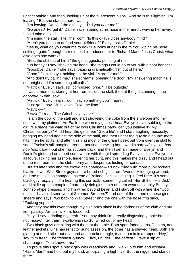unacceptable," and then, looking up at the fluorescent bulbs, "And so is this lighting. I'm leaving." But she stands there, waiting.

"I'm leaving, Daniel," the girl says. "Did you *hear* me?"

 "Go *ahead.* Forget it," Daniel says, staring at his nose in the mirror, waving her away. "I said take a hike."

"I'm using the stall," I tell the room. "Is this okay? Does anybody mind?"

"Aren't you going to defend your girlfriend?" Evelyn asks Daniel.

 "Jesus, what do you want me to do?" He looks at her in the mirror, wiping his nose, sniffing again. "I bought her dinner. I introduced her to Richard Marx. Jesus Christ, what else does she want?"

"Beat the shit out of him?" the girl suggests, pointing at me.

 "Oh honey," I say, shaking my head, "the things I could do to you with a coat hanger." "Goodbye, Daniel," she says, pausing dramatically. "I'm out of here."

"Good," Daniel says, holding up the vial. "More for moi."

 "And don't try calling me," she screams, opening the door. "My answering machine is on tonight and I'm screening all calls!"

"Patrick," Evelyn says, still composed, prim. "I'll be outside."

 I wait a moment, staring at her from inside the stall, then at the girl standing in the doorway. "Yeah, *so*?"

"Patrick," Evelyn says, "don't say something you'll regret."

"Just *go*," I say. "Just leave. Take the limo."

"Patrick—"

"*Leave*," I roar. "The Grinch says *leave*!"

 I slam the door of the stall and start shoveling the coke from the envelope into my nose with my platinum AmEx. In between my gasps I hear Evelyn leave, sobbing to the girl, "He *made* me walk out of my own Christmas party, can you believe it? My Christmas party?" And I hear the girl sneer "Get a life" and I start laughing raucously, banging my head against the side of the stall, and then I hear the guy do a couple more hits, then he splits, and after finishing most of the gram I peek out from over the stall to see if Evelyn's still hanging around, pouting, chewing her lower lip sorrowfully—oh *boo hoo hoo,* baby—but she hasn't come back, and then I get an image of Evelyn and Daniel's girlfriend on a bed somewhere with the girl spreading Evelyn's legs, Evelyn on all fours, licking her asshole, fingering her cunt, and this makes me dizzy and I head out of the rest room into the club, horny and desperate, lusting for contact.

 But it's later now and the crowd has changed—it's now filled with more punk rockers, blacks, fewer Wall Street guys, more bored rich girls from Avenue A lounging around, and the music has changed; instead of Belinda Carlisle singing "I Feel Free" it's some black guy *rapping*, if I'm hearing this correctly, something called "Her Shit on His Dick" and I sidle up to a couple of hardbody rich girls, both of them wearing skanky Betsey Johnson-type dresses, and I'm wired beyond belief and I start off with a line like "Cool music—haven't I seen you at Salomon Brothers?" and one of them, one of these girls, sneers and says, "Go back to Wall Street," and the one with the *nose ring* says, "Fucking yuppie."

 And they say this even though my suit looks black in the darkness of the club and my tie—paisley, Armani, silk—is loosened.

 "Hey." I say, grinding my teeth. "You may think I'm a really disgusting yuppie but I'm not, *really*," I tell them, swallowing rapidly, wired out of my head.

 Two black guys are sitting with them at the table. Both sport faded jeans, T-shirts, and leather jackets. One has reflector sunglasses on, the other has a shaved head. Both are glaring at me. I stick out my hand at a crooked angle, trying to mimic a rapper. "Hey," I say. "I'm fresh. The freshest, y'know… like, uh, def… the deffest." I take a sip of champagne. "You know… *def*."

 To prove this I spot a black guy with dreadlocks and I walk up to him and exclaim "Rasta Man!" and hold out my hand, anticipating a high-five. But the nigger just stands there.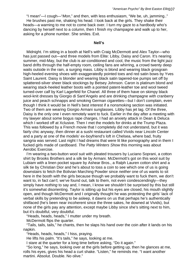"I mean"—I cough—"*Mon*," and then, with less enthusiasm, "We be, uh, jamming.." He brushes past me, shaking his head. I look back at the girls. They shake their heads—a warning to me not to come back over. I turn my gaze to a hardbody who's dancing by herself next to a column, then I finish my champagne and walk up to her, asking for a phone number. She smiles. Exit.

### **Nell's**

 Midnight. I'm sitting in a booth at Nell's with Craig McDermott and Alex Taylor—who has just passed out—and three models from Elite: Libby, Daisy and Caron. It's nearing summer, mid-May, but the club is air-conditioned and cool, the music from the light jazz band drifts through the half-empty room, ceiling fans are whirring, a crowd twenty deep waits outside in the rain, a surging mass. Libby is blond and wearing black grosgrain high-heeled evening shoes with exaggeratedly pointed toes and red satin bows by Yves Saint Laurent. Daisy is blonder and wearing black satin tapered-toe pumps set off by splattered-silver sheer black stockings by Betsey Johnson. Caron is platinum blond and wearing stack-heeled leather boots with a pointed patent-leather toe and wool tweed turned-over calf by Karl Lagerfeld for Chanel. All three of them have on skimpy black wool-knit dresses by Giorgio di Sant'Angelo and are drinking champagne with cranberry juice and peach schnapps and smoking German cigarettes—but I don't complain, even though I think it would be in Nell's best interest if a nonsmoking section was initiated. Two of them are wearing Giorgio Armani sunglasses. Libby has jet lag. Of the three, Daisy is the only one I even remotely want to fuck. Earlier in the day after a meeting with my lawyer about some bogus rape charges, I had an anxiety attack in Dean & Deluca which I worked off at Xclusive. Then I met the models for drinks at the Trump Plaza. This was followed by a French movie that I completely did not understand, but it was fairly chic anyway, then dinner at a sushi restaurant called Vivids near Lincoln Center and a party at one of the models' ex-boyfriend's loft in Chelsea, where bad, fruity sangria was served. Last night I had dreams that were lit like pornography and in them I fucked girls made of cardboard. *The Patty Winters Show* this morning was about Aerobic Exercise.

 I'm wearing a two-button wool suit with pleated trousers by Luciano Soprani, a cotton shirt by Brooks Brothers and a silk tie by Armani. McDermott's got on this wool suit by Lubiam with a linen pocket square by Ashear Bros., a Ralph Lauren cotton shirt and a silk tie by Christian Dior and he's about to toss a coin to see which one of us is going downstairs to fetch the Bolivian Marching Powder since *neither* one of us wants to sit here in the booth with the girls because though we probably want to fuck them, we don't want to, in fact *can't,* we've found out, talk to them, not even condescendingly—they simply have *nothing* to say and, I mean, I know we shouldn't be surprised by this but still it's somewhat disorienting. Taylor is sitting up but his eyes are closed, his mouth slightly open, and though McDermott and I originally thought he was protesting the girls' lack of verbal skills by pretending to be asleep, it dawns on us that perhaps he's authentically shitfaced (he's been near incoherent since the three sakes, he downed at Vivids), but none of the girls pay any attention, except maybe Libby since she's sitting next to him, but it's doubtful, very doubtful.

"Heads, heads, heads," I mutter under my breath.

McDermott flips the quarter.

 "Tails, tails, tails," he chants, then he slaps his hand over the coin after it lands on his napkin.

"Heads, heads, heads," I hiss, praying.

He lifts his palm. "It's tails," he says, looking at me.

I stare at the quarter for a long time before asking, "Do it again."

 "So long," he says, looking over at the girls before getting up, then he glances at me, rolls his eyes, gives his head a curt shake. "Listen," he reminds me. "I want another martini. Absolut. Double. No olive."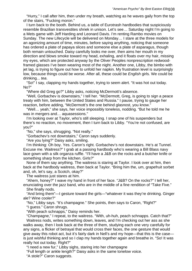"Hurry," I call after him, then under my breath, watching as he waves gaily from the top of the stairs, "Fucking moron."

 I turn back to the booth. Behind us, a table of Eurotrash hardbodies that suspiciously resemble Brazilian transvestites shriek in unison. Let's see… Saturday night I'm going to a Mets game with Jeff Harding and Leonard Davis. I'm renting Rambo movies on Sunday. The new Lifecycle will be delivered on Monday… I stare at the three models for an agonizing amount of time, minutes, before saying anything, noticing that someone has ordered a plate of papaya slices and someone else a plate of asparagus, though both remain untouched. Daisy carefully looks me over, then aims her mouth in my direction and blows smoke toward my head, exhaling, and it floats over my hair, missing my eyes, which are protected anyway by the Oliver Peoples nonprescription redwoodframed glasses I've been wearing most of the night. Another one, Libby, the bimbo with jet lag, is trying to figure out how to unfold her napkin. My frustration level is surprisingly low, because things could be worse. After all, these could be *English* girls. We could be drinking... *tea*.

 "So!" I say, clapping my hands together, trying to seem alert. "It was hot out today. No?"

"Where did Greg go?" Libby asks, noticing McDermott's absence.

 "Well, Gorbachev is downstairs," I tell her. "McDermott, Greg, is going to sign a peace treaty with him, between the United States and Russia." I pause, trying to gauge her reaction, before adding, "McDermott's the one behind glasnost, you know."

 "Well… yeah," she says, her voice impossibly toneless, nodding. "But he told me he was in mergers and… aquasessions."

 I'm looking over at Taylor, who's still sleeping. I snap one of his suspenders but there's no reaction, no movement, then I turn back to Libby. "You're not confused, are you?"

"No," she says, shrugging. "Not really."

"Gorbachev's not downstairs," Caron says suddenly.

"Are you lying?" Daisy asks, smiling.

 I'm thinking: Oh boy. Yes. Caron's right. Gorbachev's not downstairs. He's at Tunnel. Excuse me. Waitress?" I grab at a passing hardbody who's wearing a Bill Blass navy lace gown with a silk organza ruffle. "I'll have a J&B on the rocks and a butcher knife or something sharp from the kitchen. Girls?"

 None of them say anything. The waitress is staring at Taylor. I look over at him, then back at the hardbody waitress, then back at Taylor. "Bring him the, um, grapefruit sorbet and, oh, let's say, a Scotch, okay?"

The waitress just stares at him.

"Ahem, honey?" I wave my hand in front of her face. "J&B? On the rocks?" I tell her,

enunciating over the jazz band, who are in the middle of a fine rendition of "Take Five." She finally nods.

 "And bring them"—I gesture toward the girls—"whatever it was they're drinking. Ginger ale? Wine cooler?"

"No," Libby says. "It's champagne." She points, then says to Caron, "Right?"

"I guess." Caron shrugs.

"With peach schnapps," Daisy reminds her.

 "Champagne," I repeat, to the waitress. "With, uh-huh, peach schnapps. Catch that?" Waitress nods, writes something down, leaves, and I'm checking out her ass as she walks away, then I look back at the three of them, studying each one very carefully for any signs, a flicker of betrayal that would cross their faces, the one gesture that would give away this robot act, but it's fairly dark in Nell's and my hope—that this is the case is just wishful thinking and so I clap my hands together again and breathe in. "So! It was really hot out today. Right?"

"I need a new fur," Libby sighs, staring into her champagne

"Full length or ankle length?" Daisy asks in the same tonelow voice.

"A stole?" Caron suggests.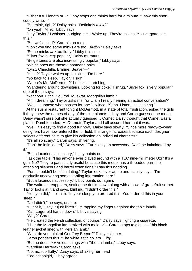"Either a full length or…" Libby stops and thinks hard for a minute. "I saw this short, cuddly wrap…"

"But mink, right?" Daisy asks. "Definitely *mink*?"

"Oh yeah. Mink," Libby says.

 "Hey Taylor," I whisper, nudging him. "Wake up. They're talking. You've gotta see this."

"But *which* kind?" Caron's on a roll.

"Don't you find some minks are too…*fluffy*?" Daisy asks.

"Some minks *are* too fluffy." Libby this time.

"Silver fox is *very* popular," Daisy murmurs.

"Beige tones are also increasingly popular," Libby says.

"Which ones are those?" someone asks.

"Lynx. Chinchilla. Ermine. Beaver—"

"Hello?" Taylor wakes up, blinking. "I'm here."

"Go back to sleep, Taylor," I sigh.

"Where's Mr. McDermott?" he asks, stretching.

 "Wandering around downstairs. Looking for coke." I shrug. "Silver fox is very popular," one of them says.

"Raccoon. Fitch. Squirrel. Muskrat. Mongolian lamb."

 "Am I dreaming," Taylor asks me, "or… am I really hearing an actual conversation?" "Well, I suppose what passes for one." I wince. "Shhh. Listen. It's inspiring."

 At the sushi restaurant tonight McDermott, in a state of total frustration, asked the girls if they knew the names of any of the nine planets. Libby and Caron guessed the moon. Daisy wasn't sure but she actually guessed… Comet. Daisy thought that Comet was a planet. Dumbfounded, McDermott, Taylor and I all assured her that it was.

 "Well, it's easy to find a good fur now," Daisy says slowly. "Since more ready-to-wear designers have now entered the fur field, the range increases because each designer selects different pelts to give his collection an individual character."

"It's all so scary," Caron says, shivering.

 "Don't be intimidated," Daisy says. "Fur is only an accessory. *Don't* be intimidated by it."

"But a luxurious accessory," Libby points out.

 I ask the table, "Has anyone ever played around with a TEC nine-millimeter Uzi? It's a gun. No? They're particularly useful because this model has a threaded barrel for attaching silencers and barrel extensions." I say this nodding.

 "Furs shouldn't be intimidating." Taylor looks over at me and blankly says, "I'm gradually uncovering some startling information here."

"But a luxurious accessory," Libby points out again.

 The waitress reappears, setting the drinks down along with a bowl of grapefruit sorbet. Taylor looks at it and says, blinking, "I didn't order this."

 "Yes you did," I tell him. "In your sleep you ordered this. You ordered this in your sleep."

"No I didn't," he says, unsure.

"I'll eat it," I say. "Jjust listen." I'm tapping my fingers against the table loudly.

"Karl Lagerfeld hands down," Libby's saying.

"Why?" Caron.

"He created the Fendi collection, of course," Daisy says, lighting a cigarette.

 "I like the Mongolian lamb mixed with mole or"—Caron stops to giggle—"this black leather jacket lined with Persian lamb."

"What do you think of Geoffrey Beene?" Daisy asks her.

Caron ponders this. "The white satin collars… if*fy*."

"But he does *mar* velous things with Tibetan lambs," Libby says.

"Carolina Herrera?" Caron asks.

"No, no, too fluffy," Daisy says, shaking her head

"Too schoolgirl," Libby agrees.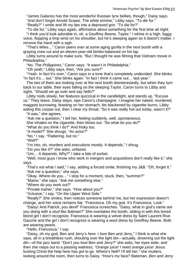"James Galanos has the most wonderful Russian lynx bellies, though," Daisy says.

"And don't forget Arnold Scaasi. The white ermine," Libby says. "To *die* for."

"Really?" I smile and lift my lips into a depraved grin. "To die for?"

 "To die for," Libby says again, affirmative about something for the first time all night. "I think you'd look adorable in, oh, a Geoffrey Beene, Taylor," I whine in a high, faggy voice, flopping a limp wrist on his shoulder, but he's sleeping again so it doesn't matter. I remove the hand with a sigh.

 "That's Miles…" Caron peers over at some aging gorilla in the next booth with a graying crew cut and an eleven-year-old bimbo balanced on his lap.

 Libby turns around to make sure. "But I thought he was filming that Vietnam movie in Philadelphia."

"No. The *Philippines*," Caron says. "It wasn't in Philadelphia."

"Oh yeah," Libby says, then, "Are you sure?"

 "Yeah. In fact it's over," Caron says in a tone that's completely undecided. She blinks. "In fact it's… out." She blinks again. "In fact I think it came out… last year."

 The two of them are looking over at the next booth disinterestedly, but when they turn back to our table, their eyes falling on the sleeping Taylor, Caron turns to Libby and sighs. "Should we go over and say hello?"

 Libby nods slowly, her features quizzical in the candlelight, and stands up. "Excuse us." They leave. Daisy stays, sips Caron's champagne. I imagine her naked, murdered, maggots burrowing, feasting on her stomach, tits blackened by cigarette burns, Libby eating this corpse out, then I clear my throat. "So it was really hot out today, wasn't it?"

"It was," she agrees.

"Ask me a question," I tell her, feeling suddenly, well, spontaneous.

She inhales on the cigarette, then blows out. "So what do you do?"

"What do you think I do?" And frisky too.

"A model?" She shrugs. "An actor?"

"No," I say. "Flattering, but no."

"Well?"

"I'm into, oh, murders and executions mostly. It depends." I shrug.

"Do you like it?" she asks, unfazed.

"Um… It depends. Why?" I take a bite of sorbet.

 "Well, most guys I know who work in mergers and acquisitions don't really like it," she says.

 'That's *not* what I said," I say, adding a forced smile, finishing my J&B. "Oh, forget it." "Ask *me* a question," she says.

"Okay. Where do you…" I stop for a moment, stuck, then, "summer?"

"Maine," she says. "Ask me something else."

"Where do you work out?"

"Private trainer," she says. "How about you?"

"Xclusive," I say. "On the Upper West Side."

 "Really?" She smiles, then notices someone behind me, but her expression doesn't change, and her voice remains fiat. "Francesca. Oh my god. It's Francesca. Look."

 "Daisy! And Patrick, you *devil*!" Francesca screeches. "Daisy, what in god's name are you doing with a *stud* like Batman?" She overtakes the booth, sliding in with this bored blond girl I don't recognize. Francesca is wearing a velvet dress by Saint Laurent Rive Gauche and the girl I don't recognize is wearing a wool dress by Geoffrey Beene. Both are wearing pearls.

"Hello, Francesca," I say.

 "Daisy, oh my god, Ben and Jerry's *here.* I *love* Ben and Jerry," I think is what she says, all in a breathless rush, shouting over the light din—actually, drowning out the light din—of the jazz band. "Don't you *love* Ben and Jerry?" she asks, her eyes wide, and then she rasps out to a passing waitress, "*Orange* juice! I need *orange* juice! Jesus fucking Christ the help here has *got* to go. Where's Nell? I'll tell her," she mutters, looking around the room, then turns to Daisy. "How's my face? Bateman, *Ben and Jerry*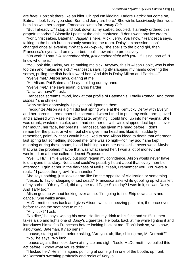are *here.* Don't sit there like an idiot. Oh god I'm kidding. I adore Patrick but come on, Batman, look lively, you stud, Ben and Jerry are here." She winks lasciviously then wets both lips with her tongue. Francesca writes for *Vanity Fair.*

 "But I already…" I stop and look down at my sorbet, troubled. "I already ordered this grapefruit sorbet." Gloomily I point at the dish, confused. "I don't want any ice cream."

 "For Christ sakes, Bateman, *Jagger* is here. Mick. Jerry. *You* know," Francesca says, talking to the booth but constantly scanning the room. Daisy's expression hasn't changed once all evening. "What a y-u-p-p-i-e," she spells to the blond girl, then Francesca's eyes land on my sorbet. I pull it toward me protectively.

 "Oh yeah," I say. "*'Just another night, just another night with you…'"* I sing, sort of. "I know who he is."

 "You look thin, Daisy, you're making me sick. Anyway, this is Alison Poole, who is also too thin and makes me sick," Francesca says, lightly slapping my hands covering the sorbet, pulling the dish back toward her. "And this is Daisy Milton and Patrick—"

"We've met," Alison says, glaring at me.

"Hi, Alison. Pat Bateman," I say, holding out my hand.

"We've *met*," she says again, glaring harder.

"Uh… we have?" I ask.

 Francesca screams, "God, look at that profile of Bateman's. Totally *Roman.* And those *lashes*!" she shrieks.

Daisy smiles approvingly. I play it cool, ignoring them.

 I recognize Alison as a girl I did last spring while at the Kentucky Derby with Evelyn and her parents. I remember she screamed when I tried to push my entire arm, gloved and slathered with Vaseline, toothpaste, anything I could find, up into her vagina. She was drunk, wasted on coke, and I had tied her up with wire, slapped duct tape all over her mouth, her face, her breasts. Francesca has given me head before. I don't remember the place, or when, but she's given me head and liked it. I suddenly remember, painfully, that I would have liked to see Alison bleed to death that afternoon last spring but something stopped me. She was so high—"oh my god," she kept moaning during those hours, blood bubbling out of her nose—she never wept. Maybe that was the problem; maybe that was what saved her. I won a lot of money that weekend on a horse called Indecent Exposure.

 "Well… Hi." I smile weakly but soon regain my confidence. Alison would never have told anyone that story. Not a soul could've possibly heard about that lovely, horrible afternoon. I grin at her in the darkness of Nell's. "Yeah, I remember you. You were a real…" I pause, then growl, "manhandler."

She says nothing, just looks at me like I'm the opposite of civilization or something.

 "Jesus. Is Taylor sleeping or just dead?" Francesca asks while gobbling up what's left of my sorbet. "Oh my God, did anyone read Page Six today? I was in it, so was Daisy. And Taffy too."

 Alison gets up without looking over at me. "I'm going to find Skip downstairs and dance." She walks away.

 McDermott comes back and gives Alison, who's squeezing past him, the once-over before taking the seat next to mine.

"Any luck?" I ask.

 "No dice," he says, wiping his nose. He lifts my drink to his face and sniffs it, then takes a sip and lights one of Daisy's cigarettes. He looks back at me while lighting it and introduces himself to Francesca before looking back at me. "Don't look so, you know, *astounded,* Bateman. It *hap* pens."

 I pause, staring at him, before asking, "Are you, uh, like, shitting me, McDermott?" "No," he says. "No luck."

 I pause again, then look down at my lap and sigh. "Look, McDermott, I've pulled this act before. I know what you're doing."

 "I fucked her." He sniffs again, pointing at some girl in one of the booths up front. McDermott's sweating profusely and reeks of Xeryus.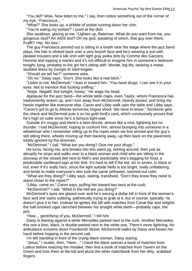"You did? Wow. Now listen to me," I say, then notice something out of the corner of my eye. "*Francesca…* "

"What?" She looks up, a dribble of sorbet running down her chin.

"You're eating my sorbet?" I point at the dish.

 She swallows, glaring at me. "Lighten up, Bateman. What do you want from me, you gorgeous stud? An AIDS test? Oh my god, speaking of which, that guy over there, Krafft? Yep. No loss."

 The guy Francesca pointed out is sitting in a booth near the stage where the jazz band plays. His hair is slicked back over a very boyish face and he's wearing a suit with pleated trousers and a silk shirt with light gray polka dots by Comme des Garçons Homme and sipping a martini and it's not difficult to imagine him in someone's bedroom tonight, lying, probably to the girl he's sitting with: blonde, big tits, wearing a metalstudded dress by Giorgio di Sant'Angelo.

"Should we tell her?" someone asks.

"Oh no," Daisy says. "Don't. She looks like a real bitch."

 "Listen to me, McDermott." I lean in toward him. "You *have* drugs. I can see it in your eyes. Not to mention that fucking sniffing."

"Nope. *Negatif*. Not tonight, honey." He wags his head.

 Applause for the jazz band—the whole table claps, even Taylor, whom Francesca has inadvertently woken up, and I turn away from McDermott, heavily pissed, and bring my hands together like everyone else. Caron and Libby walk upto the table and Libby says, "Caron's got to go to Atlanta tomorrow.*Vogue* shoot. We have to leave." Someone gets the check and McDermott puts it on his gold AmEx card, which conclusively proves that he's high on coke since he's a famous tight-wad.

 Outside it's muggy and there's a faint drizzle, almost like a mist, lightning but no thunder. I trail McDermott, hoping to confront him, almost bumping into someone in a wheelchair who I remember rolling up to the ropes when we first arrived and the guy's still sitting there, wheels moving up then backing away, up then back on the pavement, totally ignored by the doormen.

"McDer*mott*," I call. "What are you doing? Give me your *drugs*."

 He turns, facing me, and breaks into this weird jig, twirling around, then just as abruptly he stops and walks over to a black woman and child who are sitting in the doorway of the closed deli next to Nell's and predictably she's begging for food, a predictable cardboard sign at her feet. It's hard to tell if the kid, six or seven, is black or not, even if it's really hers, since the light outside Nells is too bright, really unflattering, and tends to make everyone's skin look the same yellowish, washed-out color.

 "What are they *doing*?" I.ibby says, staring, transfixed. "Don't they know they need to stand closer to the ropes?"

"*Libby,* come *on*," Caron says, pulling her toward two taxis at the curb.

"McDermott?" I ask. "What in the *hell* are you doing?"

 McDermott's eyes are glazed over and he's waving a dollar bill in front of the woman's face and she starts sobbing, pathetically trying to grab at it, but of course, typically, he doesn't give it to her. Instead he ignites the bill with matches from Canal Bar and relights the half-smoked cigar clenched between his straight white teeth—probably caps, the jerk.

"How… gentrifying of you, McDermott," I tell him.

 Daisy is leaning against a white Mercedes parked next to the curb. Another Mercedes, this one a limo, black, is double-parked next to the white one. There's more lightning. An ambulance screams down Fourteenth Street. McDermott walks by Daisy and kisses her hand before hopping in the second cab.

I'm left standing in front of the crying black woman, Daisy staring.

 "Jesus," I mutter, then, "Here…" I hand the black woman a book of matches from Lutèce before realizing the mistake, then find a book of matches from Tavern on the Green and toss them at the kid and pluck the other matchbook from her dirty, scabbed fingers.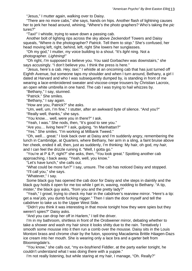"Jesus," I mutter again, walking over to Daisy.

 "There are no more cabs," she says, hands on hips. Another flash of lightning causes her to jerk her head around, whining, "Where's the pho*to* graphers? Who's taking the *pic* tures?"

"Taxi!" I whistle, trying to wave down a passing cab.

 Another bolt of lighting rips across the sky above Zeckendorf Towers and Daisy squeals, "Where *is* the photographer? *Patrick*. Tell them to *stop*." She's confused, her head moving left, right, behind, left, right She lowers her sunglasses.

 "Oh my god," I mutter, my voice building to a shout. "It's *light* ning. Not a photographer. *Lightning*!"

 "Oh right, *I'm* supposed to believe you. You said Gorbachev was downstairs," she says accusingly. "I don't believe you. I think the press is here."

 "Jesus, here's a cab. *Hey, taxi*." I whistle at an oncoming cab that has just turned off Eighth Avenue, but someone taps my shoulder and when I turn around, Bethany, a girl I dated at Harvard and who I was subsequently dumped by, is standing in front of me wearing a lace-embroidered sweater and viscose-crepe trousers by Christian Lacroix, an open white umbrella in one hand. The cab I was trying to hail whizzes by.

"Bethany," I say, stunned.

"Patrick." She smiles.

"Bethany," I say again.

"How are you, Patrick?" she asks.

 "Um, well, um, I'm fine," I stutter, after an awkward byte of silence. "And you?" "Really well, thanks," she says.

"You know… well, were you in there?" I ask.

"Yeah, I was." She nods, then, "It's good to see you."

"Are you… living here?" I ask, gulping. "In Manhattan?"

"Yes." She smiles. "I'm working at Milbank Tweed."

 "Oh, well… great." I look back over at Daisy and I'm suddenly angry, remembering the lunch in Cambridge, at Quarters, where Bethany, her arm in a sling, a faint bruise above her cheek, ended it all, then, just as suddenly, I'm thinking: My hair, oh god, my *hair,* and I can feel the drizzle ruining it. "Well, I gotta go."

 "You're at P & P, right?" she asks, then, "You look great." Spotting another cab approaching, I back away. "Yeah, well, you know."

"Let's have lunch," she calls out.

"What could be more fun?" I say, unsure. The cab has noticed Daisy and stopped.

"I'll call you," she says.

"Whatever," I say.

 Some black guy has opened the cab door for Daisy and she steps in daintily and the black guy holds it open for me too while I get in, waving, nodding to Bethany. "A tip, mister," the black guy asks, "from you and the pretty lady?"

 "Yeah," I growl, trying to check my hair in the cabdriver's rearview mirror. "Here's a tip: get a *real* job, you dumb fucking nigger." Then I slam the door myself and tell the cabdriver to take us to the Upper West Side.

 "Didn't you think it was interesting in that movie tonight how they were spies but they weren't spies?" Daisy asks.

"And you can drop her off in Harlem," I tell the driver.

 I'm in my bathroom, shirtless in front of the Orobwener mirror, debating whether to take a shower and wash my hair since it looks shitty due to the rain. Tentatively I smooth some mousse into it then run a comb over the mousse. Daisy sits in the Louis Montoni brass and chrome chair by the futon, spooning Macadamia Brittle Häagen-Dazs ice cream into her mouth. She is wearing only a lace bra and a garter belt from Bloomingdale's.

 "You know," she calls out, "my ex-boyfriend Fiddler, at the party earlier tonight, he couldn't understand what I was doing there with a yuppie."

I'm not really listening, but while staring at my hair, I manage, "Oh. Really?"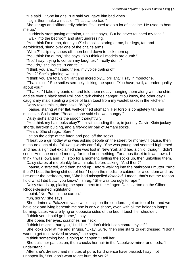"He said…" She laughs. "He said you gave him bad vibes."

I sigh, then make a muscle. "That's… too bad."

 She shrugs and offhandedly admits. "He used to do a lot of cocaine. He used to beat me up."

 I suddenly start paying attention, until she says, "But he never touched my face." I walk into the bedroom and start undressing.

 "You think I'm dumb, don't you?" she asks, staring at me, her legs, tan and aerobicized, slung over one of the chair's arms.

"What?" I slip my shoes off, then bend down to pick them up.

"You think I'm dumb," she says. "You think all models are dumb."

"No," I say, trying to contain my laughter. "I really don't."

"You do," she insists. "I can tell."

"I think you are..." I stand there, my voice trailing off.

"Yes?" She's grinning, waiting.

"I think you are totally brilliant and incredibly… brilliant," I say in monotone.

 "That's nice." She smiles serenely, licking the spoon "You have, well, a tender quality about you."

 "Thanks." I take my pants off and fold them neatly, hanging them along with the shirt and tie over a black steel Philippe Stark clothes hanger. "You know, the other day I caught my maid stealing a piece of bran toast from my wastebasket in the kitchen."

Daisy takes this in, then asks, "Why?"

 I pause, staring at her flat, well-defined stomach. Her torso is completely tan and muscular. So is mine. "Because she said she was hungry."

Daisy sighs and licks the spoon thoughtfully.

 "You think my hair looks okay?" I'm still standing there, in just my Calvin Klein jockey shorts, hard-on bulging, and a fifty-dollar pair of Armani socks.

"Yeah." She shrugs. "Sure."

I sit on the edge of the futon and peel off the socks.

 "I beat up a girl today who was asking people on the street for money." I pause, then measure each of the following words carefully. "She was young and seemed frightened and had a sign that explained she was lost in New York and had a child, though I didn't see it. And she needed money, for food or something. For a bus ticket to Iowa. Iowa. I think it was Iowa and…" I stop for a moment, balling the socks up, then unballing them.

Daisy stares at me blankly for a minute, before asking, "And then?"

 I pause, distracted, and then stand up. Before walking into the bathroom I mutter, "And then? I beat the living shit out of her." I open the medicine cabinet for a condom and, as I re-enter the bedroom, say, "She had misspelled *disabled.* I mean, that's not the reason I did what I did but… you know." I shrug. "She was too ugly to rape."

 Daisy stands up, placing the spoon next to the Häagen-Dazs carton on the Gilbert Rhode-designed nightstand.

I point. "No. Put it in the carton."

"Oh, sorry," she says.

 She admires a Palazzetti vase while I slip on the condom. I get on top of her and we have sex and lying beneath me she is only a shape, even with all the halogen lamps burning. Later, we are lying on opposite sides of the bed. I touch her shoulder.

"I think you should go home," I say.

She opens her eyes, scratches her neck.

"I think I might… hurt you," I tell her. "I don't think I can control myself."

 She looks over at me and shrugs. "Okay. Sure," then she starts to get dressed. "I don't want to get too involved anyway," she says.

"I think something bad is going to happen," I tell her.

 She pulls her panties on, then checks her hair in the Nabolwev mirror and nods. "I understand."

 After she's dressed and minutes of pure, hard silence have passed, I say, not unhopefully, "You don't want to get hurt, do you?"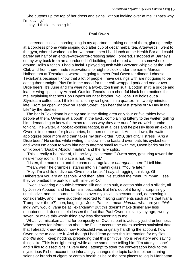She buttons up the top of her dress and sighs, without looking over at me. "That's why I'm leaving."

I say, "I think I'm losing it."

# **Paul Owen**

 I screened calls all morning long in my apartment, taking none of them, glaring tiredly at a cordless phone while sipping cup after cup of decaf herbal tea. Afterwards I went to the gym, where I worked out for two hours; then I had lunch at the Health Bar and could barely eat half of an endive-with-carrot-dressing salad I ordered. I stopped at Barney's on my way back from an abandoned loft building I had rented a unit in somewhere around Hell's Kitchen. I had a facial. I played squash with Brewster Whipple at the Yale Club and from there made reservations for eight o'clock under the name Marcus Halberstam at Texarkana, where I'm going to meet Paul Owen for dinner. I choose Texarkana because I know that a lot of people I have dealings with are not going to be eating there tonight. Plus I'm in the mood for their chili-wrapped pork and one or two Dixie beers. It's June and I'm wearing a two-button linen suit, a cotton shirt, a silk tie and leather wing-tips, all by Armani. Outside Texarkana a cheerful black bum motions for me, explaining that he's Bob Hope's younger brother, No Hope. He holds out a Styrofoam coffee cup. I think this is funny so I give him a quarter. I'm twenty minutes late. From an open window on Tenth Street I can hear the last strains of "A Day in the Life" by the Beetles.

 The bar in.Texarkana is empty and in the dining area only four or five tables have people at them. Owen is at a booth in the back, complaining bitterly to the waiter, grilling him, demanding to know the exact reasons why they are out of the crawfish gumbo tonight. The waiter, a not-bad-looking faggot, is at a loss and helplessly lisps an excuse. Owen is in no mood for pleasantries, but then neither am I. As I sit down, the waiter apologizes once more and then takes my drink order. "J&B, *straight*," I stress. "*And* a Dixie beer." He smiles while writing this down—the bastard even bats his evelashesand when I'm about to warn him not to attempt small taut with me, Owen barks out his drink order, "Double Absolut martini," and the fairy splits.

 'This is really a beehive of, uh, activity, Halberstam," Owen says, gesturing toward the near-empty room. "This place is hot, *very* hot."

"Listen, the mud soup and the charcoal arugula are *outrageous* here," I tell him.

"Yeah, well," he grumbles, staring into his martini glass. "You're late."

 "Hey, I'm a child of divorce. Give me a break," I say, shrugging, thinking: Oh Halberstam you *are* an asshole. And then, after I've studied the menu, "Hmmm, I see they've omitted the pork loin with lime Jell-O."

 Owen is wearing a double-breasted silk and linen suit, a cotton shirt and a silk tie, all by Joseph Abboud, and his tan is impeccable. But he's out of it tonight, surprisingly untalkative, and his dourness drizzles over my jovial, expectant mood, dampening it considerably, and I have suddenly resorted to making comments such as "Is that Ivana Trump over there?" then, laughing, " Jeez, Patrick, I mean *Marcus*, what are you *think* ing? Why would Ivana be at Texarkana?" But this doesn't make dinner any less monotonous. It doesn't help lessen the fact that Paul Owen is exactly my age, twentyseven, or make this whole thing any less disconcerting to me.

 What I've mistaken at first for pomposity on Owen's part is actually just drunkenness. When I press for information about the Fisher account he offers useless statistical data that I already knew about: how Rothschild was originally handling the account, how Owen came to acquire it. And though I had Jean gather this information for my files *months ago*, I keep nodding, pretending that this primitive info is revelatory and saying things like "This is enlightening" while at the same time telling him "I'm utterly insane" and "I like to dissect girls." Every time I attempt to steer the conversation back to the mysterious Fisher account, he infuriatingly changes the topic back to either tanning salons or brands of cigars or certain health clubs or the best places to jog in Manhattan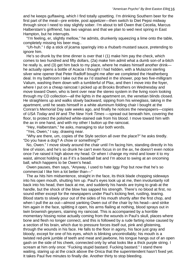and he keeps guffawing, which I find totally upsetting. I'm drinking Southern beer for the first part of the meal—pre entrée, post appetizer—then switch to Diet Pepsi midway through since I need to stay slightly sober. I'm about to tell Owen that Cecelia, Marcus Halberstam's girlfriend, has two vaginas and that we plan to wed next spring in East Hampton, but he interrupts.

 "I'm feeling, er, slightly mellow," he admits, drunkenly squeezing a lime onto the table, completely missing his beer mug..

 "Uh-huh." I dip a stick of jicama sparingly into a rhubarb mustard sauce, pretending to ignore him.

 He's so drunk by the time dinner is over that I (1) make him pay the check, which comes to two hundred and fifty dollars, (2a) make him admit what a dumb son-of a-bitch he really is, and (3) get him back to my place, where he makes himself *another* drink he actually opens a bottle of Acacia I thought I had hidden, with a Mulazoni sterling silver wine opener that Peter Radloff bought me after we completed the Heatherberg deal. In my bathroom I take out the ax I'd stashed in the shower, pop two five-milligram Valium, washing them down with a tumblerful of Plax, and then I move into the foyer, where I put on a cheap raincoat I picked up at Brooks Brothers on Wednesday and move toward Owen, who is bent over near the stereo system in the living room looking through my CD collection—all the lights in the apartment on, the venetian blinds closed. He straightens up and walks slowly backward, sipping from his wineglass, taking in the apartment, until he seats himself in a white aluminum folding chair I bought at the Conran's Memorial Day sale weeks ago, and finally he notices the newspapers—copies of *USA Today* and *W* and *The New York Times* —spread out beneath him, covering the floor, to protect the polished white-stained oak from his blood. I move toward him with the ax in one hand, and with my other I button up the raincoat.

"Hey, Halberstam," he asks, managing to slur both words.

"Yes, Owen," I say, drawing near.

 "Why are there, um, copies of the Style section all over the place?" he asks tiredly. "Do you have a dog? A chow or something?"

 No, Owen." I move slowly around the chair until I'm facing him, standing directly in his line of vision, and he's so drunk he can't even focus in on the ax, he doesn't even notice once I've raised it high above my head. Or when I change my mind and lower it to my waist, almost holding it as if it's a baseball bat and I'm about to swing at an oncoming ball, which happens to be Owen's head.

 Owen pauses, then says, "Anyway, I used to hate Iggy Pop but now that he's so commercial I like him a lot better than—"

 The ax hits him midsentence, straight in the face, its thick blade chopping sideways into his open mouth, shutting him up. Paul's eyes look up at me, then involuntarily roll back into his head, then back at me, and suddenly his hands are trying to grab at the handle, but the shock of the blow has sapped his strength. There's no blood at first, no sound either except for the newspapers under Paul's kicking feet, rustling, tearing. Blood starts to slowly pour out of the sides of his mouth shortly after the first chop, and when I pull the ax out—almost yanking Owen out of the chair by his head—and strike him again in the face, splitting it open, his arms flailing at nothing, blood sprays out in twin brownish geysers, staining my raincoat. This is accompanied by a horrible momentary hissing noise actually coming from the wounds in Paul's skull, places where bone and flesh no longer connect, and this is followed by a rude farting noise caused by a section of his brain, which due to pressure forces itself out, pink and glistening, through the wounds in his face. He falls to the floor in agony, his face just gray and bloody, except for one of his eyes, which is blinking uncontrollably; his mouth is a twisted red-pink jumble of teeth and meat and jawbone, his tongue hangs out of an open gash on the side of his cheek, connected only by what looks like a thick purple string. I scream at him only once: "Fucking stupid bastard. Fucking bastard." I stand there waiting, staring up at the crack above the Onica that the superintendent hasn't fixed yet. It takes Paul five minutes to finally die. Another thirty to stop bleeding.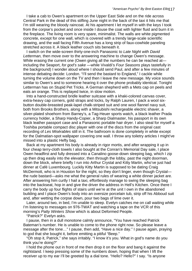#### "American Psycho" By Bret Easton Ellis<sup>1</sup>

 I take a cab to Owen's apartment on the Upper East Side and on the ride across Central Park in the dead of this stifling June night in the back of the taxi it hits me that I'm still wearing the bloody raincoat. At his apartment I let myself in with the keys I took from the corpse's pocket and once inside I douse the coat with lighter fluid and burn it in the fireplace. The living room is very spare, minimalist. The walls are white pigmented concrete, except for one wall, which is covered with a trendy large-scale scientific drawing, and the wall facing Fifth Avenue has a long strip of faux-cowhide paneling stretched across it. A black leather couch sits beneath it.

 I switch on the wide-screen thirty-one-inch Panasonic to *Late Night with David Letterman,* then move over to the answering machine to change Owen's message. While erasing the current one (Owen giving all the numbers he can be reached at including the Seaport, *for god's sake* —while Vivaldi's *Four Seasons* plays tastefully in the background) I wonder aloud where I should send Paul, and after a few minutes of intense debating decide: London. "I'll send the bastard to England," I cackle while turning the volume down on the TV and then I leave the new message. My voice sounds similar to Owen's and to someone hearing it over the phone probably identical. Tonight Letterman has on Stupid Pet Tricks. A German shepherd with a Mets cap on peels and eats an orange. This is replayed twice, in slow motion.

 Into a hand-constructed bridle leather suitcase with a khaki-colored canvas cover, extra-heavy cap corners, gold straps and locks, by Ralph Lauren, I pack a wool sixbutton double-breasted peak-lapel chalk-striped suit and one wool flannel navy suit, both from Brooks Brothers, along with a Mitsubishi rechargeable electric shaver, a silver-plated shoehorn from Barney's, a Tag-Heuer sports watch, a black leather Prada currency holder, a Sharp Handy-Copier, a Sharp Dialmaster, his passport in its own black leather passport case and a Panasonic portable hair dryer. I also steal for myself a Toshiba portable compact disc player with one of the discs from the original cast recording of *Les Misérables* still in it. The bathroom is done completely in white except for the Dalmatian-spot wallpaper covering one wall. I throw any toiletry articles I might've missed into a plastic Hefty bag.

 Back at my apartment his body is already in rigor mortis, and after wrapping it up in four cheap terry-cloth towels I also bought at the Conran's Memorial Day sale, I place Owen headfirst and fully dressed into a Canalino goose-down sleeping bag, which I zip up then drag easily into the elevator, then through the lobby, past the night doorman, down the block, where briefly I run into Arthur Crystal and Kitty Martin, who've just had dinner at Café Luxembourg. Luckily Kitty Martin is supposed to be dating Craig McDermott, who is in Houston for the night, so they don't linger, even though Crystal the rude bastard—asks me what the general rules of wearing a white dinner jacket are. After answering him curtly I hail a taxi, effortlessly manage to swing the sleeping bag into the backseat, hop in and give the driver the address in Hell's Kitchen. Once there I carry the body up four flights of stairs until we're at the unit I own in the abandoned building and I place Owen's body into an oversize porcelain tub, strip off his Abboud suit and, after wetting the corpse down, pour two bags of lime over it.

 Later, around two, in bed, I'm unable to sleep. Evelyn catches me on call waiting while I'm listening to messages on 976-TWAT and watching a tape on the VCR of this morning's *Patty Winters Show* which is about Deformed People.

"Patrick?" Evelyn asks.

 I pause, then in a dull monotone calmly announce, "You have reached Patrick Bateman's number. He is unable to come to the phone right now. So please leave a message after the tone…" I pause, then add, "Have a nice day." I pause again, praying to god that she bought it, before emitting a pitiful "Beep."

 "Oh stop it, Patrick," she says irritably. "I know it's you. What in god's name do you think you're doing?"

 I hold the phone out in front of me then drop it on the floor and bang it against the nightstand. I keep pressing some of the numbers down, hoping that when I lift the receiver up to my ear I'll be greeted by a dial tone. "Hello? Hello?" I say. "Is anyone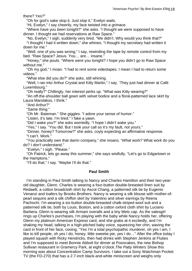there? Yes?"

"Oh for god's sake stop it. Just *stop* it," Evelyn wails.

"Hi, Evelyn," I say cheerily, my face twisted into a grimace.

 "Where have you *been* tonight?" she asks. "I thought we were supposed to have dinner. I thought we had reservations at Raw Space."

 "No, Evelyn," I sigh, suddenly very tired. "We didn't. Why would you think that?" "I thought I had it written down," she whines. "I thought my secretary had written it down for me."

 "Well, one of you was wrong," I say, rewinding the tape by remote control from my bed. "Raw Space? Jesus. You… are… insane."

 "Honey," she pouts. "Where *were* you tonight? I hope you didn't go to Raw Space without me."

 "Oh my god," I moan. "I had to rent some videotapes. I mean I had to return some videos."

"What else did you do?" she asks, still whining.

 "Well, I ran into Arthur Crystal and Kitty Martin," I say. 'They just had dinner at Café Luxembourg."

"Oh really?" Chillingly, her interest perks up. "What was Kitty wearing?"

 "An off-the-shoulder ball gown with velvet bodice and a floral-patterned lace skirt by Laura Marolakos, I think."

"And Arthur?"

"Same thing."

"Oh Mr. Bateman." She giggles. "I adore your sense of humor."

"Listen, it's late. I'm tired." I fake a yawn.

"Did I wake you?" she asks worriedly. "I hope I didn't wake you."

"Yes," I say. "You did. But I took your call so it's my fault, not yours."

 "Dinner, honey? Tomorrow?" she asks, coyly expecting an affirmative response. "I can't. Work."

 "You practically own that damn company," she moans. "*What* work? What *work* do you do? I *don't* understand."

"Evelyn," I sigh. "Please."

 "Oh Patrick, lets go away this summer," she says wistfully. "Let's go to Edgartown or the Hamptons."

"I'll do that," I say. "Maybe I'll do that."

# **Paul Smith**

 I'm standing in Paul Smith talking to Nancy and Charles Hamilton and their two-yearold daughter, Glenn. Charles is wearing a four-button double-breasted linen suit by Redaelli, a cotton broadcloth shirt by Ascot Chang, a patterned silk tie by Eugenio Venanzi and loafers by Brooks Brothers. Nancy is wearing a silk blouse with mother-ofpearl sequins and a silk chiffon skirt by Valentino and silver earrings by Reena Pachochi. I'm wearing a six-button double-breasted chalk-striped wool suit and a patterned silk tie, both by Louis, Boston, and a cotton oxford cloth shirt by Luciano Barbera. Glenn is wearing silk Armani overalls and a tiny Mets cap. As the salesgirl rings up Charles's purchases, I'm playing with the baby while Nancy holds her, offering Glenn my platinum American Express card, and she grabs at it excitedly, and I'm shaking my head, talking in a high-pitched baby voice, squeezing her chin, waving the card in front of her face, cooing, "Yes I'm a total psychopathic murderer, oh yes I am, I like to kill people, oh yes I do, honey, little sweetie pie, yes I do…" After the office today I played squash with Ricky Hendricks, then had drinks with Stephen Jenkins at Fluties and I'm supposed to meet Bonnie Abbott for dinner at Pooncakes, the new Bishop Sullivan restaurant in Gramercy Park, at eight o'clock.*The Patty Winters Show* this morning was about Concentration Camp Survivors. I take out a Sony Watchman Pocket TV (the FD-270) that has a 2.7-inch black-and-white miniscreen and weighs only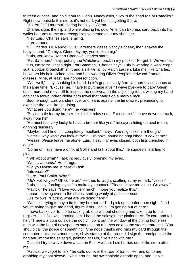thirteen ounces, and hold it out to Glenn. Nancy asks, "How's the shad roe at Rafaeli's?" Right now, outside this store, it's not dark yet but it is getting there.

"It's terrific," I murmur, staring happily at Glenn.

 Charles signs the slip and while placing his gold American Express card back into his wallet he turns to me and recognizes someone over my shoulder.

"Hey Luis," Charles says, smiling.

I turn around.

 "Hi, Charles. Hi, Nancy." Luis Carruthers kisses Nancy's cheek, then shakes the baby's hand. "Oh hiya, Glenn. My my, you look so big."

"Luis, you know Robert Chanc—" Charles starts.

 "Pat Bateman," I say, putting the Watchman back in my pocket. "Forget it. We've met." "Oh, I'm sorry. That's right. Pat Bateman," Charles says. Luis is wearing a wool-crepe suit, a cotton broadcloth shirt and a silk tie, all by Ralph Lauren. Like me, like Charles, he wears his hair slicked back and he's wearing Oliver Peoples redwood-framed glasses. Mine, at least, are nonprescription.

 "Well well," I say, shaking his hand. Luis's grip is overly firm, yet horribly sensuous at the same time. "Excuse me, I have to purchase a tie." I wave bye-bye to baby Glenn once more and move off to inspect the neckwear in the adjoining room, wiping my hand against a two-hundred-dollar bath towel that hangs on a marble rack.

 Soon enough Luis wanders over and leans against the tie drawer, pretending to examine the ties like I'm doing.

"What are you doing here?" he whispers.

 "Buying a tie for my brother. It's his birthday soon. Excuse me." I move down the rack, away from him.

 "He must feel very lucky to have a brother like you," he says, sliding up next to me, grinning sincerely.

"Maybe, but I find him completely repellent," I say. "*You* might like him though."

 "Patrick, why won't you look at me?" Luis asks, sounding anguished. "*Look* at me." "Please, *please* leave me alone, Luis," I say, my eyes closed, both fists clenched in anger.

 "Come on, let's have a drink at Sofi's and talk about this," he suggests, starting to plead.

"Talk about *what*?" I ask incredulously, opening my eyes.

"Well… about*us*." He shrugs.

"Did you *follow* me in here?" I ask.

"Into *where*?"

"Here. Paul Smith. Why?"

"*Me*? Follow *you*? Oh come on." He tries to laugh, scoffing at my remark. "Jesus."

 "Luis," I say, forcing myself to make eye contact. "Please leave me alone. Go away." "Patrick," he says. "I love you very much. I hope you realize this."

I moan, moving over to the shoes, smiling wanly at a salesperson.

Luis follows. "Patrick, what are we doing here?"

 "Well, I'm trying to buy a tie for my brother and"—I pick up a loafer, then sigh—"and you're trying to give me head, figure it out. Jesus, I'm getting out of here."

 I move back over to the tie rack, grab one without choosing and take it up to the register. Luis follows. Ignoring him, I hand the salesgirl the platinum AmEx card and tell her, "There's a bum outside the door." I point out the window at the crying homeless man with the bag of newspapers standing on a bench next to the store's entrance. "You should call the police or something." She nods thanks and runs my card through the computer. Luis just stands there, shyly staring at the ground. I sign the receipt, take the bag and inform the salesgirl, pointing at Luis, "He's not with me."

 Outside I try to wave down a cab on Fifth Avenue. Luis hurries out of the store after me.

 "Patrick, we've*got* to talk," he calls out over the roar of traffic. He runs up to me, grabbing my coat sleeve. I whirl around, my switchblade already open, and I jab it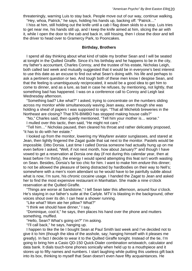threateningly, warning Luis to stay back. People move out of our way, continue walking. "Hey, whoa, Patrick," he says, holding his hands up, backing off. "Patrick…"

 I hiss at him, still holding out the knife until a cab I flag down skids to a stop. Luis tries to get near me, his hands still up, and I keep the knife aimed at him, slicing the air with it, while I open the door to the cab and back in, still hissing, then I close the door and tell the driver to head over to Gramercy Park, to Pooncakes.

## **Birthday, Brothers**

 I spend all day thinking about what kind of table my brother Sean and I will be seated at tonight in the Quilted Giraffe. Since it's his birthday and he happens to be in the city, my father's accountant, Charles Conroy, and the trustee of his estate, Nicholas Leigh, both called last week and mutually suggested that it would be in everyone's best interest to use this date as an excuse to find out what Sean's doing with. his life and perhaps to ask a pertinent question or two. And tough both of these men know I despise Sean, and that the feeling is unambiguously reciprocated, it would be a good idea to get him to come to dinner, and as a lure, as bait in case he refuses, by mentioning, not lightly, that something bad has happened. I was on a conference call to Conroy and Leigh last Wednesday afternoon.

 "Something bad? Like what?" I asked, trying to concentrate on the numbers sliding across my monitor while simultaneously waving Jean away, even though she was holding a sheaf of papers I was supposed to sign. "That all Michelob breweries in the Northeast are closing? That 976-BIMBO has stopped making house calls?"

"No," Charles said, then quietly mentioned, "Tell him your mother is… worse."

I mulled over this tactic, then said, "He might not care."

 "Tell him…" Nicholas paused, then cleared his throat and rather delicately proposed, "it has to do with her estate."

 I looked up from the monitor, lowering my Wayfarer aviator sunglasses, and stared at Jean, then lightly fingered the Zagat guide that sat next to the monitor. Pastels would be impossible. Ditto Dorsia. Last time I called Dorsia someone had actually hung up on me even before I asked, "Well, if not next month, how about January?" and though I have vowed to get a reservation at Dorsia one day (if not during this calendar year, then at least before I'm thirty), the energy I would spend attempting this feat isn't worth wasting on Sean. Besides, Dorsia's far too chic for him. I want to make him *endure* this dinner; to not be allowed the pleasure of being distracted by hardbodies on their way to Nell's; somewhere with a men's room attendant so he would have to be painfully subtle about what is now, I'm sure, his *chronic* cocaine usage. I handed the Zagat to Jean and asked her to find the most expensive restaurant in Manhattan. She made a nine o'clock reservation at the Quilted Giraffe.

 "Things are worse at Sandstone," I tell Sean later this afternoon, around four o'clock. He's staying in our father's suite at the Carlyle. MTV is blasting in the background, other voices shout over its din. I can hear a shower running.

"Like what? Mom ate her pillow? What?"

"I think we should have dinner," I say.

 "Dominique, cool it," he says, then places his hand over the phone and mutters something, muffled.

"Hello, Sean? What's going on?" I'm asking.

"I'll call back," he says, hanging up.

 I happen to like the tie I bought Sean at Paul Smith last week and I've decided not to give it to him (though the idea of the asshole, say; hanging himself with it pleases me greatly). In fact *I* decide to wear it to the Quilted Giraffe tonight. Instead of the tie, I'm going to bring him a Casio QD-150 Quick-Dialer combination wristwatch, calculator and data bank. It dials touch-tone phones sonically when held up to a mouthpiece and it stores up to fifty names and numbers. I start laughing while putting this useless gift back into its box, thinking to myself that Sean doesn't even *have* fifty acquaintances. He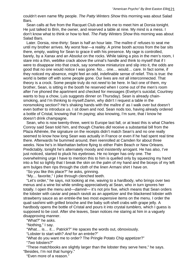couldn't even name fifty people. *The Patty Winters Show* this morning was about Salad Bars.

 Sean calls at five from the Racquet Club and tells me to meet him at Dorsia tonight. He just talked to Brin, the owner, and reserved a table at nine. My mind is a mess. I don't know what to think or how to feel. *The Patty Winters Show* this morning was about Salad Bars.

 Later. Dorsia, nine-thirty: Sean is half an hour late. The maître d' refuses to seat me until my brother arrives. My worst fear—a reality. A prime booth across from the bar sits there, empty, waiting for Sean to grace it with his presence. My rage is controlled, barely, by a Xanax and an Absolut on the rocks. While taking a piss in the men's room, I stare into a thin, weblike crack above the urinal's handle and think to myself that if I were to disappear into that crack, say somehow miniaturize and slip into it, the odds are good that no one would notice I was gone. No… one… would… care. In fact some, if they noticed my absence, might feel an odd, indefinable sense of relief. This is true: the world is better off with some people gone. Our lives are *not* all interconnected. That theory is a crock. Some people truly do not *need* to be here. In fact one of them, my brother, Sean, is sitting in the booth he reserved when I come out of the men's room after I've phoned the apartment and checked for messages (Evelyn's suicidal, Courtney wants to buy a chow, Luis suggests dinner on Thursday). Sean is already chainsmoking, and I'm thinking to myself.*Damn*, why didn't I request a table in the nonsmoking section? He's shaking hands with the maître d' as I walk over but doesn't even bother to introduce us. I sit down and nod. Sean nods too, having already ordered a bottle of Cristal, knowing that I'm paying; also knowing, I'm sure, that *I* know he doesn't drink champagne.

 Sean, who is now twenty-three, went to Europe last fall, or at least this is what Charles Conroy said Sean told him, and though Charles *did* receive a substantial bill from the Plaza Athénée, the signature on the receipts didn't match Sean's and no one really seemed to know how long Sean was actually in France or even if he had spent real time there. Afterwards he bummed around, then reenrolled at Camden for about three weeks. Now he's in Manhattan before flying to either Palm Beach or New Orleans. Predictably, tonight he's alternately moody and insistently arrogant. He has also, I've just noticed, started to pluck his eyebrows. He no longer has only one. The overwhelming urge I have to mention this to him is quelled only by squeezing my hand into a fist so tightly that I break the skin on the palm of my hand and the biceps of my left arm bulges then rips through the cloth of the linen Armani shirt I have on.

"So you like this place?" he asks, grinning.

"My… favorite," I joke through clenched teeth.

 "Let's order," he says, not looking at me, waving to a hardbody, who brings over two menus and a wine list while smiling appreciatively at Sean, who in turn ignores her totally. I open the menu and—*damnit—* it's not prix fixe, which means that Sean orders the lobster with caviar and peach ravioli as an appetizer and the blackened lobster with strawberry sauce as an entrée-the two most *expensive* items on the menu. I order the quail sashimi with grilled brioche and the baby soft-shell crabs with grape jelly. A hardbody opens the bottle of Cristal and pours it into crystal *tumblers,* which I guess is supposed to be cool. After she leaves, Sean notices me staring at him in a vaguely disapproving manner.

"What?" he asks.

"Nothing," I say.

"What… is… it… Pat*rick*?" He spaces the words out, obnoxiously.

"Lobster to start with? *And* for an entrée?"

 "What do you want me to order? The Pringle Potato Chip appetizer?" "*Two* lobsters?"

 "These matchbooks are slightly larger than the lobster they serve here," he says. "Besides, I'm not that hungry."

"Even more of a reason."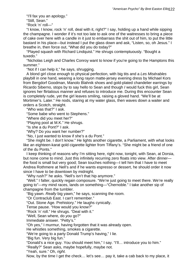"American Psycho" By Bret Easton Ellis<sup>1</sup> 22

"I'll fax you an apology."

"Still, Sean."

"Rock 'n' roll—"

 "I know, I know, rock 'n' roll, deal with it, right?" I say, holding up a hand while sipping the champagne. I wonder if it's not too late to ask one of the waitresses to bring a piece of cake over here with a candle in it just to embarrass the shit out of him, to put the little bastard in his place—but instead I put the glass down and ask, "Listen, so, oh Jesus." I breathe in, then force out, "What did you do today?"

 "Played squash with Richard Lindquist." He shrugs contemptuously. "Bought a tuxedo."

 "Nicholas Leigh and Charles Conroy want to know if you're going to the Hamptons this summer."

"Not if I can help it," he says, shrugging.

 A blond girl close enough to physical perfection, with big tits and a *Les Misérables* playbill in one hand, wearing a long rayon matte-jersey evening dress by Michael Kors from Bergdorf Goodman, Manolo Blahnik shoes and gold-plated chandelier earrings by Ricardo Siberno, stops by to say hello to Sean and though *I* would fuck this girl, Sean ignores her flirtatious manner and refuses to introduce me. During this encounter Sean is completely rude, yet the girl leaves smiling, raising a gloved hand. "We'll be at Mortimer's. Later." He nods, staring at my water glass, then waves down a waiter and orders a Scotch, straight.

"Who was that?" I ask.

"Some babe who went to Stephens."

"Where did you meet her?"

"Playing pool at M.K." He shrugs.

"Is she a du Pont?" I ask.

"Why? Do you want her number?"

"No, I just wanted to know if she's a du Pont."

 "She might be. I don't know." He lights another cigarette, a Parliament, with what looks like an eighteen-karat gold cigarette lighter from Tiffany's. "She might be a friend of one of the du Ponts."

 I keep thinking of reasons why I'm sitting here, right now, tonight, with Sean, at Dorsia, but none come to mind. Just this infinitely recurring zero floats into view. After dinner the food is small but very good; Sean touches nothing—I tell him that I have to meet Andrea Rothmere at Nell's and if he wants espresso or dessert, he should order it now since I have to be downtown by midnight.

"Why rush?" he asks. "Nell's isn't that hip anymore."

 "Well." I falter, quickly regain composure. "We're just going to meet there. We're really going to"—my mind races, lands on something—"Chernoble." I take another sip of champagne from the tumbler.

"Big yawn. *Really* big yawn," he says, scanning the room.

"Or Contraclub East. I can't remember."

"Out. Stone Age. Prehistory." He laughs cynically.

Tense pause. "How would you know?"

"Rock 'n' roll." He shrugs. "Deal with it."

"Well, Sean where, do *you* go?"

Immediate answer. "Petty's."

"Oh yes," I murmur, having forgotten that it was already open.

He whistles something, smokes a cigarette.

"We're going to a party Donald Trump's having," I lie.

"Big fun. Very big fun."

"Donald's a nice guy. You should meet him," I say. "I'll… introduce you to him."

"Really?" Sean asks, maybe hopefully, maybe not.

"Yeah, sure." Oh, *right.*

Now, by the time I get the check… let's see… pay it, take a cab back to my place, it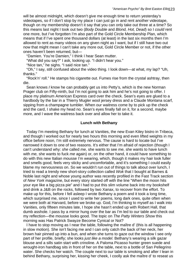will be almost midnight, which doesn't give me enough time to return yesterday's videotapes, so if I don't stop by my place I can just go in and rent another videotape, though on my membership doesn't it say that you can only take out three at a time? So this means last night I took out two (*Body Double* and *Blond, Hot, Dead*) so I *could* rent one more, but I've forgotten I'm also part of the Gold Circle Membership Plan, which means that if I've spent one thousand dollars (at least) in the last six months then I'm allowed to rent as many videos on any given night as I want, but if I still have two out now that might mean I can't take any more out, Gold Circle Member or not, if the other ones haven't been returned, but—

"Damien. You're Damien," I think I hear Sean mutter.

"What did you say?" I ask, looking up. "I didn't hear you."

"Nice tan," he sighs. "I said nice tan."

 "Oh," I say, still confused about the video thing. I look down—at what, my lap? "Uh, thanks."

 "Rock'n' roll." He stamps his cigarette out. Fumes rise from the crystal ashtray, then die.

 Sean knows *I* know he can probably get us into Petty's, which is the new Norman Prager club on Fifty-ninth, but I'm not going to ask him and he's not going to offer. I place my platinum American Express card over the check. Sean's eyes are glued to a hardbody by the bar in a Thierry Mugler wool jersey dress and a Claude Montana scarf, sipping from a champagne tumbler. When our waitress come by to pick up the check and the card, I shake my head no. Sean's eyes finally fall on it, for a second, maybe more, and I wave the waitress back over and allow her to take it.

# **Lunch with Bethany**

 Today I'm meeting Bethany for lunch at Vanities, the new Evan Kiley bistro in Tribeca, and though I worked out for nearly two hours this morning and even lifted weights in my office before noon, I'm still extremely nervous. The cause is hard to locate but I've narrowed it down to one of two reasons. It's either that I'm afraid of rejection (though I can't understand why: *she* called *me,* she wants to see *me,* she wants to have lunch with *me,* she wants to fuck *me* again) or, on the other hand, it could have something to do with this new Italian mousse I'm wearing, which, though it makes my hair look fuller and smells good, feels very sticky and uncomfortable, and it's something I could easily blame my nervousness on. So we wouldn't run out of things to talk about over lunch, I tried to read a trendy new short-story collection called *Wok* that I bought at Barnes & Noble last night and whose young author was recently profiled in the Fast Track section of *New York* magazine, but every story started off with the line "When the moon hits your eye like a big pizza pie" and I had to put this slim volume back into my bookshelf and drink a J&B on the rocks, followed by two Xanax, to recover from the effort. To make up for this, before I fell asleep I wrote Bethany a poem and it took a long time, which surprised me, since I used to write her poems, long dark ones, quite often when we were both at Harvard, before we broke up. God, I'm thinking to myself as I walk into Vanities, only fifteen minutes late, I hope she hasn't ended up with Robert Hall, that dumb asshole. I pass by a mirror hung over the bar as I'm led to our table and check out my reflection—the mousse looks good. The topic on *The Patty Winters Show* this morning was Has Patrick Swayze Become Cynical or Not?

 I have to stop moving as I near the table, following the maître d' (this is all happening in slow motion). She isn't facing me and I can only catch the back of her neck, her brown hair pinned up into a bun, and when she turns to gaze out the window I see only part of her profile, briefly; she looks *just like a model*. Bethany's wearing a silk gazar blouse and a sills satin start with crinoline. A Paloma Picasso hunter green suede and wrought-iron handbag sits in front of her on the table, next to a bottle of San Pellegrino water. She checks her watch. The couple next to our table is smoking and after I lean in behind Bethany, surprising her, kissing her cheek, I coolly ask the maître d' to reseat us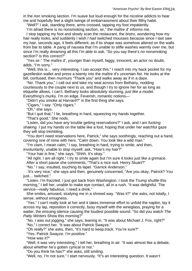in the *non* smoking section. I'm suave but loud enough for the nicotine addicts to hear me and hopefully feel a slight twinge of embarrassment about their filthy habit.

"Well?" I ask, standing there, arms crossed, tapping my foot impatiently.

'I'm afraid there is no nonsmoking section, sir," the maître d' informs me.

 I stop tapping my foot and slowly scan the restaurant, the *bistro*, wondering how my hair really looks, and suddenly I wish *I had* switched mousses because since I last saw my hair, seconds ago, it feels different, as if its shape was somehow altered on the walls from bar to table. A pang of nausea that I'm unable to stifle washes warmly over me, but since I'm really dreaming all this I'm able to ask, "So you say there's *no* nonsmoking section? Is this correct?"

 "Yes sir." The maître d', younger than myself, faggy, innocent, an *actor* no doubt, adds, "I'm sorry."

 "Well, this is… very interesting. I can accept this." I reach into my back pocket for my gazelleskin wallet and press a twenty into the maître d's uncertain fist. He looks at the bill, confused, then murmurs "Thank you" and walks away as if in a daze.

 "No. Thank *you*," I call out and take my seat across from Bethany, nodding courteously to the couple next to us, and though I try to ignore her for as long as etiquette allows, I can't. Bethany looks absolutely stunning, *just like a model.* Everything's murky. I'm on edge. Feverish, romantic notions—

"Didn't you smoke at Harvard?" is the first thing she says.

"Cigars," I say. "Only cigars."

"Oh," she says.

"But I quit that," I lie, breathing in hard, squeezing my hands together.

"That's good." She nods.

 "Listen, did you have any trouble getting reservations?" I ask, and *I am fucking shaking.* I put my hands on the table like a fool, hoping that under her watchful gaze they will stop trembling.

 "You don't need reservations here, Patrick," she says soothingly, reaching out a hand, covering one of mine with hers. "Calm down. You look like a wild man."

"I'm clam, I mean calm," I say, breathing in hard, trying to smile, and then,

involuntarily, unable to stop myself, ask, "How's my hair?"

"Your hair is fine," she says. "Shhh. It's okay."

"All right. I am all right." I try to smile again but I'm sure it looks just like a grimace.

After a short pause she comments, "That's a nice suit. Henry Stuart?"

"No," I say, insulted, touching its lapel. "Garrick Anderson."

 .'It's very nice," she says and then, genuinely concerned, "Are you okay, Patrick? You iust... twitched."

 "Listen. I'm frazzled. I just got back from Washington. I took the Trump shuttle this morning," I tell her, unable to make eye contact, all in a rush. "It was delightful. The service—really fabulous. I need a drink."

 She smiles, amused, studying me in a shrewd way. "Was it?" she asks, not totally, I sense, without smugness.

 "Yes." I can't really look at her and it takes immense effort to unfold the napkin, lay it across my lap, reposition it correctly, busy myself with the wineglass, praying for a waiter, the ensuing silence causing the loudest possible sound. "So did you watch *The Patty Winters* Show this morning?"

 "No, I was out jogging," she says, leaning in. "It was about Michael J. Fox, right?" "No," I correct her. "It was about Patrick Swayze."

"Oh really?" she asks, then, "It's hard to keep.track. You're sure?"

"Yes. Patrick Swayze. I'm positive."

"How was it?"

 "Well, it was very interesting," I tell her, breathing in air. "It was almost like a debate, about whether he's gotten cynical or not."

"Do you think he has?" she asks, still smiling.

"Well, no, I'm not sure," I start nervously. "It"s an interesting question. It wasn't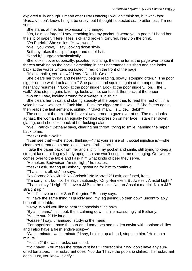explored fully enough. I mean after Dirty *Dancing* I wouldn't think so, but with*Tiger Warsaw* I don't know. I might be crazy, but I thought I detected *some* bitterness. I'm not sure."

She stares at me, her expression unchanged.

 "Oh, I almost forgot," I say, reaching into my pocket. "I wrote you a poem." I hand her the slip of paper. "Here." I feel sick and broken, tortured, really on the brink.

"Oh Patrick." She smiles. "How sweet."

"Well, you know," I say, looking down shyly.

Bethany takes the slip of paper and unfolds it.

"Read it," I urge enthusiastically.

 She looks it over quizzically, puzzled, squinting, then she turns the page over to see if there's anything on the back. Something in her understands it's short and she looks back at the words written, scrawled in red, on the front of the page.

"It's like haiku, you know?" I say. "Read it. Go on."

 She clears her throat and hesitantly begins reading, slowly, stopping often. " 'The poor nigger on the wall. Look at him.'" She pauses and squints again at the paper, then hesitantly resumes. " 'Look at the poor nigger. Look at the poor nigger... on... the...

wall.'" She stops again, faltering, looks at me, confused, then back at the paper.

"Go on," I say, looking around for a waiter. "Finish it."

 She clears her throat and staring steadily at the paper tries to read the rest of it in a voice below a whisper. " 'Fuck him… Fuck the nigger on the wall…'" She falters again, then reads the last sentence, sighing. " 'Black man… is… de… debil?'"

 The couple at the next table have slowly turned to gaze over at us. The man looks aghast, the woman has an equally horrified expression on her face. I stare her down, glaring, until she looks back at her fucking salad.

 "Well, Patrick," Bethany says, clearing her throat, trying to smile, handing the paper back to me.

"Yes?" I ask. "Well?"

 "I can see that"—she stops, thinking—"that your sense of… social injustice is"—she clears her throat again and looks down—"still intact."

 I take the paper back from her and slip it in my pocket and smile, still trying to keep a straight face, holding my body upright so she won't suspect me of cringing. Our waiter comes over to the table and I ask him what kinds of beer they serve.

"Heineken, Budweiser, Amstel light," he recites.

"Yes?" I ask, staring at Bethany, gesturing for him to continue.

"That's, um, all, sir," he says.

"No Corona? No Kirin? No Grolsch? No Morretti?" I ask, confused, irate.

 "I'm sorry, sir, but no," he says cautiously. "Only Heineken, Budweiser, Amstel Light." "That's crazy," I sigh. "I'll have a J&B on the rocks. No, an Absolut martini. No, a J&B straight up."

"And I'll have another San Pellegrino," Bethany says.

 "I'll have the same thing;" I quickly add, my leg jerking up then down uncontrollably beneath the table.

"Okay. Would you like to hear the specials?" he asks.

 "By all means," I spit out, then, calming down, smile reassuringly at Bethany. "You're sure?" He laughs.

"*Please*," I say, unamused, studying the menu.

 "For appetizers I have the sun-dried tomatoes and golden caviar with poblano chilies and I also have a fresh endive soup—"

 "Wait a minute, wait a minute," I say, holding up a hand, stopping him. "Hold on a minute."

"Yes sir?" the waiter asks, confused.

 "*You* have? You mean the *restaurant* has," I correct him. "*You* don't have any sundried tomatoes. The restaurant does. *You* don't have the poblano chilies. The restaurant does. Just, you know, clarify."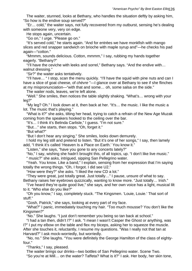The waiter, stunned, looks at Bethany, who handles the situation deftly by asking him, "So how is the endive soup served?"

 "Er… cold," the waiter says, not fully recovered from my outburst, sensing he's dealing with someone very, very on edge.

He stops again, uncertain.

"Go on," I urge. "Please go on."

 "It's served cold," he starts again. "And for entrées we have monkfish with mango slices and red snapper sandwich on brioche with maple syrup and"—he checks his pad again—"cotton."

 "Mmmm, sounds delicious. Cotton, mmmm," I say, rubbing my hands together eagerly. "Bethany?"

 "I'll have the ceviche with leeks and sorrel," Bethany says. "And the endive with… walnut dressing."

"Sir?" the waiter asks tentatively.

 "I'll have… " I stop, scan the menu quickly. "I'll have the squid with pine nuts and can I have a slice of goat cheese, of *chèvre* "—I glance over at Bethany to see if she flinches at my mispronunciation—"with that and some… oh, some salsa on the side."

The waiter nods, leaves, we're left alone.

 "Well." She smiles, then notices the table slightly shaking. "What's… wrong with your leg?"

 "My leg? Oh." I look down at it, then back at her. "It's… the music. I like the music a lot. The music that's playing."

 "What is it?" she asks, tilting her head, trying to catch a refrain of the New Age Muzak coming from the speakers hooked to the ceiling over the bar.

"It's… I think it's Belinda Carlisle," I guess. "I'm not sure."

"But…" she starts, then stops. "Oh, forget it."

"But what?"

"But I don't hear any singing." She smiles, looks down demurely.

 I hold my leg still and pretend to listen. "But it's one of her songs," I say, then lamely add, "I think it's called 'Heaven Is a Place on Earth.' You know it."

"Listen," she says, "have you gone to any concerts lately?"

 "No," I say, wishing she hadn't brought this, of all topics, up. "I don't like live music." " music?" she asks, intrigued, sipping San Pellegrino water.

 "Yeah. You know. Like a band," I explain, sensing from her expression that I'm saying totally the wrong things. "Oh, I forgot. I did see U2."

"How were they?" she asks. "I liked the new CD a lot."

 "They were great, just totally great. Just totally…" I pause, unsure of what to say. Bethany raises her eyebrows quizzically, wanting to know more. "Just totally… Irish."

 "I've heard they're quite good live," she says, and her own voice has a light, musical lilt to it. "Who else do you like?"

 "Oh you know," I say, completely stuck. "The Kingsmen. 'Louie, Louie.' That sort of stuff."

"Gosh, Patrick," she says, looking at every part of my face.

 "What?" I panic, immediately touching my hair. "Too much mousse? You don't like the Kingsmen?"

"No." She laughs. "I just don't remember you being so tan back at school."

 "I had a tan then, didn't I?" I ask. "I mean I wasn't Casper the Ghost or anything, was I?" I put my elbow on the table and flex my biceps, asking her to squeeze the muscle. After she touches it, reluctantly, I resume my questions. "Was I really not that tan at Harvard?" I ask mock-worriedly, but worriedly.

 "No, no." She laughs. "You were definitely the George Hamilton of the class of eightyfour."

"Thanks," I say, pleased.

 The waiter brings our drinks—two bottles of San Pellegrino water. Scene Two. "So you're at Mill… on the water? Taffeta? What is it?" I ask. Her body, her skin tone,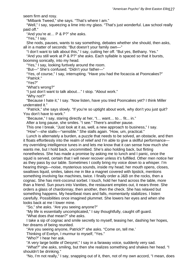seem firm and rosy.

"Milbank Tweed," she says. "That's where I am."

 "Well," I say, squeezing a lime into my glass. "That's just wonderful. Law school really paid off."

"And you're at… P & P?" she asks.

"Yes," I say.

 She nods, pauses, wants to say something, debates whether she should, then asks, all in a matter of seconds: "But doesn't your family own—"

"I don't want to talk about this," I say, cutting her off. "But yes, Bethany. Yes."

 "And you still work at P & P?" she asks. Each syllable is spaced so that it bursts, booming sonically, into my head.

"Yes," I say, looking furtively around the room.

"But—" She's confused. "Didn't your father—"

 "Yes, of course," I say, interrupting. "Have you had the focaccia at Pooncakes?" "*Patrick*."

"Yes?"

"What's wrong?"

"I just don't want to talk about…" I stop. "About work."

"Why not?"

 "Because I hate it," I say. "Now listen, have you tried Pooncakes yet? I think Miller underrated it."

 "Patrick," she says slowly. "If you're so uptight about work, why don't you just quit? You don't have to work."

"Because," I say, staring directly at her, "I… want… to… fit... in."

After a long pause, she smiles. "I see." There's another pause.

This one I break. "Just look at it as, well, a new approach to business," I say.

"How"—she stalls—"sensible." She stalls again. "How, um, practical."

 Lunch is alternately a burden, a puzzle that needs to be solved, an obstacle, and then it floats effortlessly into the realm of relief and I'm able to give a skillful performance my overriding intelligence tunes in and lets me know that it can sense how much she wants me, but I hold back, uncommitted. She's also holding back, but flirting nonetheless. She has made a promise by asking me to lunch and I panic, once the squid is served, certain that I will never recover unless it's fulfilled. Other men notice her as they pass by our table. Sometimes I coolly bring my voice down to a whisper. I'm hearing things—noise, mysterious sounds, inside my head; her mouth opens, closes, swallows liquid, smiles, takes me in like a magnet covered with lipstick, mentions something involving fax machines, twice. I finally order a J&B on the rocks, then a cognac. She has mint-coconut sorbet. I touch, hold her hand across the table, more than a friend. Sun pours into Vanities, the restaurant empties out, it nears three. She orders a glass of chardonnay, then another, then the check. She has relaxed but something happens. My heartbeat rises and falls, momentarily stabilizes. I listen carefully. Possibilities once imagined plummet. She lowers her eyes and when she looks back at me I lower mine.

"So," she asks. "Are you seeing anyone?"

 "My life is essentially uncomplicated," I say thoughtfully, caught off guard. "What does *that* mean?" she asks.

 I take a sip of cognac and smile secretly to myself, teasing her, dashing her hopes, her dreams of being reunited.

"Are you seeing anyone, Patrick?" she asks. "Come on, tell me.'

Thinking of Evelyn, I murmur to myself, "Yes."

"Who?" I hear her ask.

"A very large bottle of Desyrel," I say in a faraway voice, suddenly very sad.

 "*What*?" she asks, smiling, but then she realizes something and shakes her head. "I shouldn't be drinking."

"No, I'm not really," I say, snapping out of it, then, not of my own accord, "I mean, does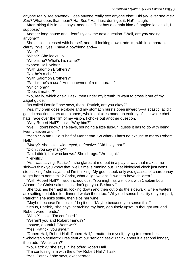anyone really *see* anyone? Does anyone really *see* anyone else? Did *you* ever see *me*? *See?* What does that mean? Ha! *See?* Ha! I just don't get it. Ha!" I laugh.

 After taking this in, she says, nodding; "That has a certain kind of tangled logic to it, I suppose."

 Another long pause and I fearfully ask the next question. "Well, are *you* seeing anyone?"

 She smiles, pleased with herself, and still looking down, admits, with incomparable clarity, "Well, yes, I have a boyfriend and—"

"Who?"

"What?" She looks up.

"Who is he? What's his name?"

"Robert Hall. Why?"

"With Salomon Brothers?"

"No, he's a chef."

"With Salomon Brothers?"

"Patrick, he's a *chef.* And co-owner of a restaurant."

"Which one?"

"Does it matter?"

 "No, really, which one?" I ask, then under my breath, "I want to cross it out of my Zagat guide."

"Its called Dorsia," she says, then, "Patrick, are you okay?"

 Yes, my brain does explode and my stomach bursts open inwardly—a spastic, acidic, gastric reaction; stars and planets, whole galaxies made up entirely of little white chef hats, race over the film of my vision. I choke out another question.

"Why Robert Hall?" I ask. "Why him?"

 "Well, I don't know," she says, sounding a little tipsy. "I guess it has to do with being twenty-seven and—"

 "Yeah? So am I. So is half of Manhattan. So what? That's no excuse to marry Robert Hall."

"*Marry*?" she asks, wide-eyed, defensive. "Did I say that?"

"Didn't you say marry?"

"No, I didn't, but who knows." She shrugs. "We might."

"Ter-rific."

 "As I was saying, Patrick"—she glares at me, but in a playful way that makes me sick—"I think.you know that, well, time is running out. That biological clock just won't stop ticking," she says, and I'm thinking: My god, it took only *two* glasses of chardonnay to get her to admit this? Christ, what a lightweight. "I want to have children."

 "With Robert Hall?" I ask, incredulous. "You might as well do it with Captain Lou Albano, for Christ sakes. I just don't get you. Bethany."

 She touches her napkin, looking down and then out onto the sidewalk, where waiters are setting up tables for dinner. I watch them too. "Why do I sense hostility on your part, Patrick?" she asks softly, then sips her wine.

"Maybe because I'm hostile," I spit out. "Maybe because you sense this."

 "Jesus, Patrick," she says, searching my face, genuinely upset. "I thought you and Robert were friends."

"What?" I ask. "I'm confused."

"Weren't you and Robert friends?"

I pause, doubtful. "Were we?"

"Yes, Patrick, you *were*."

"Robert Hall, Robert Hall, Robert Hall," I mutter to myself, trying to remember.

"Scholarship student? President of our senior class?" I think about it a second longer, then add, "Weak chin?"

"No, Patrick," she says. "The *other* Robert Hall."

"I'm confusing him with the *other* Robert Hall?" I ask.

"Yes, Patrick," she says, exasperated.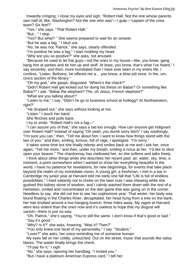Inwardly cringing, I close my eyes and sigh. "Robert Hall. Not the one whose parents own half of, like, Washington? Not the one who was"—I gulp—"captain of the crew team? Six feet?"

"Yes," she says. "*That* Robert Hall."

"But…" I stop.

"Yes? But *what?* " She seems prepared to wait for an answer.

"But he was a *fag,* " I blurt out.

"No, he was *not,* Patrick," she says, clearly offended.

"I'm positive he was a fag." I start nodding my head.

"Why are you so positive?" she asks, not amused.

 "Because he used to let frat guys—not the ones in my house—like, you know, gang bang him at parties and tie him up and stuff. At least, you know, that's what I've heard," I say sincerely, and then, more humiliated than I have ever been in my entire life, I confess, "Listen, Bethany, he offered me a… you know, a blow job once. In the, um, civics section of the library."

"Oh my god," she gasps, disgusted. "Where's the check?"

 "Didn't Robert Hall get kicked out for doing his thesis on Babar? Or something like Babar?" I ask. "Babar the elephant? The, oh Jesus, *French* elephant?"

"What are you *talking* about?"

 "Listen to me," I say. "Didn't he go to business school at Kellogg? At Northwestern, right?"

"He dropped out," she says without looking at me.

"Listen." I touch her hand.

She flinches and pulls back.

I try to smile. "Robert Hall's not a fag—"

 "I can assure you of that," she says a tad too smugly. How can anyone get indignant over Robert Hall? Instead of saying "Oh yeah, you dumb sorry bitch" I say soothingly, "I'm sure you can," then, "Tell me about him. I want to know how things stand with the two of you," and then, smiling, furious, full of rage, I apologize. "I'm sorry."

 It takes some time but she finally relents and smiles back at me and I ask her, once again, "Tell me more," and then, under my breath, smiling a rictus at her, "I'd like to slice open your beaver." The chardonnay has mellowed her, so she softens and talks freely.

 I think about other things while she describes her recent past: air, water, sky, time, a moment, a point somewhere when I wanted to show her everything beautiful in the world. I have no patience for revelations, for new beginnings, for events that take place beyond the realm of my immediate vision. A young girl, a freshman, I met in a bar in Cambridge my junior year at Harvard told me early one fall that "Life is full of endless possibilities." I tried valiantly not to choke on the beer nuts I was chewing while she gushed this kidney stone of wisdom, and I calmly washed them down with the rest of a Heineken, smiled and concentrated on the dart game that was going on in the corner. Needless to say, she did not live to see her sophomore year. That winter, her body was found floating in the Charles River, decapitated, her head hung from a tree on the bank, her hair knotted around a low-hanging branch, three miles away. My rages at Harvard were less violent than the ones now and it's useless to hope that my disgust will vanish—there is just no way.

 "Oh, Patrick," she's saying. "You're still the same. I don't know if that's good or bad." "Say it's good."

"Why? Is it?" she asks, frowning. "Was it? Then?"

"You only knew one facet of my personality," I say. "Student."

"Lover?" she asks, her voice reminding me of someone human.

 My eyes fall on her coldly, untouched. Out on the street, music that sounds like salsa blares. The waiter finally brings the check.

"I'll pay for it," I sigh.

"No," she says, opening her handbag. "*I* invited *you*."

"But I have a platinum American Express card," I tell her.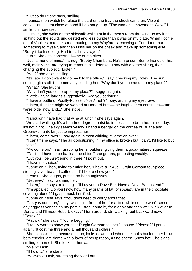"But so do I," she says, smiling.

 I pause, then watch her place the card on the tray the check came on. Violent convulsions seem close at hand if I do not get up. "The women's movement. Wow." I smile, unimpressed.

 Outside, she waits on the sidewalk while I'm in the men's room throwing up my lunch, spitting out the squid, undigested and less purple than it was on my plate. When I come out of Vanities onto the street, putting on my Wayfarers, chewing a Cert, I murmur something to myself, and then I kiss her on the cheek and make up something else. "Sorry it took so long. Had to call my lawyer."

"Oh?" She acts concerned—the dumb bitch.

 'Just a friend of mine." I shrug. "Bobby Chambers. He's in prison. Some friends of his, well, mainly *me,* are trying to remount his defense," I say with another shrug, then, changing the subject, "Listen."

"Yes?" she asks, smiling.

 "It's late. I don't want to go back to the office," I say, checking my Rolex. The sun, setting, glints off it, momentarily blinding her. "Why don't you come up to my place?"

"What?" She laughs.

"Why don't you come up to my place?" I suggest again.

"Patrick." She laughs suggestively. "Are you serious?"

"I have a bottle of Pouilly-Fuissé, *chilled*, huh?" I say, arching my eyebrows.

 "Listen, that line might've worked at Harvard but"—she laughs, then continues—"um, we're older now and..." She stops.

"And… what?" I ask.

"I shouldn't have had that wine at lunch," she says again.

We start walking. It's a hundred degrees outside, impossible to breathe. It's not day, it's not night. The sky seems yellow. I hand a beggar on the cornea of Duane and Greenwich a dollar just to impress her.

"Listen, come over," I say again, almost whining. "Come on over."

 "I can t," she says. "The air-conditioning in my office is broken but I can't. I'd like to but I can't."

"Aw come on," I say, grabbing her shoulders, giving them a good-natured squeeze.

"Patrick, I have to be back at the office," she groans, protesting weakly.

"But you'll be *swelt* ering in there," I point out.

"I have no choice."

 "Come on." Then, trying to entice her, "I have a 1940s Durgin Gorham four-piece sterling silver tea and coffee set I'd like to show you."

"I can't." She laughs, putting on her sunglasses.

"Beth*any*," I say, warning her.

"Listen," she says, relenting. "I'll buy you a Dove Bar. Have a Dove Bar instead."

 "I'm appalled. Do you know how many grams of fat, of *sodium,* are in the chocolate covering alone?" I gasp, mock horrified.

"Come on," she says. "You don't need to worry about that."

 "No, *you* come on," I say, walking in front of her for a little while so she won't sense any aggressiveness on my part. "Listen, come by for a drink and then we'll walk over to Dorsia and I'll meet Robert, okay?" I turn around, still walking, but backward now. "*Please*?"

"Patrick," she says. "You're begging."

 "I really want to show you that Durgin Gorham tea set." I pause. "Please?" I pause again. "It cost me three and a half thousand dollars."

 She stops walking because I stop, looks down, and when she looks back up her brow, both cheeks, are damp with a layer of perspiration, a fine sheen. She's hot. She sighs, smiling to herself. She looks at her watch.

"Well?" I ask.

"If I did…," she starts.

"Ye-e-es?" I ask, stretching the word out.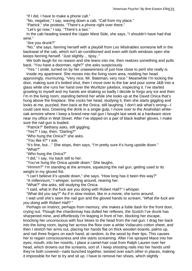"If I did, I have to make a phone call."

"No, negative," I say, waving down a cab. "Call from my place."

"*Patrick*," she protests. "There's a phone right over there."

"Let's go now," I say. "There's a taxi."

 In the cab heading toward the Upper West Side, she says, "I shouldn't have had that wine."

"Are you drunk?"

 "No," she says, fanning herself with a playbill from *Les Misérables* someone left in the backseat of the cab, which isn't air-conditioned and even with both windows open she keeps fanning herself. "Just slightly… tipsy.."

 We both laugh for no reason and she leans into me, then realizes something and pulls back. "You have a doorman, right?" she asks suspiciously.

"Yes." I smile, turned on by her unawareness of just how close to peril she really is.

 Inside my apartment. She moves into the living room area, nodding her head approvingly, murmuring, "Very nice, Mr. Bateman, very nice." Meanwhile I'm locking the door, making sure it's bolted shut, then I move over to the bar and pour some J&B into a glass while she runs her hand over the Wurlitzer jukebox, inspecting it. I've started growling to myself and my hands are shaking so badly I decide to forgo any ice and then I'm in the living room, standing behind her while she looks up at the David Onica that's hung above the fireplace. She cocks her head, studying it, then she starts giggling and looks at me, puzzled, then back at the Onica, still laughing. I don't ask what's wrong—I could care less. Downing the drink in a single gulp, I move over to the Anaholian whiteoak armoire where I keep a brand-new nail gun I bought last week at a hardware store near my office in Wall Street. After I've slipped on a pair of black leather gloves, I make sure the nail gun is loaded.

"Patrick?" Bethany asks, still giggling.

"Yes?" I say, then, "Darling?"

"Who hung the Onica?" she asks.

"You like it?" I ask.

 "It's fine, but…" She stops, then says, "I'm pretty sure it's hung upside down." "What?"

"*Who* hung the Onica?"

"I did," I say, my back still to her.

"You've hung the Onica *upside down*." She laughs.

 "Hmmm?" I'm standing at the armoire, squeezing the nail gun, getting used to its weight in my gloved fist.

"I can't believe it's upside down," she says. "How long has it been this way?"

"A millennium," I whisper, turning around, nearing her.

"What?" she asks, still studying the Onica.

"I said, what in the fuck are you doing with Robert Hall?" I whisper.

"What did you say?" As if in slow motion, like in a movie, she turns around.

 I wait until she's seen the nail gun and the gloved hands to scream, "*What the fuck are you doing with Robert Hall?* "

 Perhaps on instinct, perhaps from memory, she makes a futile dash for the front door, crying out. Though the chardonnay has dulled her reflexes, the Scotch I've drunk has sharpened mine, and effortlessly I'm leaping in front of her, blocking her escape, knocking her unconscious with four blows to the head from the nail gun. I drag her back into the living room, laying her across the floor over a white Voilacutro cotton sheet, and then I stretch her arms out, placing her hands flat on thick wooden boards, palms up, and nail three fingers on each hand, at random, to the wood by their tips. This causes her to regain consciousness and she starts screaming. After I've sprayed Mace into her eyes, mouth, into her nostrils, I place a camel-hair coat from Ralph Lauren over her head, which drowns out the screams, sort of. I keep shooting nails into her hands until they're both covered—nails bunched together, twisted over each other in places, making it impossible for her to try and sit up. I have to remove her shoes, which slightly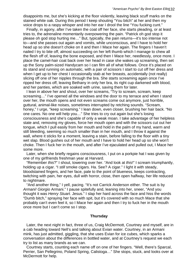#### "American Psycho" By Bret Easton Ellis<sup>1</sup> 32

disappoints me, but she's kicking at the floor violently, leaving black scuff marks on the stained white oak. During this period I keep shouting "You bitch" at her and then my voice drops to a raspy whisper and into her ear I drool the line "You fucking cunt."

 Finally, in agony, after I've taken the coat off her face, she starts pleading, or at least tries to, the adrenaline momentarily overpowering the pain. "Patrick oh god stop it please oh god stop hurting me…" But, typically, the pain returns—it's too intense not to—and she passes out again and vomits, while unconscious, and I have to hold her head up so she doesn't choke on it and then I Mace her again. The fingers I haven't nailed I try to bite off, almost succeeding on her left thumb which I manage to chew all the flesh off of, leaving the bone exposed, and then I Mace her, needlessly, once more. I place the camel-hair coat back over her head in case she wakes up screaming, then set up the Sony palm-sized Handycam so I can film all of what follows. Once it's placed on its stand and running on automatic, with a pair of scissors I start to cut off her dress and when I get up to her chest I occasionally stab at her breasts, accidentally (not really) slicing off one of her nipples through the bra. She starts screaming again once I've ripped her dress off, leaving Bethany in only her bra, its right cup darkened with blood, and her panties, which are soaked with urine, saving them for later.

 I lean in above her and shout, over her screams, "Try to scream, scream, keep screaming…" I've opened all the windows and the door to my terrace and when I stand over her, the mouth opens and not even screams come out anymore, just horrible, guttural, animal-like noises, sometimes interrupted by retching sounds. "Scream, honey," I urge, "keep screaming." I lean down, even closer, brushing her hair back. "No one cares. No one will help you…" She tries to cry out again but she's losing consciousness and she's capable of only a weak moan. I take advantage of her helpless state and, removing my gloves, force her mouth open and with the scissors cut out her tongue, which I pull easily from her mouth and hold in the palm of my hand, warm and still bleeding, seeming so much smaller than in her mouth, and I throw it against the wall, where it sticks for a moment, leaving a stain, before falling to the floor with a tiny wet slap. Blood gushes out of her mouth and I have to hold her head up so she won't choke. Then I fuck her in the mouth, and after I've ejaculated and pulled out, I Mace her some more.

 Later, when she briefly regains consciousness, I put on a porkpie hat I was given by one of my girlfriends freshman year at Harvard.

 "Remember *this*?" I shout, towering over her. "And look at *this*!" I scream triumphantly, holding up a cigar. "I *still* smoke cigars. Ha. See? A cigar." I light it with steady, bloodstained fingers, and her face, pale to the point of blueness, keeps contracting, twitching with pain, her eyes, dull with horror, close, then open halfway, her life reduced to nightmare.

 "And another thing," I yell, pacing. "It's not Carrick Anderson either. The suit is by *Armani! Giorgio* Armani." I pause spitefully and, leaning into her, sneer, "And you thought it was *Henry Stuart.* Jesus." I slap her hard across the face and hiss the words "Dumb bitch," spraying her face with spit, but it's covered with so much Mace that she probably can't even feel it, so I Mace her again and then I try to fuck her in the mouth once more but I can't come so I stop.

## **Thursday**

 Later, the next night in fact, three of us, Craig McDermott, Courtney and myself, are in a cab heading toward Nell's and talking about Evian water. Courtney, in an Armani mink, has just admitted, giggling, that she uses Evian for ice cubes, which sparks a conversation about the differences in bottled water, and at Courtney's request we each try to list as many brands as we can.

 Courtney starts, counting each name off on one of her fingers. "Well, there's Sparcal, Perrier, San Pellegrino, Poland Spring, Calistoga…" She stops, stuck, and looks over at McDermott for help.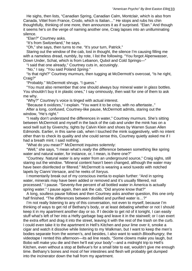He sighs, then lists, "Canadian Spring, Canadian Calm, Montclair, which is also from Canada, Vittel from France, Crodo, which is Italian…" He stops and rubs his chin thoughtfully, thinking of one more, then announces it as if surprised. "Elan." And though it seems he's on the verge of naming another one, Craig lapses into an unilluminating silence.

"Elan?" Courtney asks.

"It's from Switzerland," he says.

"Oh," she says, then turns to me. "It's your turn, Patrick."

 Staring out the window of the cab, lost in thought, the silence I'm causing filling me with a nameless dread, numbly, by rote, I list the following. "You forgot Alpenwasser, Down Under, Schat, which is from Lebanon, Qubol and Cold Springs—"

"I said that one already," Courtney cuts in, accusingly.

"No," I say. "You said Poland *Spring*."

 "Is that right?" Courtney murmurs, then tugging at McDermott's overcoat, "Is he right, Craig?"

"Probably." McDermott shrugs. "I guess."

 "You must also remember that one should always buy mineral water in *glass* bottles. You shouldn't buy it in plastic ones," I say ominously, then wait for one of them to ask me why.

"Why?" Courtney's voice is tinged with actual interest.

 "Because it oxidizes," I explain. "You want it to be crisp, with no aftertaste.." After a long, confused, Courtney-like pause, McDermott admits, staring out the window, "He's right."

 "I really don't understand the differences in water," Courtney murmurs. She's sitting between McDermott and myself in the back of the cab and under the mink has on a wool twill suit by Givenchy, tights by Calvin Klein and shoes by Warren Susan Allen Edmonds. Earlier, in this same cab, when I touched the mink suggestively, with no intent other than to check its quality and she could sense this, Courtney quietly asked me if I had a breath mint. I said nothing.

"What do you mean?" McDermott inquires solemnly:

 "Well," she says, "I mean what's *really* the difference between something like spring water and natural water, for instance, or, I mean, is there one?"

 "*Courtney.* Natural water is any water from an underground source," Craig sighs, still staring out the window. "Mineral content hasn't been changed, although the water may have been disinfected or filtered." McDermott is wearing a wool tuxedo with notched lapels by Cianni Versace, and he reeks of Xeryus.

 I momentarily break out of my conscious inertia to explain further: "And in spring water, minerals may have been added or removed and it's usually filtered, not processed." I pause. "Seventy-five percent of all bottled water in America is actually spring water." I pause again, then ask the cab, "Did anyone know that?"

 A long, soulless pause follows and then Courtney asks another question, this one only half finished. "The differences between distilled and purified water is…?"

 I'm not really listening to any of this conversation, not even to myself, because I'm thinking of ways to get rid of Bethany's body, or at least debating whether or not I should keep it in my apartment another day or so. If I decide to get rid of it tonight, I can easily stuff what's left of her into a Hefty garbage bag and leave it in the stairwell; or I can exert the extra effort and drag it into the street, leaving it with the rest of the trash on the curb. I could even take it to the apartment in Hell's Kitchen and pour lime over it, smoke a cigar and watch it dissolve while listening to my Walkman, but I want to keep the men's bodies separate from the women's, and besides, I also want to watch *Bloodhungry,* the videotape I rented this afternoon—its ad line reads, "Some clowns make you laugh, but Bobo will make you die and then he'll eat your body"—and a midnight trip to Hell's Kitchen, even without a stop at Bellvue's for a small bite to eat, wouldn't give me enough time. Bethany's bones and most of her intestines and flesh will probably get dumped into the incinerator down the hall from my apartment.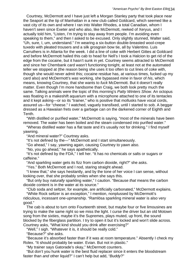#### "American Psycho" By Bret Easton Ellis<sup>1</sup> 34

 Courtney, McDermott and I have just left a Morgan Stanley party that took place near the Seaport at the tip of Manhattan in a new club called Goldcard, which seemed like a vast city of its own and where I ran into Walter Rhodes, a total Canadian, whom I haven't seen since Exeter and who also, like McDermott, reeked of Xeryus, and I actually told him, "Listen, I'm trying to stay away from people. I'm avoiding even speaking to them," and then I asked to be excused. Only slightly stunned, Walter said, "Uh, sure, I, um, understand." I'm wearing a six-button double-breasted wool-crepe tuxedo with pleated trousers and a silk grosgrain bow tie, all by Valentino. Luis Carruthers is in Atlanta for the week. I did a line of coke with Herbert Gittes at Goldcard and before McDermott hailed this cab to head for Nell's I took a Halcion to get rid of the edge from the cocaine, but it hasn't sunk in yet. Courtney seems attracted to McDermott and since her Chembank card wasn't functioning tonight, at least not at the automated teller we stopped at (the reason being she uses it too often to cut lines of coke with, though she would never admit this; cocaine residue has, at various times, fucked up my card also) and McDermott's *was* working, she bypassed *mine* in favor of *his*, which means, knowing Courtney, that she wants to *fuck* McDermott. But it doesn't really matter. Even though I'm more handsome than Craig, we both look pretty much the same. Talking animals were the topic of this morning's *Patty Winters Show*. An octopus was floating in a makeshift aquarium with a microphone attached to one of its tentacles and it kept asking—or so its "trainer," who is positive that mollusks have vocal cords, assured us—for "cheese." I watched, vaguely transfixed, until I started to sob. A beggar dressed as a Hawaiian frets over a garbage can on the darkened corner of Eighth and Tenth.

 "With distilled or purified water," McDermott is saying, "most of the minerals have been removed. The water has been boiled and the steam condensed into purified water."

 "Wheras distilled water has a flat taste and it's usually not for drinking." I find myself yawning.

"And mineral water?" Courtney asks.

"It's not defined by the—" McDermott and I start simultaneously.

"Go ahead," I say, yawning again, causing Courtney to yawn also.

"No, you go ahead," he says apathetically.

 "It's not defined by the FDA," I tell her. "It has no chemicals or salts or sugars or caffeine."

"And sparkling water gets its fizz from carbon dioxide, right?" she asks.

"Yes." Both McDermott and I nod, staring straight ahead.

 "I knew that," she says hesitantly, and by the tone of her voice I can sense, without looking over, that she probably smiles when she says this.

 "But only buy *naturally* sparkling water," I caution. "Because *that* means the carbon dioxide content is in the water at its source."

"Club soda and seltzer, for example, are artificially carbonated," McDermott explains.

 "White Rock seltzer is an exception," I mention, nonplussed by McDermott's ridiculous, incessant one-upmanship. "Ramlösa sparkling mineral water is also very good."

 The cab is about to turn onto Fourteenth street, but maybe four or five limousines are trying to make the same right so we miss the light. I curse the driver but an old Motown song from the sixties, maybe it's the Supremes, plays muted, up front, the sound blocked by the fiberglass partition. I try to open it but it's locked and won't slide across. Courtney asks, "What kind should you drink after exercising?"

"Well," I sigh. "Whatever it is, it should be really cold."

"Because?" she asks.

 "Because it's absorbed faster than if it was at room temperature." Absently I check my Rolex. "It should probably be water. Evian. But not in plastic."

"My trainer says Gatorade's okay," McDermott counters.

 "But don't you hunk water is the best fluid replacer since it enters the bloodstream faster than *and* other liquid?" I can't help but add, "*Buddy*?"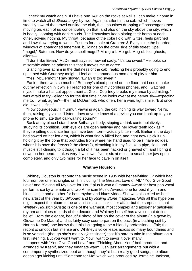I check my watch again. If I have one J&B on the rocks at Nell's I can make it home in time to watch all of *Bloodhungry* by two. Again it's silent in the cab, which moves steadily toward the crowd outside the club, the limousines dropping off passengers then moving on, each of us concentrating on that, and also on the sky above the city, which is heavy, looming with dark clouds. The limousines keep blaring their horns at each other, solving nothing. My throat, because of the coke I did with Gittes, feels parched and I swallow, trying to wet it. Posters for a sale at Crabtree & Evelyn line the boarded windows of abandoned tenement. buildings on the other side of this street. Spell "mogul," Bateman. How do you spell mogul? M-o-g-u-l. Mo-gul. Mog-ul. Ice, ghosts, aliens—

 "I don't like Evian," McDermott says somewhat sadly. "It's too sweet." He looks so miserable when he admits this that it moves me to agree.

 Glancing over at him in the darkness of the cab, realizing he's probably going to end up in bed with Courtney tonight, I feel an instantaneous moment of pity for him.

"Yes. McDermott," I say slowly. "Evian *is* too sweet."

 Earlier, there was so much of Bethany's blood pooled on the floor that I could make out my reflection in it while I reached for one of my cordless phones, and I watched myself make a haircut appointment at Gio's. Courtney breaks my trance by admitting, "I was afraid to try Pellegrino for the first time." She looks over at me nervously—expecting me to… what, agree?—then at McDermott, who offers her a wan, tight smile. "But once I did, it was… fine."

 "How courageous," I murmur, yawning again, the cab inching its way toward Nell's, then, raising my voice, "Listen, does anyone know of a device you can hook up to your phone to simulate that call-waiting sound?"

 Back at my place I stand over Bethany's body, sipping a drink contemplatively, studying its condition. Both eyelids are open halfway and her lower teeth look as if they're jutting out since her lips have been torn—actually bitten—off. Earlier in the day I had sawed off her left arm, which is what finally killed her, and right now I pick it up, holding it by the bone that protrudes from where her hand used to be (I have no idea where it is now: the freezer? the closet?), clenching it in my fist like a pipe, flesh and muscle still clinging to it though a lot of it has been hacked or gnawed off, and I bring it down on her head. It takes very few blows, five or six at most, to smash her jaw open completely, and only two more for her face to cave in on itself.

## **Whitney Houston**

 Whitney Houston burst onto the music scene in 1985 with her self-titled LP which had four number one hit singles on it, including "The Greatest Love of All," "You Give Good Love" and "Saving All My Love for You," plus it won a Grammy Award for best pop vocal performance by a female and two American Music Awards, one for best rhythm and blues single and another for best rhythm and blues video. She was also cited as best new artist of the year by *Billboard* and by *Rolling Stone* magazine. With all this hype one might expect the album to be an anticlimactic, lackluster affair, but the surprise is that *Whitney Houston* (Arista) is one of the warmest, most complex and altogether satisfying rhythm and blues records of the decade and Whitney herself has a voice that defies belief. From the elegant, beautiful photo of her on the cover of the album (in a gown by Giovanne De Maura) and its fairly sexy counterpart on the back (in a bathing suit by Norma Kaman) one knows that this isn't going to be a blandly professional affair; the record *is* smooth but intense and Whitney's voice leaps across so many boundaries and is so versatile (though she's mainly a*jazz* singer) that it's hard to take in the album on a first listening. But you won't want to. You'll want to savor it over many.

 It opens with "You Give Good Love" and "Thinking About You," both produced and arranged by Kashif, and they emanate warm, lush jazz arrangements but with a contemporary synthesized beat and though they're both really good songs, the album doesn't get kicking until "Someone for Me" which was produced by Jermaine Jackson,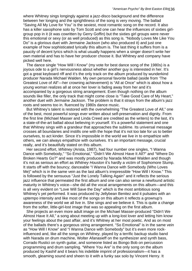where Whitney sings longingly against a jazz-disco background and the difference between her longing and the sprightliness of the song is very moving. The ballad "Saving All My Love for You" is the sexiest, most romantic song on the record. It also has a killer saxophone solo by Tom Scott and one can hear the influences of sixties girlgroup pop in it (it was cowritten by Gerry Goffin) but the sixties girl groups were never this emotional or sexy (or as well produced) as this song is. "Nobody Loves Me Like You Do" is a glorious duet with Jermaine Jackson (who also produced it) and just one example of how sophisticated lyrically this album is. The last thing it suffers from is a paucity of decent lyrics which is what usually happens when a singer doesn't write her own material and has to have her producer choose it. But Whitney and company have picked well here.

 The dance single "How Will I Know" (my vote for best dance song of the 1980s) is a joyous ode to a girl's nervousness about whether another guy is interested in her. It's got a great keyboard riff and it's the only track on the album produced by wunderkind producer Narada Michael Walden. My own personal favorite ballad (aside from 'The Greatest Love of All"—her crowning achievement) is "All at Once" which is about how a young woman realizes all at once her lover is fading away from her and it's accompanied by a gorgeous string arrangement. Even though nothing on the album sounds like filler, the only track that might come close is "Take Good Care of My Heart," another duet with Jermaine Jackson. The problem is that it strays from the album's jazz roots and seems too in. fluenced by 1980s dance music.

 But Whitney's talent is restored with the overwhelming "The Greatest Love of All," one of the best, most powerful songs ever written about self-preservation and dignity. From the first line (Michael Masser and Linda Creed are credited as the writers) to the last, it's a state-of-the-art ballad about believing in yourself. It's a powerful statement and one that Whitney sings with a grandeur that approaches the sublime. Its universal message crosses all boundaries and instills one with the hope that it's not too late for us to better ourselves, to act kinder. Since it's impossible in the world we live in to empathize with others, we can always empathize with ourselves. It's an important message, crucial really, and it's beautifully stated on this album.

 Her second effort, *Whitney* (Arista, 1987), had four number one singles, "I Wanna Dance with Somebody," "So Emotional," "Didn't We Almost Have It All?" and "Where Do Broken Hearts Go?" and was mostly produced by Narada Michael Walden and though it's not as serious an effort as *Whitney Houston* it's hardly a victim of Sophomore Slump. It starts off with the bouncy; danceable "I Wanna Dance with Somebody (Who Loves Me)" which is in the same vein as the last album's irrepressible "How Will I Know." This is followed by the sensuous "Just the Lonely Talking Again" and it reflects the serious jazz influence that permeated the first album and one can also sense a newfound artistic maturity in Whitney's voice—she did all the vocal arrangements on this album—and this is all very evident on "Love Will Save the Day" which is the most ambitious song Whitney's yet performed. It was produced by Jellybean Benitez and it pulsates with an uptempo intensity and like most of the songs on this album it reflects a grownup's awareness of the world we all live in. She sings and we believe it. This is quite a change from the softer, little-girl-lost image that was so appealing on the first album.

 She projects an even more adult image on the Michael Masser-produced "Didn't We Almost Have It All," a song about meeting up with a long-lost lover and letting him know your feelings about the past affair, and it's Whitney at her most poetic. And as on most of the ballads there's a gorgeous string arrangement. "So Emotional" is in the same vein as "How Will I Know" and "I Wanna Dance with Somebody" but it's even more rockinfluenced and, like all the songs on *Whitney,* played by a terrific backup studio band with Narada on drum machine, Wolter Afanasieff on the synthesizer and synth bass, Corrado Rustici on synth guitar, and someone listed as Bongo Bob on percussion programming and drum sampling. "Where You Are" is the only song on the album produced by Kashif and it bears his indelible imprint of professionalism—it has a smooth, gleaming sound and sheen to it with a funky sax solo by Vincent Henry. It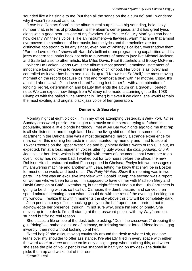sounded like a hit single to me (but then all the songs on the album do) and I wondered why it wasn't released as one.

 "Love Is a Contact Sport" is the album's real surprise—a big-sounding, bold, sexy number that, in terms of production, is the album's centerpiece, and it has great lyrics along with a good beat. It's one of my favorites. On "You're Still My Man" you can hear how clearly Whitney's voice is like an instrument—a flawless, warm machine that almost overpowers the sentiment of her music, but the lyrics and the melodies are too distinctive, too strong to let any singer, even one of Whitney's caliber, overshadow them. "For the Love of You" shows off Narada's brilliant drum programming capabilities and its jazzy modern feel harks back not only to purveyors of modern jazz like Michael Jackson and Sade but also to other artists, like Miles Davis, Paul Butterfield and Bobby McFerrin.

 "Where Do Broken Hearts Go" is the album's most powerful emotional statement of innocence lost and trying to regain the safety of childhood. Her voice is as lovely and controlled as it ever has been and it leads up to "I Know Him So Well," the most moving moment on the record because it's first and foremost a duet with her mother, Cissy. It's a ballad about… who?—a lover shared? a long-lost father?—with a combination of longing, regret, determination and beauty that ends the album on a graceful, perfect note. We can expect new things from Whitney (she made a stunning gift to the 1988 Olympics with the ballad "One Moment in Time") but even if we didn't, she would remain the most exciting and original black jazz voice of her generation.

### **Dinner with Secretary**

 Monday night at eight o'clock. I'm in my office attempting yesterday's *New York Times* Sunday crossword puzzle, listening to rap music on the stereo, trying to fathom its popularity, since a little blonde hardbody I met at Au Bar two nights ago told me that rap is all she listens to, and though later I beat the living shit out of her at someone's apartment in the Dakota (she was almost decapitated; hardly a strange experience for me), earlier this morning her taste in music haunted my memory and I had to stop at Tower Records on the Upper West Side and buy ninety dollars' worth of rap CDs but, as expected, I'm at a loss: niggerish voices uttering ugly words like *digit, pudding, chunk.* Jean sits at her desk, which is piled high with reams of documents that I want her to go over. Today has not been bad: I worked out for two hours before the office; the new Robison Hirsch restaurant called Finna opened in Chelsea; Evelyn left two messages on my answering machine and another with Jean, letting me know that she'll be in Boston for most of the week; and best of all, *The Patty Winters Show* this morning was in two parts. The first was an exclusive interview with Donald Trump, the second was a report on women who've been tortured. I'm supposed to have dinner with Madison Grey and David Campion at Café Luxembourg, but at eight-fifteen I find out that Luis Carruthers is going to be dining with us so I call up Campion, the dumb bastard, and cancel, then spend minutes debating about what I should do with the rest of the evening. Looking out my window, I realize that within moments the sky above this city will be completely dark.

 Jean peers into my office, knocking gently on the half-open door. I pretend not to acknowledge her presence, though I'm not sure why, since I'm kind of lonely. She moves up to the desk. I'm still staring at the crossword puzzle with my Wayfarers on, stunned but for no real reason.

 She places a file on top of the desk before asking, "Doin' the crossword?" dropping the *g* in "doing"—a pathetic gesture of intimacy, an irritating stab at forced friendliness. I gag inwardly, then nod without looking up at her.

 "Need help?" she asks, moving cautiously around the desk to where I sit, and she leans over my shoulder to offer assistance. I've already filled in every space with either the word *meat* or *bone* and she emits only a slight gasp when noticing this, and when she sees the pile of No. 2 pencils I've snapped in half lying on my desk she dutifully picks them up and walks out of the room.

"Jean?" I call.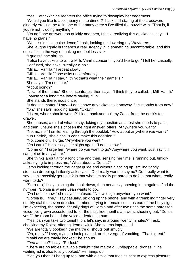"Yes, Patrick?" She reenters the office trying to downplay her eagerness.

"Would you like to accompany me to dinner?" I ask, still staring at the crossword,

gingerly erasing the *m* in one of the many *meat* s I've filled the puzzle with. "That is, if you're not… doing anything."

 "Oh no," she answers too quickly and then, I think, realizing this quickness, says, "I have no plans."

"Well, isn't this a coincidence," I ask, looking up, lowering my Wayfarers.

 She laughs lightly but there's a real urgency in it, something uncomfortable, and this does little in the way of making me feel less sick.

"I guess," she shrugs.

 "I also have tickets to a… a Mills Vanilla concert, if you'd like to go," I tell her casually. Confused, she asks, "Really? Who?"

"Milla… Vanilla," I repeat slowly.

"Milla… Vanilla?" she asks uncomfortably.

"Milla… Vanilla," I say. "I think that's what their name is."

She says, "I'm not sure."

"About going?"

 "No… of the name." She concentrates, then says, "I think they're called… Milli Vanilli." I pause for a long time before saying, "Oh."

She stands there, nods once.

 "It doesn't matter," I say—I don't have any tickets to it anyway. "It's months from now." "Oh," she says, nodding again. "Okay."

 "Listen, where should we go?" I lean back and pull my Zagat from the desk's top drawer.

 She pauses, afraid of what to say, taking my question as a test she needs to pass, and then, unsure she's chosen the right answer, offers, "Anywhere you want?"

 "No, no, no." I smile, leafing through the booklet. "How about anywhere *you* want?" "Oh Patrick," she sighs. "I can't make this decision."

"No, come on," I urge. "Anywhere you want."

"Oh I can't." Helplessly, she sighs again. "I don't know."

 "Come on," I urge her, "where do you want to go? Anywhere you want. Just say it. I can get us in anywhere."

 She thinks about it for a long time and then, sensing her time is running out, timidly asks, trying to impress me, "What about… Dorsia?"

 I stop looking through the Zagat guide and without glancing up, smiling tightly, stomach dropping, I silently ask myself, Do I really want to say no? Do I really want to say I can't possibly get us in? Is that what I'm really prepared to do? Is that what I really want to do?

 "So-o-o-o," I say; placing the book down, then nervously opening it up again to find the number. "Dorsia is where Jean wants to go…"

"Oh I don't know," she says, confused. "No, we'll go anywhere you want."

 "Dorsia is… fine," I say casually, picking up the phone, and with a trembling finger very quickly dial the seven dreaded numbers, trying to remain cool. Instead of the busy signal I'm expecting, the phone actually rings at Dorsia and after two rings the same harassed voice I've grown accustomed to for the past free months answers, shouting out, "Dorsia, yes?" the room behind the voice a deafening hum.

 "Yes, can you take two tonight, oh, let's say, in around twenty minutes?" I ask, checking my Rolex, offering Jean a wink. She seems impressed.

"We are totally booked," the maître d' shouts out smugly.

"Oh, really?" I say, trying to look pleased, on the verge of vomiting. "That's great."

"I said we are totally booked," he shouts.

"Two at nine?" I say. "Perfect."

 "There are no tables available tonight," the maître d', unflappable, drones. "The waiting list is also totally booked." He hangs up.

"See you then." I hang up too, and with a smile that tries its best to express pleasure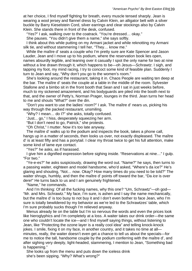at her choice, I find myself fighting for breath, every muscle tensed sharply. Jean is wearing a wool jersey and flannel dress by Calvin Klein, an alligator belt with a silver buckle by Barry Kieselstein Cord, silver earrings and clear stockings also by Calvin Klein. She stands there in front of the desk, confused.

"Yes?" I ask, walking over to the coatrack. "You're dressed… okay."

She pauses. "You didn't give them a name," she says softly.

 I think about this while putting on my Armani jacket and while reknotting my Armani silk tie, and without stammering I tell her, "They… know me."

 While the maître d' seats a couple who I'm pretty sure are Kate Spencer and Jason Lauder, Jean and I move up to his podium, where the reservation book lies open, names absurdly legible, and leaning over it casually I spot the only name for two at nine without a line drawn through it, which happens to be—oh Jesus—*Schrawtz*. I sigh, and tapping my foot, my mind racing, I try to concoct some kind of feasible plan. Suddenly I turn to Jean and say, "Why don't you go to the women's room."

 She's looking around the restaurant, taking it in. Chaos People are waiting ten deep at the bar. The maître d' seats the couple at a table in the middle of the room. Sylvester Stallone and a bimbo sit in the front booth that Sean and I sat in just weeks before, much to my sickened amazement, and his bodyguards are piled into the booth next to that, and the owner of Petty's, Norman Prager, lounges in the third. Jean turns her head to me and shouts "What?" over the din.

 "Don't you want to use the ladies' room?" I ask. The maître d' nears us, picking his way through the packed restaurant, unsmiling.

"Why? I mean… do I?" she asks, totally confused.

'Just... go," I hiss, desperately squeezing her arm.

"But I don't need to go, Patrick," she protests.

"Oh Christ," I mutter. Now it's too late anyway.

 The maître d' walks up to the podium and inspects the book, takes a phone call, hangs up in a matter of seconds, then looks us over, not exactly displeased. The maître d' is at least fifty and has a ponytail. I clear my throat twice to get his full attention, make some kind of lame eye contact.

"Yes?" he asks, as if harassed.

 I give him a dignified expression before sighing inside. "Reservations at nine…" I gulp. "For two."

 "Ye-e-es?" he asks suspiciously, drawing the word out. "Name?" he says, then turns to a passing waiter, eighteen and model handsome, who'd asked, "Where's da ice?" He's glaring and shouting, "Not… now. Okay? How many times do you need to be told?" The waiter shrugs, humbly, and then the maître d' points off toward the bar, "Da *ice* is over dere!" He turns back to us and I am genuinely frightened.

"Name," he commands.

 And I'm thinking: Of all the fucking names, why this one? "Um, Schrawtz"—oh god— "Mr. and Mrs. Schrawtz." My face, I'm sure, is ashen and I say the name mechanically, but the maître d' is too busy to not buy it and I don't even bother to face Jean, who I'm sure is totally bewildered by my behavior as we're led to the Schrawtzes' table, which I'm sure probably sucks though I'm relieved anyway.

 Menus already lie on the table but I'm so nervous the words and even the prices look like hieroglyphics and I'm completely at a loss. A waiter takes our drink order—the same one who couldn't locate the ice—and I find myself saying things, without listening to Jean, like "Protecting the ozone layer is a really cool idea" and telling knock-knock jokes. I smile, fixing it on my face, in another country, and it takes no time at all minutes, really, the waiter doesn't even get a chance to tell us about the specials—for me to notice the tall, handsome couple by the podium conferring with the maître d', and after sighing very deeply, light-headed, stammering, I mention to Jean, "Something bad is happening."

 She looks up from the menu and puts down the iceless drink she's been sipping. "Why? What's wrong?"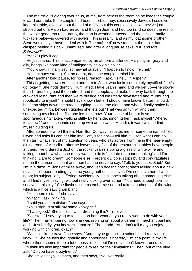The maître d' is glaring over at us, at me, from across the room as he leads the couple toward our table. If the couple had been short, dumpy, excessively Jewish, I could've kept this table, even without the aid of a fifty, but this couple looks like they've just strolled out of a Ralph Lauren ad, and though Jean and I do too (and so does the rest of the whole goddamn restaurant), the man is wearing a tuxedo and the girl—a totally fuckable babe—is covered with jewels. This is reality, and as my loathsome brother Sean would say, I have to deal with it. The maître d' now stands at the table, hands clasped behind his balk, unamused, and after a long pause asks, "Mr. and Mrs… *Schrawtz*?"

"Yes?" I play it cool.

 He just stares. This is accompanied by an abnormal silence. His ponytail, gray and oily, hangs like some kind of malignancy below his collar.

 "You know," I finally say, somewhat suavely, "I happen to know the chef." He continues staring. So, no doubt, does the couple behind him.

After another long pause, for no real reason, I ask, "Is he… in Aspen?"

 This is getting nowhere. I sigh and turn to Jean, who looks completely mystified. "Let's go, okay?" She nods dumbly. Humiliated, I take Jean's hand and we get up—she slower than I—brushing past the maître d' and the couple, and make our way back through the crowded restaurant and then we're outside and I'm utterly devastated and murmuring robotically to myself "I should have known better I should have known better I should," but Jean skips down the street laughing, pulling me along, and when I finally notice her unexpected mirth, between giggles she lets out "That was *so* funny" and then, squeezing my clenched fist, she lets me know "Your sense of humor is so *spontaneous*." Shaken, walking stiffly by her side, ignoring her, I ask myself "Where… to… now?" and in seconds come up with an answer—Arcadia, toward which I find myself guiding us.

 After someone who I think is Hamilton Conway mistakes me for someone named Ted Owen and asks if I can get him into Petty's tonight—I tell him, "I'll see what I can do," then turn what's left of my attention to Jean, who sits across from me in the near-empty dining room of Arcadia—after he leaves, only five of the restaurant's tables have people at them. I've ordered a J&B on the rocks. Jean's sipping a glass of white wine and talking about how what she really wants to do is "get into merchant banking" and I'm thinking: Dare to dream. Someone else, Frederick Dibble, stops by and congratulates me on the Larson account and then has the nerve to say, "Talk to you later; Saul." But I'm in a daze, millions of miles away, and Jean doesn't notice; she's talking about a new novel she's been reading by some young author—its cover, I've seen, slathered with neon; its subject, lofty suffering. Accidentally I think she's talking about something else and I find myself saying, without really looking over at her, "You need a tough skin to survive in this city." She flushes, seems embarrassed and takes another sip of the wine, which is a nice sauvignon blanc.

"You seem distant," she says.

"What?" I ask, blinking.

"I said you seem distant," she says.

"No," I sigh. "I'm still my same kooky self."

"That's good." She smiles—am I dreaming this?—relieved.

 "So listen," I say, trying to focus in on her, "what do you really want to do with your life?" Then, remembering how she was droning on about a career in merchant banking, I add, "Just briefly, you know, summarize." Then I add, "And don't tell me you enjoy working with children, okay?"

 "Well, I'd like to travel," she says. "And maybe go back to school, but I really don't know…" She pauses thoughtfully and announces, sincerely, "I'm at a point in my life where there seems to be a lot of possibilities, but I'm so... I don't know... unsure."

 "I think it's also important for people to realize their limitations." Then, out of the blue I ask, "Do you have a boyfriend?"

She smiles shyly, blushes, and then says, "No. Not really."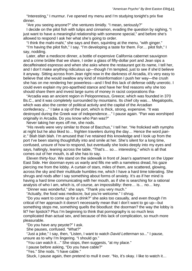"Interesting," I murmur. I've opened my menu and I'm studying tonight's prix fixe dinner.

"Are *you* seeing anyone?" she ventures timidly. "I mean, seriously?"

 I decide on the pilot fish with tulips and cinnamon, evading the question by sighing, "I just want to have a meaningful relationship with someone special," and before she's allowed to respond I ask her what she's going to order.

 "I think the mahi-mahi," she says and then, squinting at the menu, "with ginger." "I'm having the pilot fish," I say. "I'm developing a taste for them. For… pilot fish," I say, nodding.

 Later, after a mediocre dinner, a bottle of expensive California cabernet sauvignon and a crime brûlée that we share, I order a glass of fifty-dollar port and Jean sips a decaffeinated espresso and when she asks where the restaurant got its name, I tell her, and I don't make anything ridiculous up—though I'm tempted, just to see if she'd believe it anyway. Sitting across from Jean right now in the darkness of Arcadia, it's very easy to believe that she would swallow any kind of misinformation I push her way—the crush she has on me rendering her powerless—and I find this lack of defense oddly unerotic. I could even explain my pro-apartheid stance and have her find reasons why she too should share them and invest large sums of money in racist corporations tha-

 "Arcadia was an ancient region in Peloponnesus, Greece; which was founded in 370 Bs.C., and it was completely surrounded by mountains. Its chief city was… Megalopolis, which was also the center of political activity and the capital of the Arcadian confederacy…" I take a sip of the port, which is thick, strong, expensive. "It was destroyed during the Greek war of independence…" I pause again. "Pan was worshiped originally in Arcadia. Do you know who Pan was?"

Never taking her eyes off me, she nods.

 "His revels were very similar to those of Bacchus," I tell her. "He frolicked with nymphs at night but he also liked to… frighten travelers during the day… Hence the word *panic*." Blah blah blah. I'm amused that I've retained this knowledge and I look up from the port I've been staring thoughtfully into and smile at her. She's silent for a long time, confused, unsure of how to respond, but eventually she looks deeply into my eyes and says, haltingly, leaning across the table, "That's… so… interesting," which is all that comes out of her mouth, is all she has to say.

 Eleven thirty-four. We stand on the sidewalk in front of Jean's apartment on the Upper East Side. Her doorman eyes us warily and fills me with a nameless dread, his gaze piercing me from the lobby. A curtain of stars, miles of them, are scattered, glowing, across the sky and their multitude humbles me, which I have a hard time tolerating. She shrugs and nods after I say something about forms of anxiety. It's as if her mind is having a hard time communicating with her mouth, as if she is searching for a rational analysis of who I am, which is, of course, an impossibility: there… is… no… key.

"Dinner was wonderful," she says. "Thank you very much."

"Actually, the food was mediocre, but you're welcome." I shrug.

 "Do you want to come up for a drink?" she asks too casually, and even though I'm critical of her approach it doesn't necessarily mean that I don't want to go up—but something stops me, something quells the bloodlust: the doorman? the way the lobby is lit? her lipstick? Plus I'm beginning to think that pornography is so much less complicated than actual sex, and because of this lack of complication, so much more pleasurable.

"Do you have any peyote?" I ask.

She pauses, confused. "What?"

 "Just a joke," I say, then, "Listen, I want to watch *David Letterman* so..." I pause, unsure as to why I'm lingering. "I should go."

"You can watch it…" She stops, then suggests, "at my place."

I pause before asking, "Do you have cable?"

"Yes." She nods. "I have cable."

Stuck, I pause again, then pretend to mull it over. "No, it's okay. I like to watch it…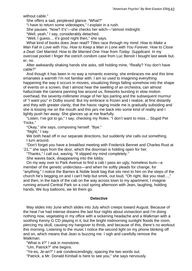without cable."

She offers a sad, perplexed glance. "What?"

"I have to return some videotapes," I explain in a rush.

She pauses. "Now? It's"—she checks her witch—"almost midnight.

"Well, yeah," I say, considerably detached.

"Well, I guess… it's good night then," she says.

 What kind of books does Jean read? Titles race through my mind: *How to Make a Man Fall in Love with You. How to Keep a Man in Lone with You Forever. How to Close a Deal: Get Married. How to Be Married One Year from Today. Supplicant.* In my overcoat pocket I finger the ostrich condom case from Luc Benoit I bought last week but, er, no.

 After awkwardly shaking hands she asks, still holding mine, "Really? You don't have cable?"

 And though it has been in no way a romantic evening, she embraces me and this time emanates a warmth I'm not familiar with. I am so used to imagining everything happening the way it occurs in movies, visualizing things falling somehow into the shape of events on a screen, that I almost hear the swelling of an orchestra, can almost hallucinate the camera panning low around us, fireworks bursting in slow motion overhead, the seventy-millimeter image of her lips parting and the subsequent murmur of "I *want* you" in Dolby sound. But my embrace is frozen and I realize, at first distantly and they with greater clarity, that the havoc raging inside me is gradually subsiding and she is kissing me on the mouth and this jars me back into some kind of reality and I lightly push her away. She glances up at me fearfully.

 "Listen, I've got to go," I say, checking my Rolex. "I don't want to miss… Stupid Pet Tricks."

"Okay," she says, composing herself. "Bye."

"Night," I say.

We both head off in our separate directions, but suddenly she calls out something. I turn around.

 "Don't forget you have a breakfast meeting with Frederick Bennet and Charles Rust at '21,'" she says from the door, which the doorman is holding open for her.

"Thanks," I call out, waving. "It slipped my mind completely."

She waves back, disappearing into the lobby.

 On my way over to Park Avenue to find a cab I pass an ugly, homeless bum—a member of the genetic underclass—and when he softly pleads for change, for "anything," I notice the Barnes & Noble book bag that sits next to him on the steps of the church he's begging on and I can't help but smirk, out loud, "Oh right, like you read…," and then, in the back of the cab on the way across town to my apartment, I imagine running around Central Park on a cool spring afternoon with Jean, laughing, holding hands. We buy balloons, we let them go.

### **Detective**

 May slides into June which slides into July which creeps toward August. Because of the heat I've had intense dreams the last four nights about vivisection and I'm doing nothing now, vegetating in my office with a sickening headache and a Walkman with a soothing Kenny G CD playing in it, but the bright midmorning sunlight floods the room, piercing my skull, causing my hangover to throb, and because of this, there's no workout this morning. Listening to the music I notice the second light on my phone blinking off and on, which means that Jean is buzzing me. I sigh and carefully remove the Walkman.

"What is it?" I ask in monotone.

"Um, Patrick?" she begins.

"Ye-es, Je-an?" I ask condescendingly, spacing the two words out.

"Patrick, a Mr. Donald Kimball is here to see you," she says nervously.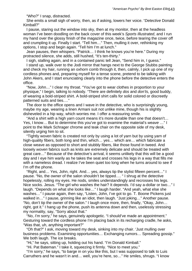"Who?" I snap, distracted.

 She emits a small sigh of worry, then, as if asking, lowers her voice. "*Detective* Donald Kimball?"

 I pause, staring out the window into sky, then at my monitor, then at the headless woman I've been doodling on the back cover of this week's *Sports Illustrated*, and I run my hand over the glossy finish of the magazine once, twice, before tearing the cover off and crumpling it up. Finally I start. "Tell him…" Then, mulling it over, rethinking my options, I stop and begin again. "Tell him I'm at lunch."

 Jean pauses, then whispers. "Patrick… I think he knows you're here." During my protracted silence, she adds, still hushed, "It's ten-thirty."

 I sigh, stalling again, and in a contained panic tell Jean, "Send him in, I guess." I stand up, walk over to the Jodi mirror that hangs next to the George Stubbs painting and check my hair, running an oxhorn comb through it, then, calmly, I pick up one of my cordless phones and, preparing myself for a tense scene, pretend to be talking with John Akers, and I start enunciating clearly into the phone before the detective enters the office.

 "Now, John…" I clear my throat. "You've got to wear clothes in proportion to your physique," I begin, talking to nobody. "There are definitely *dos* and *don'ts,* good buddy, of wearing a bold-striped shirt. A bold-striped shirt calls for solid colored or discreetly patterned suits and ties.…"

 The door to the office opens and I wave in the detective, who is surprisingly young, maybe my age, wearing a linen Armani suit not unlike mine, though his is slightly disheveled in a hip way, which worries me. I offer a reassuring smile.

 "And a shirt with a high yarn count means it's more durable than one that doesn't… Yes, I know… But to determine this you've got to examine the material's *weave* …" I point to the Mark Schrager chrome and teak chair on the opposite side of my desk, silently urging him to sit.

 "Tightly woven fabric is created not only by using a lot of yarn but by using yarn of high-quality fibers, both long and thin, which... yes... which are... which fabricate a close weave as opposed to short and stubbly fibers, like those found in tweed. And loosely *woven* fabrics such as knits are extremely delicate and should be treated with great care…" Because of the detective's arrival, it seems unlikely that this will be a good day and I eye him warily as he takes the seat and crosses his legs in a way that fills me with a nameless dread. I realize I've been quiet too long when he turns around to see if I'm off the phone.

 "Right, and… Yes, John, right. And… yes, always tip the stylist fifteen percent…" I pause. "No, the owner of the salon shouldn't be tipped…. " I shrug at the detective hopelessly, rolling my eyes. He nods, smiles understandingly and recrosses his legs. Nice socks. Jesus. "The girl who washes the hair? It depends. I'd say a-dollar or two…" I laugh. "Depends on what she looks like…" I laugh harder. "And yeah, what else she washes…" I pause again, then say, "Listen, John, I've got to go. T. Boone Pickens just walked in..." I pause, grinning like an idiot, then laugh. "Just joking..." Another pause. "No, don't tip the owner of the salon." I laugh once more, then, finally, "Okay, John… right, got it." I hang up the phone, push its antenna down and then, uselessly stressing my normality, say, "Sorry about that."

 "No, *I'm* sorry," he says, genuinely apologetic. "I should've made an appointment." Gesturing toward the cordless phone I'm placing back in its recharging cradle, he asks, "Was that, uh, anything important?"

 "Oh that?" I ask, moving toward my desk, sinking into my chair. 'Just mulling over business problems. Examining opportunities… Exchanging rumors… Spreading gossip." We both laugh. The ice breaks.

"Hi," he says, sitting up, holding out his hand. "I'm Donald Kimball."

"Hi. Pat Bateman." I take it, squeezing it firmly. "Nice to meet you."

 "I'm sorry," he says, "to barge in on you like this, but I was supposed to talk to Luis Carruthers and he wasn't in and… well, you're here, so…" He smiles, shrugs. "I know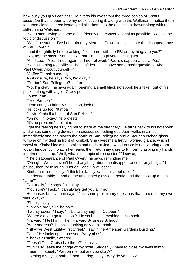how busy you guys can get." He averts his eyes from the three copies of *Sports Illustrated* that lie open atop my desk, covering it, along with the Walkman. I notice them too, then close all three issues and slip them into the desk's top drawer along with the still-running Walkman.

 "So," I start, trying to come off as friendly and conversational as possible. "What's the topic of discussion?"

 "Well," he starts. "I've been hired by Meredith Powell to investigate the disappearance of Paul Owen."

 I nod thoughtfully before asking, "You're not with the FBI or anything, are you?" "No, no," he says. "Nothing like that. I'm just a private investigator."

 "Ah, I see… Yes." I nod again, still not relieved. "Paul's disappearance… Yes." "So it's nothing *that* official," he confides. "I just have some basic questions. About Paul Owen. About yourself—"

"Coffee?" I ask suddenly.

As if unsure, he says, "No, I'm okay."

"Perrier? San Pellegrino?" I offer.

 "No, I'm okay," he says again, opening a small black notebook he's taken out of his pocket along with a gold Cross pen.

I buzz Jean.

"Yes, Patrick?"

"Jean can you bring Mr…" I stop, look up.

He looks up too. "Kimball."

"…Mr. Kimball a bottle of San Pelle—"

"Oh no, I'm okay," he protests.

"It's no problem," I tell him.

 I get the feeling he's trying not to stare at me strangely. He turns back to his notebook and writes something down, then crosses something out. Jean walks in almost immediately and she places the bottle of San Pellegrino and a Steuben etched-glass tumbler on my desk in front of Kimball. She gives me a fretful, worried glance, which I scowl at. Kimball looks up, smiles and nods at Jean, who I notice is not wearing a bra today. Innocently, I watch her leave, then return my gaze to Kimball, clasping my hands together, sitting up. "Well, what's the topic of discussion?" I say again.

"The disappearance of Paul Owen," he says, reminding me.

 "Oh right. Well, I haven't heard anything about the disappearance or anything…" I pause, then try to laugh. "Not on Page Six at least."

Kimball smiles politely. "I think his family wants this kept quiet."

 "Understandable." I nod at the untouched glass and bottle, and then look up at him. "Lime?"

"No, really," he says. "I'm okay."

"You sure?" I ask. "I can always get you a lime."

 He pauses briefly, then says, "Just some preliminary questions that I need for my own files, okay?"

"Shoot," I say.

"How old are you?" he asks.

'Twenty-seven," I say. "I'll be twenty-eight in October."

"Where did you go to school?" He scribbles something in his book.

"Harvard," I tell him. "Then Harvard Business School."

"Your address?" he asks, looking only at his book.

"Fifty-five West Eighty-first Street," I say. "The American Gardens Building."

"Nice." He looks up, impressed. "Very nice."

"Thanks." I smile, flattered.

"Doesn't Tom Cruise live there?" he asks.

"Yup." I squeeze the bridge of my nose. Suddenly I have to close my eyes tightly.

I hear him speak. "Pardon me, but are you okay?"

Opening my eyes, both of them tearing, I say, "Why do you ask?"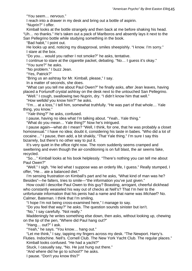"You seem… *nervous*."

I reach into a drawer in my desk and bring out a bottle of aspirin.

"Nuprin?" I offer.

 Kimball looks at the bottle strangely and then back at me before shaking his head. "Uh… no thanks." He's taken out a pack of Marlboros and absently lays it next to the

San Pellegrino bottle while studying something in the book.

"Bad habit," I point out.

 He looks up and, noticing my disapproval, smiles sheepishly. "I know. I'm sorry." I stare at the box.

"Do you… would you rather I not smoke?" he asks, tentative.

I continue to stare at the cigarette packet, debating. "No… I guess it's okay."

"You sure?" he asks.

"No problem." I buzz Jean.

"Yes, Patrick?"

"Bring us an ashtray for Mr. Kimball, please," I say.

In a matter of seconds, she does.

 "What can you tell me about Paul Owen?" he finally asks, after Jean leaves, having placed a Fortunoff crystal ashtray on the desk next to the untouched San Pellegrino.

"Well." I cough, swallowing two Nuprin, dry. "I didn't know him that well."

"How well*did* you know him?" he asks.

 "I'm… at a loss," I tell him, somewhat truthfully. "He was part of that whole… Yale thing, you know."

"*Yale* thing?" he asks, confused.

I pause, having no idea what I'm talking about. "Yeah.. Yale thing."

"What do you mean… Yale thing?" Now he's intrigued.

 I pause again—what *do* I mean? "Well, I think, for one, that he was probably a closet homosexual." I have no idea; doubt it, considering his taste in babes. "Who did a lot of cocaine…" I pause, then add, a bit shakily, "*That* Yale thing." I'm sure I say this bizarrely, but there's no other way to put it.

 It's very quiet in the office right now. The room suddenly seems cramped and sweltering and even though the air-conditioning is on full blast, the air seems fake, recycled.

 "So…" Kimball looks at his book helplessly. "There's nothing you can tell me about Paul Owen?"

 "Well." I sigh. "He led what I suppose was an orderly life, I guess." Really stumped, I offer, "He… ate a balanced diet."

 I'm sensing frustration on Kimball's part and he asks, "What kind of man was he? Besides"—he falters, tries to smile—"the information you've just given."

 How could I describe Paul Owen to this guy? Boasting, arrogant, cheerful dickhead who constantly weaseled his way out of checks at Nell's? That I'm heir to the unfortunate information that his penis had a name and that name was *Michael*? No. Calmer, Bateman. I think that I'm smiling.

"I hope I'm not being cross-examined here," I manage to say.

"Do you feel that way?" he asks. The question sounds sinister but isn't.

"No," I say carefully. "Not really."

 Maddeningly he writes something else down, then asks, without looking up, chewing on the tip of the pen, "Where did Paul hang out?"

"Hang… out?" I ask.

"Yeah," he says. "You know… hang out."

"Let me think," I say, tapping my fingers across my desk. "The Newport. Harry's.

Fluties. Indochine. Nell's. Cornell Club. The New York Yacht Club. The regular places." Kimball looks confused. "He had a yacht?"

Stuck, I casually say, "No. He just hung out there."

"And where did he go to school?" he asks.

I pause. "Don't you know this?"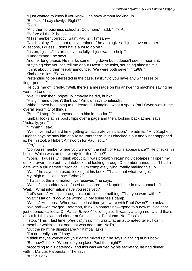"I just wanted to know if you know; ' he says without looking up.

"Er, Yale," I say slowly. "Right?"

"Right."

"And then to business school at Columbia," I add, "I *think*."

"Before all that?" he asks.

"If I remember correctly, Saint Paul's… I mean—"

 "No, it's okay. That's not really pertinent," he apologizes. "I just have no other questions, I guess. I don't have a lot to go on."

"Listen, I just…" I start softly, tactfully. "I just want to help."

"I understand," he says.

 Another long pause. He marks something down but it doesn't seem important. "Anything else you can tell me about Owen?" he asks, sounding almost timid.

I think about it, then feebly announce, "We were both seven in 1969."

Kimball smiles. "So was I."

 Pretending to be interested in the case, I ask, "Do you have any witnesses or fingerprints—"

 He cuts me off, tiredly. "Well, there's a message on his answering machine saying he went to London."

"Well," I ask then, hopefully, "maybe he did, huh?"

"His girlfriend doesn't think so," Kimball says tonelessly.

 Without even beginning to understand, I imagine, what a speck Paul Owen was in the overall enormity of things.

"But…" I stop. "Has anyone seen him in London?"

 Kimball looks at his book, flips over a page and then, looking back at me, says, "Actually, yes."

"Hmmm," I say.

 "Well, I've had a hard time getting an accurate verification," he admits. "A… Stephen Hughes says he saw him at a restaurant there, but I checked it out and what happened is, he mistook a Hubert Ainsworth for Paul, so…"

"Oh," I say.

 "Do you remember where you were on the night of Paul's appearance?" He checks his book. "Which was on the twenty-fourth of June?"

 "Gosh… I guess…" I think about it. "I was probably returning videotapes." I open my desk drawer, take out my datebook and looking through December announce, "I had a date with a girl named Veronica…" I'm completely lying, totally making this up.

"Wait," he says, confused, looking at his book. "That's.. not what I've got."

My thigh muscles tense. "What?"

"That's not the information I've received," he says.

 "Well…" I'm suddenly confused and scared, the Nuprin bitter in my-stomach. "I… Wait… What information *have* you received?"

 "Let's see…" He flips through his pad, finds something. "That you were with—" "Wait." I laugh. "I *could* be wrong…" My spine feels damp.

 "Well…" He stops. "When was the last time you were with Paul Owen?" he asks. "We had"—oh my god, Bateman, think up something—"gone to a new musical that

just opened, called… Oh *Africa, Brave Africa*." I gulp. "It was… a laugh riot… and that's about it. I think we had dinner at Orso's… no, Petaluma. No, Orso's."

 I stop. "The… last time I*physically* saw him was… at an automated teller. I can't remember which… just one that was near, um, Nell's."

"But the night he disappeared?" Kimball asks.

"I'm not really sure," I say.

"I think maybe you've got your dates mixed up," he says, glancing at his book.

"But how?" I ask. "Where do you place Paul that night?"

 "According to his datebook, and this was verified by his secretary, he had dinner with… Marcus Halberstam," he says.

"And?" I ask.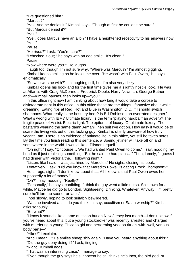"I've questioned him."

"Marcus?"

"Yes. And he denies it," Kimball says. "Though at first he couldn't be sure."

"But Marcus denied it?"

"Yes."

 "Well, does Marcus have an alibi?" I have a heightened receptivity to his answers now. "Yes."

Pause.

"He *does*?" I ask. "You're sure?"

"I checked it out; " he says with an odd smile. "It's clean."

Pause.

"Now where were *you*?" He laughs.

 I laugh too, though I'm not sure why. "Where was Marcus?" I'm almost giggling. Kimball keeps smiling as he looks me over. "He wasn't with Paul Owen," he says enigmatically.

"So who was he with?" I'm laughing still, but I'm also very dizzy.

 Kimball opens his book and for the first time gives me a slightly hostile look. "He was at Atlantis with Craig McDermott, Frederick Dibble, Harry Newman, George Butner and"—Kimball pauses, then looks up—"you."

 In this office right now I am thinking about how long it would take a corpse to disintegrate right in this office. In this office these are the things I fantasize about while dreaming: Eating ribs at Red, Hot and Blue in Washington, D.C. If I should switch shampoos. What really is the best dry beer? Is Bill Robinson an overrated designer? What's wrong with IBM? Ultimate luxury. Is the term "playing hardball" an adverb? The fragile peace of Assisi. Electric light. The epitome of luxury. Of ultimate luxury. The bastard's wearing the same damn Armani linen suit I've got on. How easy it would be to scare the living wits out of this fucking guy. Kimball is utterly unaware of how truly vacant I am. There is no evidence of animate life in this office, yet still he takes notes. By the time you finish reading this sentence, a Boeing jetliner will take off or land somewhere in the world. I would like a Pilsner Urquell.

 "Oh right," I say. "Of course… We had wanted Paul Owen to come," I say, nodding my head as if just realizing something. "But he said he had plans…" Then, lamely, "I guess I had dinner with Victoria the… following night."

"Listen, like I said, I was just hired by Meredith." He sighs, closing his book.

 Tentatively, I ask, "Did you know that Meredith Powell is dating Brock Thompson?" He shrugs, sighs. "I don't know about that. All I know is that Paul Owen owes her supposedly a lot of money."

"Oh?" I say, nodding. "Really?"

 "Personally," he says, confiding, "I think the guy went a little nutso. Split town for a while. Maybe he *did* go to London. Sightseeing. Drinking. Whatever. Anyway, I'm pretty sure he'll turn up sooner or later."

I nod slowly, hoping to look suitably bewildered.

 "Was he involved at all, do you think, in, say, occultism or Satan worship?" Kimball asks seriously.

"Er, what?"

 "I know it sounds like a lame question but an New Jersey last month—I don't, know if you've heard about this, but a young stockbroker was recently arrested and charged with murdering a young Chicano girl and performing voodoo rituals with, well, various body parts—"

"Yikes!" I exclaim.

 "And I mean…" He smiles sheepishly again. "Have you heard anything about this?" "Did the guy deny doing it?" I ask, tingling.

"Right." Kimball nods.

"That was an interesting case," I manage to say.

"Even though the guy says he's innocent he still thinks he's Inca, the bird god, or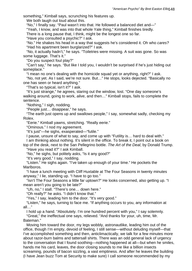something," Kimball says, scrunching his features up.

We both laugh out loud about this.

 "No," I finally say. "Paul wasn't into that. He followed *a* balanced diet and—" "Yeah, I know, and was into that whole Yale thing," Kimball finishes tiredly.

There is a long pause that, I think, might be the longest one so far.

"Have you consulted a psychic?" I ask.

 "No." He shakes his head in a way that suggests he's considered it. Oh who *cares?* "Had his apartment been burglarized?" I ask.

 "No, it actually hadn't," he says. "Toiletries were missing. A suit was gone. So was some luggage. That's it."

"Do you suspect foul play?"

 "Can't say," he says. "But like I told you, I wouldn't be surprised if he's just hiding out someplace."

"I mean no one's dealing with the homicide squad yet or anything, right?" I ask.

 "No, not yet. As I said, we're not sure. But…" He stops, looks dejected. "Basically no one has seen or heard anything."

"That's so typical, isn't it?" I ask.

 "It's just strange," he agrees, staring out the window, lost. "One day someone's walking around, going to work, *alive*, and then…" Kimball stops, fails to complete the sentence.

"Nothing," I sigh, nodding.

"People just… disappear," he says.

 "The earth just opens up and swallows people," I say, somewhat sadly, checking my Rolex.

"Eerie." Kimball yawns, stretching. "Really eerie."

"Ominous." I nod my agreement.

"It's just"—he sighs, exasperated—"futile."

I pause, unsure of what to say, and come up with "Futility is… hard to deal with."

 I am thinking about nothing. It's silent in the office. To break it, I point out a book on top of the desk, next to the San Pellegrino bottle. *The Art of the Deal*, by Donald Trump.

"Have you read it?" I ask Kimball.

"No," he sighs, but politely asks, "Is it any good?"

"It's very good," I say, nodding.

 "Listen." He sighs again. "I've taken up enough of your time." He pockets the Marlboros.

 "I have a lunch meeting with Cliff Huxtable at The Four Seasons in twenty minutes anyway," I lie, standing up. "I have to go too."

 "Isn't The Four Seasons a little far uptown?" He looks concerned, also getting up. "I mean aren't you going to be late?"

"Uh, no," I stall. "There's one… down here."

"Oh really?" he asks. "I didn't know that."

"Yes," I say, leading him to the door. "It's very good."

 "Listen," he says, turning to face me. "If anything occurs to you, any information at all…"

I hold up a hand. "Absolutely. I'm one hundred percent with you," I say solemnly.

 "Great," the ineffectual one says, relieved. "And thanks for your, uh, time, Mr. Bateman."

 Moving him toward the door, my legs wobbly, astronautlike, leading him out of the office, though I'm empty, devoid of feeling, I still sense—without deluding myself—that I've accomplished something and then, anticlimactically, we talk for a few minutes more about razor-burn balms and tattersall shirts. There was an odd general lack of urgency to the conversation that I found soothing—nothing happened at all—but when he smiles, hands me his card, leaves, the door closing sounds to me like a billion insects screaming, pounds of bacon sizzling, a vast emptiness. And after he leaves the building (I have Jean buzz Tom at Security to make sure) I call someone recommended by my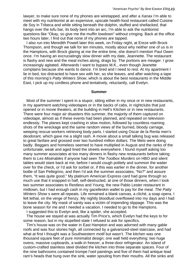lawyer, to make sure none of my phones are wiretapped, and after a Xanax I'm able to meet with my nutritionist at an expensive, upscale health-food restaurant called Cuisine de Soy in Tribeca and while sitting beneath the dolphin, stuffed and shellacked, that hangs over the tofu bar, its body bent into an arc, I'm able to ask the nutritionist questions like "Okay, so give me the muffin lowdown" without cringing. Back at the office two hours later, I find out that none of my phones are tapped.

 I also run into Meredith Powell later this week, on Friday night, at Ereze with Brock Thompson, and though we talk for ten minutes, mostly about why neither one of us is in the Hamptons, with Brock glaring at me the entire time, she doesn't mention Paul Owen once. I'm having an excruciatingly slow dinner with my date, Jeannette. The restaurant is flashy and new and the meal inches along, drags by. The portions are meager. I grow increasingly agitated. Afterwards I want to bypass M.K., even though Jeanette complains because she wants to dance. I'm tired and I need to rest. At my apartment I lie in bed, too distracted to have sex with her, so she leaves, and after watching a tape of this morning's *Patty Winters Show*, which is about the best restaurants in the Middle East, I pick up my cordless phone and tentatively, reluctantly, call Evelyn.

### **Summer**

 Most of the summer I spent in a stupor, sitting either in my once or in new restaurants, in my apartment watching videotapes or in the backs of cabs, in nightclubs that just opened or in movie theaters, at the building in Hell's Kitchen or in new restaurants. There were four major air disasters this summer, the majority of them captured on videotape, almost as if these events had been planned, and repeated on television endlessly. The planes kept crashing in slow motion, followed by countless roaming shots of the wreckage and the same random views af the burned, bloody carnage, weeping rescue workers retrieving body parts. I started using Oscar de la Renta men's deodorant, which gave me a slight rash. A movie about a small talking bug was released to great fanfare and grossed over two hundred million dollars. The Mets were doing badly. Beggars and homeless seemed to have multiplied in August and the ranks of the unfortunate, weak and aged lined the streets everywhere. I found myself asking too many summer associates at too many dinners in flashy new restaurants before taking them to *Les Misérables* if anyone had seen *The Toolbox Murders* on HBO and silent tables would stare back at me, before I would cough politely and summon the waiter over for the check, or I'd ask for sorbet or, if this was earlier in the dinner, for another bottle of San Pellegrino, and then I'd ask the summer associates, "No?" and assure them, "It was quite good." My platinum American Express card had gone through so much use that it snapped in half, self-destructed, at one of those dinners, when I took two summer associates to Restless and Young, the new Pablo Lester restaurant in midtown, but I had enough cash in my gazelleskin wallet to pay for the meal. *The Patty Winters Show* s were all repeats. Life remained a blank canvas, a cliché, a soap opera. I felt lethal, on the verge of frenzy. My nightly bloodlust overflowed into my days and I had to leave the city. My mask of sanity was a victim of impending slippage. This was the bone season for me and I needed a vacation. I needed to go to the Hamptons.

I suggested this to Evelyn and, like a spider, she accepted.

 The house we stayed at was actually Tim Price's, which Evelyn had the keys to for some reason, but in my stupefied state I refused to ask for specifics.

 Tim's house was on the water in East Hampton and was adorned with many gable roofs and was four stories high, all connected by a galvanized-steel staircase, and had what at first I thought was a Southwestern motif but wasn't. The kitchen was one thousand square feet of pure minimalist design; one wall held everything: two huge ovens, massive cupboards, a walk-in freezer, a three-door refrigerator. An island of custom-crafted stainless steel divided the kitchen into three separate spaces. Four of the nine bathrooms contained trompe l'oeil paintings and five of them had antique lead ram's heads that hung over the sink, water spouting from their mouths. All the sinks and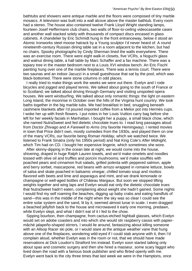#### "American Psycho" By Bret Easton Ellis<sup>1</sup> 50

bathtubs and showers were antique marble and the floors were composed of tiny marble mosaics. A television was built into a wall alcove above the master bathtub. Every room had a stereo. The house also contained twelve Frank Lloyd Wright standing lamps, fourteen Josef Heffermann club chairs, two walls of floor-to-ceiling videocassette cases and another wall stacked solely with thousands of compact discs encased in glass cabinets. A chandelier by Eric Schmidt hung in the front entranceway, below it stood an Atomic Ironworks steel moose hatrack by a Young sculptor I'd never heard of. A round nineteenth-century Russian dining table sat in a room adjacent to the kitchen, but had no chairs. Spooky photographs by Cindy Sherman lined the walls everywhere. There was an exercise room. There were eight walk-in closets, five VCRs, a Noguchi glass and walnut dining table, a hall table by Marc Schaffer and a fax machine. There was a topiary tree in the master bedroom next to a Louis XVI window bench. An Eric Fischl painting hung over one of the marble fireplaces. There was a tennis court. There were two saunas and an indoor Jacuzzi in a small guesthouse that sat by the pool, which was black-bottomed. There were stone columns in odd places.

 I really tried to make things work the weeks we were out there. Evelyn and I rode bicycles and jogged and played tennis. We talked about going to the south of France or to Scotland; we talked about driving through Germany and visiting unspoiled opera houses. We went windsurfing. We talked about only romantic things: the light on eastern Long Island, the moonrise in October over the hills of the Virginia hunt country. We took baths together in the big marble tubs. We had breakfast in bed, snuggling beneath cashmere blankets after I'd poured imported coffee from a Melior pot into Hermès cups. I woke her up with fresh flowers. I put notes in her Louis Vuitton carry bag before she left for her weekly facials in Manhattan. I bought her a puppy, a small black chow, which she named NutraSweet and fed dietetic chocolate trues to. I read long passages aloud from *Doctor Zhivago* and *A Farewell to Arms* (my favorite Hemingway). I rented movies in town that Price didn't own, mostly comedies from the 1930s, and played them on one of the many VCRs, our favorite being *Roman Holiday,* which we watched twice. We listened to Frank Sinatra (only his 1950s period) and Nat King Cole's *After Midnight,* which Tim had on CD. I bought her expensive lingerie, which sometimes she wore.

 After skinny-dipping in the ocean late at night, we would come into the house, shivering, draped in huge Ralph Lauren towels, and we'd make omelets and noodles tossed with olive oil and truffles and porcini mushrooms; we'd make soufflés with poached pears and cinnamon fruit salads, grilled polenta with peppered salmon, apple and berry sorbet, mascarpone, red beans with arrozo wrapped in romaine lettuce, bowls of salsa and skate poached in balsamic vinegar, chilled tomato soup and risottos flavored with beets and lime and asparagus and mint, and we drank lemonade or champagne or well-aged bottles of Château Margaux. But soon we stopped lifting weights together and wing laps and Evelyn would eat only the dietetic chocolate trues that NutraSweet hadn't eaten, complaining about weight she hadn't gained. Some nights I would find my self roaming the beaches, digging up baby crabs and eating handfuls of sand—this was in the middle of the night when the sky was so clear I could see the entire solar system and the sand, lit by it, seemed almost lunar in scale. I even dragged a beached jellyfish back to the house and microwaved it early one morning, predawn, while Evelyn slept, and what I didn't eat of it I fed to the chow.

 Sipping bourbon, then champagne, from cactus-etched highball glasses, which Evelyn would set on adobe coasters and into which she would stir raspberry cassis with papiermâché jalapeño-shaped stirrers, I would lie around, fantasizing about killing someone with an Allsop Racer ski pole, or I would stare at the antique weather vane that hung above one of the fireplaces, wondering wild-eyed if I could stab anyone with it, then I'd complain aloud, whether Evelyn was in the room or not, that we should have made reservations at Dick Loudon's Stratford Inn instead. Evelyn soon started talking only about spas and cosmetic surgery and then she hired a masseur, some scary faggot who lived down the road with a famous book publisher and who flirted openly with me. Evelyn went back to the city three times that last week we were in the Hamptons, once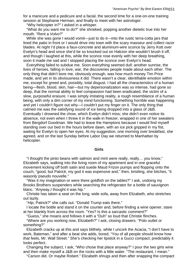for a manicure and a pedicure and a facial, the second time for a one-on-one training session at Stephanie Herman, and finally to meet with her astrologer.

"Why helicopter in?" I asked in a whisper.

 "What do you want me to do?" she shrieked, popping another dietetic true into her mouth. "Rent a *Volvo*?"

 While she was gone I would vomit—just to do it—into the rustic terra-cotta jars that lined the patio in front or I would drive into town with the scary masseur and collect razor blades. At night I'd place a faux-concrete and aluminum-wire sconce by Jerry Kott over Evelyn's head and since she'd be so knocked out on Halcion she wouldn't brush it off, and though I laughed at this, while the sconce rose evenly with her deep breathing, soon it made me sad and I stopped placing the sconce over Evelyn's head.

 Everything failed to subdue me. Soon everything seemed dull: another sunrise, the lives of heroes, falling in love, war, the discoveries people made about each other. The only thing that didn't bore me, obviously enough, was how much money Tim Price made, and yet in its obviousness it did. There wasn't a clear, identifiable emotion within me, except for greed and, possibly, total disgust. I had all the characteristics of a human being—flesh, blood, skin, hair—but my depersonalization was so intense, had gone so deep, that the normal ability to feel compassion had been eradicated, the victim of a slow, purposeful erasure. I was simply imitating reality, a rough resemblance of a human being, with only a dim corner of my mind functioning. Something horrible was happening and yet I couldn't figure out why—I couldn't put my finger on it. The only thing that calmed me was the satisfying sound of ice being dropped into a glass of J&B. Eventually I drowned the chow, which Evelyn didn't miss; she didn't even notice its absence, not even when I threw it in the walk-in freezer, wrapped in one of her sweaters from Bergdorf Goodman. We had to leave the Hamptons because I would find myself standing over our bed in the hours before dawn, with an ice pick gripped in my fist, waiting for Evelyn to open her eyes. At my suggestion, one morning over breakfast, she agreed, and on the last Sunday before Labor Day we returned to Manhattan by helicopter.

## **Girls**

 "I thought the pinto beans with salmon and mint were really, really… you know," Elizabeth says, walking into the living room of my apartment and in one graceful movement kicking off both satin and suede Maud Frizon pumps and flopping onto the couch, "good, but Pat*rick*, my god it was expen*sive* and," then, bristling, she bitches, "it was*only* pseudo nouvelle."

 "Was it my imagination or were there goldfish on the tables?" I ask, undoing my Brooks Brothers suspenders while searching the refrigerator for a bottle of sauvignon blanc. "Anyway,*I* thought it was hip."

 Christie has taken a seat on the long, wide sofa, away from Elizabeth, who stretches out lazily.

"*Hip*, Patrick?" she calls out. "Donald *Trump* eats there."

 I locate the bottle and stand it on the counter and, before finding a wine opener, stare at her blankly from across the room. "Yes? Is this a sarcastic comment?"

"Guess," she moans and follows it with a "Duh" so loud that Christie flinches.

 "Where are you working now, Elizabeth?" I ask, closing drawers. "Polo outlet or something?"

 Elizabeth cracks up at this and says blithely, while I uncork the Acacia, "I don't have to work, Bateman," and after a beat she adds, bored, "You of all people should know how *that* feels, Mr. Wall Street." She's checking her lipstick in a Gucci compact; predictably it looks perfect.

 Changing the subject, I ask, "Who chose that place anyway?" I pour the two girls wine and then make myself a J&B on the rocks with a little water. "The restaurant, I mean."

"Carson did. Or maybe Robert." Elizabeth shrugs and then after snapping the compact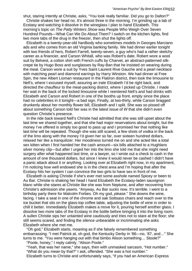shut, staring intently at Christie, asks, "You look really familiar. Did you go to Dalton?"

 Christie shakes her head no. It's almost three in the morning. I'm grinding up a tab of Ecstasy and watching it dissolve in the wineglass I plan to hand Elizabeth. This morning's topic on *The Patty Winters Show* was People Who Weigh Over Seven Hundred Pounds—What Can We Do About Them? I switch on the kitchen lights, find two more tabs of the drug in the freezer, then shut the lights off.

 Elizabeth is a twenty-year-old hardbody who sometimes models in Georges Marciano ads and who comes from an old Virginia banking family. We had dinner earlier tonight with two friends of hers, Robert Farrell, twenty-seven, a guy who's had a rather sketchy career as a financier, and Carson Whitall, who was Robert's date. Robert wore a wool suit by Belvest, a cotton shirt with French cuffs by Charvet, an abstract-patterned silkcrepe tie by Hugo Boss and sunglasses by Ray-Ban that he insisted on wearing during the meal. Carson wore a suit by Yves Saint Laurent Rive Gauche and a pearl necklace with matching pearl and diamond earrings by Harry Winston. We had dinner at Free Spin, the new Albert Lioman restaurant in the Flatiron district, then took the limousine to Nell's, where I excused myself, assuring an irate Elizabeth I'd be right back, and directed the chauffeur to the meat-packing district, where I picked up Christie. I made her wait in the back of the locked limousine while I reentered Nell's and had drinks with Elizabeth and Carson and Robert in one of the booths up front, empty since the place had no celebrities in it tonight—a bad sign. Finally, at two-thirty, while Carson bragged drunkenly about her monthly flower bill, Elizabeth and I split. She was so pissed off about something Carson told her was in the latest issue of *W* that she didn't even question Christie's presence.

 In the ride back toward Nell's Christie had admitted that she was still upset about the last time we shared together, and that she had major reservations about tonight, but the money I've offered is simply too good to pass up and I promised her that nothing like last time will be repeated. Though she was still scared, a few shots of vodka in the back of the limo along with the money I'd given her so far, over sixteen hundred dollars, relaxed her like a tranquilizer. Her moodiness turned me on and she acted like a total sex kitten when I first handed her the cash amount—six bills attached to a Hughlans silver money clip—but after I urged her into the limo she told me that she might need surgery after what happened last time, or a lawyer, so I wrote out a check to cash in the amount of one thousand dollars, but since I knew it would never be cashed I didn't have a panic attack about it or anything. Looking over at Elizabeth right now, in my apartment, I'm noticing how well endowed she is in the chest area and I'm hoping that after the Ecstasy hits her system I can convince the two girls to have sex in front of me.

 Elizabeth is asking Christie if she's ever met some asshole named Spicey or been to Au Bar. Christie is shaking her head I hand Elizabeth the Ecstasy-laden sauvignon blanc while she stares at Christie like she was from Neptune, and after recovering from Christie's admission she yawns. "Anyway, Au Bar *sucks* now. It's terrible. I went to a birthday party there for Malcolm Forbes. Oh my god, *please*." She downs the wine, facing. I take a seat in one of the chrome and oak Sottsass chairs and reach over to the ice bucket that sits on the glass-top coffee table, adjusting the bottle of wine in order to chill it better. Immediately Elizabeth makes a move for it, pouring herself another glass. I dissolve two more tabs of the Ecstasy in the bottle before bringing it into the living room. A sullen Christie sips her untainted wine cautiously and tries not to stare at the floor; she still seems scared, and finding the silence unbearable or incriminating she asks Elizabeth where she met me.

 "Oh god," Elizabeth starts, moaning as if she falsely remembered something embarrassing. "I met Patrick at, oh god, the Kentucky Derby in '86—no, '87, and…" She turns to me. "You were hanging out with that bimbo Alison something… Stoole?"

"Poole, honey," I reply calmly. "Alison Poole."

 "Yeah, that was her name," she says, then with unmasked sarcasm, "Hot number." "What do you mean by that?" I ask, offended. "She *was* a hot number." Elizabeth turns to Christie and unfortunately says, "if you had an American Express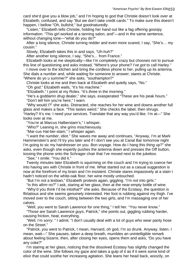card she'd give you a blow job," and I'm hoping to god that Christie doesn't look over at Elizabeth, confused, and say "But we don't take credit cards." To make sure this doesn't happen, I bellow "Oh, bullshit," but goodnaturedly.

 "Listen," Elizabeth tells Christie, holding her hand out like a fag offering gossipy information. "This girl worked at a tanning salon, and"—and in the same sentence, without changing tone—"what do you do?"

 After a long silence, Christie turning redder and even more scared, I say, "She's… my cousin."

Slowly, Elizabeth takes this in and says, "Uh-huh?"

After another long silence, I say, "She's… from France."

 Elizabeth looks at me skeptically—like I'm completely crazy but chooses not to pursue this line of questioning and asks instead, "Where's your phone? I've *got* to call Harley."

 I move over to the kitchen and bring the cordless phone to her, pulling up its antenna. She dials a number and, while waiting for someone to answer, stares at Christie. "Where do yo u summer?" she asks. "southampton?"

Christie looks at me and then back at Elizabeth and quietly says, "No."

"Oh *god*," Elizabeth wails, "it's his *machine*."

"Elizabeth." I point at my Rolex. "It's *three* in the morning."

 "He's a goddamn *drug* dealer," she says, exasperated "These are his peak hours." "Don't tell him you're here," I warn.

 "Why would I?" she asks. Distracted, she reaches for her wine and downs another full glass and makes a face. "This tastes weird." She checks the label, then shrugs.

"Harley? It's me. I need your services. Translate that any way you'd like. I'm at—" She looks over at me.

"You're at Marcus Halberstam's," I whisper.

"Who?" Leaning in, she grins mischievously.

"Mar-cus Hal-ber-stam," I whisper again.

 "I want the *number*, idiot." She waves me away and continues, "Anyway, I'm at Mark Hammerstein's and I'll try you later and if I don't see you at Canal Bar tomorrow night I'm going to sic my hairdresser on you. Bon voyage. How do I hang this thing up?" she asks, even though she expertly pushes the antenna down and presses the Off button, tossing the phone onto the Schrager chair that I've moved next to the jukebox.

"See." I smile. "You did it."

 Twenty minutes later Elizabeth is squirming on the couch and I'm trying to coerce her into having sex with Christie in front of me. What started out as a casual suggestion is now at the forefront of my brain and I'm insistent. Christie stares impassively at a stain I hadn't noticed on the white-oak floor, her wine mostly untouched.

"But I'm *not* a lesbian," Elizabeth protests again, giggling. "I'm *not* into girls."

 "Is this a*firm* no?" I ask, staring at her glass, then at the near-empty bottle of wine. "Why'd you think I'd be into*that*?" she asks. Because of the Ecstasy, the question is flirtatious and she seems genuinely interested. Her foot is rubbing against my thigh. I've moved over to the couch, sitting between the two girls, and I'm massaging one of her calves.

"Well, you went to Sarah Lawrence for one thing," I tell her. "You never know."

 "Those are Sarah Lawrence *guys*, Patrick," she points out, giggling rubbing harder, causing friction, heat, everything.

 "Well, I'm sorry: " I admit. "I don't usually deal with a lot of guys who wear panty hose on the Street."

 "Patrick, *you* went to Patrick, I mean, Harvard, oh god, I'm *so* drunk. Anyway, listen. I mean, wait—" She pauses, taken a deep breath, mumbles an unintelligible remark about feeling bizarre, then, after closing her eyes, opens them and asks, "Do you have any coke?"

 I'm staring at her glass, noticing that the dissolved Ecstasy has slightly changed the color of the wine. She follows my gaze and takes a gulp of it as if it were some kind of elixir that could soothe her increasing agitation. She leans her head back, woozily, on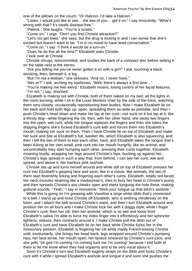one of the pillows on the couch. "Or Halcion. I'd take a Halcion."

 "Listen, I would just like to see… the two of you… get it on," I say innocently. "What's wrong with that? It's totally disease-free."

"Patrick." She laughs. "You're a lunatic."

"Come on," I urge. "Don't you find Christie attractive?"

 "Let's not get lewd," she says, but the drug is kicking in and I can sense that she's excited but doesn't want to be. "I'm in no mood to have lewd conversation."

"Come on," I say. "I think it would be a turn-on."

"Does he do this all the time?" Elizabeth asks Christie.

I look over at Christie.

 Christie shrugs, noncommittal, and studies the back of a compact disc before setting it on the table next to the stereo.

 "Are you telling me you've never gotten it on with a girl?" I ask, touching a black stocking, then, beneath it, a leg.

"But I'm *not* a lesbian," she stresses. "And no, I never have."

"*Nev* er?" I ask, arching my eyebrows. "Well, there's always a first time…"

 "You're making me feel weird," Elizabeth moans, losing control of her facial features. "*I'm* not," I say, shocked.

 Elizabeth is making out with Christie, both of them naked on my bed, all the lights in the room burning, while I sit in the Louis Montoni chair by the side of the futon, watching them very closely, occasionally repositioning their bodies. Now I make Elizabeth lie on her back and hold both legs up, open, spreading them as wide as possible, and then I push Christie's head down and make her lap at her cunt—not suck on it but lap at it, like a thirsty dog—while fingering the clit, then, with her other hand, she sticks two fingers into the open, wet cunt, while her tongue replaces the fingers and then she takes the dripping fingers she's fucked Elizabeth's cunt with and forces them into Elizabeth's mouth, making her suck on them. Then I have Christie lie on top of Elizabeth and make her suck and bite at Elizabeth's full, swollen tits, which Elizabeth is also squeezing, and then I tell the two of them to kiss each other, hard, and Elizabeth takes the tongue that's been licking at her own small, pink cunt into her mouth hungrily, like an animal, and uncontrollably they start humping each other, pressing their cunts together, Elizabeth moaning loudly, wrapping her legs around Christie's hips, bucking up against her, Christie's legs spread in such a way that, from behind, I can see her cunt, wet and spread, and above it, her hairless pink asshole.

 Christie sits up and turns herself around and while still on top of Elizabeth presses her cunt into Elizabeth's gasping face and soon, like in a movie, like animals, the two of them start feverishly licking and fingering each other's cunts. Elizabeth, totally red-faced, her neck muscles straining like a madwoman's, tries to bury her head in Christie's pussy and then spreads Christie's ass cheeks open and starts tonguing the hole there, making guttural sounds. "Yeah," I say in monotone. "Stick your tongue up that bitch's asshole."

 While this is going on I'm greasing with Vaseline a large white dildo that's connected to a belt. I stand up and hoist Christie off Elizabeth, who is writhing mindlessly on the futon, and I attach the belt around Christie's waist, and then I turn Elizabeth around and position her on all fours and I make Christie fuck her with it doggy style, while I finger Christie's cunt, then her clit, then her asshole, which is so wet and loose from Elizabeth's saliva I'm able to force my index finger into it effortlessly and her sphincter tightens, relaxes, then contracts around it. I make Christie pull the dildo out of Elizabeth's cunt and have Elizabeth lie on her back while Christie fucks her in the missionary position. Elizabeth is fingering her clit while madly French-kissing Christie until, involuntarily, she brings her head back, legs wrapped around Christie's pumping hips, her face tense, her mouth open, her lipstick smeared by Christie's cunt juice, and she yells "oh god I'm coming I'm coming fuck me I'm coming" because I told both of them to let me know when they had orgasms and to be very vocal about it.

 Soon it's Christie's turn and Elizabeth eagerly straps on the dildo and fucks Christie's cunt with it while I spread Elizabeth's asshole and tongue it and soon she pushes me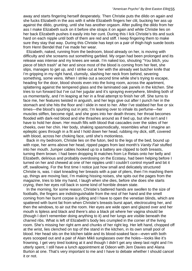#### "American Psycho" By Bret Easton Ellis<sup>1</sup> 55

away and starts fingering herself desperately. Then Christie puts the dildo on again and she fucks Elizabeth in the ass with it while Elizabeth fingers her clit, bucking her ass up against the dildo, grunting, until she has another orgasm. After pulling the dildo from her ass I make Elizabeth suck on it before she straps it on again and while Christie lies on her back Elizabeth pushes it easily into her cunt. During this I lick Christie's tits and suck hard on each nipple until both of them are red and stiff. I keep fingering them to make sure they stay that way. During this Christie has kept on a pair of thigh-high suede boots from Henri Bendel that I've made her wear.

 Elizabeth, naked, running from the bedroom, blood already on her, is moving with difficulty and she screams out something garbled. My organ had been prolonged and its release was intense and my knees are weak. I'm naked too, shouting "You bitch, you piece of bitch trash" at her and since most of the blood is coming from her feet, she slips, manages to get up, and I strike out at her with the already wet butcher knife that I'm gripping in my right hand, clumsily, slashing her neck from behind, severing something, some veins. When I strike out a second time while she's trying to escape, heading for the door, blood shoots even into the living room, across the apartment, splattering against the tempered glass and the laminated oak panels in the kitchen. She tries to run forward but I've cut her jugular and it's spraying everywhere, blinding both of us momentarily, and I'm leaping at her in a final attempt to finish her off. She turns to face me, her features twisted in anguish, and her legs give out after I punch her in the stomach and she hits the floor and I slide in next to her. After I've stabbed her five or six times—the blood's spurting out in jets; I'm leaning over to inhale its perfume—her muscles stiffen, become rigid, and she goes into her death throes; her throat becomes flooded with dark-red blood and she thrashes around as if tied up, but she isn't and I have to hold her down. Her mouth fills with blood that cascades over the sides of her cheeks, over her chin. Her body, shaking spasmodically, resembles what I imagine an epileptic goes through in a fit and I hold down her head, rubbing my dick, stiff, covered with blood, across her choking face, until she's motionless.

 Back in my bedroom, Christie lies on the futon, tied to the legs of the bed, bound up with rope, her arms above her head, ripped pages from last month's *Vanity Fair* stuffed into her mouth. Jumper cables hooked up to a battery are clipped to both breasts, turning them brown. I had been dropping lit matches from Le Relais onto her belly and Elizabeth, delirious and probably overdosing on the Ecstasy, had been helping before I turned on her and chewed at one of her nipples until I couldn't control myself and bit it off, swallowing. For the first time I notice just how small and delicately structured Christie is, was. I start kneading her breasts with a pair of pliers, then I'm mashing them up, things are moving fast, I'm making hissing noises, she spits out the pages from the magazine, tries to bite my hand, I laugh when she dies, before she does she starts crying, then her eyes roll back in some kind of horrible dream state.

 In the morning, for some reason, Christie's battered hands are swollen to the size of footballs, the fingers are indistinguishable from the rest of her hand and the smell coming from her burnt corpse is jolting and I have to open the venetian blinds, which are spattered with burnt fat from when Christie's breasts burst apart, electrocuting her, and then the windows, to air out the room. Her eyes are wide open and glazed over and her mouth is lipless and black and there's also a black pit where her vagina should be (though I don't remember doing anything to it) and her lungs are visible beneath the charred ribs. What is left of Elizabeth's body lies crumpled in the corner of the living room. She's missing her right arm and chunks of her right leg. Her left hand, chopped off at the wrist, lies clenched on top of the stand in the kitchen, in its own small pool of blood. Her head sits on the kitchen table and its blood-soaked face—even with both eyes scooped out and a pair of Alain Mikli sunglasses over the holes—looks like it's frowning. I get very tired looking at it and though I didn't get any sleep last night and I'm utterly spent, I still have a lunch appointment at Odeon with Jem Davies and Alana Burton at one. That's very important to me and I have to debate whether I should cancel it or not.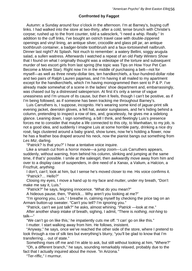# **Confronted by Faggot**

 Autumn: a Sunday around four o'clock in the afternoon. I'm at Barney's, buying cuff links. I had walked into the store at two-thirty, after a cold, tense brunch with Christie's corpse; rushed up to the front counter, told a salesclerk, "I need a whip. Really." In addition to the cuff links, I've bought an ostrich travel case with double-zippered openings and vinyl lining, an antique silver, crocodile and glass pill jar, an antique toothbrush container, a badger-bristle toothbrush and a faux-tortoiseshell nailbrush. Dinner last night? At Splash. Not much to remember: a watery Bellini, soggy arugula salad, a sullen waitress. Afterwards I watched a repeat of an old *Patty Winters Show* that I found on what I originally thought was a videotape of the torture and subsequent murder of two escort girls from last spring (the topic was Tips on How Your Pet Can Become a Movie Star). Right now I'm in the middle of purchasing a belt—not for myself—as well as three ninety-dollar ties, ten handkerchiefs, a four-hundred-dollar robe and two pairs of Ralph Lauren pajamas, and I'm having it all mailed to my apartment except for the handkerchiefs, which I'm having monogrammed then sent to P & P. I've already made somewhat of a scene in the ladies' shoe department and, embarrassingly, was chased out by a distressed salesperson. At first it's only a sense of vague uneasiness and I'm unsure of its cause, but then it feels, though I can't be positive, as if I'm being followed, as if someone has been tracking me throughout Barney's.

 Luis Carruthers is, I suppose, incognito. He's wearing some kind of jaguar-print silk evening jacket, deerskin gloves, a felt hat, aviator sunglasses, and he's hiding behind a column, pretending to inspect a row of ties, and, gracelessly, he gives me a sidelong glance. Leaning down, I sign something, a bill I think, and fleetingly Luis's presence forces me to consider that maybe a life connected to this city, to Manhattan, to my job, is not a good idea, and suddenly I imagine Luis at some horrible party, drinking a nice dry rosé, fags clustered around a baby grand, show tunes, now he's holding a flower, now he has a feather boa draped around his neck, now the pianist bangs out something from *Les Miz*, darling.

"Patrick? Is that you?" I hear a tentative voice inquire.

 Like a smash cut from a horror movie—a jump zoom—Luis Carruthers appears, suddenly, without warning, from behind his column, slinking and jumping at the same time, if that's' possible. I smile at the salesgirl, then awkwardly move away from him and over to a display case of suspenders, in dire need of a Xanax, a Valium, a Halcion, a Frozfruit, *anything.*

 I don't, *can't*, look at him, but I sense he's moved closer to me. His voice confirms it. "Patrick?… Hello?"

 Closing my eyes, I move a hand up to my face and mutter, under my breath, "Don't make me say it, Luis."

"Patrick?" he says, feigning innocence. "What do you mean?"

A hideous pause, then, "Patrick… Why aren't you looking at me?"

 "I'm ignoring you, Luis." I breathe in, calming myself by checking the price tag on an Armani button-up sweater. "Can't you tell? I'm ignoring you."

 "Patrick, can't we just talk?" he asks, almost whining. "*Patrick* —look at me." After another sharp intake of breath, sighing, I admit, "There is *nothing, not-hing* to talk—"

"We can't go on like this,' he impatiently cuts me off. "*I* can' go on *like* this."

I mutter. I start walking away from him. He follows, insistent.

 "Anyway," he says, once we've reached the other side of the store, where I pretend to look through a row of silk ties but everything's blurry, "you'll be glad to know that I'm transferring… out of state."

 Something rises off me and I'm able to ask, but still without looking at him, "Where?" "Oh, a different branch," he says, sounding remarkably relaxed, probably due to the fact that I actually inquired about the move. "In Arizona."

"Ter-riffic," I murmur.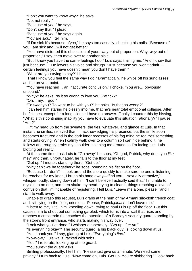"Don't you want to know why?" he asks.

"No, not really."

"Because of *you*," he says.

"Don't say that," I plead.

"Because of *you*," he says again.

"*You* are *sick*," I tell him.

 "If I'm sick it's because of*you*," he says too casually, checking his nails. "Because of you I am sick and I will not get better."

 "You have distorted this obsession of yours way out of proportion. Way, *way* out of proportion," I say, then move over to another aisle.

 "But I know you have the same feelings I do," Luis says, trailing me. "And I know that just because…" He lowers his voice and shrugs. "Just because you won't admit…

certain feelings you have doesn't mean you don't have them."

"What are you trying to say?" I hiss.

 'That I know you feel the same way I do." Dramatically, he whips off his sunglasses, as if to prove a point.

 "You have reached… an inaccurate conclusion," I choke. "You are… obviously unsound."

"Why?" he asks. "Is it so wrong to love you, Patrick?"

"Oh… my… god."

"To *want* you? To want to be with you?" he asks. "Is that so wrong?"

 I can feel him staring helplessly into me, that he's near total emotional collapse. After he finishes, except for a long silence I have no answer. Finally I counter this by hissing, "What is this continuing inability you have to evaluate this situation rationally?" I pause. "Huh?"

 I lift my head up from the sweaters, the ties, whatever, and glance at Luis. In that instant he smiles, relieved that I'm acknowledging his presence, but the smile soon becomes fractured and in the dark inner recesses of his fag mind he realizes something and starts crying. When I calmly walk over to a column so I can hide behind it, he follows and roughly grabs my shoulder, spinning me around so I'm facing him: Luis blotting out reality.

 At the same time I ask Luis to "Go away" he sobs, "Oh god, Patrick, why don't you *like* me?" and then, unfortunately, he falls to the floor at my feet.

"Get up," I mutter, standing there. "Get up."

"Why can't we be together?" he sobs, pounding his fist on the floor.

 "Because I… don't"—I look around the store quickly to make sure no one is listening; he reaches for my knee, I brush his hand away—"find you… sexually attractive," I whisper loudly, staring down at him. "I can't believe I actually said that," I mumble to myself, to no one, and then shake my head, trying to clear it, things reaching a level of confusion that I'm incapable of registering. I tell Luis, "Leave me alone, please," and I start to walk away.

 Unable to grasp this request, Luis grabs at the hem of my Armani silk-cloth trench coat and, still lying on the floor, cries out, "Please, Patrick,*please* don't leave me."

 "Listen to me," I tell him, kneeling down, trying to haul Luis up off the floor. But this causes him to shout out something garbled, which turns into a wail that rises and reaches a crescendo that catches the attention of a Barney's security guard standing by the store's front entrance, who starts making his way over.

"Look what you've done," I whisper desperately. "Get up. *Get up*."

"Is everything okay?" The security guard, a big black guy, is looking down at us.

"Yes, thank you," I say, glaring at Luis. "Everything's *fine*."

"No-o-o-o," Luis wails, racked with sobs.

"Yes," I reiterate, looking up at the guard.

"You sure?" the guard asks.

 Smiling professionally, I tell him, "Please just give us a minute. We need some privacy." I turn back to Luis. "Now come on, Luis. Get up. You're slobbering." I look back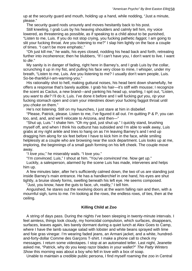up at the security guard and mouth, holding up a hand, while nodding, "Just a minute, please."

The security guard nods unsurely and moves hesitantly back to his post.

 Still kneeling, I grab Luis by his heaving shoulders and calmly tell him, my voice lowered, as threatening as possible, as if speaking to a child about to be punished, "Listen to me, Luis. If you do not stop crying, you fucking pathetic *faggot,* I am going to slit your fucking throat. Are you listening to me?" I slap him lightly on the face a couple of times. "I can't be more emphatic."

 "Oh just kill me," he wails, his eyes closed, nodding his head back and forth, retreating further into incoherence; then he blubbers, "If I can't have you, I don't want to live. I want to *die*."

 My sanity is in danger of fading, right here in Barney's, and I grab Luis by the collar, scrunching it up in my fist, and pulling his face very close to mine, I whisper, under my breath, "Listen to me, Luis. Are you listening to me? I usually don't warn people, Luis. So-be-thankful-I-am-warning-you."

 His rationality shot to hell, making guttural noises, his head bent down shamefully, he offers a response that's barely audible. I grab his hair—it's stiff with mousse; I recognize the scent as Cactus, a new brand—and yanking his head up, snarling, I spit out, "Listen, you *want* to *die?* I'll do it, Luis. I've done it before and I will fucking *gut* you, *rip* your fucking stomach open and cram your intestines down your fucking faggot throat until you *choke* on them."

He's not listening. Still on my haunches, I just stare at him in disbelief.

 "Please, Patrick, please. Listen to me, I've figured it all out. I'm quitting P & P, you can too, and, and, and we'll relocate to Arizona, and then—"

 "Shut up, Luis." I shake him. "Oh my god, just shut up." I quickly stand, brushing myself off, and when I think his outburst has subsided and I'm able to walk away, Luis grabs at my right ankle and tries to hang on as I'm leaving Barney's and I end up dragging him along for six feet before I have to kick him in the face, while smiling helplessly at a couple who are browsing near the sock department. Luis looks up at me, imploring, the beginnings of a small gash forming on his left cheek. The couple move away.

"*I love you*," he miserably wails. "I love you."

"I'm *convinced,* Luis," I shout at him. "You've *convinced* me. Now get up."

 Luckily, a salesperson, alarmed by the scene Luis has made, intervenes and helps him up.

 A few minutes later, after he's sufficiently calmed down, the two of us are standing just inside Barney's main entrance. He has a handkerchief in one hand, his eyes are shut tightly, a bruise slowly forms, swelling beneath his left eye. He seems composed.

"Just, you know, have the guts to face, uh, reality," I tell him.

 Anguished, he stares out the revolving doors at the warm falling rain and then, with a mournful sigh, turns to me. I'm looking at the rows, the endless rows, of ties, then at the ceiling.

# **Killing Child at Zoo**

 A string of days pass. During the nights I've been sleeping in twenty-minute intervals. I feel aimless, things look cloudy, my homicidal compulsion, which surfaces, disappears, surfaces, leaves again, lies barely dormant during a quiet lunch at Alex Goes to Camp, where I have the lamb sausage salad with lobster and white beans sprayed with lime and foie gras vinegar. I'm wearing faded jeans, an Armani jacket, and a white, hundredand-forty-dollar Comme des Garçons T-shirt. I make a phone call to check my messages. I return some videotapes. I stop at an automated teller. Last night, Jeanette asked me, "Patrick, why do you keep razor blades in your wallet?" *The Patty Winters Show* this morning was about a boy who fell in love with a box of soap.

Unable to maintain a credible public persona, I find myself roaming the zoo in Central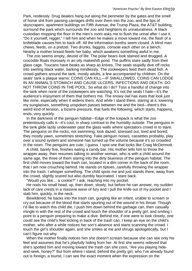Park, restlessly. Drug dealers hang out along the perimeter by the gates and the smell of horse shit from passing carriages drifts over them into the zoo, and the tips of skyscrapers, apartment buildings on Fifth Avenue, the Trump Plaza, the AT&T building, surround the park which surrounds the zoo and heightens its unnaturalness. A black custodian mopping the floor in the men's room asks me to flush the urinal after I use it. "Do it yourself, nigger," I tell him and when he makes a move toward me, the flash of a knifeblade causes him to back off. All the information booths seem closed. A blind man chews, feeds, on a pretzel. Two drunks, faggots, console each other on a bench. Nearby a mother breast-feeds her baby, which awakens something awful in me.

 The zoo seems empty, devoid of life. The polar bears look stained and drugged. A crocodile floats morosely in an oily makeshift pond. The puffins stare sadly from their glass cage. Toucans have beaks as sharp as knives. The seals stupidly dive off rocks into swirling black water, barking mindlessly. The zookeepers feed them dead fish. A crowd gathers around the tank, mostly adults, a few accompanied by children. On the seals' tank a plaque warns: COINS CAN KILL—IF SWALLOWED, COINS CAN LODGE IN AN ANIMAL'S STOMACH AND CAUSE ULCERS, INFECTIONS AND DEATH. DO NOT THROW COINS IN THE POOL. So what do I do? Toss a handful of change into the tank when none of the zookeepers are watching. It's not the seals I hate—it's the audience's enjoyment of them that bothers me. The snowy owl has eyes that look just like mine, especially when it widens them. And while I stand there, staring at it, lowering my sunglasses, something unspoken passes between me and the bird—there's this weird kind of tension, a bizarre pressure, that fuels the following, which starts, happens, ends, very quickly.

 In the darkness of the penguin habitat—Edge of the Icepack is what the zoo pretentiously calls it—it's cool, in sharp contrast to the humidity outside. The penguins in the tank glide lazily underwater past the glass walls where spectators crowd in to stare. The penguins on the rocks, not swimming, look dazed, stressed out, tired and bored; they mostly yawn, sometimes stretching. Fake penguin noises, cassettes probably, play over a sound system and someone has turned up the volume because it's so crowded in the room. The penguins are cute, I guess. I spot one that looks like Craig McDermott.

 A child, barely five, finishes eating a candy bar. His mother tells him to throw the wrapper away, then resumes talking to another woman, who is with a child around the same age, the three of them staring into the dirty blueness of the penguin habitat. The first child moves toward the trash can, located in a dim corner in the back of the room, that I am now crouching behind. He stands on tiptoes, carefully throwing the wrapper into the trash. I whisper something. The child spots me and just stands there, away from the crowd, slightly scared but also dumbly fascinated. I stare back.

"Would you like… a cookie?" I ask, reaching into my pocket.

 He nods his small head, up, then down, slowly, but before he can answer, my sudden lack of care crests in a massive wave of fury and I pull the knife out of my pocket and I stab him, quickly, in the neck.

 Bewildered, he backs into the trash can, gurgling like an infant, unable to scream or cry out because of the blood that starts spurting out of the wound in his throat. Though I'd like to watch this child die, I push him down behind the garbage can, then casually mingle in with the rest of the crowd and touch the shoulder of a pretty girl, and smiling I point to a penguin preparing to make a dive. Behind me, if one were to look closely, one could see the child's feet kicking in back of the trash can. I keep an eye on the child's mother, who after a while notices her son's absence and starts scanning the crowd. I touch the girl's shoulder again, and she smiles at me and shrugs apologetically, but I can't figure out why.

 When the mother finally notices him she doesn't scream because she can see only his feet and assumes that he's playfully hiding from her. At first she seems relieved that she's spotted him and moving toward the trash can she coos, "Are you playing hideand-seek, honey?" But from where I stand, behind the pretty girl, who I've already found out is foreign, a tourist, I can see the exact moment when the expression on the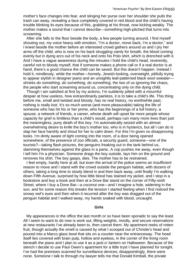mother's face changes into fear, and slinging her purse over her shoulder she pulls the trash can away, revealing a face completely covered in red blood and the child's having trouble blinking its eyes because of this, grabbing at his throat, now kicking weakly. The mother makes a sound that I cannot describe—something high-pitched that turns into screaming.

 After she falls to the floor beside the body, a few people turning around, I find myself shouting out, my voice heavy with emotion, "I'm a doctor, move back, I'm a doctor," and I kneel beside the mother before an interested crowd gathers around us and I pry her arms off the child, who is now on his back struggling vainly for breath, the blood coming evenly but in dying arcs out of his neck and onto his Polo shirt, which is drenched with it. And I have a vague awareness during the minutes I hold the child's head, reverently, careful not to bloody myself, that if someone makes a phone call or if a real doctor is at hand, there's a good chance the child can be saved. But this doesn't happen. Instead I hold it, mindlessly, while the mother—homely, Jewish-looking, overweight, pitifully trying to appear stylish in designer jeans and an unsightly leaf-patterned black wool sweater shrieks *do something, do something, do something,* the two of us ignoring the chaos, the people who start screaming around us, concentrating only on the dying child.

 Though I am satisfied at first by my actions, I'm suddenly jolted with a mournful despair at how useless, how extraordinarily painless, it is to take a child's life. This thing before me, small and twisted and bloody, has no real history, no worthwhile past, nothing is really lost. It's so much worse (and more pleasurable) taking the life of someone who has hit his or her prime, who has the beginnings of a full history, a spouse, a network of friends, a career, whose death will upset far more people whose capacity for grief is limitless than a child's would, perhaps ruin many more lives than just the meaningless, puny death of this boy. I'm automatically seized with an almost overwhelming desire to knife the boy's mother too, who is in hysterics, but all I can do is slap her face harshly and shout for her to calm down. For this I'm given no disapproving looks. I'm dimly aware of light coming into the room, of a door being opened somewhere, of the presence of zoo officials, a security guard, someone—one of the tourists?—taking flash pictures, the penguins freaking out in the tank behind us, slamming themselves against the glass in a panic. A cop pushes me away, even though I tell him I'm a physician. Someone drags the boy outside, lays him on the ground and removes his shirt. The boy gasps, dies. The mother has to be restrained.

 I feel empty, hardly here at all, but even the arrival of the police seems an insufficient reason to move and I stand with the crowd outside the penguin habitat, with dozens of others, taking a long time to slowly blend in and then back away, until finally I'm walking down Fifth Avenue, surprised by how little blood has stained my jacket, and I stop in a bookstore and buy a book and then at a Dove Bar stand on the corner of Fifty-sixth Street, where I buy a Dove Bar—a coconut one—and I imagine a hole, widening in the sun, and for some reason this breaks the tension I started feeling when I first noticed the snowy owl's eyes and then when it recurred after the boy was dragged out of the penguin habitat and I walked away, my hands soaked with blood, uncaught.

## **Girls**

 My appearances in the office the last month or so have been sporadic to say the least. All I seem to want to do now is work out, lifting weights, mostly, and secure reservations at new restaurants I've already been to, then cancel them. My apartment reeks of rotten fruit, though actually the smell is caused by what I scooped out of Christie's head and poured into a Marco glass bowl that sits on a counter near the entranceway. The head itself lies covered with brain pulp, hollow and eyeless, in the corner of the living room beneath the piano and I plan to use it as a jack-o'-lantern on Halloween. Because of the stench I decide to use Paul Owen's apartment for a little tryst I have planned for tonight. I've had the premises scanned for surveillance devices; disappointingly, there were none. Someone I talk to through my lawyer tells me that Donald Kimball, the private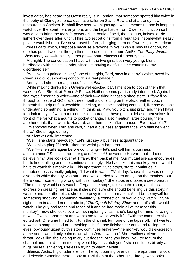investigator, has heard that Owen really *is* in London, that someone spotted him twice in the lobby of Claridge's, once each at a tailor on Savile Row and at a trendy new restaurant in Chelsea. Kimball flew over two nights ago, which means no one is keeping watch over the apartment anymore, and the keys I stole from Owen still function so I was able to bring the tools (a power drill, a bottle of acid, the nail gun, knives, a Bic lighter) over there after lunch. I hire two escort girls from a reputable if somewhat sleazy private establishment I've never used before, charging them on Owen's gold American Express card which, I suppose because everyone thinks Owen is now in London, no one has put a trace on, though there is one on his platinum AmEx. *The Patty Winters Show* today was—ironically, I thought—about Princess Di's beauty tips.

 Midnight. The conversation I have with the two girls, both very young, blond hardbodies with big tits, is brief, since I'm having a difficult time containing my disordered self.

 "You live in a palace, mister," one of the girls, Torri, says in a baby's voice, awed by Owen's ridiculous-looking condo. "It's a real palace."

Annoyed, I shoot her a glance. "It's not *that* nice."

 While making drinks from Owen's well-stocked bar, I mention to both of them that I work on Wall Street, at Pierce & Pierce. Neither seems particularly interested. Again, I find myself hearing a voice—one of theirs—asking if that's a shoe store. Tiffany flips through an issue of *GQ* that's three months old, sitting on the black leather couch beneath the strip of faux-cowhide paneling, and she's looking confused, like she doesn't understand something, anything. I'm thinking, Pray, you bitch, just pray, and then I have to admit to myself what a turn-on it is encouraging these girls to debase themselves in front of me for what amounts to pocket change. I also mention, after pouring them another drink, that I went to Harvard, and then I ask, after a pause, "Ever hear of it?"

I'm shocked when Torri answers, "I had a business acquaintance who said he went there." She shrugs dumbly.

"A client?" I ask, interested.

"Well," she starts nervously. "Let's just say a business acquaintance."

"Was this a pimp?" I ask—then the weird part happens.

 "Well"—she stalls again before continuing—"let's just call him a business acquaintance." She sips from her glass. "He *said* he went to Harvard, but… I didn't believe him." She looks over at Tiffany, then back at me. Our mutual silence encourages her to keep talking and she continues haltingly. "He had, like, this monkey. And I would have to watch this monkey in… his apartment." She stops, starts, continues in monotone, occasionally gulping. "I'd want to watch TV all day, 'cause there was nothing else to do while the guy was out… and while I tried to keep an eye on the monkey. But there was… something wrong with this monkey." She stops and takes a deep breath. "The monkey would only watch…" Again she stops, takes in the room, a quizzical expression creasing her face as if she's not sure she should be telling us this story; if we, me and the other bitch, should be privy to this information. And I brace myself for something shocking, something revelatory, a connection. "It would only watch…" She sighs, then in a sudden rush admits, "*The Opnah Winfrey Show* and that's all it would watch. The guy had tapes and tapes of it and he had made all of them for this monkey"—now she looks over at me, imploringly, as if she's losing her mind here, right now, in Owen's apartment and wants me to, what, verify it?—"with the commercials edited out. One time I tried to… turn the channel, turn one of the tapes off… if I wanted to watch a soap instead or something… but"—she finishes her drink and rolling her eyes, obviously upset by this story, continues bravely—"the monkey would s-s-screech at me and it would only calm down when Oprah was on." She swallows, clears her throat, looks like she's going to cry but doesn't. "And you know, you try to turn the channel and that d-damn monkey would try to scratch you," she concludes bitterly and hugs herself, shivering, uselessly trying to warm herself.

 Silence. Arctic, frigid, utter silence. The light burning over us in the apartment is cold and electric. Standing there, I look at Torri then at the other girl, Tiffany, who looks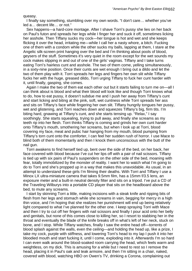queasy.

 I finally say something, stumbling over my own words. "I don't care… whether you've led a… decent life… or not."

 Sex happens—a hard-core montage. After I shave Torri's pussy she lies on her back on Paul's futon and spreads her legs while I finger her and suck it off, sometimes licking her asshole. Then Tiffany sucks my cock—her tongue is hot and wet and she keeps flicking it over the head, irritating me—while I call her a nasty whore, a bitch. Fucking one of them with a condom while the other sucks my balls, lapping at them, I stare at the Angelic silk-screen print hanging over the bed and I'm thinking about pools of blood, geysers of the stuff. Sometimes it's very quiet in the room except for the wet sounds my cock makes slipping in and out of one of the girls' vaginas. Tiffany and I take turns eating Torri's hairless cunt and asshole. The two of them come, yelling simultaneously, in a sixty-nine position. Once their cunts are wet enough I bring out a dildo and let the two of them play with it. Torri spreads her legs and fingers her own slit while Tiffany fucks her with the huge, greased dildo, Torri urging Tiffany to fuck her cunt harder with it, until finally, gasping, she comes.

 Again I make the two of them eat each other out but it starts failing to turn me on—all I can think about is blood and what their blood will look like and though Torri knows what to do, how to eat pussy, it doesn't subdue me and I push her away from Tiffany's cunt and start licking and biting at the pink, soft, wet cuntness while Torri spreads her ass and sits on Tiffany's face while fingering her own slit. Tiffany hungrily tongues her pussy, wet and glistening, and Torri reaches down and squeezes Tiffany's big, firm tits. I'm biting hard, gnawing at Tiffany's cunt, and she starts tensing up. "Relax," I say soothingly. She starts squealing, trying to pull away, and finally she screams as my teeth rip into her flesh. Torri thinks Tiffany is coming and grinds her own cunt harder onto Tiffany's mouth, smothering her screams, but when I look up at Torri, blood covering my face, meat and pubic hair hanging from my mouth, blood pumping from Tiffany's torn cunt onto the comforter, I can feel her sudden rush of horror. I use Mace to blind both of them momentarily and then I knock them unconscious with the butt of the nail gun.

 Torri awakens to find herself tied up, bent over the side of the bed, on her back, her face covered with blood because I've cut her lips off with a pair of nail scissors. Tiffany is tied up with six pairs of Paul's suspenders on the other side of the bed, moaning with fear, totally immobilized by the monster of reality. I want her to watch what I'm going to do to Torri and she's propped up in a way that makes this unavoidable. As usual, in an attempt to understand these girls I'm filming their deaths. With Torri and Tiffany I use a Minox LX ultra-miniature camera that takes 9.5mm film, has a 15mm f/3.5 lens, an exposure meter and a built-in neutral density filter and sits on a tripod. I've put a CD of the Traveling Wilburys into a portable CD player that sits on the headboard above the bed, to mute any screams.

 I start by skinning Torri a little, making incisions with a steak knife and ripping bits of flesh from her legs and stomach while she screams in vain, begging for mercy in a high thin voice, and I'm hoping that she realizes her punishment will end up being relatively light compared to what I've planned for the other one. I keep spraying Torri with Mace and then I try to cut off her fingers with nail scissors and finally I pour acid onto her belly and genitals, but none of this comes close to killing her, so I resort to stabbing her in the throat and eventually the blade of the knife breaks off in what's left of her neck, stuck on bone, and I stop. While Tiffany watches, finally I saw the entire head off—torrents of blood splash against the walls, even the ceiling—and holding the head up, like a prize, I take my cock, purple with stiffness, and lowering Torri's head to my lap I push it into her bloodied mouth and start fucking it, until I come, exploding into it. Afterwards I'm so hard I can even walk around the blood-soaked room carrying the head, which feels warm and weightless, on my dick. This is amusing for a while but I need to rest so I remove the head, placing it in Paul's oak and teak armoire, and then I'm sitting in a chair, naked, covered with blood, watching HBO on Owen's TV, drinking a Corona, complaining out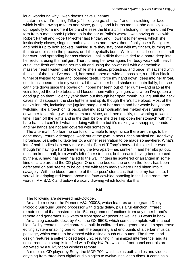loud, wondering why Owen doesn't have Cinemax.

 Later—now—I'm telling Tiffany, "I'll let you go, shhh…," and I'm stroking her face, which is slick, owing to tears and Mace, gently, and it burns me that she actually looks up hopefully for a moment before she sees the lit match I'm holding in my hand that I've torn from a matchbook I picked up in the bar at Palio's where I was having drinks with Robert Farrell and Robert Prechter last Friday, and I lower it to her eyes, which she instinctively closes, singeing both eyelashes and brows, then I finally use a Bic lighter and hold it up to both sockets, making sure they stay open with my fingers, burning my thumb and pinkie in the process, until the eyeballs burst. While she's still conscious I roll her over, and spreading her ass cheeks, I nail a dildo that I've tied to a board deep into her rectum, using the nail gun. Then, turning her over again, her body weak with fear, I cut all the flesh off around her mouth and using the power drill with a detachable, massive head I widen that hole while she shakes, protesting, and once I'm satisfied with the size of the hole I've created, her mouth open as wide as possible, a reddish-black tunnel of twisted tongue and loosened teeth, I force my hand down, deep into her throat, until it disappears up to my wrist—all the while her head shakes uncontrollably, but she can't bite down since the power drill ripped her teeth out of her gums—and grab at the veins lodged there like tubes and I loosen them with my fingers and when I've gotten a good grip on them violently yank them out through her open mouth, pulling until the neck caves in, disappears, the skin tightens and splits though there's little blood. Most of the neck's innards, including the jugular, hang out of her mouth and her whole body starts twitching, like a roach on its back, shaking spasmodically, her melted eyes running down her face mixing with the tears and Mace, and then quickly, not wanting to waste time, I turn off the lights and in the dark before she dies I rip open her stomach with my bare hands. I can't tell what I'm doing with them but it's making wet snapping sounds and my hands are hot and covered with something.

 The aftermath. No fear, no confusion. Unable to linger since there are things to be done today: return videotapes, work out at the gym, a new British musical on Broadway I promised Jeanette I'd take her to, a dinner reservation to be made somewhere. What's left of both bodies is in early rigor mortis. Part of Tiffany's body—I think it's her even though I'm having a hard time telling the two apart—has sunken in and her ribs jut out, most broken in half, from what's left of her stomach, both breasts having been pierced by them. A head has been nailed to the wall, fingers lie scattered or arranged in some kind of circle around the CD player. One of the bodies, the one on the floor, has been defecated on and seems to be covered with teeth marks where I had bitten into it, savagely. With the blood from one of the corpses' stomachs that I dip my hand into, I scrawl, in dripping red letters above the faux-cowhide paneling in the living room, the words I AM BACK and below it a scary drawing which looks like this

#### **Rat**

The following are delivered mid-October.

 An audio receiver, the Pioneer VSX-9300S, which features an integrated Dolby Prologic Surround Sound processor with digital delay, plus a full-function infrared remote control that masters up to 154 programmed functions from any other brand's remote and generates 125 watts of front speaker power as well as 30 watts in back.

 An analog cassette deck by Akai, the GX-950B, which comes complete with manual bias, Dolby recording level controls, a built-in calibrated tone generator and a spot-erase editing system enabling one to mark the beginning and end points of a certain musical passage, which can then be erased with a single push of a button. The three-head design features a self-enclosed tape unit, resulting in minimized interference, and its noise-reduction setup is fortified with Dolby HX-Pro while its front-panel controls are activated by a full-function wireless remote.

 A multidisc CD player by Sony, the MDP-700, which spins both audios and videos anything from three-inch digital audio singles to twelve-inch video discs. It contains a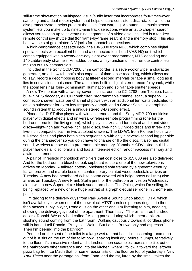#### "American Psycho" By Bret Easton Ellis 64

still-frame slow-motion multispeed visual/audio laser that incorporates four-times-over sampling and a dual-motor system that helps ensure consistent disc rotation while the disc-protect system helps prevent the discs from warping. An automatic music sensor system lets you make up to ninety-nine track selections while an auto chapter search allows you to scan up to seventy-nine segments of a video disc. Included is a ten-key remote control joy-shuttle dial (for frame-by-frame search) and a memory stop. This also has two sets of gold-plated A-V jacks for topnotch connections.

 A high-performance cassette deck, the DX-5000 from NEC, which combines digital special effects with excellent hi-fi, and a connected four-head VHS-HQ unit, which comes equipped with a twenty-one-day eight-event programmer, MTS decoding and 140 cable-ready channels. An added bonus: a fifty-function unified remote control lets me zap out TV commercials.

 Included in the Sony CCD-V200 8mm camcorder is a seven-color wipe, a character generator, an edit switch that's also capable of time-lapse recording, which allows me to, say, record a decomposing body at fifteen-second intervals or tape a small dog as it lies in convulsions, poisoned. The audio has built-in digital stereo record/playback, while the zoom lens has four-lux minimum illumination and six variable shutter speeds.

 A new TV monitor with a twenty-seven-inch screen, the CX-2788 from Toshiba, has a built-in MTS decoder, a CCD comb filter, programmable channel scan, a super-VHS connection, seven watts per channel of power, with an additional ten watts dedicated to drive a subwoofer for extra low-frequency oomph, and a Carver Sonic Holographing sound system that produces a unique stereo 3-D sound effect.

 Pioneer's LD-ST disc player with wireless remote and the Sony MDP-700 multidisc player with digital effects and universal-wireless-remote programming (one for the bedroom, one for the living room), which play all sizes and formats of audio and video discs—eight-inch and twelve-inch laser discs, five-inch CD video discs and three- and five-inch compact discs—in two autoload drawers. The LD-W1 from Pioneer holds two full-sized discs and plays both sides sequentially with only a several-second lag per side during the changeover so you don't have to change or flip the discs. It also has digital sound, wireless remote and a programmable memory. Yamaha's CDV-16oo multidisc player handles all disc formats and has a fifteen-selection random-access memory and a wireless remote.

 A pair of Threshold monoblock amplifiers that cost close to \$15,000 are also delivered. And for the bedroom, a bleached oak cupboard to store one of the new televisions arrives on Monday. A tailored cotton-upholstered sofa framed by eighteenth-century Italian bronze and marble busts on contemporary painted wood pedestals arrives on Tuesday. A new bed headboard (white cotton covered with beige brass nail trim) also arrives on Tuesday. A new Frank Stella print for the bathroom arrives on Wednesday along with a new Superdeluxe black suede armchair. The Onica, which I'm selling, is being replaced by a new one: a huge portrait of a graphic equalizer done in chrome and pastels.

 I'm talking to the delivery guys from Park Avenue Sound Shop about HDTV, which isn't available yet, when one of the new black AT&T cordless phones rings. I tip them, then answer it. My lawyer, Ronald, is on the other end. I'm listening to him, nodding, showing the delivery guys out of the apartment. Then I say, "The bill is three hundred dollars, Ronald. We only had coffee." A long pause, during which I hear a bizarre sloshing sound coming from the bathroom. Walking cautiously toward it, cordless phone still in hand, I tell Ronald, "But yes… Wait… But I am… But we only had espresso." Then I'm peering into the bathroom.

 Perched on the seat of the toilet is a large wet rat that has—I'm assuming—come up out of it. It sits on the rim of the toilet bowl, shaking itself dry, before it jumps, tentatively, to the floor. It's a massive rodent and it lurches, then scrambles, across the tile, out of the bathroom's other entrance and into the kitchen, where I follow it toward the leftover pizza bag from Le Madri that for some reason sits on the floor on top of yesterday's *New York Times* near the garbage pail from Zona, and the rat, lured by the smell, takes the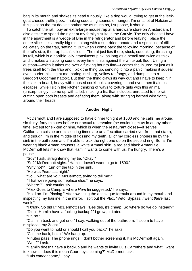bag in its mouth and shakes its head furiously, like a dog would, trying to get at the leekgoat cheese-truffle pizza, making squealing sounds of hunger. I'm on a lot of Halcion at this point so the rat doesn't bother me as much as, I suppose, it should.

 To catch the rat I buy an extra-large mousetrap at a hardware store on Amsterdam. I also decide to spend the night at my family's suite in the Carlyle. The only cheese I have in the apartment is a wedge of Brie in the refrigerator and before leaving I place the entire slice—it's a really big rat—along with a sun-dried tomato and a sprinkling of dill, delicately on the trap, setting it. But when I come back the following morning, because of the rat's size, the trap hasn't killed it. The rat just lies there, stuck, squeaking, thrashing its tail, which is a horrible, oily, translucent pink, as long as a pencil and twice as thick, and it makes a slapping sound every time it hits against the white oak floor. Using a dustpan—which it takes me over a fucking hour to find—I corner the injured rat just as it frees itself from the trap and I pick the thing up, sending it into a panic, making it squeal even louder, hissing at me, baring its sharp, yellow rat fangs, and dump it into a Bergdorf Goodman hatbox. But then the thing claws its way out and I have to keep it in the sink, a board, heavy with unused cookbooks, covering it, and even then it almost escapes, while I sit in the kitchen thinking of ways to torture girls with this animal (unsurprisingly I come up with a lot), making a list that includes, unrelated to the rat, cutting open both breasts and deflating them, along with stringing barbed wire tightly around their heads.

## **Another Night**

 McDermott and I are supposed to have dinner tonight at 1500 and he calls me around six-thirty, forty minutes before our actual reservation (he couldn't get us in at any other time, except for six-ten or nine, which is when the restaurant closes—it serves Californian cuisine and its seating times are an affectation carried over from that state), and though I'm in the middle of flossing my teeth, all of my cordless phones lie by the sink in the bathroom and I'm able to pick the right one up on the second ring. So far I'm wearing black Armani trousers, a white Armani shirt, a red sad black Armani tie. McDermott lets me know that Hamlin wants to come with us. I'm hungry. There's a pause.

"So?" I ask, straightening my tie. "Okay."

"So?" McDermott sighs. "Hamlin doesn't want to go to 1500."

"Why not?" I turn off the tap in the sink.

"He was *there* last night."

"So… what are *you*, McDermott, trying to tell me?"

'"That we're *going* someplace else," he says.

"Where?" I ask cautiously.

"Alex Goes to Camp is where *Ham* lin suggested," he says.

 "Hold on. I'm Plaxing." After swishing the antiplaque formula around in my mouth and inspecting my hairline in the mirror, I spit out the Plax. "Veto. Bypass. *I* went *there* last week."

 "I *know.* So did I," McDermott says. "Besides, it's cheap. So where do we go instead?" "Didn't Hamlin have a fucking backup?" I growl, irritated.

"Er, no."

 "Call him back and get one," I say, walking out of the bathroom. "I seem to have misplaced my Zagat."

"Do you want to hold or should I call you back?" he asks.

"Call me back, bozo." We hang up.

 Minutes pass. The phone rings. I don't bother screening it. It's McDermott again. "Well?" I ask.

 "Hamlin doesn't have a backup and he wants to invite Luis Carruthers and what I want to know is, does this mean Courtney's coming?" McDermott asks.

"Luis can*not* come," I say.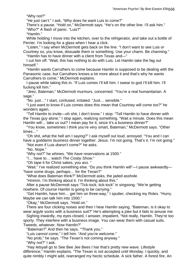"Why not?"

"He just *can't*." I ask, "Why does he want Luis to come?"

 There's a pause. "Hold on," McDermott says. "He's on the other line. I'll ask him." "Who?" A flash of panic. "Luis?"

"Hamlin."

While holding I move into the kitchen, over to the refrigerator, and take out a bottle of Perrier. I'm looking for a glass when I hear a click.

 "Listen," I say when McDermott gets back on the line. "I don't want to see Luis *or* Courtney so, you know, dissuade them or something. Use your charm. Be charming."

 "Hamlin has to have dinner with a client from Texas and—" I cut him off. "Wait, this has nothing to do with Luis. Let Hamlin take the fag out

himself." "Hamlin wants Carruthers to come because Hamlin is supposed to be dealing with the Panasonic case, but Carruthers knows a lot more about it and that's why he wants Carruthers to come," McDermott explains.

 I pause while taking this in. "If Luis comes I'll kill him. I swear to god I'll kill him. I'll fucking kill him."

 "Jeez, Bateman," McDermott murmurs, concerned. "You're a real humanitarian. A sage."

"No. just…" I start, confused, irritated. "Just… sensible."

 "I just want to know if Luis comes does this mean that Courtney will come too?" he wonders again.

 "Tell Hamlin to invite—oh shit, I don't know." I stop. "Tell Hamlin to have dinner with the Texas guy alone." I stop again, realizing something. "Wait a minute. Does this mean Hamlin will… take *us* out? I mean pay for it, since it's a business dinner?"

 "You know, sometimes I think you're very smart, Bateman," McDermott says. "Other times…"

 "Oh shit, what the hell am I saying?" I ask myself out loud, annoyed. "You and I can have a goddamn *business* dinner together. Jesus. I'm not going. That's it. I'm not going."

"Not even if Luis *doesn't* come?" he asks.

"No. Nope."

"Why not?" he whines. "We *have* reservations at 1500."

"I… have to… watch *The Cosby Show*."

"Oh *tape* it for Christ sakes, you *ass.* "

 "Wait." I've realized something else. "Do you think Hamlin will"—I pause awkwardly— "have some drugs, perhaps… for the Texan?"

"What does Bateman think?" McDermott asks, the jaded asshole.

"Hmmm. I'm thinking about it. I'm thinking about this."

 After a pause McDermott says "Tick-tock, tick-tock" in singsong. "We're getting nowhere. Of *course* Hamlin is going to be carrying."

 "Get Hamlin, have him… get him on three-way," I sputter, checking my Rolex. "Hurry. Maybe we can talk him into 1500."

"Okay," McDermott says. "Hold on."

 There are four clicking noises and then I hear Hamlin saying, "Bateman, is it okay to wear argyle socks with a business suit?" He's attempting a joke but it fails to amuse me.

 Sighing inwardly, my eyes closed, I answer, impatient, "Not really, Hamlin. They're too sporty. They interfere with a business image. You can wear them with casual suits. Tweeds, whatever. Now Hamlin?"

"Bateman?" And then he says, '"Thank you."

"Luis *cannot* come," I tell him. "And you're welcome."

"No prob," he says. "The Texan's not coming anyway."

"Why not?" I ask.

 "Hay letsyall go to See Bee Jee Bees I har that's pretty new wave. Lifestyle difference," Hamlin explains. "The Texan is not accepted until Monday. I quickly, and quite nimbly I might add, rearranged my hectic schedule. A sick father. A forest fire. An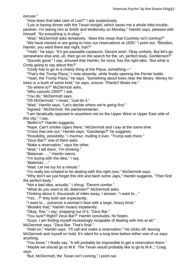excuse."

"How does that take care of Luis?" I ask suspiciously.

 "*Luis* is having dinner with the Texan tonight, which saves me a whole lotta trouble, pardner. *I'm* seeing him at Smith and Wollensky on Monday," Hamlin says, pleased with himself. "So everything is A-okay."

"Wait," McDermott asks tentatively, "does this mean that Courtney isn't coming?"

 "We have missed or are going to miss our reservations at 1500," I point out. "Besides, Hamlin, you went there last night, huh?"

 "Yeah," he says. "It's got passable carpaccio. Decent wren. Okay sorbets. But let's go somewhere else and, uh, then go on the search for the, uh, perfect body. Gentlemen?"

 "Sounds good," I say, amused that Hamlin, for once, has the right idea. "But what is Cindy going to say about this?"

"Cindy has to go to a charity thing at the Plaza, something—"

"That's the *Trump* Plaza," I note absently, while finally opening the Perrier bottle.

 "Yeah, the Trump Plaza," he says. "Something about trees near the library. Money for trees or a bush of some kind," he says, unsure. "Plants? Beats me."

"So where to?" McDermott asks.

"Who cancels 1500?" I ask.

"You do," McDermott says.

"Oh McDermott," I moan, "Just do it."

"Wait," Hamlin says. "Let's decide where we're *going* first."

"Agreed." McDermott, the parliamentarian.

 "I am fanatically opposed to anywhere *not* on the Upper West or Upper East side of this city," I say.

"Bellini's?" Hamlin suggests.

"Nope. Can't smoke cigars there," McDermott and I say at the same time.

"Cross that one out," Hamlin says. "Gandango?" he suggests.

"Possibility, possibility," I murmur, mulling it over. "Trump eats there."

"Zeus Bar?" one of them asks.

"Make a reservation," says the other.

"Wait," I tell them, "I'm thinking."

"Bate*man* …," Hamlin warns.

"I'm toying with the idea," I say.

"*Bateman* …"

"Wait. Let me toy for a minute."

"I'm really too irritated to be dealing with this right now," McDermott says.

 "Why don't we just forget this shit and bash some Japs," Hamlin suggests. "*Then* find the perfect body."

"Not a bad idea, actually." I shrug. "Decent combo."

"What do *you* want to do, Bateman?" McDermott asks.

Thinking about it, thousands of miles away, I answer, "I want to…"

"Yes…?" they both ask expectantly.

"I want to… pulverize a woman's face with a large, heavy brick."

"*Besides* that," Hamlin moans impatiently.

"Okay, fine," I say, snapping out of it. "Zeus Bar."

"You sure? Right? Zeus Bar?" Hamlin concludes, he hopes.

 "Guys. I am finding myself increasingly incapable of dealing with this *at all*," McDermott says. "Zeus Bar. That's final."

 "Hold on," Hamlin says. "I'll call and make a reservation." He clicks off, leaving McDermott and myself on hold. It's silent for a long time before either one of us says anything.

 "You know," I finally say. "It will probably be impossible to get a reservation there." "Maybe we should go to M.K. The Texan would probably like to go to M.K.," Craig says.

"But, McDermott, the *Texan* isn't coming," I point out.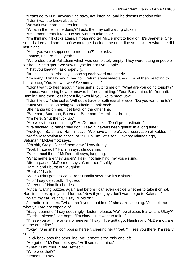"I can't go to M.K. anyway," he says, not listening, and he doesn't mention why.

"I don't want to know about it."

We wait two more minutes for Hamlin.

"What in the hell is he doing?" I ask, then my call waiting clicks in.

McDermott hears it too. "Do you want to take that?"

 "I'm thinking." It clicks again. I moan and tell McDermott to hold on. It's Jeanette. She sounds tired and sad. I don't want to get back on the other line so I ask her what she did last night.

"After you were supposed to meet me?" she asks.

I pause, unsure. "Uh, yeah."

 "We ended up at Palladium which was completely empty. They were letting in people for free." She signs. "We saw maybe four or five people."

"That you knew?" I ask hopefully.

"In... the… club," she says, spacing each word out bitterly.

 "I'm sorry," I finally say. "I had to… return some videotapes…" And then, reacting to her silence, "You know, I *would've* met you—"

 "I.don't want to hear about it," she sighs, cutting me off. "What are you doing tonight?" I pause, wondering how to answer, before admitting, "Zeus Bar at nine. McDermott.

Hamlin." And then, less hopefully, "Would you like to meet us?"

 "I don't know," she sighs. Without a trace of softness she asks, "Do you want me to?" "Must you insist on being so pathetic?" I ask back.

She hangs up on me. I get back on the other line.

"Bateman, Bateman, Bateman, Bateman, " Hamlin is droning.

"I'm here. Shut the fuck up."

"Are we still procrastinating?" McDermott asks. "Don't procrastinate."

"I've decided I'd rather play golf," I say. "I haven't been golfing in a long time."

"Fuck golf, Batsman," Hamlin says. "We have a nine o'clock reservation at Kaktus—"

"*And* a reservation to cancel at 1500 in, um, let's see… twenty minutes ago,

Batsman," McDermott says.

"Oh shit, Craig. *Cancel* them *now*," I say tiredly.

"God, I hate golf," Hamlin says, shuddering.

"*You* cancel them," McDermott says, laughing.

"What name are they under?" I ask, not laughing, my voice rising.

After a pause, McDermott says "Carruthers" softly.

Hamlin and I burst out laughing.

"Really?" I ask.

"We couldn't get into Zeus Bar," Hamlin says. "So it's Kaktus."

"Hip," I say dejectedly. "I guess."

"Cheer up." Hamlin chortles.

 My call waiting buzzes again and before I can even decide whether to take it or not, Hamlin makes up my mind for me. "Now if you guys don't want to go to Kaktus—"

"Wait, my call waiting," I say. "Hold on."

 Jeanette is in tears. "What aren't you capable of?" she asks, sobbing. "Just tell me what you are *not* capable of."

 "Baby. Jeanette," I say soothingly. "Listen, please. We'll be at Zeus Bar at ten. Okay?" "Patrick, please," she begs. "I'm okay. I just want to talk—"

 "I'll see you at nine or ten, whenever," I say. "I've gotta go. Hamlin and McDermott are on the other line."

 "Okay." She sniffs, composing herself, clearing her throat. "I'll see you there. I'm really sor—"

I click back onto the other line. McDermott is the only one left.

"He got off," McDermott says. "He'll see us at nine."

"Great," I murmur. "I feel settled."

"Who was that?"

"Jeanette," I say.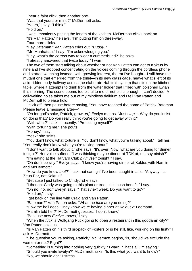I hear a faint click, then another one.

"Was that yours or mine?" McDermott asks.

"Yours," I say, "I think."

"Hold on."

I wait, impatiently pacing the length of the kitchen. McDermott clicks back on.

"It's Van Patten," he says. "I'm putting him on three-way."

Four more clicks.

"Hey Bateman," Van Patten cries out. "*Buddy.* "

"Mr. Manhattan," I say. "I'm acknowledging you."

"Hey, what's the correct way to wear a cummerbund?" he asks.

"I already answered that twice today," I warn.

 The two of them start talking about whether or not Van Patten can get to Kaktus by nine and I've stopped concentrating on the voices coming through the cordless phone and started watching instead, with growing interest, the rat I've bought—I still have the mutant one that emerged from the toilet—in its new glass cage, heave what's left of its acid-ridden body halfway across the elaborate Habitrail system that sits on the kitchen table, where it attempts to drink from the water holder that I filled with poisoned Evian this morning. The scene seems too pitiful to me or not pitiful enough. I can't decide. A call-waiting noise takes me out of my mindless delirium and I tell Van Patten and McDermott to please hold.

 I click off, then pause before saying, "You have reached the home of Patrick Bateman. Please leave a message after—"

 "Oh for god's sake, Patrick, grow *up*," Evelyn moans. "Just *stop* it. Why do you insist on doing that? Do you really think you're going to get away with it?"

"With what?" I ask innocently. "Protecting myself?"

"With torturing me," she pouts.

"Honey," I say.

"Yes?" she sniffs.

 "You don't know what torture is. You don't know what you're talking about," I tell her. "You really don't know what you're talking about."

 "I don't want to talk about it," she says. "It's over. Now, what are you doing for dinner tonight?" Her voice softens. "I was thinking maybe dinner at TDK at, oh, say ninish?"

"I'm eating at the Harvard Club *by myself* tonight," I say.

 "Oh don't be silly," Evelyn says. "I know you're having dinner at Kaktus with Hamlin and McDermott."

 "How do you know *that*?" I ask, not caring if I've been caught in a lie. "Anyway, it's Zeus Bar, not Kaktus."

"Because I just talked to Cindy," she says.

"I thought Cindy was going to this plant or tree—this bush benefit," I say.

 "Oh no, no, no," Evelyn says. "That's *next* week. Do you want to go?" "Hold on," I say.

I get back on the line with Craig and Van Patten.

"Bateman?" Van Patten asks. "What the *fuck* are you doing?"

"How the hell does Cindy know we're having dinner at Kaktus?" I demand.

"Hamlin told her?" McDermott guesses. "I don't know."

"Because now *Evelyn* knows," I say.

 "When the *fuck* is Wolfgang Puck going to open a restaurant in this goddamn city?" Van Patten asks us.

 "Is Van Patten on his third six-pack of Fosters or is he still, like, working on his first?" I ask McDermott.

 "The question you're asking, Patrick," McDermott begins, "is, should we exclude the women or not? Right?"

 "Something is turning into nothing very quickly," I warn. "That's all I'm saying." "Should you invite Evelyn?" McDermott asks. "Is this what you want to know?" "No, we should *not*," I stress.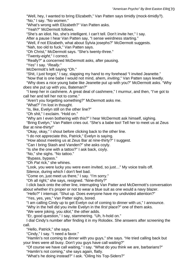"Well, hey, I wanted to bring Elizabeth," Van Patten says timidly (mock-timidly?). "No," I say. "No women."

"What's wrong with Elizabeth?" Van Patten asks.

"Yeah?" McDermott follows.

"She's an idiot. No, she's intelligent. I can't tell. Don't invite her," I say.

After a pause I hear Van Patten say, "I sense weirdness starting."

"Well, if not Elizabeth, what about Sylvia josephs?" McDermott suggests.

"Nah, too old to fuck," Van Patten says.

"Oh Christ," McDermott says. "She's twenty-three."

"Twenty-*eight*," I correct.

"Really?" a concerned McDermott asks, after pausing.

"Yes" I say. "*Really*."

McDermott's left saying "Oh."

"Shit, I just forgot," I say, slapping my hand to my forehead "I invited Jeanette."

"Now that is one babe I would not mind, ahem, *inviting*," Van Patten says lewdly.

 "Why does a nice young babe like Jeanette put up with you?" McDermott asks. "Why *does* she put up with you, Bateman?"

 "I keep her in cashmere. A great deal of cashmere," I murmur, and then, "I've got to call her and tell her not to come."

"Aren't you forgetting something?" McDermott asks me.

"What?" I'm lost in thought.

"Is, like, Evelyn still on the other line?"

"Oh shit," I exclaim. "Hold on."

"Why am I even bothering with this?" I hear McDermott ask himself, sighing.

 "Bring Evelyn," Van Patten cries out. "She's a babe too! Tell her to meet us at Zeus Bar at nine-thirty!"

"Okay, okay," I shout before clicking back to the other line.

"I do not appreciate this, Patrick," Evelyn is saying.

"How about meeting us at Zeus Bar at nine-thirty?" I suggest.

"Can I bring Stash and Vanden?" she asks coyly.

"Is she the one with a tattoo?" I ask back, coyly.

"No," she sighs. "No tattoo."

"Bypass, bypass."

"Oh *Pat* rick," she whines.

"Look, you were lucky you were even invited, so just…" My voice trails off.

Silence, during which I don't feel bad.

"Come on, just meet us there," I say. "I'm sorry."

"Oh all right," she says, resigned. "Nine-thirty?"

 I click back onto the other line, interrupting Van Patter and McDermott's conversation about whether it's proper or not to wear a blue suit as one would a navy blazer.

"Hello?" I interrupt. "Shut up. Does everyone have my undivided attention?"

"Yes, yes, yes," Van Patter sighs, bored.

"I am calling Cindy up to get Evelyn out of coming to dinner with *us*," I announce.

"Why in the hell did you invite Evelyn in the *first* place?" one of them asks.

"We were joking, you *idiot*," the other adds.

"Er, good question," I say, stammering. "Uh, h-hold on."

 I dial Cindy's number after finding it in my Rolodex. She answers after screening the call.

"Hello, Patrick," she says.

"Cindy," I say. "I need a favor."

 "Hamlin's not coming to dinner with you guys," she says. "He tried calling back but your lines were all busy. Don't you guys have call waiting?"

 "Of course we have call waiting," I say. "What do you think we are, barbarians?" "Hamlin's not coming," she says again, flatly.

"What's he doing instead?" I ask. "Oiling his Top-Siders?"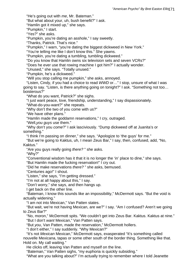"He's going out with *me*, Mr. Bateman."

"But what about your, uh, bush benefit?" I ask.

"Hamlin got it mixed up," she says.

"Pumpkin," I start.

"Yes?" she asks.

"Pumpkin, you're dating an asshole," I say sweetly.

"Thanks, Patrick. That's nice."

"Pumpkin," I warn, "you're dating the biggest dickweed in New York."

"You're telling me like I don't know this." She yawns.

"Pumpkin, you're dating a tumbling, tumbling dickweed."

"Do you know that Hamlin owns six television sets and seven VCRs?"

"Does he ever use that rowing machine I got him?" I actually wonder.

"Unused," she says. "Totally unused."

"Pumpkin, he's a dickweed."

"Will you stop calling me pumpkin," she asks, annoyed.

 "Listen, Cindy, if you had a choice to read *WWD* or…" I stop, unsure of what I was going to say. "Listen, is there anything going on tonight?" I ask. "Something not too… boisterous?"

"What do you want, Patrick?" she sighs.

"I just want peace, love, friendship, understanding," I say dispassionately.

"What-do-you-want?" she repeats.

"Why don't the two of you come with us?"

"We have other plans."

"Hamlin made the goddamn reservations," I cry, outraged.

"Well,*you guys* use them."

 "Why don't you *come*?" I ask lasciviously. "Dump dickweed off at Juanita's or something."

"I think I'm passing on dinner," she says. "Apologize to 'the guys' for me."

 "But we're going to Kaktus, uh, I mean Zeus Bar," I say, then, confused, add, "No, Kaktus."

"Are you guys really going *there?* " she asks.

"Why?"

"Conventional wisdom has it that it is no longer the 'in' place to dine," she says.

"But Hamlin made the fucking reservation!" I cry out.

"Did he make reservations *there?* " she asks, bemused.

"Centuries ago!" I shout.

"Listen," she says, "I'm getting dressed."

"I'm not at all happy about this," I say.

"Don't worry," she says, and then hangs up.

I get back on the other line.

 "Bateman, I know this sounds like an impossibility," McDermott says. "But the void is actually widening."

"I am not into Mexican," Van Patten states.

 "But wait, we're not having Mexican, are we?" I say. "Am I confused? Aren't we going to Zeus Bar?"

 "No, moron," McDermott spits. "We couldn't get into Zeus Bar. Kaktus. Kaktus at nine." "But I don't *want* Mexican," Van Patten says.

"But *you*, Van Patten, made the reservation," McDermott hollers.

"I don't either," I say suddenly. "Why Mexican?"

 "It's not *Mexican* Mexican," McDermott says, exasperated "It's something called nouvelle Mexicana, tapas or some other south of the border thing. Something like that. Hold on. My call waiting."

He clicks off, leaving Van Patten and myself on the line.

"Bateman," Van Patten sighs, "my euphoria is quickly subsiding."

"What are you talking about?" I'm actually trying to remember where I told Jeanette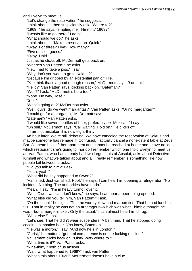and Evelyn to meet us.

"Let's change the reservation," he suggests.

I think about it, then suspiciously ask, "Where to?"

"1969, " he says, tempting me. "Hmmm? 1969?"

"I *would* like to go there," I admit.

"What should we do?" he asks.

I think about it. "Make a reservation. Quick."

"Okay. For three? Five? How many?"

"Five or six, I guess."

"Okay. Hold."

Just as he clicks off, McDermott gets back on.

"Where's Van Patten?" he asks.

"He… had to take a piss," I say.

"Why don't you want to go to Kaktus?"

"Because I'm gripped by an existential panic," I lie.

"*You* think that's a good enough reason," McDermott says. "*I* do not."

"Hello?" Van Patten says, clicking back on. "Bateman?"

"Well?" I ask. "McDermott's here too."

"Nope. No way, José."

"Shit."

"What's going on?" McDermott asks.

"Well, guys, do we want margaritas?" Van Patten asks. "Or no margaritas?"

"I could go for a margarita," McDermott says.

"Bateman?" Van Patten asks.

"I would like several bottles of beer, preferably *un* -Mexican," I say.

"Oh shit," McDermott says. "Call waiting. Hold on." He clicks off.

If I am not mistaken it is now eight-thirty.

 An hour later. We're still debating. We have canceled the reservation at Kaktus and maybe someone has remade it. Confused, I actually cancel a nonexistent table at Zeus Bar. Jeanette has left her apartment and cannot be reached at home and I have no idea which restaurant she's going to, nor do I remember which one I told Evelyn to meet us at. Van Patten, who has already had two large shots of Absolut, asks about Detective Kimball and what we talked about and all I really remember is something like how people fail between cracks.

"Did *you* talk to him?" I ask.

"Yeah, yeah."

"What did he say happened to Owen?"

 "Vanished. Just vanished. Poof," he says. I can hear him opening a refrigerator. "No incident. Nothing. The authorities have nada."

"Yeah," I say. "I'm in heavy turmoil over it."

"Well, Owen was… I don't know," he says. I can hear a beer being opened.

"What else did you tell him, Van Patten?" I ask.

 "Oh the usual," he sighs. "That he wore yellow and maroon ties. That he had lunch at '21.' That in reality he was not an arbitrageur—which was what Thimble thought he

was—but a merger-maker. Only the usual." I can almost hear him shrug.

"What else?" I ask.

 "Let's see. That he didn't wear suspenders. A belt man. That he stopped doing cocaine, simpatico beer. *You* know, Bateman."

"He was a moron," I say. "And now he's in London."

"Christ," he mutters, "general competence is on the fucking decline."

McDermott clicks back on. "Okay. *Now* where to?"

"What time is it?" Van Patter asks.

"Nine-thirty," both of us answer.

"Wait, what happened to 1969?" I ask van Patter.

"What's this about 1969?" McDermott doesn't have a clue.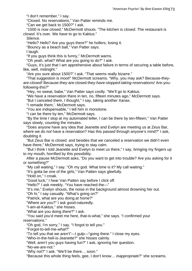"I don't remember," I say.

"Closed. No reservations," Van Patter reminds me.

"Can we get back to 1500?" I ask.

 "1500 is now *closed*," McDermott shouts. "The kitchen is *closed*. The restaurant is *closed.* It's over. We *have* to go to Kaktus."

Silence.

"Hello? Hello? Are you guys there?" he hollers, losing it.

"Bouncy as a beach ball," Van Patter says.

I laugh.

"If you guys think this is funny," McDermott warns.

"Oh yeah, what? What are you going to do?" I ask.

 "Guys, it's just that I am apprehensive about failure in terms of securing a table before, like, well, midnight."

"Are you sure about 1500?" I ask. "That seems really bizarre."

 "That suggestion is *moot*!" McDermott screams. "Why, you may ask? Because-theyare-*closed!* Because-they-are-closed-they-*have-stopped-taking-reservations!* Are-youfollowing-this?"

"Hey, no sweat, babe," Van Patter says coolly. "We'll go to Kaktus.

"We have a reservation there in ten, no, fifteen minutes ago," McDermott says.

"But I canceled them, I thought," I say, taking another Xanax.

"I remade them,'. McDermott says.

"You are indispensable," I tell him in monotone.

"I can be there by ten," McDermott says.

 "By the time I stop at my automated teller, I can be there by ten-fifteen," Van Patter says slowly, counting the minutes.

 "Does anyone have any idea that Jeanette and Evelyn are meeting us at Zeus Bar, where we do *not* have a reservation? Has this passed through anyone's mind?" I ask, doubting it.

 "But Zeus Bar is closed. and besides that we canceled a reservation we didn't even have there," McDermott says, trying to stay calm.

 "But I think I told Jeanette and Evelyn to meet us there," I say, bringing my fingers up to my mouth, horrified by this possibility.

 After a pause McDermott asks, "Do you want to get into trouble? Are you asking for it or something?"

"My call waiting," I say. "Oh my god. What time is it? My call waiting."

"It's gotta be one of the girls," Van Patten says gleefully.

"Hold on," I croak.

"Good luck," I hear Van Patten say before I click off.

"Hello?" I ask meekly. "You have reached the—"

"It's *me*," Evelyn shouts, the noise in the background almost drowning her out.

"Oh hi," I say casually. "What's going on?"

"Patrick, what are you doing.at home?"

"Where *are* you?" I ask good-naturedly.

"I-am-at-Kaktus," she hisses.

"What are you doing *there*?" I ask.

 "You said you'd meet me here, that-is-what," she says. "I confirmed your reservations."

"Oh god, I'm sorry," I say. "I forgot to tell you."

"Forgot-to-tell-me-*what*?"

"To tell you that we aren't"—I gulp—"going there." I close my eyes.

"Who-in-the-hell-is-Jeanette?" she hisses calmly.

"Well, aren't you guys having fun?" I ask, ignoring her question.

"No-we-are-not."

"Why not?" I ask. "We'll be there… soon."

"Because this whole thing feels, gee, I don't know… *inappropriate*?" she screams.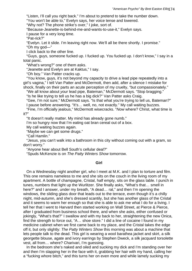"Listen, I'll call you right back." I'm about to pretend to take the number down.

"You won't be able to," Evelyn says, her voice tense and lowered.

"Why not? The phone strike's over," I joke, sort of.

"Because-Jeanette-is-behind-me-and-wants-to-use-it," Evelyn says.

I pause for a very long time.

"Pat-rick?"

 "Evelyn. Let it slide. I'm leaving right now. We'll all be there shortly. I promise." "Oh my god—"

I click back to the other line.

 "Guys, guys, someone fucked up. I fucked up. You fucked up. I don't know," I say in a total panic.

"What's wrong?" one of them asks.

"Jeanette and Evelyn are at Kaktus," I say.

"Oh boy." Van Patter cracks up.

 "You know, guys, it's not beyond my capacity to drive a lead pipe repeatedly into a girl's vagina," I tell Van Patter and McDermott, then add, after a silence I mistake for shock, finally on their parts an acute perception of my cruelty, "but compassionately."

"We all know about *your* lead pipe, Bateman," McDermott says. "Stop bragging."

 "Is he like trying to tell us he has a big dick?" Van Patter asks Craig. "Gee, I'm not sure," McDermott says. "Is that what you're trying to tell us, Bateman?"

I pause before answering. "It's… well, no, not exactly." My call waiting buzzes.

 "Fine, I'm officially jealous," McDermott wisecracks. "*Now* where? Christ, what time is it?"

"It doesn't really matter. My mind has already gone numb."

I'm so hungry now that I'm eating oat bran cereal out of a box.

My call waiting buzzes again.

"Maybe we can get some drugs."

"Call Hamlin."

 "Jesus, you can't walk into a bathroom in this city without coming out with a gram, so don't worry."

"Anyone hear about Bell South's cellular deal?"

"Spuds McKenzie is on *The Patty Winters Show* tomorrow.

## **Girl**

 On a Wednesday night another girl, who I meet at M.K. and I plan to torture and film. This one remains nameless to me and she sits on the couch in the living room of my apartment. A bottle of champagne, Cristal, half empty, sits on the glass table. I punch in tunes, numbers that light up the Wurlitzer. She finally asks, "What's that… smell in here?" and I answer, under my breath, "A dead... rat," and then I'm opening the windows, the sliding glass door that leads out to the terrace, even though it's a chilly night, mid-autumn, and she's dressed scantily, but she has another glass of the Cristal and it seems to warm her enough so that she is able to ask me what I do for a living. I tell her that I went to Harvard then started working on Wall Street, at Pierce & Pierce, after I graduated from business school there, and when she asks, either confused or jokingly, "What's that?" I swallow and with my back to her, straightening the new Onica, find the strength to force out, "A… shoe store." I did a line of cocaine I found in my medicine cabinet when we first came back to my place, and the Cristal takes the edge off it, but only slightly: *The Patty Winters Show* this morning was about a machine that lets people talk to the dead. This girl is wearing a wool barathea jacket and skirt, a silk georgette blouse, agate and ivory earrings by Stephen Dweck, a silk jacquard torsolette vest, all from… where? Charivari, I'm guessing.

 In the bedroom she's naked and oiled and sucking my dick and I'm standing over her and then I'm slapping her in the face with it, grabbing her hair with my hand, calling her a "fucking whore bitch," and this turns her on even more and while lamely sucking my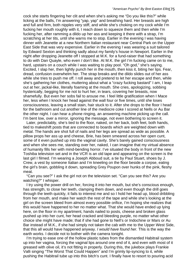#### "American Psycho" By Bret Easton Ellis<sup>1</sup>75

cock she starts fingering her clit and when she's asking me "Do you like this?" while licking at the balls, I'm answering "yap, yap" and breathing hard. Her breasts are high and full and firm, both nipples very stiff, and while she's choking on my cock while I'm fucking her mouth roughly with it, I reach down to squeeze them and then while I'm fucking her, after ramming a dildo up her ass and keeping it there with a strap, I'm scratching at her tits, until she warns me to stop. Earlier in the evening I was having dinner with Jeanette at a new Northern Italian restaurant near Central Park on the Upper East Side that was very expensive. Earlier in the evening I was wearing a suit tailored by Edward Sexton and thinking sadly about my family's house in Newport. Earlier in the night after dropping Jeanette off I stopped at M.K. for a fund-raiser that had something to do with Dan Quayle, who even *I* don't like. At M.K. the girl I'm fucking came on to me, hard, upstairs on a couch while I was waiting to play pool. "Oh god," she's saying. Excited, I slap her, then lightly punch her in the mouth, then kiss it, biting her lips. Fear, dread, confusion overwhelm her. The strap breaks and the dildo slides out of her ass while she tries to push me off. I roll away and pretend to let her escape and then, while she's gathering her clothes, muttering about what a "crazy fucking bastard" I am, I leap out at her, jackal-like, literally foaming at the mouth. She cries, apologizing, sobbing hysterically, begging for me not to hurt her, in tears, covering her breasts, now shamefully. But even her sobs fail to arouse me. I feel little gratification when I Mace her, less when I knock her head against the wall four or five times, until she loses consciousness, leaving a small stain, hair stuck to it. After she drops to the floor I head for the bathroom and cut another line of the mediocre coke I scored at Nells or Au Bar the other night. I can hear a phone ringing, an answering machine picking up the call. I'm bent low, over a mirror, ignoring the message, not even bothering to screen it.

 Later, predictably, she's tied to the floor, naked, on her back, both feet, both hands, tied to makeshift posts that are connected to boards which are weighted down with metal. The hands are shot full of nails and her legs are spread as wide as possible. A pillow props her ass up and cheese, Brie, has been smeared across her open cunt, some of it even pushed up into the vaginal cavity. She's barely gained consciousness and when she sees me, standing over her, naked, I can imagine that my virtual absence of humanity fills her with mind-bending horror. I've situated the body in front of the new Toshiba television set and in the VCR is an old tape and appearing on the screen is the last girl I filmed. I'm wearing a Joseph Abboud suit, a tie by Paul Stuart, shoes by J. Crew, a vest by someone Italian and I'm kneeling on the floor beside a corpse, eating the girl's brain, gobbling it down, spreading Grey Poupon over hunks of the pink, fleshy meat.

 "Can you see?" I ask the girl not on the television set. "Can you see this? Are you watching?" I whisper.

 I try using the power drill on her, forcing it into her mouth, but she's conscious enough, has strength, to close her teeth, clamping them down, and even though the drill goes through the teeth quickly, it fails to interest me and so I hold her head up, blood dribbling from her mouth, and make her watch the rest of the tape and while she's looking at the girl on the screen bleed from almost every possible orifice, I'm hoping she realizes that this would have happened to her no matter what. That she would have ended up lying here, on the floor in my apartment, hands nailed to posts, cheese and broken glass pushed up into her cunt, her head cracked and bleeding purple, no matter what other choice she might have made; that if she had gone to Nell's or Indochine or Mars or Au Bar instead of M.K., if she had simply not taken the cab with me to the Upper West Side, that this all would have happened anyway. *I would have found her.* This is the way the earth works. I decide not to bother with the camera tonight.

 I'm trying to ease one of the hollow plastic tubes from the dismantled Habitrail system up into her vagina, forcing the vaginal lips around one end of it, and even with most of it greased with olive oil, it's not fitting in properly. During this, the jukebox plays Frankie Valli singing "The Worst That Could Happen" and I'm grimly lip-syncing to it, while pushing the Habitrail tube up into this bitch's cunt. I finally have to resort to pouring acid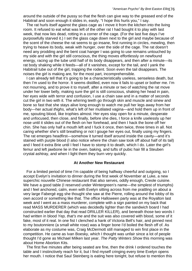#### "American Psycho" By Bret Easton Ellis<sup>1</sup>76

around the outside of the pussy so that the flesh can give way to the greased end of the Habitrail and soon enough it slides in, easily. "I hope this hurts you," I say.

 The rat hurls itself against the glass cage as I move it from the kitchen into the living room. It refused to eat what was left of the other rat I had bought it to play with last week, that now lies dead, rotting in a corner of the cage. (For the last five days I've purposefully starved it.) I set the glass cage down next to the girl and maybe because of the scent of the cheese the rat seems to go insane, first running in circles, mewling, then trying to heave its body, weak with hunger, over the side of the cage. The rat doesn't need any prodding and the bent coat hanger I was going to use remains untouched by my side and with the girl still conscious, the thing moves effortlessly on newfound energy, racing up the tube until half of its body disappears, and then after a minute—its rat body shaking while it feeds—all of it vanishes, except for the tail, and I yank the Habitrail tube out of the girl, trapping the rodent. Soon even the tail disappears. The noises the girl is making are, for the most part, incomprehensible.

 I can already tell that it's going to be a characteristically useless, senseless death, but then I'm used to the horror. It seems distilled, even now it fails to upset or bother me. I'm not mourning, and to prove it to myself, after a minute or two of watching the rat move under her lower belly, making sure the girl is still conscious, shaking her head in pain, her eyes wide with terror and confusion, I use a chain saw and in a matter of seconds cut the girl in two with it. The whirring teeth go through skin and muscle and sinew and bone so fast that she stays alive long enough to watch me pull her legs away from her body—her actual *thighs,* what's left of her mutilated vagina—and hold them up in front of me, spouting blood, like trophies almost. Her eyes stay open for a minute, desperate and unfocused, then close, and finally, before she dies, I force a knife uselessly up her nose until it slides out of the flesh on her forehead, and then I hack the bone off her chin. She has only half a mouth left and I fuck it once, then twice, three times in all. Not caring whether she's still breathing or not I gouge her eyes out, finally using my fingers. The rat emerges headfirst—somehow it turned itself around inside the cavity—and it's stained with purple blood (I also notice where the chain saw took off about half of its tail) and I feed it extra Brie until I feel I have to stomp it to death, which I do. Later the girl's femur and left jawbone lie in the oven, baking, and tufts of pubic hair fill a Steuben crystal ashtray, and when I light them they burn very quickly.

### **At Another New Restaurant**

 For a limited period of time I'm capable of being halfway cheerful and outgoing, so I accept Evelyn's invitation to dinner during the first week of November at Luke, a new superchic nouvelle Chinese restaurant that also serves, oddly enough, Creole cuisine. We have a good table (I reserved under Wintergreen's name—the simplest of triumphs) and I feel anchored, calm, even with Evelyn sitting across from me prattling on about a very large Fabergé egg she thought she saw at the Pierre, rolling around the lobby of its own accord or something like that. The office Halloween party was at the Royalton last week and I went as a mass murderer, complete with a sign painted on my back that read MASS MURDERER (which was decidedly lighter than the sandwich board I had constructed earlier that day that read DRILLER KILLER), and beneath those two words I had written in blood *Yep, that's me* and the suit was also covered with blood, some of it fake, most of it real. In one fist I clenched a hank of Victoria Bell's hair, and pinned next to my boutonniere (a small white rose) was a finger bone I'd boiled the flesh off of. As elaborate as my costume was, Craig McDermott still managed to win first place in the competition. He came as Ivan Boesky, which I thought was unfair since a lot of people thought I'd gone as Michael Milken last year. *The Patty Winters Show* this morning was about Home Abortion Kits.

 The first five minutes after being seated are fine, then the drink I ordered touches the table and I instinctively reach for it, but I find myself cringing every time Evelyn opens her mouth. I notice that Saul Steinberg is eating here tonight, but refuse to mention this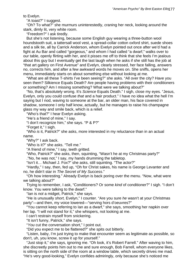to Evelyn.

"A toast?" I suggest.

 "Oh? To what?" she murmurs uninterestedly, craning her neck, looking around the stark, dimly lit, very white room.

"Freedom?" I ask tiredly.

 But she's not listening, because some English guy wearing a three-button wool houndstooth suit, a tattersall wool vest, a spread-collar cotton oxford shirt, suede shoes and a silk tie, all by Carrick Anderson, whom Evelyn pointed out once after we'd had a fight at Au Bar and called "gorgeous," and whom I had called "a dwarf," walks over to our table, openly flirting with her, and it pisses me off to think that she feels I'm jealous about this guy but I eventually get the last laugh when he asks if she still has the job at "that art gallery on First Avenue" and Evelyn, clearly stressed, her face falling, answers no, corrects him, and after a few awkward words he moves on. She sniffs, opens her menu, immediately starts on about something else without looking at me.

 "What are all these T-shirts I've been seeing?" she asks. "All over the city? Have you seen them? Silkience Equals Death? Are people having problems with their conditioners or something? Am I missing something? What were we talking about?"

 "No, that's absolutely wrong. It's *Science* Equals Death." I sigh, close my eyes. "Jesus, Evelyn, only you could confuse *that* and a hair product." I have no idea what the hell I'm saying but I nod, waving to someone at the bar, an older man, his face covered in shadow, someone I only half know, actually, but he manages to raise his champagne glass my way and smile back, which is a relief.

"Who's that?" I hear Evelyn asking.

"He's a friend of mine," I say.

"I don't recognize him," she says. "P & P?"

"Forget it," I sigh.

 "Who *is* it, Patrick?" she asks, more interested in my reluctance than in an actual name.

"Why?" I ask back.

"Who is it?" she asks. "Tell me."

"A friend of mine," I say, teeth gritted.

"Who, Patrick?" she asks, then, squinting, "Wasn't he at my Christmas party?"

."No, he was not," I say, my hands drumming the tabletop.

"Isn't it… Michael J. Fox?" she asks, still squinting. "The actor?"

 "Hardly," I say, then, fed up, "Oh for Christ sakes, his name is George Levanter and no, he didn't star in *The Secret of My Success*."

 "Oh how interesting." Already Evelyn is back poring over the menu. "Now, what were we talking about?"

 Trying to remember, I ask, "Conditioners? Or some *kind* of conditioner?" I sigh. "I don't know. You were talking to the dwarf."

"Ian is *not* a midget, Patrick," she says.

 "He is unusually *short,* Evelyn," I counter. "Are you sure *he* wasn't at your Christmas party"—and then, my voice lowered—"serving hors d'oeuvres?"

 "You cannot keep referring to Ian as a dwarf," she says, smoothing her napkin over her lap. "I will not stand for it," she whispers, not looking at me.

I can't restrain myself from snickering.

"It isn't funny, Patrick," she says.

"*You* cut the conversation short," I point out.

"Did you expect me to be flattered?" she spits out bitterly.

 "Listen, baby, I'm just trying to make that encounter seem as legitimate as possible, so don't, uh, you know, screw it up for yourself."

 "Just stop it," she says, ignoring me. "Oh look, it's Robert Farrell." After waving to him, she discreetly points him out to me and sure enough, Bob Farrell, whom everyone likes, is sitting on the north side of the room at a window table, which secretly drives me mad. "He's very good-looking," Evelyn confides admiringly, only because she's noticed me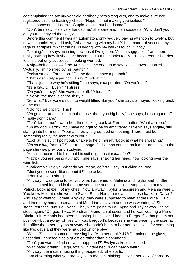contemplating the twenty-year-old hardbody he's sitting with, and to make sure I've registered this she teasingly chirps, "Hope I'm not making you jealous."

"He's handsome," I admit. "Stupid-looking but handsome."

 "Don't be nasty. He's very handsome," she says and then suggests, "Why don't you get your hair styled that way?"

 Before this comment I was an automaton, only vaguely paying attention to Evelyn, but now I'm panicked, and I ask, "What's wrong with my hair?" In a matter of seconds my rage quadruples. "What the hell is wrong with my hair?" I touch it lightly.

 "Nothing," she says, noticing how upset I've gotten. "Just a suggestion," and then, really noticing how flushed I've become, "Your hair looks really… really great." She tries to smile but only succeeds in looking worried.

 A sip—half a glass—of the J&B calms me enough to say, looking over at Farrell, "Actually, I'm horrified by his paunch."

Evelyn studies Farrell too. "Oh, he doesn't have a paunch."

"That's definitely a paunch," I say. "Look at it."

 "That's just the way he's sitting," she says, exasperated. "Oh you're—" "It's a *paunch,* Evelyn," I stress.

"Oh you're crazy." She waves me off. "A lunatic."

"Evelyn, the man is *barely* thirty."

 "So what? Everyone's not into weight lifting like you," she says, annoyed, looking back at the menu.

"I do not 'weight lift,'" I sigh.

 "Oh go over and sock him in the nose, then, you big bully," she says, brushing me off. "I really don't care."

 "Don't tempt me," I warn her, then looking back at Farrell I mutter, "What a creep." "Oh my god, Patrick. You have no right to be so embittered," Evelyn says angrily, still staring into her menu. "Your animosity is grounded on nothing. There must be something really the matter with you."

 "Look at his suit," I point out, unable to help myself. "Look at what he's wearing." "Oh so *what,* Patrick." She turns a page, finds it has nothing on it and turns back to the page she was previously studying.

"Hasn't it occurred to him that his suit might inspire *loathing*?" I ask.

 "Patrick you are being a *lunatic*," she says, shaking her head, now looking over the wine list.

"Goddamnit, Evelyn. What do you mean, *being*?" I say. "I fucking *am* one."

"Must you be so militant about it?" she asks.

"I don't know." I shrug.

 "Anyway, I was going to tell you what happened to Melania and Taylor and…" She notices something and in the same sentence adds, sighing, "…stop looking at my chest, Patrick. Look at *me*, *not* my chest. Now anyway, Taylor Grassgreen and Melania were… You know Melania, she went to Sweet Briar. Her father owns all those banks in Dallas? And Taylor went to Cornell. Anyway, they were supposed to meet at the Cornell Club and then they had a reservation at Mondrian at seven and he was wearing…" She stops, retraces. "No. Le Cygne. They were going to Le Cygne and Taylor was…" She stops again. "Oh god, it *was* Mondrian. Mondrian at seven and he was wearing a Piero Dimitri suit. Melania had been shopping. I think she'd been to Bergdorf's, though I'm not positive—but anyway, oh yes… it *was* Bergdorf's because she was wearing the scarf at the office the other day, so anyway, she hadn't been to her aerobics class for something like two days and they were mugged on one of—"

 "Waiter?" I call to someone passing by. "Another drink? J&B?" I point to the glass, upset that I phrased it as a question rather than a command.

"Don't you want to find out what happened?" Evelyn asks, displeased.

"With bated breath," I sigh, totally uninterested. "I can hardly wait."

"Anyway, the most amusing thing happened," she starts.

I am absorbing what you are saying to me, I'm thinking. I notice her lack of carnality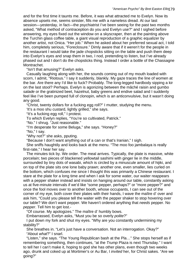and for the first time it taunts me. Before, it was what attracted me to Evelyn. Now its absence upsets me, seems sinister, fills me with a nameless dread. At our last session—yesterday, in fact—the psychiatrist I've been seeing for the past two months asked, "What method of contraception do you and Evelyn use?" and I sighed before answering, my eyes fixed out the window on a skyscraper, then at the painting above the Turchin glass coffee table, a giant visual reproduction of a graphic equalizer by another artist, not Onica. "Her job." When he asked about her preferred sexual act, I told him, completely serious, "Foreclosure." Dimly aware that if it weren't for the people in the restaurant I would take the jade chopsticks sitting on the table and push them deep into Evelyn's eyes and snap them in two, I nod, pretending to listen, but I've already phased out and I don't do the chopsticks thing. Instead I order a bottle of the Chassagne Montrachet.

"Isn't that amusing?" Evelyn asks.

 Casually laughing along with her, the sounds coming out of my mouth loaded with scorn, I admit, "Riotous." I say it suddenly, blankly. My gaze traces the line of women at the bar. Are there any I'd like to fuck? Probably. The long-legged hardbody sipping a kir on the last stool? Perhaps. Evelyn is agonizing between the mâché raisin and gumbo *salade* or the gratinized beet, hazelnut, baby greens and endive salad and I suddenly feel like I've been pumped full of clonopin, which is an anticonvulsive, but it wasn't doing any good.

"Christ, twenty dollars for a fucking egg roll?" I mutter, studying the menu.

'It's a moo shu custard, lightly grilled," she says.

"It's a fucking egg roll," I protest.

To which Evelyn replies, "You're so cultivated, Patrick."

"No." I shrug. "Just reasonable."

"I'm desperate for some Beluga," she says. "Honey?"

"No," I say.

"Why not?" she asks, pputing.

"Because I don't want anything out of a can or that's Iranian," I sigh.

 She sniffs haughtily and looks back at the menu. "The moo foo jambalaya is really first-rate," I hear her say.

 The minutes tick by. We order. The meal arrives. Typically, the plate is massive, white porcelain; two pieces of blackened yellowtail sashimi with ginger lie in the middle, surrounded by tiny dots of wasabi, which is circled by a minuscule amount of hijiki, and on top of the plate sits one lone baby prawn; another one, even smaller, lies curled on the bottom, which confuses me since I thought this was primarily a Chinese restaurant. I stare at the plate for a long time and when I ask for some water, our waiter reappears with a pepper shaker instead and insists on hanging around our table, constantly asking us at five-minute intervals if we'd like "some pepper, perhaps?" or "more pepper?" and once the fool moves over to another booth, whose occupants, I can see out of the corner of my eye, both cover their plates with their hands, I wave the maître d' over and ask him, "Could you please tell the waiter with the pepper shaker to stop hovering over our table? We don't want pepper. We haven't ordered anything that *needs* pepper. No *pepper*. Tell him to get lost.-

"Of course. My apologizes." The maître d' humbly bows.

Embarrassed, Evelyn asks, "Must you be so overly *polite*?"

 I put down my fork and shut my eyes. "Why are you constantly undermining my stability?"

 She breathes in. "Let's just have a conversation. Not an interrogation. Okay?" "About *what*?" I snarl.

 "Listen," she says. "The Young Republican bash at the Pla…" She stops herself as if remembering something, then continues, "at the *Trump* Plaza is next Thursday." I want to tell her I can't make it, hoping to god she has other plans, even though two weeks ago, drunk and coked up at Mortimer's or Au Bar, I *invited* her, for Christ sakes. "Are we going?"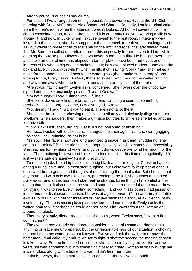After a pause, "I guess," I say glumly.

 For dessert I've arranged something special. At a power breakfast at the '21' Club this morning with Craig McDermott, Alex Baxter and Charles Kennedy, I stole a urinal cake from the men's room when the attendant wasn't looking. At home I covered it with a cheap chocolate syrup, froze it, then placed it in an empty Godiva box, tying a silk bow around it, and now, in Luke, when I excuse myself to the rest room, I make my way instead to the kitchen, after I've stopped at the coatcheck to retrieve the package, and I ask our waiter to present this to the table "in the box" and to tell the lady seated there that Mr. Bateman called up earlier to order this especially for her. I even tell him, while opening the box, to put a flower on it, whatever, hand him a fifty. He brings it over once a suitable amount of time has elapsed, after our plates have been removed, and I'm impressed by what a big deal he makes over it; he's even placed a silver dome over the box and Evelyn coos with delight when he lifts it off, saying "Voi-ra," and she makes a move for the spoon he's laid next to her water glass (that I make sure is empty) and, turning to me, Evelyn says, "Patrick, that's *so* sweet," and I nod to the waiter, smiling, and wave him away when he tries to place a spoon on my side of the table.

 "Aren't you having any?" Evelyn asks, concerned. She hovers over the chocolatedipped urinal cake anxiously, poised. "I *adore* Godiva."

"I'm not hungry," I say. "Dinner was… filling."

 She leans down, smelling the brown oval, and, catching a scent of something (probably disinfectant), asks me, now dismayed, "Are you… sure?"

"No, darling," I say. "I want you to eat it. There's not a lot there."

 She takes the first bite, chewing dutifully, immediately and obviously disgusted, then swallows. She shudders, then makes a grimace but tries to smile as she takes another tentative bite.

"How is it?" I ask, then, urging, "Eat it. It's not poisoned or anything."

 Her face, twisted with displeasure, manages to blanch again as if she were gagging. "What?" I ask, grinning. "What is it?"

 "It's so…" Her face is now one long agonized grimace mask and, shuddering, she coughs. "…minty." But she tries to smile appreciatively, which becomes an impossibility. She reaches for my glass of water and gulps it down, desperate to rid her mouth of the taste. Then, noticing how worried I look, she tries to smile, this time apologetically. "It's just"—she shudders again—"it's just… so *minty*."

 To me she looks like a big black ant—a big black ant in an original Christian Lacroix eating a urinal cake and I almost start laughing, but I also want to keep her at ease. I don't want her to get second thoughts about finishing the urinal cake. But she can't eat any more and with only two bites taken, pretending to be full, she pushes the tainted plate away, and at this moment I start feeling strange. Even though I marveled at her eating that thing, it also makes me sad and suddenly I'm reminded that no matter how satisfying it was to see Evelyn eating something I, and countless others, had pissed on, in the end the displeasure it caused her was at *my* expense—it's an anticlimax, a futile excuse to put up with her for three hours. My jaw begins to clench, relax, clench, relax, involuntarily. There is music playing somewhere but I can't hear it. Evelyn asks the waiter, hoarsely, if perhaps he could get her some Life Savers from the Korean deli around the block.

 Then, very simply, dinner reaches its crisis point, when Evelyn says, "I want a firm commitment."

 The evening has already deteriorated considerably so this comment doesn't ruin anything or leave me unprepared, but the unreasonableness of our situation is choking me and I push my water glass back toward Evelyn and ask the waiter to remove the half-eaten urinal cake. My endurance for tonight is shot the second the melting dessert is taken away. For the first time I notice that she has been eyeing me for the last two years not with adoration but with something closer to greed. Someone finally brings her a water glass along with a bottle of Evian I didn't hear her order.

"I think, Evelyn, that…" I start, stall, start again. "…that we've lost touch."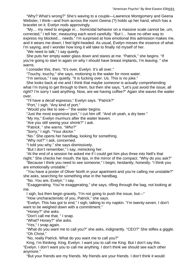"Why? What's wrong?" She's waving to a couple—Lawrence Montgomery and Geena Webster, I think—and from across the room Geena (?) holds up her hand, which has a bracelet on it. Evelyn nods approvingly.

 "My… my *need* to engage in… homicidal behavior on a massive scale cannot be, um, corrected," I tell her, measuring each word carefully. "But I… have no other way to express my blocked… needs." I'm surprised at how emotional this admission makes me, and it wears me down; I feel light-headed. As usual, Evelyn misses the essence of what I'm saying, and I wonder how long it will take to finally rid myself of her.

"We need to talk," I say quietly.

 She puts her empty water glass down and stares at me. "Patrick," she begins. "If you're going to start in again on why I should have breast implants, I'm *leaving,* " she warns.

I consider this, then, "It's over, Evelyn. It's all over."

"Touchy, touchy," she says, motioning to the waiter for more water.

"I'm serious," I say quietly. "It is fucking over. Us. This is no joke."

 She looks back at me and I think that maybe *someone* is actually comprehending what I'm trying to get through to them, but then she says, "Let's just avoid the issue, all right? I'm sorry I said anything. Now, are we having coffee?" Again she waves the waiter over.

"I'll have a decaf espresso," Evelyn says. "Patrick?"

"Port," I sigh. "Any kind of port."

"Would you like to see—" the waiter begins.

"Just the most expensive port," I cut him off. "And oh yeah, a dry beer."

"My my," Evelyn murmurs after the waiter leaven.

"Are you still seeing your shrink?" I ask.

"Pat*rick*, " she warns. "*Who*?"

"Sorry," I sigh. "Your *doctor*."

"No." She opens her handbag, looking for something.

"Why not?" I ask, concerned.

"I told you why," she says dismissively.

"But I don't remember," I say, mimicking her.

"At the end of a session he asked me if I could get him plus three into Nell's that

night." She checks her mouth, the lips, in the mirror of the compact. "Why do you ask?" "Because I think you need to see someone," I begin, hesitantly, honestly. "I think you

are emotionally unstable."

 "*You* have a poster of Oliver North in your apartment and you're calling *me* unstable?" she asks, searching for something else in the handbag.

"No. *You* are, Evelyn." I say.

 "Exaggerating. You"re exaggerating," she says, rifling through the bag, not looking at me.

I sigh, but then begin gravely, "I'm not going to push the issue, but—"

"How uncharacteristic of you, Patrick," she says.

 "Evelyn. This has got to end," I sigh, talking to my napkin. "I'm twenty-seven. I don't want to be weighed down with a commitment."

"Honey?" she asks.

"Don't call me that, " I snap.

"What? Honey?" she asks.

"Yes," I snap again.

 "What do you *want* me to call you?" she asks, indignantly. "CEO?" She stifles a giggle. "Oh Christ."

"No, really Patrick. What do you want me to call you?"

 King, I'm thinking. King, Evelyn. I want you to call me King. But I don't say this. "Evelyn. I don't want you to call me anything. I don't think we should see each other anymore."

"But your friends are my friends. My friends are your friends. I don't think it would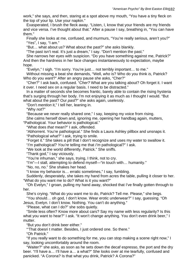work," she says, and then, staring at a spot above my mouth, "You have a tiny fleck on the top of your lip. Use your napkin."

 Exasperated, I brush the fleck away. "Listen, I, know that your friends are my friends and vice versa. I've thought about that." After a pause I say, breathing in, "You can have them."

 Finally she looks at me, confused, and murmurs, "You're really serious, aren't you?" "Yes", I say, "I am."

"But… what about us? What about the past?" she asks blankly.

"The past isn't real. It's just a dream," I say. "Don't mention the past."

 She narrows her eyes with suspicion. "Do you have something against me, Patrick?" And then the hardness in her face changes instantaneously to expectation, maybe hope.

"Evelyn," I sigh. "I'm sorry. You're just… not terribly important… to me."

 Without missing a beat she demands, "Well, *who* is? Who do you think *is*, Patrick? Who do you *want*?" After an angry pause she asks, "Cher?"

 "Cher?" I ask back, confused. "*Cher?* What are you talking about? Oh forget it. I want it over. I need sex on a regular basis. I need to be distracted."

 In a matter of seconds she becomes frantic, barely able to contain the rising hysteria that's surging through her body. I'm not enjoying it as much as I thought I would. "But what about the past? Our *past*?" she asks again, uselessly.

"Don't *mention* it," I tell her, leaning in.

"Why *not*?"

"Because we never really shared one," I say, keeping my voice from rising.

She calms herself down and, ignoring me, opening her handbag again, mutters,

"Pathological. Your behavior is pathological."

"What does *that* mean?" I ask, offended.

 "Abhorrent. You're pathological." She finds a Laura Ashley pillbox and unsnaps it. "Pathological *what*?" I ask, trying to smile.

 "Forget it." She takes a pill that I don't recognize and uses my water to swallow it. "*I'm* pathological? *You're* telling me that *I'm* pathological?" I ask.

"We look at the world differently, Patrick." She sniffs.

"Thank god," I say viciously.

"You're inhuman," she says, trying, I think, not to cry.

"I'm"—I stall, attempting to defend myself—"in touch with… humanity."

"No, no, no." She shakes her head.

"I know my behavior is… erratic sometimes," I say, fumbling.

 Suddenly, desperately, she takes my hand from acres the table, pulling it closer to her. "What do you want me to do? What is it you want?"

 "Oh Evelyn," I groan, pulling my hand away, shocked that I've finally gotten through to her.

She's crying. "What do you want me to do, Patrick? Tell me. Please," she begs.

 "You should… oh god, I don't know. Wear erotic underwear?" I say, guessing. "Oh Jesus, Evelyn. I don't know. Nothing. You can't do anything."

"Please, what can I do?" she sobs quietly.

 "Smile less often? Know more about cars? Say my name with less regularity? Is this what you want to hear?" I ask. "It won't change anything. You don't even drink beer," I mutter.

"But you don't drink beer either."

"'That doesri t matter. Besides, I just ordered one. So there."

"Oh Patrick."

 "If you really want to do something for me, you can stop making a scene right now," I say, looking uncomfortably around the room.

 "Waiter?" she asks, as soon as he sets down the decaf espresso, the port and the dry beer. "I'll have a… I'll have a… a what?" She looks over at me tearfully, confused and panicked. "A Corona? Is that what you drink, Patrick? A Corona?"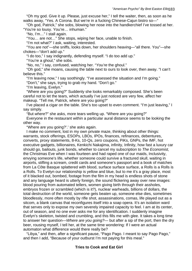"Oh my god. Give it up. Please, just excuse her," I tell the waiter, then, as soon as he walks away, "Yes. A Corona. But we're in a fucking Chinese-Cajun bistro so—"

 "Oh god, Patrick," she sobs, blowing her nose into the handkerchief I've tossed at her. "You're so lousy. You're… inhuman."

"No, I'm…" I stall again.

"You… are not…" She stops, wiping her face, unable to finish.

"I'm not what?" I ask, waiting, interested.

 "You are not"—she sniffs, looks down, her shoulders heaving—"all there. You"—she chokes—"don't add up."

"I do too," I say indignantly, defending myself. "I do too add up."

"You're a ghoul," she sobs.

"No, no," I say, confused, watching her. "*You're* the ghoul."

 "Oh god," she moans, causing the table next to ours to look over, then away. "I can't believe this."

"I'm leaving now," I say soothingly. "I've assessed the situation and I'm going."

"Don't," she says, trying to grab my hand. "Don't go."

"I'm leaving, Evelyn."

 "Where are you going?" Suddenly she looks remarkably composed. She's been careful not to let the tears, which actually I've just noticed are very few, affect her makeup. "Tell me, Patrick, where are you going?"

 I've placed a cigar on the table. She's too upset to even comment. "I'm just leaving," I say simply.

"But *where*?" she asks, more tears welling up. "Where are you going?"

 Everyone in the restaurant within a particular aural distance seems to be looking the other way.

"Where are you going?'.' she asks again.

 I make no comment, lost in my own private maze, thinking about other things: warrants, stock offerings, ESOPs, LBOs, IPOs, finances, refinances, debentures, converts, proxy statements, 8-Ks, 10-Qs, zero coupons, PiKs, GNPs, the IMF, hot executive gadgets, billionaires, Kenkichi Nakajima, infinity, Infinity, how fast a luxury car should go, bailouts, junk bonds, whether to cancel my subscription to *The Economist,* the Christmas Eve when I was fourteen and had raped one of our maids, Inclusivity, envying someone's life, whether someone could survive a fractured skull, waiting in airports, stifling a scream, credit cards and someone's passport and a book of matches from La Côte Basque splattered with blood, surface surface surface, a Rolls is a Rolls is a Rolls. To Evelyn our relationship is yellow and blue, but to me it's a gray place, most of it blacked out, bombed, footage from the film in my head is endless shots of stone and any language heard is utterly foreign, the sound flickering away over new images: blood pouring from automated tellers, women giving birth through their assholes, embryos frozen or scrambled (which is it?), nuclear warheads, billions of dollars, the total destruction of the world, someone gets beaten up, someone else dies, sometimes bloodlessly, more often mostly by rifle shot, assassinations, comas, life played out as a sitcom, a blank canvas that reconfigures itself into a soap opera. It's an isolation ward that serves only to expose my own severely impaired capacity to feel. I am at its center, out of season, and no one ever asks me for any identification. I suddenly imagine Evelyn's skeleton, twisted and crumbling, and this fills me with glee. It takes a long time to answer her question*—Where are you going?—* but after a sip of the port, then the dry beer, rousing myself, I tell her, at the same time wondering: If I were an actual automaton what difference would there really be?

 "Libya," and then, after a significant pause, "Pago Pago. I meant to say Pago Pago," and then I add, "Because of your outburst I'm not paying for this meal."

# **Tries to Cook and Eat Girl**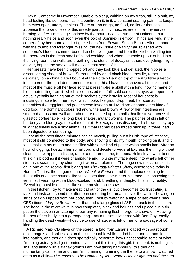Dawn. Sometime in November. Unable to sleep, writhing on my futon, still in a suit, my head feeling like someone has lit a bonfire on it, in it, a constant searing pain that keeps both eyes open, utterly helpless. There are no drugs, no food, no liquor that can appease the forcefulness of this greedy pain; all my muscles are stiff, all my nerves burning, on fire. I'm taking Sontinex by the hour since I've run out of Dalmane, but nothing really helps and soon even the box of Sominex is empty. Things are lying in the corner of my bedroom: a pair of girl's shoes from Edward Susan Bennis Allen, a hand with the thumb and forefinger missing, the new issue of *Vanity Fair* splashed with someone's blood, a cummerbund drenched with gore, and from the kitchen wafting into the bedroom is the fresh smell of blood cooking, and when I stumble up out of bed into the living room, the walls are breathing, the stench of decay smothers everything. I light a cigar, hoping the smoke will mask at least some of it.

 Her breasts have been chopped off and they look blue and deflated, the nipples a disconcerting shade of brown. Surrounded by dried black blood, they lie, rather delicately, on a china plate I bought at the Pottery Barn on top of the Wurlitzer jukebox in the corner, though I don't remember doing this. I have also shaved all the skin and most of the muscle off her face so that it resembles a skull with a long, flowing mane of blond hair falling from it, which is connected to a full, cold corpse; its eyes are open, the actual eyeballs hanging out of their sockets by their stalks. Most of her chest is indistinguishable from her neck, which looks like ground-up meat, her stomach resembles the eggplant and goat cheese lasagna at Il Marlibro or some other kind of dog food, the dominant colors red and white and brown. A few of her intestines are smeared across one wall and others are mashed up into balls that lie strewn across the glasstop coffee table like long blue snakes, mutant worms. The patches of skin left on her body are blue-gray, the color of tinfoil. Her vagina has discharged a brownish syrupy fluid that smells like a sick animal, as if that rat had been forced back up in there, had been digested or something.

 I spend the next fifteen minutes beside myself, pulling out a bluish rope of intestine, most of it still connected to the body, and shoving it into my mouth, choking on it, and it feels moist in my mouth and it's filled with some kind of paste which smells bad. After an hour of digging, I detach her spinal cord and decide to Federal Express the thing without cleaning it, wrapped in tissue, under a different name, to Leona Helmsley. I want to drink this girl's blood as if it were champagne and I plunge my face deep into what's left of her stomach, scratching my chomping jaw on a broken rib. The huge new television set is on in one of the rooms, first blaring out *The Patty Winters Show*, whose topic today is Human Dairies, then a game show, *Wheel of Fortune,* and the applause coming from the studio audience sounds like static each time a new letter is turned. I'm loosening the tie I'm still wearing with a blood-soaked hand, breathing in deeply. This is my reality. Everything outside of this is like some movie I once saw.

 In the kitchen I try to make meat loaf out of the girl but it becomes too frustrating a task and instead I spend the afternoon smearing her meat all over the walls, chewing on strips of skin I ripped from her body, then I rest by watching a tape of last week's new CBS sitcom, *Murphy Brown.* After that and a large glass of J&B I'm back in the kitchen. The head in the microwave is now completely black and hairless and I place it in a tin pot on the stove in an attempt to boil any remaining flesh I forgot to shave off. Heaving the rest of her body into a garbage bag—my muscles, slathered with Ben-Gay, easily handling the dead weight—I decide to use whatever is left of her for a sausage of some kind.

 A Richard Marx CD plays on the stereo, a bag from Zabar's loaded with sourdough onion bagels and spices sits on the kitchen table while I grind bone and fat and flesh into patties, and though it does sporadically penetrate how unacceptable some of what I'm doing actually is, I just remind myself that this thing, this girl, this meat, is nothing, is shit, and along with a Xanax (which I am now taking half-hourly) this thought momentarily calms me and then I'm humming, humming the theme to a show I watched often as a child—*The Jetsons? The Banana Splits? Scooby Doo? Sigmund and the Sea*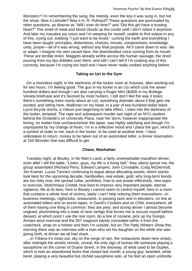*Monsters?* I'm remembering the song, the melody, even the key it was sung in, but not the show. Was it *Lidsville?* Was it *H. R. Pufnstuf*? These questions are punctuated by other questions, as diverse as "Will I ever do time?" and "Did this girl have a trusting heart?" The smell of meat and blood clouds up the condo until I don't notice it anymore. And later my macabre joy sours and I'm weeping for myself, unable to find solace in any of this, crying out, sobbing "I just want to be loved," cursing the earth and everything I have been taught: principles, distinctions, choices, morals, compromises, knowledge, unity, prayer—all of it was wrong, without any final purpose. All it came down to was: die or adapt. I imagine my own vacant face, the disembodied voice coming from its mouth: *These are terrible times*. Maggots already writhe across the human sausage, the drool pouring from my lips dribbles over them, and still I can't tell if I'm cooking any of this correctly, because I'm crying too hard and I have never really cooked anything before.

# **Taking an Uzi to the Gym**

 On a moonless night, in the starkness of the locker room at Xclusive, after working out for two hours, I'm feeling good. The gun in my locker is an Uzi which cost me seven hundred dollars and though I am also carrying a Ruger Mini (\$469) in my Bottega Veneta briefcase and it's favored by most hunters, I still don't like the way it looks; there's something more manly about an Uzi, something dramatic about it that gets me excited, and sitting here, Walkman on my head, in a pair of two-hundred-dollar black Lycra bicycle shorts, a Valium just beginning to take effect, I stare into the darkness of the locker, tempted. The rape and subsequent murder last night of an NYU student behind the Gristede's on University Place, near her dorm, however inappropriate the timing, no matter how uncharacteristic the lapse, was highly satisfying and though I'm unprepared by my change of heart, I'm in a reflective mood and I place the gun, which is a symbol of order to me, back in the locker, to be used at another time. I have videotapes to return, money to be taken out of an automated teller, a dinner reservation at 150 Wooster that was difficult to get.

# **Chase, Manhattan**

 Tuesday night, at Bouley, in No Man's Land, a fairly unremarkable marathon dinner, even after I tell the table, "Listen, guys, my life is a living hell," they utterly ignore me, the group assembled (Richard Perry, Edward Lampert, John Constable, Craig McDermott, Jim Kramer, Lucas Tanner) continuing to argue about allocating assets, which stocks look best for the upcoming decade, hardbodies, real estate, gold, why long-term bonds are too risky now, the spread collar, portfolios, how to use power effectively, new ways to exercise, Stolichnaya Cristall, how best to impress very important people, eternal vigilance, life at its best, here in Bouley I cannot seem to control myself, here in a room that contains a whole host of victims, lately I can't help noticing them everywhere—in business meetings, nightclubs, restaurants, in passing taxis and in elevators, on line at automated tellers and on porno tapes, in David's Cookies and on CNN, everywhere, all of them having one thing in common: they are *prey*, and during dinner I almost become unglued, plummeting into a state of near vertigo that forces me to excuse myself before dessert, at which point I use the rest room, do a line of cocaine, pick up my Giorgio Armani wool overcoat and the.357 magnum barely concealed within it from the coatcheck, strap on a holster and then I'm outside, but on *The Patty Winters Show* this morning there was an interview with a man who set his daughter on fire while she was giving birth, at dinner we all had shark…

 …in Tribeca it's misty out, sky on the verge of rain, the restaurants down here empty, after midnight the streets remote, unreal, the only sign of human life someone playing a saxophone on the corner of Duane Street, in the doorway, of what used to be Duplex, which is now an abandoned bistro that closed last month, a young guy, bearded, white beret, playing a very beautiful but clichéd saxophone solo, at his feet an open umbrella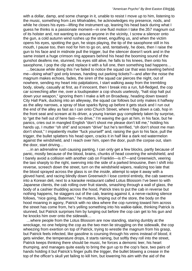#### "American Psycho" By Bret Easton Ellis 86

with a dollar, damp, and some change in it, unable to resist I move up to him, listening to the music, something from *Les Misérables,* he acknowledges my presence, nods, and while he closes his eyes—lifting the instrument up, leaning his head back during what I guess he thinks is a passionate moment—in one fluid motion I take the.357 magnum out of its holster and, not wanting to arouse anyone in the vicinity, I screw a silencer onto the gun, a cold autumn wind rushes up the street, engulfing us, and when the victim opens his eyes, spotting the gun, he stops playing, the tip of the saxophone still in his mouth, I pause too, then nod for him to go on, and, tentatively, he does, then I raise the gun to his face and in midnote pull the trigger, but the silencer doesn't work and in the same instant a huge crimson ring appears behind his head the booming sound of the gunshot deafens me, stunned, his eyes still alive, he falls to his knees, then onto his saxophone, I pop the clip and replace it with a full one, then something bad happens...

 …because while doing this I've failed to notice the squad car that was traveling behind me—doing what? god only knows, handing out parking tickets?—and after the noise the magnum makes echoes, fades, the siren of the squad car pierces the night, out of nowhere, sending my heart into palpitations, I start walking away from the trembling body, slowly, casually at first, as if innocent, then I break into a run, full-fledged, the cop car screeching after me, over a loudspeaker a cop shouts uselessly, "halt stop halt put down your weapon," ignoring them I make a left on Broadway, heading down toward City Hall Park, ducking into an alleyway, the squad car follows but only makes it halfway as the alley narrows, a spray of blue sparks flying up before it gets stuck and I run out the end of the alley as fast as I can onto Church Street, where I flag down a cab, hop in the front seat and scream at its driver, a young Iranian guy completely taken by surprise, to "get the hell out of here fast—no drive," I'm waving the gun at him, in his face, but he panics, cries out in mangled English "don't shoot me please don't kill me," holding his hands up, I mutter "oh shit" and scream "drive" but he's terrified, "oh don't shoot me man don't shoot," I impatiently mutter "fuck yourself" and, raising the gun to his face, pull the trigger, the bullet splatters his head open, cracks it in half like a dark red watermelon against the windshield, and I reach over him, open the door, push the corpse out, slam the door, start driving…

 …in an adrenaline rush causing panting, I can only get a few blocks, partly because of panic, mostly because of the blood, brains, chunks of head covering the windshield, and I barely avoid a collision with another cab on Franklin—is it?—and Greenwich, veering the taxi sharply to the right, swerving into the side of a parked limousine, then I shift into reverse, screech down the street, turn on the windshield wipers, realizing too late that the blood sprayed across the glass is on the *inside*, attempt to wipe it away with a gloved hand, and racing blindly down Greenwich I lose control entirely, the cab swerves into a Korean deli, next to a karaoke restaurant called Lotus Blossom I've been to with Japanese clients, the cab rolling over fruit stands, smashing through a wall of glass, the body of a cashier thudding across the hood, Patrick tries to put the cab in reverse but nothing happens, he staggers out of the cab, leaning against it, a nerve-racking silence follows, "nice going, Bateman," he mutters, limping out of the store, the body on the hood moaning in agony, Patrick with no idea where the cop running toward him across the street has come from, he's yelling something into his walkie-talkie, thinking Patrick is stunned, but Patrick surprises him by lunging out before the cop can get to his gun and he knocks him over onto the sidewalk…

 …where people from the Lotus Blossom are now standing, staring dumbly at the wreckage, no one helping the cop as the two men lie struggling on the sidewalk, the cop wheezing from exertion on top of Patrick, trying to wrestle the magnum from his grasp, but Patrick feels infected, like gasoline is coursing through his veins instead of blood, it gets windier, the temperature drops, it starts raining, but softly they roll into the street, Patrick keeps thinking there should be music, he forces a demonic leer, his heart thumping, and manages quite easily to bring the gun up to the cop's face, two pairs of hands holding it but Patrick's finger pulls the trigger, the bullet blowing a crease in the top of the officer's skull yet failing to kill him, but lowering his aim with the aid of the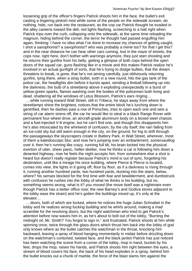#### "American Psycho" By Bret Easton Ellis 87

loosening grip of the officer's fingers Patrick shoots him in the face, the bullet's exit casting a lingering pinkish mist while some of the people on the sidewalk scream, do nothing, hide, run back into the restaurant, as the cop car Patrick thought he evaded in the alley careens toward the deli, red lights flashing, screeching to a halt right when Patrick trips over the curb, collapsing onto the sidewalk, at the same time reloading the magnum, hiding behind the corner, the terror he thought had passed engulfing him again, thinking: I have no idea what I've done to increase my chances of getting caught, I shot a saxophonist? a *saxophonist?* who was probably a *mime* too? for *that* I get this? and in the near distance he can hear other cars coming, lost in the maze of streets, the cops now, right here, don't bother with warnings anymore, they just start shooting and he returns their gunfire from his belly, getting a glimpse of both cops behind the open doors of the squad car, guns flashing like in a movie and this makes Patrick realize he's involved in an actual gunfight of sorts, that he's trying to dodge bullets, that the dream threatens to break, is gone, that he's not aiming carefully, just obliviously returning gunfire, lying there, when a stray bullet, sixth in a new round, hits the gas tank of the police car, the headlights dim before it bursts apart, sending a fireball billowing up into the darkness, the bulb of a streetlamp above it exploding unexpectedly in a burst of yellow-green sparks, flames washing over the bodies of the policemen both living and dead, shattering all the windows of Lotus Blossom, Patrick's ears ringing…

 …while running toward Wall Street, still in Tribeca, he stays away from where the streetlamps shine the brightest, notices that the entire block he's lurching down is gentrified, then he dashes past a row of Porsches, tries to open each one and sets a string of car alarm sirens off, the car he would like to steal is a black Range Rover with permanent four-wheel drive, an aircraft-grade aluminum body on a boxed steel chassis and a fuel-injected V-8 engine, but he can't find one, and though this disappoints him he's also intoxicated by the whirlwind of confusion, by the city itself, the rain falling from an ice-cold sky but still warm enough in the city, on the ground, for fog to drift through the passageways the skyscrapers create in Battery Park, in Wall Street, wherever, most of them a kaleidoscopic blur, and now he's jumping over an embankment, *somersaulting* over it, then he's running like crazy, running full tilt, his brain locked into the physical exertion of utter, sheer panic, helter-skelter, now he thinks a car is following him down a deserted highway, now he feels the night accepts him, from somewhere else a shot is heard but doesn't really register because Patrick's mind is out of sync, forgetting his destination, until like a mirage his once building, where Pierce & Pierce is located, comes into view, the lights in it going off, floor by floor, as if a darkness is rising through it, running another hundred yards, two hundred yards, ducking into the stairs, below, where? his senses blocked for the first time with fear and bewilderment, and dumbstruck with confusion he rushes into the lobby of what he thinks is his building, but no, something seems wrong, what is it? *you moved* (the move itself was a nightmare even though Patrick has a better office now; the new Barney's and Godiva stores adjacent to the lobby ease the strain) and he's gotten the buildings mixed up, it's only at the elevator…

 …doors, both of which are locked, where he notices the huge Julian Schnabel in the lobby and he realizes *wrong fucking building* and he whirls around, making a mad scramble for the revolving doors, but the night watchman who tried to get Patrick's attention before now waves him in, as he's about to bolt out of the lobby, "Burning the midnight oil, Mr. Smith? You forgot to sign in," and frustrated, Patrick shoots at him while spinning once, twice through the glass doors which thrust him back into the lobby of god only knows where as the bullet catches the watchman in the throat, knocking him backward, leaving a spray of blood hanging momentarily in midair before drizzling down on the watchman's contorted, twisted face, and the black janitor Patrick has just noticed has been watching the scene from a corner of the lobby, mop in hand, bucket by his feet, drops the mop, raises his hands, and Patrick shoots him right between the eyes, a stream of blood covers his face, the back of his head explodes in a spray, behind him the bullet knocks out a chunk of marble, the force of the blast slams him against the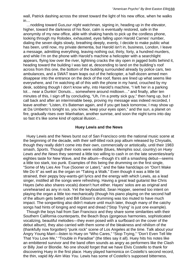wall. Patrick dashing across the street toward the light of his new office, when he walks in…

 …nodding toward Gus,*our night watchman,* signing in, heading up in the elevator, higher, toward the darkness of his floor, calm is eventually restored, safe in the anonymity of my new office, able with shaking hands to pick up the cordless phone, looking through my Rolodex, exhausted, eyes falling upon Harold Carnes' number, dialing the seven digits slowly, breathing deeply, evenly, I decide to make public what has been, until now, my private dementia, but Harold isn't in, business, London, I leave a message, admitting everything, leaving nothing out, thirty, forty, a hundred murders, and while I'm on the phone with Harold's machine a helicopter with a searchlight appears, flying low over the river, lightning cracks the sky open in jagged bolts behind it, heading toward the building I was last at, descending to land on the building's roof across from this one, the bottom of the building surrounded already by police cars, two ambulances, and a SWAT team leaps out of the helicopter, a half-dozen armed men disappear into the entrance on the deck of the roof, flares are lined up what seems like everywhere, and I'm watching all of this with the phone in my hand, crouched by my desk, sobbing though I don't know why, into Harold's machine, "I left her in a parking lot… near a Dunkin' Donuts… somewhere around midtown…" and finally, after ten minutes of this, I sign off by concluding, "Uh, I'm a pretty sick guy," then hang up, but I call back and after an interminable beep, proving my message was indeed recorded, I leave another: "Listen, it's Bateman again, and if you get back tomorrow, I may show up at Da Umberto's tonight so, you know, keep your eyes open," and the sun, a planet on fire, gradually rises over Manhattan, another sunrise, and soon the night turns into day so fast it's like some kind of optical illusion…

### **Huey Lewis and the News**

 Huey Lewis and the News burst out of San Francisco onto the national music scene at the beginning of the decade, with their self-titled rock pop album released by Chrysalis, though they really didn't come into their own, commercially or artistically, until their 1983 smash, *Sports*. Though their roots were visible (blues, Memphis soul, country) on *Huey Lewis and the News* they seemed a little too willing to cash in on the late seventies/early eighties taste for New Wave, and the album—though it's still a smashing debut—seems a little too stark, too punk. Examples of this being the drumming on the first single, "Some of My Lies Are True (Sooner or Later)," and the fake handclaps on "Don't Make Me Do It" as well as the organ on "Taking a Walk." Even though it was a little bit strained, their peppy boy-wants-girl lyrics and the energy with which Lewis, as a lead singer, instilled all the songs were refreshing. Having a great lead guitarist like Chris Hayes (who also shares vocals) doesn't hurt either. Hayes' solos are as original and unrehearsed as any in rock. Yet the keyboardist, Sean Hopper, seemed too intent on playing the organ a little too mechanically (though his piano playing on the second half of the album gets better) and Bill Gibson's drumming was too muted to have much impact. The songwriting also didn't mature until much later, though many of the catchy songs had hints of longing and regret and dread ("Stop Trying" is just one example).

 Though the boys hail from San Francisco and they share some similarities with their Southern California counterparts, the Beach Boys (gorgeous harmonies, sophisticated vocalizing, beautiful melodies—they even posed with a surfboard on the cover of the debut album), they also carried with them some of the bleakness and nihilism of the (thankfully now forgotten) "punk rock" scene of Los Angeles at the time. Talk about your Angry Young Man!—listen to Huey on "Who Cares," "Stop Trying," "Don't Even Tell Me That You Love Me," "Trouble in Paradise" (the titles say it all). Huey hits his notes like an embittered survivor and the band often sounds as angry as performers like the Clash or Billy Joel or Blondie. No one should forget that we have Elvis Costello to thank for discovering Huey in the first place. Huey played harmonica on Costello's second record, the thin, vapid *My Aim Was You*. Lewis has some of Costello's supposed bitterness,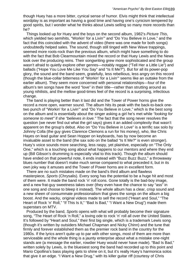though Huey has a more bitter, cynical sense of humor. Elvis might think that intellectual wordplay is as important as having a good time and having one's cynicism tempered by good spirits, but I wonder what he thinks about Lewis selling so many more records than he?

 Things looked up for Huey and the boys on the second album, 1982's *Picture This*, which yielded two semihits, "Workin' for a Livin'" and "Do You Believe in Love," and the fact that this coincided with the advent of video (there was one made for both songs) undoubtedly helped sales. The sound, though still tinged with New Wave trappings, seemed more roots-rock than the previous album, which might have something to do with the fact that Bob Clearmountain mixed the record or that Huey Lewis and the News took over the producing reins. Their songwriting grew more sophisticated and the group wasn't afraid to quietly explore other genres—notably reggae ("Tell Her a Little Lie") and ballads ("Hope You Love Me Like You Say" and "Is It Me?"). But for all its power-pop glory, the sound and the band seem, gratefully, less rebellious, less angry on this record (though the blue-collar bitterness of "Workin' for a Livin'" seems like an outtake from the earlier album). They seem more concerned with personal relationships—four of the album's ten songs have the word "love" in their title—rather than strutting around as young nihilists, and the mellow good-times feel of the record is a surprising, infectious change.

 The band is playing better than it last did and the Tower of Power horns give the record a more open, warmer sound. The album hits its peak with the back-to-back onetwo punch of "Workin' for a Livin'" and "Do You Believe in Love," which is the best song on the album and is essentially about the singer asking a girl he's met while *"looking for someone to meet"* if she *"believes in love."* The fact that the song never resolves the question (we never find out what the girl says) gives it an added complexity that wasn't apparent on the group's debut. Also on "Do You Believe in Love" is a terrific sax solo by Johnny Colla (the guy gives Clarence Clemons a run for his money), who, like Chris Hayes on lead guitar and Sean Hopper on keyboards, has by now become an invaluable asset to the band (the sax solo on the ballad "Is It Me?" is even stronger). Huey's voice sounds more searching, less raspy, yet plaintive, especially on "The Only One," which is a touching song about what happens to our mentors and where they end up (Bill Gibson's drumming is especially vital to this track). Though the album should have ended on that powerful note, it ends instead with "Buzz Buzz Buzz," a throwaway blues number that doesn't make much sense compared to what preceded it, but in its own joky way it amuses and the Tower of Power horns are in excellent form.

 There are no such mistakes made on the band's third album and flawless masterpiece, *Sports* (Chrysalis). Every song has the potential to be a huge hit and most of them were. It made the band rock 'n' roll icons. Gone totally is the bad-boy image, and a new frat-guy sweetness takes over (they even have the chance to say "ass" in one song and choose to bleep it instead). The whole album has a clear, crisp sound and a new sheen of consummate professionalism that gives the songs on the album a big boost. And the wacky, original videos made to sell the record ("Heart and Soul," "The Heart of Rock 'n' Roll," "If This Is It," "Bad Is Bad," "I Want a New Drug") made them superstars on MTV.

 Produced by the band, *Sports* opens with what will probably become their signature song, "The Heart of Rock 'n Roll," a loving ode to rock 'n' roll all over the United States. It's followed by "Heart and Soul," their first big single, which is a trademark Lewis song (though it's written by outsiders Michael Chapman and Nicky Chinn) and the tune that firmly and forever established them as the premier rock band in the country for the 1980s. If the lyrics aren't quite up to par with other songs, most of them are more than serviceable and the whole thing is a jaunty enterprise about what a mistake one-night stands are (a message the earlier, rowdier Huey would never have made). "Bad Is Bad," written solely by Lewis, is the bluesiest song the band had recorded up to this point and Mario Cipollina's bass playing gets to shine on it, but it's really Huey's harmonica solos that give it an edge. "I Want a New Drug," with its killer guitar riff (courtesy of Chris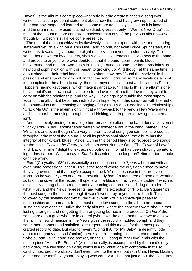Hayes), is the album's centerpiece—not only is it the greatest antidrug song ever written, it's also a personal statement about how the band has grown up, shucked off their bad-boy image and learned to become more adult. Hayes' solo on it is incredible and the drum machine used, but not credited, gives not only "I Want a New Drug" but most of the album a more consistent backbeat than any of the previous albums—even though Bill Gibson is still a welcome presence.

 The rest of the album whizzes by flawlessly—side two opens with their most searing statement yet: "Walking on a Thin Line," and no one, not even Bruce Springsteen, has written as devastatingly about the plight of the Vietnam vet in modern society. This song, though written by outsiders, shows a social awareness that was new to the band and proved to anyone who ever doubted it that the band, apart from its blues background, had a heart. And again in "Finally Found a Home" the band proclaims its newfound sophistication with this paean to growing up. And though at the same time it's about shedding their rebel image, it's also about how they "found themselves" in the passion and energy of rock 'n' roll. In fact the song works on so many levels it's almost too complex for the album to carry, though it never loses its beat and it still has Sean Hopper's ringing keyboards, which make it danceable. "If This Is It" is the album's one ballad, but it's not downbeat. It's a plea for a lover to tell another lover if they want to carry on with the relationship, and the way Huey sings it (arguably the most superb vocal on the album), it becomes instilled with hope. Again, this song—as with the rest of the album—isn't about chasing or longing after girls, it's about dealing with relationships. "Crack Me Up" is the album's only hint at a throwback to the band's New Wave days and it's minor but amusing, though its antidrinking, antidrug, pro-growing-up statement isn't.

 And as a lovely ending to an altogether remarkable album, the band does a version of "Honky Tonk Blues" (another song written by someone not in the band, named Hank Williams), and even though it's a very different type of song, you can feel its presence throughout the rest of the album. For all its professional sheen, the album has the integrity of honky-tonk blues. (Aside: During this period Huey also recorded two songs for the movie *Back to the Future,* which both went Number One, "The Power of Love" and "Back in Time," delightful extras, not footnotes, in what has been shaping up into a legendary career.) What to say to *Sports* dissenters in the long run? Nine million people can't be wrong.

 *Fore!* (Chrysalis; 1986) is essentially a continuation of the *Sports* album but with an even more professional sheen. This is the record where the guys don't need to prove they've grown up and that they've accepted rock 'n' roll, because in the three year transition between *Sports* and *Fore!* they already *had.* (In fact three of them are wearing suits on the cover of the record.) It opens with a blaze of fire, "Jacob's Ladder," which is essentially a song about struggle and overcoming compromise, a fitting reminder of what Huey and the News represents, and with the exception of "Hip to Be Square" it's the best song on the album (though it wasn't written by anyone in the band). This is followed by the sweetly good-matured "Stuck with You," a lightweight paean to relationships and marriage. In fact most of the love songs on the album are about sustained relationships, unlike the early albums, where the concerns were about either lusting after girls and not getting them or getting burned in the process. On *Fore!* the songs are about guys who are in control (who have the girls) and now have to deal with them. This new dimension in the News gives the record an added oomph and they seem more content and satisfied, less urgent, and this makes for their most pleasingly crafted record to date. But also for every "Doing It All for My Baby" (a delightful ode about monogamy and satisfaction) there's a barn-banning blues scorcher number like "Whole Lotta Lovin'," and side one (or, on the CD, song number five) ends with the masterpiece "Hip to Be Square" (which, ironically, is accompanied by the band's only bad video), the key song on *Fore!;* which is a rollicking ode to conformity that's so catchy most people probably don't even listen to the lines, but with Chris Hayes blasting guitar and the terrific keyboard playing who cares? And it's not just about the pleasures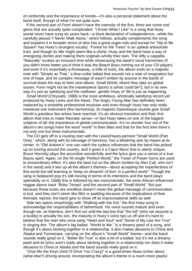of conformity and the importance of trends—it's also a personal statement about the band itself, though of what I'm not quite sure.

 If the second part of *Fore!* doesn't have the intensity of the first, there are some real gems that are actually quite complicated. "I Know What I Like" is a song that Huey would never have sung six years back—a blunt declaration of independence—while the carefully placed "I Never Walk Alone," which follows, actually complements the song and explains it in broader terms (it also has a great organ solo and except for "Hip to Be Square" has Huey's strongest vocals). "Forest for the Trees" is an upbeat antisuicide tract, and though its title might seem like a cliché, Huey and the band have a way of energizing clichés and making them originals wholly their own. The nifty a cappella "Naturally" evokes an innocent time while showcasing the band's vocal harmonies (if you didn't know better you'd think it was the Beach Boys coming out of your CD player), and even if it's essentially a throwaway, a trifle of sorts, the album ends on a majestic note with "Simple as That," a blue-collar ballad that sounds not a note of resignation but one of hope, and its complex message (it wasn't written by anyone in the band) of survival leads the way to their next album, *Small World*, where they take on global issues. *Fore!* might not be the masterpiece *Sports* is (what could be?), but in its own way it's just as satisfying and the mellower, gentler Huey of '86 is just as happening.

 *Small World* (Chrysalis; 1988) is the most ambitious, artistically satisfying record yet produced by Huey Lewis and the News. The Angry Young Man has definitely been replaced by a smoothly professional musician and even though Huey has only really mastered one instrument (the harmonica), its majestic Dylanesque sounds give *Small World* a grandeur few artists have reached. It's an obvious transition and their first album that tries to make thematic sense—in fact Huey takes on one of the biggest subjects of all: the importance of global communication. It's no wonder four out of the album's ten songs have the word "world" in their titles and that for the first time there's not only one but *three* instrumentals.

 The CD gets off to a rousing start with the Lewis/Hayes-penned "Small World (Part One)," which, along with its message of harmony, has a blistering solo by Hayes at its center. In "Old Antone's" one can catch the zydeco influences that the band has picked up on touring around the country, and it gives it a Cajun flavor that is utterly unique. Bruce Hornsby plays the accordion wonderfully and the lyrics give you a sense of a true Bayou spirit. Again, on the hit single "Perfect World," the Tower of Power horns are used to extraordinary effect. It's also the best cut on the album (written by Alex Call, who isn't in the band) and it ties up all the album's themes—about accepting the imperfections of this world but still learning to "*keep on dreamin' of livin' in a perfect world*." Though the sang is fastpaced pop it's still moving in terms of its intentions and the band plays splendidly on it. Oddly this is followed by two instrumentals: the eerie African-influenced reggae dance track "Bobo Tempo" and the second part of "Small World." But just because these tunes are wordless doesn't mean the global message of communication is lost, and they don't seem like filler or padding because of the implications of their thematic reprise; the band gets to show off its improvisational skills as well.

 Side two opens smashingly with "Walking with the Kid," the first Huey song to acknowledge the responsibilities of fatherhood. His voice sounds mature and even though we, as listeners, don't find out until the last line that "the kid" (who we assume is a buddy) is actually his son, the maturity in Huey's voice tips us off and it's hard to believe that the man who once sang "Heart and Soul" and "Some of My Lies Are True" is singing *this.* The album's big ballad, "World to Me," is a dreamy pearl of a song, and though it's about sticking together in a relationship, it also makes allusions to China and Alaska and Tennessee, carrying on the album's "Small World" theme—and the band sounds really good on it. "Better Be True" is also a bit of a ballad, but it's not a dreamy pearl and its lyrics aren't really about sticking together in a relationship nor does it make allusions to China or Alaska and the band sounds really good on it.

 "Give Me the Keys (And I'll Drive You Crazy)" is a good-times blues rocker about (what else?) driving around, incorporating the album's theme in a much more playful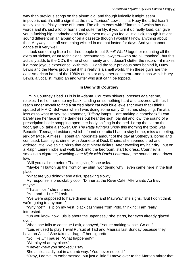way than previous songs on the album did, and though lyrically it might seem impoverished, it's still a sign that the new "serious" Lewis—that Huey the artist hasn't totally lost his frisky sense of humor. The album ends with "Slammin'," which has no words and it's just a lot of horns that quite frankly, if you turn it up really loud, can give you a fucking big headache and maybe even make you feel a little sick, though it might sound different on an album or on a cassette though I wouldn't know anything about that. Anyway it set off something wicked in me that lasted for days. And you cannot dance to it very well.

 It took something like a hundred people to put *Small World* together (counting all the extra musicians, drum technicians, accountants, lawyers—who are all, thanked), but this actually adds to the CD's theme of community and it doesn't clutter the record—it makes it a more joyous experience. With this CD and the four previous ones behind it, Huey Lewis and the News prove that if this really *is* a small world, then these guys are the *best* American band of the 1980s on this or any other continent—and it has with it Huey Lewis, a vocalist, musician and writer who just can't be topped.

# **In Bed with Courtney**

 I'm in Courtney's bed. Luis is in Atlanta. Courtney shivers, presses against me, relaxes. I roll off her onto my back, landing on something hard and covered with fur. I reach under myself to find a stuffed black cat with blue jewels for eyes that I think I spotted at F.A.O. Schwarz when I was doing some early Christmas shopping. I'm at a loss as to what to say, so I stammer, "Tiffany lamps… are making a comeback." I can barely see her face in the darkness but hear the sigh, painful and low, the sound of a prescription bottle snapping open, her body shifting in the bed. I drop the cat on the floor, get up, take a shower. On *The Patty Winters Show* this morning the topic was Beautiful Teenage Lesbians, which I found so erotic I had to stay home, miss a meeting, jerk off twice. Aimless, I spent an inordinate amount of the day at Sotheby's, bored and confused. Last night, dinner with Jeanette at Deck Chairs, she seemed tired and ordered little. We split a pizza that cost ninety dollars. After toweling my hair dry I put on a Ralph Lauren robe and walk back into the bedroom, start to dress. Courtney is smoking a cigarette, watching *Late Night with David Letterman,* the sound turned down low.

"Will you call me before Thanksgiving?' she asks.

 "Maybe." I button up the front of my shirt, wondering why I even came here in the first place.

"What are you doing?" she asks, speaking slowly.

 My response is predictably cool. "Dinner at the River Café. Afterwards Au Bar, maybe."

"That's nice," she murmurs.

"You and… Luis?" I ask.

 "We were supposed to have dinner at Tad and Maura's," she sighs. "But I don't think we're going to anymore."

 "Why not?" I slip on my vest, black cashmere from Polo, thinking: I am really interested.

 "Oh you know how Luis is about the Japanese," she starts, her eyes already glazed over.

When she fails to continue I ask, annoyed, "You're making sense. Go on."

 "Luis refused to play Trivial Pursuit at Tad and Maura's last Sunday because they have an Akita." She takes a drag off her cigarette.

"So, like…" I pause. "What happened?"

"We played at my place."

"I never knew you smoked," I say.

She smiles sadly but in a dumb way. "You never noticed."

"Okay, I admit I'm embarrassed, but just a little." I move over to the Martian mirror that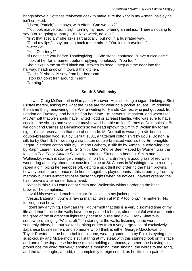hangs above a Sottsass teakwood desk to make sure the knot in my Armani paisley tie isn't crooked.

"Listen, Patrick," she says, with effort. "Can we talk?"

 "You look marvelous." I sigh, turning my head, offering an airkiss. "There's nothing to say. You're going to marry Luis. Next week, no less."

"Isn't that special?" she asks sarcastically, but not in a frustrated way.

"Read my lips," I say, turning back to the mirror. "You look marvelous."

"Patrick?"

"Yes, Courtney?"

 "If I don't see you before Thanksgiving…" She stops, confused. "Have a nice one?" I look at her for a moment before replying, tonelessly, "You too."

 She picks up the stuffed black cat, strokes its head. I step out the door into the hallway, heading down it toward the kitchen.

"Patrick?" she calls sofy from her bedroom.

I stop but don't turn around. "Yes?"

"Nothing."

# **Smith & Wollensky**

 I'm with Craig McDermott in Harry's on Hanover. He's smoking a cigar, drinking a Stoli Cristall martini, asking me what the rules are for wearing a pocket square. I'm drinking the same thing, answering him. We're waiting for Harold Carnes, who just got back from London on Tuesday, and he's half an hour late. I'm nervous, impatient, and when I tell McDermott that we should have invited Todd or at least Hamlin, who was sure to have cocaine, he shrugs and says that maybe we'll be able to find Carnes at Delmonico's. But we don't find Carnes at Delmonico's so we head uptown to Smith & Wollensky for an eight o'clock reservation that one of us made. McDermott is wearing a six-button double-breasted wool suit by Cerruti 1881, a tattersall cotton shirt by Louis, Boston, a silk tie by Dunhill. I'm wearing a six-button double-breasted wool suit by Ermenegildo Zegna, a striped cotton shirt by Luciano Barbera, a silk tie by Armani, suede wing-tips by Ralph Lauren, socks by E. G. Smith. Men Who've Been Raped by Women was the topic on *The Patty Winters Show* this morning. Sitting in a booth at Smith and Wollensky, which is strangely empty, I'm on Valium, drinking a good glass of red wine, wondering absently about that cousin of mine at St. Albans in Washington who recently raped a girl, biting her earlobes off, getting a sick thrill not ordering the hash browns, how my brother and I once rode horses together, played tennis—this is burning from my memory but McDermott eclipses these thoughts when he notices I haven't ordered the hash browns after dinner has arrived.

 "What is this? You can't eat at Smith and Wollensky without ordering the hash browns," he complains.

I avoid his eyes and touch the cigar I'm saving in my jacket pocket.

 "Jesus, Bateman, you're a raving maniac. Been at P & P too long," he mutters. "No fucking hash browns."

 I don't say anything. How can I tell McDermott that this is a very disjointed time of my life and that I notice the walls have been painted a bright, almost painful white and under the glare of the fluorescent lights they seem to pulse and glow. Frank Sinatra is somewhere, singing "Witchcraft." I'm staring at the walls, listening to the words, suddenly thirsty, but our waiter is taking orders from a very large table of exclusively Japanese businessmen, and someone who I think is either George MacGowan or Taylor Preston, in the booth behind this one, wearing something by Polo, is eyeing me suspiciously and McDermott is still staring at my steak with this stunned look on his face and one of the Japanese businessmen is holding an abacus, another one is trying to pronounce the word "teriyaki," another is mouthing, then singing, the words to the song, and the table laughs, an odd, not completely foreign sound, as he lifts up a pair of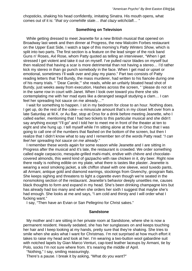chopsticks, shaking his head confidently, imitating Sinatra. His mouth opens, what comes out of it is: "*that sry comehitle stale… that clazy witchclaft…* "

### **Something on Television**

 While getting dressed to meet Jeanette for a new British musical that opened on Broadway last week and then dinner at Progress, the new Malcolm Forbes restaurant on the Upper East Side, I watch a tape of this morning's *Patty Winters Show,* which is split into two parts. The first section is a feature on the lead singer of the rock band Guns n' Roses, Axl Rose, whom Patty quoted as telling an interviewer, "When I get stressed I get violent and take it out on myself. I've pulled razor blades on myself but then realized that having a scar is more detrimental than not having a stereo… I'd rather kick my stereo in than go punch somebody in the face. When I get mad or upset or emotional, sometimes I'll walk over and play my piano." Part two consists of Patty reading letters that Ted Bundy, the mass murderer, had written to his fiancée during one of his many trials. " 'Dear Carole,'" she reads, while an unfairly bloated head shot of Bundy, just weeks away from execution, Hashes across the screen, " 'please do not sit in the same row in court with Janet. When I look over toward you there she sits contemplating me with her mad eyes like a deranged seagull studying a clam… I can feel her spreading hot sauce on me already…'"

 I wait for something to happen. I sit in my bedroom for close to an hour. Nothing does. I get up, do the rest of the coke—a minuscule amount that's in my closet left over from a late Saturday at M.K. or Au Bar, stop at Orso for a drink before meeting Jeanette, who I called earlier, mentioning that I had two tickets to this particular musical and she didn't say anything except "I'll go" and I told her to meet me in front of the theater at ten to eight and she hung up. I tell myself while I'm sitting alone at the bar in Orso that I was going to call one of the numbers that flashed on the bottom of the screen, but then I realize that I didn't know what to say and I remember ten of the words Patty read: "*I can feel her spreading hot sauce on me already*."

 I remember these words again for some reason while Jeanette and I are sitting in Progress after the musical and it's late, the restaurant is crowded. We order something called eagle carpaccio, mesquite-grilled mahi-mahi, endive with chèvre and chocolatecovered almonds, this weird kind of gazpacho with raw chicken in it, dry beer. Right now there really is nothing edible on my plate, what there is tastes like plaster. Jeanette is wearing a wool smoking jacket, a silk chiffon shawl with one sleeve, wool tuxedo pants, all Armani, antique gold and diamond earrings, stockings from Givenchy, grosgrain flats. She keeps sighing and threatens to light a cigarette even though we're seated in the nonsmoking section of the restaurant. Jeanette's behavior deeply unsettles me, causes black thoughts to form and expand in my head. She's been drinking champagne kirs but has already had too many and when she orders her sixth I suggest that maybe she's had enough. She looks at me and says, "I am cold and thirsty and I will order what I fucking want."

I say, "Then have an Evian or San Pellegrino for Christ sakes."

#### **Sandstone**

 My mother and I are sitting in her private room at Sandstone, where she is now a permanent resident. Heavily sedated, she has her sunglasses on and keeps touching her hair and I keep looking at my hands, pretty sure that they're shaking. She tries to smile when she asks what I want for Christmas. I'm not surprised at how much effort it takes to raise my head and look at her. I'm wearing a two-button wool gabardine suit with notched lapels by Gian Marco Venturi, cap-toed leather laceups by Armani, tie by Polo, socks I'm not sure where from. It's nearing the middle of April.

"Nothing," I say, smiling reassuringly.

There's a pause. I break it by asking, "What do you want?"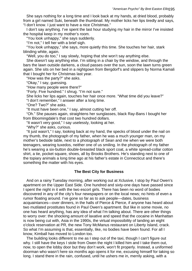She says nothing for a long time and I look back at my hands, at dried blood, probably from a girl named Suki, beneath the thumbnail. My mother licks her lips tiredly and says, "I don't know. I just want to have a nice Christmas."

 I don't say anything. I've spent the last hour studying my hair in the mirror I've insisted the hospital keep in my mother's room.

"You look unhappy," she says suddenly.

"I'm not," I tell her with a brief sigh.

 "You look unhappy," she says, more quietly this time. She touches her hair, stark blinding white, again.

"Well, you do too," I say slowly, hoping that she won't say anything else.

 She doesn't say anything else. I'm sitting in a chair by the window, and through the bars the lawn outside darkens, a cloud passes over the sun, soon the lawn turns green again. She sits on her bed in a nightgown from Bergdorf's and slippers by Norma Kamali that I bought her for Christmas last year.

"How was the party?" she asks.

"Okay," I say, guessing.

"How many people were there?"

"Forty. Five hundred." I shrug. "I'm not sure."

 She licks her lips again, touches her hair once more. "What time did you leave?" "I don't remember," I answer after a long time.

"One? Two?" she asks.

"It must have been one," I say, almost cutting her off.

 "Oh." She pauses again, straightens her sunglasses, black Ray-Bans I bought her from Bloomingdale's that cost two hundred dollars.

"It wasn't very good," I say uselessly, looking at her.

"Why?" she asks, curious.

 "It just wasn't," I say, looking back at my hand, the specks of blood under the nail on my thumb, the photograph of my father, when he was a much younger man, on my mother's bedside table, next to a photograph of Sean and me when we were both teenagers, wearing tuxedos, neither one of us smiling. In the photograph of my father he's wearing a six-button double-breasted black sport coat, a white spread-collar cotton shirt, a tie, pocket square, shoes, all by Brooks Brothers. He's standing next to one of the topiary animals a long time ago at his father's estate in Connecticut and there's something the matter with his eyes.

## **The Best City for Business**

 And on a rainy Tuesday morning, after working out at Xclusive, I stop by Paul Owen's apartment on the Upper East Side. One hundred and sixty-one days have passed since I spent the night in it with the two escort girls. There has been no word of bodies discovered in any of the city's four newspapers or on the local news; no hints of even a rumor floating around. I've gone so far as to ask people—dates, business acquaintances—over dinners, in the halls of Pierce & Pierce, if anyone has heard about two mutilated prostitutes found in Paul Owen's apartment. But like in some movie, no one has heard anything, has any idea of what I'm talking about. There are other things to worry over: the shocking amount of laxative and speed that the cocaine in Manhattan is now being cut with, Asia in the 1990s, the virtual impossibility of landing an eight o'clock reservation at PR, the new Tony McManus restaurant on Liberty Island, crack. So what I'm assuming is that, essentially, like, no bodies have been found. For all I know, Kimball has moved to London too.

 The building looks different to me as I step out of the taxi, though I can't figure out why. I still have the keys I stole from Owen the night I killed him and I take them out, now, to open the lobby door but they don't work, won't fit properly. Instead, a uniformed doorman who wasn't here six months ago opens it for me, excusing himself for taking so long. I stand there in the rain, confused, until he ushers me in, merrily asking, with a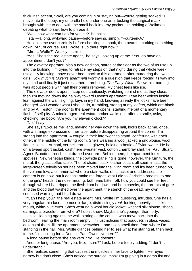thick Irish accent, "Well, are you coming in or staying out—you're getting soaked." I move into the lobby, my umbrella held under one arm, tucking the surgical mask I brought with me to deal with the smell back into my pocket. I'm holding a Walkman, debating what to say, how to phrase it.

"Well, now what can I do for you sir?" he asks.

I stall—a long, awkward pause—before saying, simply, "Fourteen-A."

 He looks me over carefully before checking his book, then beams, marking something down. "Ah, of course. Mrs. Wolfe is up there right now."

"Mrs…. Wolfe?" Weakly, I smile.

 "Yes. She's the real estate agent," he says, looking up at me. "You do have an appointment, don't you?"

 The elevator operator, also a new addition, stares at the floor as the two of us rise up into the building. I'm trying to retrace my steps on that night, during that whole week, uselessly knowing I have never been back to this apartment after murdering the two girls. *How much is Owen's apartment worth?* is a question that keeps forcing its way into my mind until finally it just rests there, throbbing. *The Patty Winter Show* this morning was about people with half their brains removed. My chest feels like ice.

 The elevator doors open. I step out, cautiously, watching behind me as they close, then I'm moving down the hallway toward Owen's apartment. I can hear voices inside. I lean against the wall, sighing, keys in my hand, knowing already the locks have been changed. As I wonder what I should do, trembling, staring at my loafers, which are black and by A. Testoni, the door to the apartment opens, startling me out of a momentary flash of self-pity. A middle-aged real estate broker walks out, offers a smile, asks, checking her book, "Are you my eleven o'clock?"

"No," I say.

 She says "Excuse me" and, making her way down the hall, looks back at me, once, with a strange expression on her face, before disappearing around the corner. I'm staring into the apartment. A couple in their late twenties stand, conferring with each other, in the middle of the living room. She's wearing a wool jacket, a silk blouse, wool flannel slacks, Armani, vermeil earrings, gloves, holding a bottle of Evian water. He has on a tweed sport jacket, cashmere sweater vest, cotton chambray shirt, tie, Paul Stuart, Agnes B. cotton trench coat draped over arm. Behind them, the apartment looks spotless. New venetian blinds, the cowhide paneling is gone; however, the furniture, the mural, the glass coffee table, Thonet chairs, black leather couch, all seem intact; the large-screen television set has been moved into the living room and it's been turned on, the volume low, a commercial where a stain walks off a jacket and addresses the camera is on now, but it doesn't make me forget what I did to Christie's breasts, to one of the girls' heads, the nose missing, both ears bitten off, how you could see her teeth through where I had ripped the flesh from her jaws and both cheeks, the torrents of gore and the blood that washed over the apartment, the stench of the dead, my own confused warning that I had drawn in—

 "Can I help you?" the real estate agent, Mrs. Wolfe I'm guessing, intrudes. She has a very angular thin face, the nose is large, distressingly *real* -looking, heavily lipsticked mouth, white-blue eyes. She's wearing a wool boucle jacket, washed silk blouse, shoes, earrings, a bracelet, from where? I don't know. Maybe she's younger than forty.

 I'm still leaning against the wall, staring at the couple, who move back into the bedroom, leaving the main room empty. I'm just noticing that bouquets in glass vases, dozens of them, fill the apartment everywhere, and I can smell them from where I'm standing in the hall. Mrs. Wolfe glances behind her to see what I'm staring at, then back to me. "I'm looking for… Doesn't Paul Owen live here?"

A long pause before she answers. "No. He doesn't."

 Another long pause. "Are you, like… sure?" I ask, before feebly adding, "I don't… understand."

 She realizes something that causes the muscles in her face to tighten. Her eyes narrow but don't close. She's noticed the surgical mask I'm gripping in a damp fist and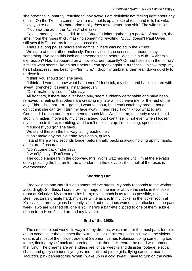she breathes in, sharply, refusing to look away. I am definitely not feeling right about any of this. On the TV, in a commercial, a man holds up a piece of toast and tells his wife, "Hey, you're right… this margarine really *does* taste better than shit." The wife smiles.

"You saw the ad in the *Times*?" she asks.

 "No… I mean yes. Yes, I did. In the *Times*," I falter, gathering a pocket of strength, the smell from the roses thick, masking something revolting. "But… doesn't Paul Owen… still *own* this?" I ask, as forcibly as possible.

There's a long pause before she admits, "There was no ad in the *Times*."

 We stare at each other endlessly. I'm convinced she senses I'm about to say something. I've seen this look on someone's face before. Was it in a club? A victim's expression? Had it appeared on a movie screen recently? Or had I seen it in the mirror? It takes what seems like an hour before I can speak again. "But that's… his"—I stop, my heart skips, resumes beating—"furniture." I drop my umbrella, then lean down quickly to retrieve it.

"I think you should go," she says.

 "I think… I want to know what happened." I feel sick, my chest and back covered with sweat, drenched, it seems, instantaneously.

"Don't make any trouble," she says.

 All frontiers, if there had ever been any, seem suddenly detachable and have been removed, a feeling that others are creating my fate will not leave me for the rest of the day. This… is… not… a… game, I want to shout, but I can't catch my breath though I don't think she can tell. I turn my face away. I need rest. I don't know what to say. Confused, I reach out for a moment to touch Mrs. Wolfe's arm, to steady myself, but I stop it in midair, move it to my chest instead, but I can't feel it, not even when I loosen my tie; it rests there, trembling, and I can't make it stop. I'm blushing, speechless.

"I suggest you go," she says.

We stand there in the hallway facing each other.

"Don't make any trouble," she says again, quietly.

 I stand there a few seconds longer before finally backing away, holding up my hands, a gesture of assurance.

"Don't come back," she says.

"I won't," I say. "Don't worry."

 The couple appears in the doorway. Mrs. Wolfe watches me until I'm at the elevator door, pressing the button for the attendant. In the elevator, the smell of the roses is overpowering.

# **Working Out**

 Free weights and Nautilus equipment relieve stress. My body responds to the workout accordingly. Shirtless, I scrutinize my image in the mirror above the sinks in the locker room at Xclusive. My arm muscles burn; my stomach is as taut as possible, my chest steel, pectorals granite hard, my eyes white as ice. In my locker in the locker room at Xclusive lie three vaginas I recently sliced out of various women I've attacked in the past week. Two are washed off, one isn't. There's a barrette clipped to one of them, a blue ribbon from Hermès tied around my favorite.

## **End of the 1980s**

 The smell of blood works its way into my dreams, which are, for the most part, terrible: on an ocean liner that catches fire, witnessing volcanic eruptions in Hawaii, the violent deaths of most of the inside traders at Salomon, James Robinson doing something bad to me, finding myself back at boarding school, then at Harvard, the dead walk among the living. The dreams are an endless reel of car wrecks and disaster footage, electric chairs and grisly suicides, syringes and mutilated pinup girls, flying saucers, marble Jacuzzis, pink peppercorns. When I wake up in a cold sweat I have to turn on the wide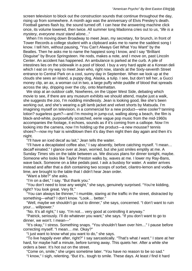screen television to block out the construction sounds that continue throughout the day, rising up from somewhere. A month ago was the anniversary of Elvis Presley's death. Football games flash by, the sound turned off. I can hear the answering machine click once, its volume lowered, then twice. All summer long Madonna cries out to us, "*life is a mystery, everyone must stand alone..*."

 When I'm moving down Broadway to meet Jean, my secretary, for brunch, in front of Tower Records a college student with a clipboard asks me to name the saddest song I know. I tell him, without pausing, "You Can't Always Get What You Want" by the Beatles. Then he asks me to name the happiest song I know, and I say "Brilliant Disguise" by Bruce Springsteen. He nods, makes a note, and I move on, past Lincoln Center. An accident has happened. An ambulance is parked at the curb. A pile of intestines lies on the sidewalk in a pool of blood. I buy a very hard apple at a Korean deli which I eat on my way to meet Jean who, right now, stands at the Sixty-seventh Street entrance to Central Park on a cool, sunny day in September. When we look up at the clouds she sees an island, a puppy dog, Alaska, a tulip. I see, but don't tell her, a Gucci money clip, an ax, a woman cut in two, a large puffy white puddle of blood that spreads across the sky, dripping over the city, onto Manhattan.

 We stop at an outdoor café, Nowheres, on the Upper West Side, debating which movie to see, if there are any museum exhibits we should attend, maybe just a walk, she suggests the zoo, I'm nodding mindlessly. Jean is looking good, like she's been working out, and she's wearing a gilt lamb jacket and velvet shorts by Matsuda. I'm imagining myself on television, in a commercial for a new product—wine cooler? tanning lotion? sugarless gum?—and I'm moving in jump-cut, walling along a beach, the film is black-and-white, purposefully scratched, eerie vague pop music from the mid-1960s accompanies the footage, it echoes, sounds as if it's coming from a calliope. Now I'm looking into the camera, now I'm holding up the product—a new mousse? tennis shoes?—now my hair is windblown then it's day then night then day again and then it's night.

"I'll have an iced decaf au lait," Jean tells the waiter.

 "I'll have a decapitated coffee also," I say absently, before catching myself. "I mean… de*caff* einated." I glance over at Jean, worried, but she just smiles emptily at me. A Sunday *Times* sits on the table between us. We discuss plans for dinner tonight, maybe. Someone who looks like Taylor Preston walks by, waves at me. I lower my Ray-Bans, wave back. Someone on a bike pedals past. I ask a busboy for water. A waiter arrives instead and after that a dish containing two scoops of sorbet, cilantro-lemon and vodkalime, are brought to the table that I didn't hear Jean order.

"Want a bite?" she asks.

"I'm on a diet," I say. "But thank you."

 "You don't need to lose any weight," she says, genuinely surprised. "You're kidding, right? You look great. Very fit."

 "You can always be thinner," I mumble, staring at the traffic in the street, distracted by something—what? I don't know. "Look… better."

 "Well, maybe we shouldn't go out to dinner," she says, concerned. "I don't want to ruin your… willpower."

"No. It's all right," I say. "I'm not… very good at controlling it anyway."

 "Patrick, seriously. I'll do whatever you want," she says. "If you don't want to go to dinner, we won't. I mean—"

 "It's okay," I stress. Something snaps. "You shouldn't fawn over him…" I pause before correcting myself. "I mean… *me*. Okay?"

"I just want to know what you want to do," she says.

 "To live happily ever after, right?" I say sarcastically. "That's what *I* want." I stare at her hard, for maybe half a minute, before turning away. This quiets her. After a while she orders a beer. It's hot out on the street.

 "Come on, smile," she urges sometime later. "You have no reason to be so sad." "I know," I sigh, relenting. "But it's.. tough to smile. These days. At least *I* find it hard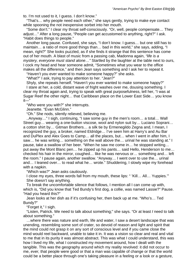to. I'm not used to it, I guess. I don't know."

 "That's… why people need each other," she says gently, trying to make eye contact while spooning the not inexpensive sorbet into her mouth.

 "Some don't." I clear my throat self-consciously. "Or, well, people compensate… They adjust…" After a long pause, "People can get accustomed to anything, right?" I ask. "Habit does things to people."

 Another long pause. Confused, she says, "I don't know. I guess… but one still has to maintain… a ratio of more good things than… bad in this world," she says, adding, "I mean, right?" She looks puzzled, as if she finds it strange that this sentence has come out of her mouth. A blast of music from a passing cab, Madonna again, *"life is a mystery, everyone must stand alone…"* Startled by the laughter at the table next to ours, I cock my head and hear someone admit, "Sometimes what you wear to the office makes all the difference," and then Jean says something and I ask her to repeat it.

"Haven't you ever wanted to make someone happy?" she asks.

"What?" I ask, trying to pay attention to her. "Jean?"

 Shyly, she repeats herself. "Haven't you ever wanted to make someone happy?" I stare at her, a cold, distant wave of fright washes over me, dousing something. I clear my throat again and, trying to speak with great purposefulness, tell her, "I was at Sugar Reef the other night… that Caribbean place on the Lower East Side… you know it—"

"Who were you with?" she interrupts.

Jeanette. "Evan McGlinn."

"Oh." She nods, silently relieved, believing me.

 ..Anyway…" I sigh, continuing, "I saw some guy in the men's room… a total… Wall Street guy… wearing a one-button viscose, wool and nylon suit by… Luciano Soprani… a cotton shirt by… Gitman Brothers… a silk tie by Ermenegildo Zegna and, I mean, I recognized the guy, a broker, named Eldridge… I've seen him at Harry's and Au Bar and DuPlex and Alex Goes to Camp… all the places, but… when I went in after him, I saw… he was writing… something on the wall above the… urinal he was standing at." I pause, take a swallow of her beer. "When he saw me come in… he stopped writing… put away the Mont Blanc pen… he zipped up his pants… said Hello, Henderson to me… checked his hair in the mirror, coughed… like he was nervous or… something and… left the room." I pause again, another swallow. "Anyway… I went over to use the… urinal and… I leaned over… to read what he… wrote." Shuddering, I slowly wipe my forehead with a napkin.

"Which was?" Jean asks cautiously.

 I close my eyes, three words fall from my mouth, these lips: " 'Kill… All… Yuppies.'" She doesn't say anything.

 To break the uncomfortable silence that follows, I mention all I can come up with, which is, "Did you know that Ted Bundy's first dog, a collie, was named Lassie?" Pause. "Had you heard this?"

 Jean looks at her dish as if it's confusing her, then back up at me. "Who's… Ted Bundy?"

"Forget it," I sigh.

 "Listen, Patrick. We need to talk about something;" she says. "Or at least *I* need to talk about something."

 …where there was nature and earth, life and water, I saw a desert landscape that was unending, resembling some sort of crater, so devoid of reason and light and spirit that the mind could not grasp it on any sort of conscious level and if you came close the mind would reel backward, unable to take it in. It was a vision so clear and real and vital to me that in its purity it was almost abstract. This was what I could understand, this was how I lived my life, what I constructed my movement around, how I dealt with the tangible. This was the geography around which my reality revolved: it did not occur to me, *ever,* that people were good or that a man was capable of change or that the world could be a better place through one's taking pleasure in a feeling or a look or a gesture,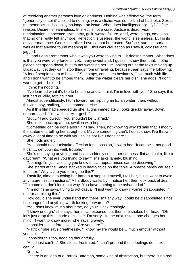of receiving another person's love or kindness. Nothing was affirmative, the term "generosity of spirit" applied to nothing, was a cliché, was some kind of bad joke. Sex is mathematics. Individuality no longer an issue. What does intelligence signify? Define reason. Desire—meaningless. Intellect is not a cure. Justice is dead. Fear, recrimination, innocence, sympathy, guilt, waste, failure, grief, were things, emotions, that no one really felt anymore. Reflection is useless, the world is senseless. Evil is its only permanence. God is not alive. Love cannot be trusted. Surface, surface, surface was all that anyone found meaning in… this was civilization as I saw it, colossal and jagged…

 "…and I don't remember who it was you were talking to… it doesn't matter. What does is that you were very forceful, yet… very sweet and, I guess, I knew then that…" She places her spoon down, but I'm not watching her. I'm looking out at the taxis moving up Broadway, yet they can't stop things from unraveling, because Jean says the following: "A lot of people seem to have…" She stops, continues hesitantly, "lost touch with life and I don't want to be among them." After the waiter clears her dish, she adds, "I don't want to get... bruised."

I think I'm nodding.

 "I've learned what it's like to be alone and… I think I'm in love with you." She says this last part quickly, forcing it out.

 Almost superstitiously, I turn toward her, sipping an Evian water, then, without thinking, say, smiling, "I love someone else."

 As if this film had speeded up she laughs immediately, looks quickly away, down, embarrassed. "I'm, well, sorry… gosh."

"But…" I add quietly, "you shouldn't be… afraid."

She looks back up at me, swollen with hope.

 "Something can be done about it," I say. Then, not knowing why I'd said that, I modify the statement, telling her straight on,"Maybe something can't. I don't know. I've thrown away a lot of time to be with you, so it's not like I don't care."

She nods mutely.

 "You should never mistake affection for… passion," I warn her. "It can be… not good. It can.... get you into, well, trouble."

 She's not saying anything and I can suddenly sense her sadness, flat and calm, like a daydream. "What are you trying to say?" she asks lamely, blushing.

"Nothing. I'm just… letting you know that… appearances can be deceiving."

 She stares at the *Times* stacked in heavy folds on the table. A breeze barely causes it to flutter. "Why… are you telling me this?"

 Tactfully, almost touching her hand but stopping myself, I tell her, "I just want to avoid any future misconnections." A hardbody walks by. I notice her, then look back at Jean. "Oh come on, don't look that way. You have nothing to be ashamed of."

 "I'm not," she says, trying to act casual. "I just want to know if you're disappointed in me for admitting this."

 How could she ever understand that there isn't any way I could be disappointed since I no longer find anything worth looking forward to?

"You don't know much about me, do you?" I ask teasingly.

 "I know enough," she says, her initial response, but then she shakes her head. "Oh let's just drop this. I made a mistake. I'm sorry." In the next instant she changes her mind. "I want to know more," she says, gravely.

I consider this before asking, "Are you sure?"

 "Patrick," she says breathlessly, "I know my life would be… much emptier without you… in it."

I consider this too, nodding thoughtfully.

 "And I just can't…" She stops, frustrated. "I can't pretend these feelings don't exist, can I?"

"Shhh…"

…there is an idea of a Patrick Bateman, some kind of abstraction, but there is no real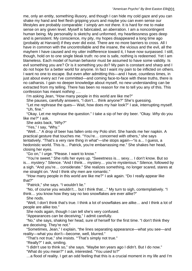### **"American Psycho" By Bret Easton Ellis 201**

me, only an entity, something illusory, and though I can hide my cold gaze and you can shake my hand and feel flesh gripping yours and maybe you can even sense our lifestyles are probably comparable: *I simply am not there*. It is hard for me to make sense on any given level. Myself is fabricated, an aberration. I am a noncontingent human being. My personality is sketchy and unformed, my heartlessness goes deep and is persistent. My conscience, my pity, my hopes disappeared a long time ago (probably at Harvard) if they ever did exist. There are no more barriers to cross. All I have in common with the uncontrollable and the insane, the vicious and the evil, all the mayhem I have caused and my utter indifference toward it, I have now surpassed. I still, though, hold on to one single bleak truth: no one is safe, nothing is redeemed. Yet I am blameless. Each model of human behavior must be assumed to have some validity. Is evil something you are? Or is it something you do? My pain is constant and sharp and I do not hope for a better world for anyone. In fact I want my pain to be inflicted on others. I want no one to escape. But even after admitting this—and I have, countless times, in just about every act I've committed—and coming face-to-face with these truths, there is no catharsis. I gain no deeper knowledge about myself, no new understanding can be extracted from my telling. There has been no reason for me to tell you any of this. This confession has meant *nothing ….*

I'm asking Jean, "How many people in this world are like me?"

She pauses, carefully answers, "I don't… think anyone?" She's guessing.

 "Let me rephrase the ques— Wait, how does my hair look?" I ask, interrupting myself. "Uh, fine."

 "Okay. Let me rephrase the question." I take a sip of her dry beer. "Okay. *Why* do you like me?" I ask.

She asks back, *"Why?"*

"Yes," I say, "Why."

 "Well…" A drop of beer has fallen onto my Polo shirt. She hands me her napkin. A practical gesture that touches me. "You're… concerned with others," she says tentatively. "That's a very rare thing in what"—she stops again—"is a… I guess, a hedonistic world. This is… Patrick, you're embarrassing me." She shakes her head, closing her eyes.

"Go on," I urge. "Please. I want to know."

 "You're sweet." She rolls her eyes up. "Sweetness is… sexy… I don't know. But so is… *mystery*." Silence. "And I think… mystery… you're mysterious." Silence, followed by a sigh. "And you're… considerate." She realizes something, no longer scared, stares at me straight on. "And I think shy men are romantic."

 "How many people in this world are like me?" I ask again. "Do I really appear like that?"

"Patrick," she says. "I wouldn't lie."

 "No, of course you wouldn't… but I think that…" My turn to sigh, contemplatively. "I think… you know how they say no two snowflakes are ever alike?"

She nods.

 "Well, I don't think that's true. I think a lot of snowflakes are alike… and I think a lot of people are alike too."

She nods again, though I can tell she's very confused.

"Appearances *can* be deceiving," I admit carefully.

 "No," she says, shaking her head, sure of herself for the first time. "I don't think they are deceiving. They're not."

 "Sometimes, Jean," I explain, "the lines separating appearance—what you see—and reality—what you don't—become, well, blurred."

"That's not true," she insists. "'That's simply not true."

"Really?" I ask, smiling.

 "I didn't use to think so," she says. "Maybe ten years ago I didn't. But I do now." "What do you mean?" I ask, interested. "You *used* to?"

…a flood of reality. I get an odd feeling that this is a crucial moment in my life and I'm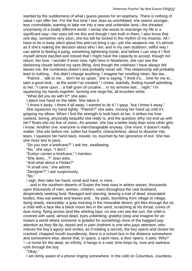### "American Psycho" By Bret Easton Ellis<sub>202</sub>

startled by the suddenness of what I guess passes for an epiphany. There is nothing of value I can offer her. For the first time I see Jean as uninhibited; she seems stronger, less controllable, wanting to take me into a new and unfamiliar land—the dreaded uncertainty of a totally different world. I sense she wants to rearrange my life in a significant way—her eyes tell me this and though I see truth in them, I also know that one day, sometime very soon, she too will be locked in the rhythm of my insanity. All I have to do is keep silent about this and not bring it up—yet she weakens me, it's almost as if she's making the decision about who I am, and in my own stubborn, willful way I can admit to feeling a pang, something tightening inside, and before I can stop it I find myself almost dazzled and moved that I might have the capacity to accept, though not return, her love. I wonder if even now, right here in Nowheres, she can see the darkening clouds behind my eyes lifting. And though the coldness I have always felt leaves me, the numbness doesn't and probably never will. This relationship will probably lead to nothing… this didn't change anything. I imagine her smelling clean, like tea…

 "Patrick… talk to me… don't be so upset," she is saying. "I think it's… time for me to… take a good look… at the world I've created," I choke, tearfully, finding myself admitting to her, "I came upon… a half gram of cocaine… in my armoire last… night." I'm squeezing my hands together, forming one large fist, all knuckles white.

"What did you do with it?" she asks.

I place one hand on the table. She takes it.

 "I threw it away. I threw it all away. I wanted to *do* it," I gasp, "but I threw it away." She squeezes my hand tightly. "Patrick?" she asks, moving her hand up until it's gripping my elbow. When I find the strength to look back at her, it strikes me how useless, boring, physically beautiful she really is, and the question *Why not end up with her?* floats into my line of vision. An answer: she has a better body than most other girls I know. Another one: everyone is interchangeable anyway. One more: it doesn't really matter. She sits before me, sullen but hopeful, characterless, about to dissolve into tears. I squeeze her hand back, moved, no, touched by her ignorance of evil. She has one more test to pass.

"Do you own a briefcase?" I ask her, swallowing.

"No," she says. "I don't."

"Evelyn carries a briefcase," I mention.

"She does…?" Jean asks.

"And what about a Filofax?"

"A small one," she admits.

"Designer?" I ask suspiciously.

"No."

I sigh, then take her hand, small and hard, in mine.

 …and in the southern deserts of Sudan the heat rises in airless waves, thousands upon thousands of men, women, children, roam throughout the vast bushland, desperately seeking food. Ravaged and starving, leaving a trail of dead, emaciated bodies, they eat weeds and leaves and… lily pads, stumbling from village to village, dying slowly, inexorably; a gray morning in the miserable desert, grit flies through the sir, a child with a face like a black moon lies in the sand, scratching at his throat, cones of dust rising, flying across land like whirling tops, no one can see the sun, the child is covered with sand, almost dead, eyes unblinking, grateful (stop and imagine for an instant a world where someone is grateful for something) none of the haggard pay attention as they file by, dazed and in pain (nothere is one who pays attention, who notices the boy's agony and smiles, as if holding a secret), the boy opens and closes his cracked, chapped mouth soundlessly, there is a school bus in the distance somewhere and somewhere else, above that, in space, a spirit rises, a door opens, it asks "*Why?* "—a home for the dead, an infinity, it hangs in a void, time limps by, love and sadness rush through the boy

"Okay."

I am dimly aware of a phone ringing somewhere. In the café on Columbus, countless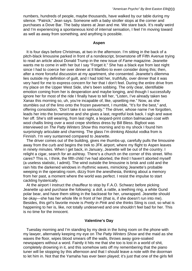numbers, hundreds of people, maybe thousands, have walked by our table during my silence. "Patrick," Jean says. Someone with a baby stroller stops at the corner and purchases a Dove Bar. The baby stares at Jean and me. We stare back. It's really weird and I'm experiencing a spontaneous kind of internal sensation, I feel I'm moving toward as well as away from something, and anything is possible.

### **Aspen**

 It is four days before Christmas, at two in the afternoon. I'm sitting in the back of a pitch-black limousine parked in front of a nondescript, brownstone off Fifth Avenue trying to read an article about Donald Trump in the new issue of *Fame* magazine. Jeanette wants me to come in with her but I say "Forget it." She has a black eye from last night since I had to coerce her over dinner at Il Marlibro to even consider doing this; then, after a more forceful discussion at my apartment, she consented. Jeanette's dilemma lies outside my definition of guilt, and I had told her, truthfully, over dinner that it was very hard for me to express concern for her that I don't feel. During the entire drive from my place on the Upper West Side, she's been sobbing. The only clear, identifiable emotion coming from her is desperation and maybe longing, and though I successfully ignore her for most of the ride I finally have to tell her, "Listen, I've already taken two Xanax this morning so, uh, you're incapable of, like, upsetting me." Now, as she stumbles out of the limo onto the frozen pavement, I mumble, "It's for the best," and, offering consolation, "Don't take it so seriously." The driver, whose name I've forgotten, leads her into the brownstone and she gives a last, regretful look back. I sigh and wave her off. She's still wearing, from last night, a leopard-print cotton balmacaan coat with wool challis lining over a wool crepe shirtless dress by Bill Bless. Bigfoot was interviewed on *The Patty Winters Show* this morning and to my shock I found him surprisingly articulate and charming. The glass I'm drinking Absolut vodka from is Finnish. I'm very suntanned compared to Jeanette.

 The driver comes out of the building, gives me thumbs-up, carefully pulls the limousine away from the curb and begins the trek to JFK airport, where my flight to Aspen leaves in ninety minutes. When I get back, in January, Jeanette will be out of the country. I relight a cigar, search for an ashtray. There's a church on the corner of this street. Who cares? This is, I think, the fifth child I've had aborted, the third I haven't aborted myself (a useless statistic, I admit). The wind outside the limousine is brisk and cold and the rain hits the darkened windows in rhythmic waves, mimicking Jeanette's probable weeping in the operating room, dizzy from the anesthesia, thinking about a memory from her past, a moment where the world was perfect. I resist the impulse to start cackling hysterically.

 At the airport I instruct the chauffeur to stop by F.A.O. Schwarz before picking Jeanette up and purchase the following: a doll, a rattle, a teething ring, a white Gund polar bear, and have them sitting in the backseat for her, unwrapped. Jeanette should be okay—she has her whole life in front of her (that is, if she doesn't run into me). Besides, this girl's favorite movie is *Pretty in Pink* and she thinks Sting is cool, so what is happening to her is, like, not totally undeserved and one shouldn't feel bad for her. This is no time for the innocent.

## **Valentine's Day**

 Tuesday morning and I'm standing by my desk in the living room on the phone with my lawyer, alternately keeping my eye on *The Patty Winters Show* and the maid as she waxes the floor, wipes blood smears off the walls, throws away gore-soaked newspapers without a word. Faintly it hits me that she too is lost in a world of shit, completely drowning in it, and this somehow sets off my remembering that the piano tuner will be stopping by this afternoon and that I should leave a note with the doorman to let him in. Not that the Yamaha has ever been played; it's just that one of the girls fell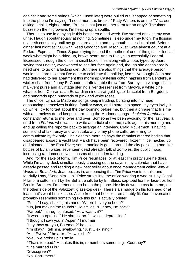against it and some strings (which I used later) were pulled out, snapped or something. Into the phone I'm saying, "I need more tax breaks." Patty Winters is on the TV screen asking a child, eight or nine, "But isn't that just another term for an orgy?" The timer buzzes on the microwave. I'm heating up a soufflé.

 There's no use in denying it: this has been a bad week. I've started drinking my own urine. I laugh spontaneously at nothing. Sometimes I sleep under my futon. I'm flossing my teeth constantly until my gums are aching and my mouth tastes like blood. Before dinner last night at 1500 with Reed Goodrich and Jason Rust I was almost caught at a Federal Express in Times Square trying to send the mother of one of the girls I killed last week what might be a dried-up, brown heart. And to Evelyn I successfully Federal Expressed, through the office, a small box of flies along with a note, typed by Jean, saying that I never, *ever* wanted to see her face again and, though she doesn't really need one, to go on a fucking diet. But there are also things that the average person would think are nice that I've done to celebrate the holiday, items I've bought Jean and had delivered to her apartment this morning: Castellini cotton napkins from Bendel's, a wicker chair from Jenny B. Goode, a taffeta table throw from Barney's, a vintage chainmail-vent purse and a vintage sterling silver dresser set from Macy's, a white pine whatnot from Conran's, an Edwardian nine-carat-gold "gate" bracelet from Bergdorfs and hundreds upon hundreds of pink and white roses.

 The office. Lyrics to Madonna songs keep intruding, bursting into my head, announcing themselves in tiring, familiar ways, and I stare into space, my eyes lazily lit up while I try to forget about the day looming before me, but then a phrase that fills me with a nameless dread keeps interrupting the Madonna songs—*isolated farmhouse* constantly returns to me, over and over. Someone I've been avoiding for the last year, a nerd from *Fortune* who wants to write an article about me, calls again this morning and I end up calling the reporter back to arrange an interview. Craig McDermott is having some kind of fax frenzy and won't take any of my phone calls, preferring to communicate by fax only. The *Post* this morning says the remains of three bodies that disappeared aboard a yacht last March have been recovered, frozen in ice, hacked up and bloated, in the East River; some maniac is going around the city poisoning one-liter bottles of Evian water, seventeen dead already; talk of zombies, the public mood, increasing randomness, vast chasms of misunderstanding.

 And, for the sake of form, Tim Price resurfaces, or at least I'm pretty sure he does. While I'm at my desk simultaneously crossing out the days in my calendar that have already passed and reading a new best seller about once management called *Why It Works to Be a Jerk*, Jean buzzes in, announcing that Tim Price wants to talk, and fearfully I say, "Send him… in." Price strolls into the office wearing a wool suit by Canali Milano, a cotton shirt by Ike Behar, a silk tie by Bill Bless, cap-toed leather lace-ups from Brooks Brothers. I'm pretending to be on the phone. He sits down, across from me, on the other side of the Palazzetti glass-top desk. There's a smudge on his forehead or at least that's what I think I see. Aside from that he looks remarkably fit. Our conversation probably resembles something like this but is actually briefer.

 "Price," I say, shaking his hand. "Where have you been?" "Oh, just making the rounds." He smiles. "But hey, I'm back." "Far out." I shrug, confused. "How was… it?" "It was…surprising." He shrugs too. "It was… depressing." "I thought I saw you in Aspen," I murmur. "Hey, how are you, Bateman?" he asks. "I'm okay," I tell him, swallowing. "Just… existing." "And Evelyn?" he asks. "How is she?" "Well, we broke up." I smile. '"That's too bad." He takes this in, remembers something. "Courtney?" "She married Luis." "Grassgreen?" "No. Carruthers."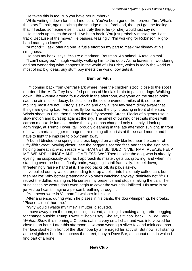He takes this in too. "Do you have her number?"

 While writing it down for him, I mention, "You've been gone, like, forever, Tim. What's the story?" I ask, again noticing the smudge on his forehead, though I get the feeling that if I asked someone else if it was truly there, he (or she) would just say no.

 He stands up, takes the card. "I've been back. You just probably missed me. Lost track. Because of the move." He pauses, teasingly. "I'm working for Robinson. Righthand man, you know?"

 "Almond?" I ask, offering one, a futile effort on my part to mask my dismay at his smugness.

He pats my back, says, "You're a madman, Batsman. An animal. A total animal."

 "I can't disagree." I laugh weakly, walking him to the door. As he leaves I'm wondering and not wondering what happens in the world of Tim Price, which is really the world of most of us: big ideas, guy stuff, boy meets the world, boy gets it.

### **Bum on Fifth**

 I'm coming back from Central Park where, near the children's zoo, close to the spot I murdered the McCaffrey boy, I fed portions of Ursula's brain to passing dogs. Walking down Fifth Avenue around four o'clock in the afternoon, everyone on the street looks sad, the air is full of decay, bodies lie on the cold pavement, miles of it, some are moving, most are not. History is sinking and only a very few seem dimly aware that things are getting bad. Airplanes fly low across the city, crossing in front of the sun. Winds shoot up Fifth, then funnel down Fifty-seventh Street. Flocks of pigeons rise in slow motion and burst up against the sky. The smell of burning chestnuts mixes with carbon monoxide fumes. I notice the skyline has changed only recently. I look up, admiringly, at Trump Tower, tall, proudly gleaming in the late afternoon sunlight. In front of it two smartass nigger teenagers are ripping off tourists at three-card monte and I have to fight the impulse to blow them away.

 A bum I blinded one spring sits cross-legged on a ratty blanket near the corner of Fifty-fifth Street. Moving closer I see the beggar's scarred face and then the sign he's holding beneath it, which reads VIETNAM VET BLINDED IN VIETNAM. PLEASE HELP ME. WE ARE HUNGRY AND HOMELESS. We? Then I notice the dog, who is already eyeing me suspiciously and, as I approach its master, gets up, growling, and when I'm standing over the bum, it finally barks, wagging its tail frantically. I kneel down, threateningly raise a hand at it. The dog backs off, its paws askew.

 I've pulled out my wallet, pretending to drop a dollar into his empty coffee can, but then realize: Why bother pretending? No one's watching anyway, definitely not *him*. I retract the dollar, leaning in. He senses my presence and stops shaking the can. The sunglasses he wears don't even begin to cover the wounds I inflicted. His nose is so junked up I can't imagine a person breathing through it.

"You never were in Vietnam," I whisper in his ear.

 After a silence, during which he pisses in his pants, the dog whimpering, he croaks, "Please… don't hurt me."

"Why would I waste my time?" I mutter, disgusted.

 I move away from the bum, noticing, instead, a little girl smoking a cigarette, begging for change outside Trump Tower. "Shoo," I say. She says "Shoo" back. On *The Patty Winters Show* this morning a Cheerio sat in a very small chair and was interviewed for close to an hour. Later this afternoon, a woman wearing a silver fox and mink coat has her face slashed in front of the Stanhope by an enraged fur activist. But now, still staring at the sightless bum from across the street, I buy a Dove Bar, a coconut one, in which I find part of a bone.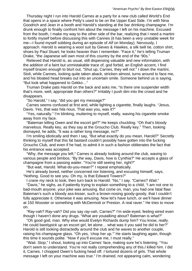Thursday night I run into Harold Carnes at a party for a new club called World's End that opens in a space where Petty's used to be on the Upper East Side. I'm with Nina Goodrich and Jean in a booth and Harold's standing at the bar drinking champagne. I'm drunk enough to finally confront him about the message I left on his machine. Excused from the booth, I make my way to the other side of the bar, realizing that I need a martini to fortify myself before discussing this with Cannes (it has been a *very* unstable week for me—I found myself sobbing during an episode of *Alf* on Monday). Nervously, I approach. Harold is wearing a wool suit by Gieves & Hawkes, a silk twill tie, cotton shirt, shoes by Paul Stuart; he looks heavier than I remember. "Face it," he's telling Truman Drake, "the Japanese will own most of this country by the end of the '90s."

 Relieved that Harold is, as usual, still dispensing valuable and *new* information, with the addition of a faint but unmistakable trace of, god forbid, an English accent, I find myself brazen enough to blurt out, "Shut up, Carnes, they will *not*." I down the martini, Stoli, while Cannes, looking quite taken aback, stricken almost, turns around to face me, and his bloated head breaks out into an uncertain smile. Someone behind us is saying, "But look what happened to Gekko…"

 Truman Drake pats Harold on the back and asks me, "Is there one suspender width that's more, well, appropriate than others?" Irritably I push dim into the crowd and he disappears.

"So Harold," I say, "did you get my message?"

 Carnes seems confused at first and, while lighting a cigarette, finally laughs. "Jesus, Davis. Yes, that was hi*la* rious. That *was* you, was it?"

 "Yes, naturally." I'm blinking, muttering to myself, really, waving his cigarette smoke away from my face.

 "Bateman killing Owen and the escort girl?" He keeps chuckling. "Oh that's bloody marvelous. Really key, as they say at the Groucho Club. Really key." Then, looking dismayed, he adds, "It was a rather long message, no?"

 I'm smiling idiotically and then I say, "But what exactly do you mean, Harold?" Secretly thinking to myself that this fat bastard couldn't possibly have gotten into the fucking Groucho Club, and even if he had, to admit it in such a fashion obliterates the fact that his entrance was accepted.

 "Why, the message you left." Carnes is already looking around the club, waving to various people and bimbos. "By the way, Davis, how is Cynthia?" He accepts a glass of champagne from a passing waiter. "You're still seeing her, right?"

"But wait, Harold. What-do-you-mean?" I repeat emphatically.

 He's already bored, neither concerned nor listening, and excusing himself, says, "Nothing. Good to see you. Oh my, is that Edward Towers?"

I crane my neck to look, then turn back to Harold. "No," I say. "Carnes? *Wait*."

 "Davis," he sighs, as if patiently trying to explain something to a child, "I am not one to bad-mouth anyone, your joke was amusing. But come on, man, you had one fatal flaw: Bateman's such a bloody ass-kisser, such a brown-nosing goody-goody, that I couldn't fully appreciate it. Otherwise it was amusing. Now let's have lunch, or we'll have dinner at 150 Wooster or something with McDermott or Preston. A real raver." He tries to move on.

 "Ray-vah? Ray-vah? Did you say *ray-vah*, Carnes?" I'm wide-eyed, feeling wired even though I haven't done any drugs. "What are you*talking* about? Bateman is *what*?"

 "Oh good god, man. Why else would Evelyn Richards dump him? You know, really. He could barely*pick up* an escort girl, let alone… what was it you said he did to her?" Harold is still looking distractedly around the club and he waves to another couple, raising his champagne glass. "Oh yes, 'chop her up.'" He starts laughing again, though this time it sounds polite. "Now if you'll excuse me, I must really."

 "Wait. Stop," I shout, looking up into Carnes' face, making sure he's listening. "You don't seem to understand. You're not really comprehending any of this.*I* killed him. *I* did it, Carnes. *I* chopped Owen's fucking head off. *I* tortured dozens of girls. That whole message I left on your machine was *true*." I'm drained, not appearing calm, wondering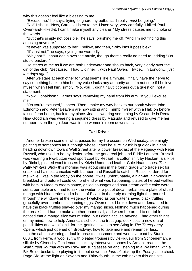why this doesn't feel like a blessing to me.

"Excuse me," he says, trying to ignore my outburst. "I really *must* be going."

 "No!" I shout. "Now, Carnes. Listen to me. Listen very, very carefully. I-killed-Paul-Owen-and-I-liked-it. I can't make myself any clearer." My stress causes me to choke on the words.

 "But that's simply not possible," he says, brushing me off. "And I'm not finding this amusing anymore."

"It never was supposed to be!" I bellow, and then, "Why isn't it possible?"

"It's just not," he says, eyeing me worriedly.

 "Why not?" I shout again over the music, though there's really no need to, adding "You stupid bastard."

 He stares at me as if we are both underwater and shouts back, very clearly over the din of the club, "Because… I had… dinner… with Paul Owen… twice… in London… *just ten days ago*."

 After we stare at each other for what seems like a minute, I finally have the nerve to say something back to him but my voice lacks any authority and I'm not sure if I believe myself when I tell him, simply, "No, you… didn't." But it comes out a question, not a statement.

 "Now, Donaldson," Carnes says, removing my hand from his arm. "If you'll excuse me."

 "Oh you're excused," I sneer. Then I make my way back to our booth where John Edmonton and Peter Beavers are now sitting and I numb myself with a Halcion before taking Jean home, back to my place. Jean is wearing something by Oscar de la Renta. Nina Goodrich was wearing a sequined dress by Matsuda and refused to give me her number, even though Jean was in the women's room downstairs.

### **Taxi Driver**

 Another broken scene in what passes for my life occurs on Wednesday, seemingly pointing to someone's fault, though whose I can't be sure. Stuck in gridlock in a cab heading downtown toward Wall Street after a power breakfast at the Regency with Peter Russell, who used to be my dealer before he got a real job, and Eddie Lambert. Russell was wearing a two-button wool sport coat by Redaelli, a cotton shirt by Hackert, a silk tie by Richel, pleated wool trousers by Krizia Uomo and leather Cole-Haan shoes. *The Patty Winters Show* this morning was about girls in the fourth grade who trade sex for crack and I almost canceled with Lambert and Russell to catch it. Russell ordered for me while I was in the lobby on the phone. It was, unfortunately, a high-fat, high-sodium breakfast and before I could comprehend what was happening, plates of herbed waffles with ham in Madeira cream sauce, grilled sausages and sour cream coffee cake were set at our table and I had to ask the waiter for a pot of decaf herbal tea, a plate of sliced mango with blueberries and a bottle of Evian. In the early morning light that poured through the windows at the Regency I watched as our waiter shaved black truffles gracefully over Lambert's steaming eggs. Overcome, I broke down and demanded to have the black truffles shaved over my mango slices. Nothing much happened during the breakfast. I had to make another phone call, and when I returned to our table I noticed that a mango slice was missing, but I didn't accuse anyone. I had other things on my mind: how to help America's schools, the trust gap, desk sets, a new era of possibilities and what's in it for me, getting tickets to see Sting in *The Threepenny Opera,* which just opened on Broadway, how to take more and remember less…

 In the cab I'm wearing a double-breasted cashmere and wool overcoat by Studio 000.1 from Ferré, a wool suit with pleated trousers by DeRigueur from Schoeneman, a silk tie by Givenchy Gentleman, socks by Interwoven, shoes by Armani, reading the *Wall Street Journal* with my Ray-Ban sunglasses on and listening to a Walkman with a Bix Beiderbecke tape playing in it. I put down the *Journal,* pick up the *Post*, just to check Page Six. At the light on Seventh and Thirty-fourth, in the cab next to this one sits, I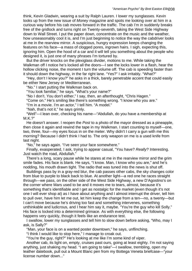think, Kevin Gladwin, wearing a suit by Ralph Lauren. I lower my sunglasses. Kevin looks up from the new issue of *Money* magazine and spots me looking over at him in a curious way before his cab moves forward in the traffic. The cab I'm in suddenly breaks free of the gridlock and turns right on Twenty-seventh, taking the West Side Highway down to Wall Street. I put the paper down, concentrate on the music and the weather, how unseasonably cool it is, and I'm just beginning to notice the way the cabdriver looks at me in the rearview mirror. A suspicious, hungry expression keeps changing the features on his face—a mass of clogged pores, ingrown hairs. I sigh, expecting this, ignoring him. Open the hood of a car and it will tell you something about the people who designed it, is just one of many phrases I'm tortured by.

 But the driver knocks on the plexiglass divider, motions to me. While taking the Walkman off I notice he's locked all the doors—I see the locks lower in a flash, hear the hollow clicking noise, the moment I turn the volume off. The cab is speeding faster than it should down the highway, in the far right lane. "Yes?" I ask irritably. "What?"

 "Hey, don't I know you?" he asks in a thick, barely penetrable accent that could easily be either New Jersey or Mediterranean.

"No." I start putting the Walkman back on.

"You look familiar," he says. "What's your name?"

"No I don't. You don't either," I say, then, an afterthought, "Chris Hagen."

"Come on." He's smiling like there's something wrong. "I know who you are."

"I'm in a movie. I'm an actor," I tell him. "A model."

"Nah, that's not it," he says grimly.

 "Well"—I lean over, checking his name—"Abdullah, do you have a membership at M.K.?"

 He doesn't answer. I reopen the *Post* to a photo of the mayor dressed as a pineapple, then close it again and rewind the tape in my Walkman. I start counting to myself—one, two, three, four—my eyes focus in on the meter. Why didn't I carry a gun with me this morning? Because I didn't think I had to. The only weapon on me is a used knife from last night.

"No," he says again. "I've seen your face somewhere."

 Finally, exasperated, I ask, trying to appear casual, "You have? *Really*? Interesting. Just watch the road, Abdullah."

 There's a long, scary pause while he stares at me in the rearview mirror and the grim smile fades. His face is blank. He says, "I know. Man, I know who you are," and he's nodding, his mouth drawn tight. The radio that was tuned into the news is shut off.

 Buildings pass by in a gray-red blur, the cab passes other cabs, the sky changes color from blue to purple to black back to blue. At another light—a red one he races straight through—we pass, on the other side of the West Side Highway, a new D'Agostino's on the corner where Mars used to be and it moves me to tears, almost, because it's something that's identifiable and I get as nostalgic for the market (even though it's not one I will ever shop at) as I have about anything and I almost interrupt the driver, tell him to pull over, have him let me out, let him keep the change from a ten—no, a twenty—but I can't move because he's driving too fast and something intervenes, something unthinkable and ludicrous, and I hear him say it, maybe. "You're the guy who kill Solly." His face is locked into a determined grimace. As with everything else, the following happens very quickly, though it feels like an endurance test.

 I swallow, lower my sunglasses and tell him to slow down before asking, "Who, may I ask, is Sally?"

"Man, your face is on a wanted poster downtown," he says, unflinching.

"I think I would like to stop here," I manage to croak out.

"You're the guy, right?" He's looking at me like I'm some kind of viper.

 Another cab, its light on, empty, cruises past ours, going at least eighty. I'm not saying anything, just shaking my head. "I am going to take"—I swallow, trembling, open my leather datebook, pull out a Mount Blanc pen from my Bottega Veneta briefcase—"your license number down..."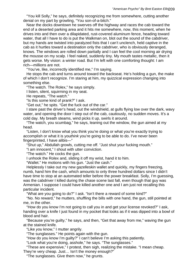"You kill Solly," he says, definitely recognizing me from somewhere, cutting another denial on my part by growling, "You son-of-a-bitch."

 Near the docks downtown he swerves off the highway and races the cab toward the end of a deserted parking area and it hits me somewhere, now, this moment, when he drives into and then over a dilapidated, rust-covered aluminum fence, heading toward water, that all I have to do is put the Walkman on, blot out the sound of the cabdriver, but my hands are twisted into paralyzed fists that I can't unclench, held captive in the cab as it hurtles toward a destination only the cabdriver, who is obviously deranged, knows. The windows are rolled down partially and I can feel the cool morning air drying the mousse on my scalp. I feel naked, suddenly tiny. My mouth tastes metallic, then it gets worse. My vision: a winter road. But I'm left with one comforting thought: I am rich—millions are not.

"You've, like, incorrectly identified me," I'm saying.

 He stops the cab and turns around toward the backseat. He's holding a gun, the make of which I don't recognize. I'm staring at him, my quizzical expression changing into something else.

"The watch. The Rolex," he says simply.

I listen, silent, squirming in my seat.

He repeats, "The *watch*."

"Is this some kind of prank?" I ask.

"Get out," he spits. "Get the fuck out of the car."

 I stare past the driver's head, out the windshield, at gulls flying low over the dark, wavy water, and opening the door I step out of the cab, cautiously, no sudden moves. It's a cold day. My breath steams, wind picks it up, swirls it around.

 "The watch, you scumbag," he says, leaning out the window, the gun aimed at my head.

 "Listen, I don't know what you think you're doing or what you're exactly trying to accomplish or what it is you*think* you're going to be able to do. I've never been fingerprinted, I have alibis—"

"Shut up," Abdullah growls, cutting me off. "Just shut your fucking mouth."

"I am innocent," I shout with utter conviction.

"The watch." He cocks the gun.

I unhook the Rolex and, sliding it off my wrist, hand it to him.

"Wallet." He motions with his gun. "Just the cash."

 Helplessly I take out my new gazelleskin wallet and quickly, my fingers freezing, numb, hand him the cash, which amounts to only three hundred dollars since I didn't have time to stop at an automated teller before the power breakfast. Solly, I'm guessing, was the cabdriver I killed during the chase scene last fall, even though that guy was Armenian. I suppose I could have killed another one and I am just not recalling this particular incident.

"What are you going to do?" I ask. "Isn't there a reward of some kind?"

 "No. No reward," he mutters, shuffling the bills with one hand, the gun, still pointed at me, in the other.

 "How do you know I'm not going to call you in and get your license revoked?" I ask, handing over a knife I just found in my pocket that looks as if it was dipped into a bowl of blood and hair.

 "Because you're guilty," he says, and then, "Get that away from me," waving the gun at the stained knife.

"Like *you* know," I mutter angrily.

"The sunglasses." He points again with the gun.

"How do you know I'm guilty?" I can't believe I'm asking this patiently.

"Look what you're doing, asshole," he says. "The sunglasses."

"These are expensive," I protest, then sigh, realizing the mistake. "I mean cheap.

They're very cheap. Just… Isn't the money enough?"

"The sunglasses. Give them now," he grunts.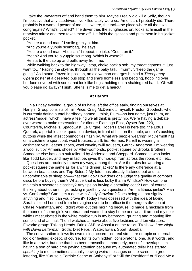I take the Wayfarers off and hand them to him. Maybe I really did kill a Solly, though I'm positive that any cabdrivers I've killed lately were *not* American. I probably did. There probably is a wanted poster of me at… where, the taxi—the place where all the taxis congregate? What's it called? The driver tries the sunglasses on, looks at himself in the rearview mirror and then takes them off. He folds the glasses and puts them in his jacket pocket.

"You're a dead man." I smile grimly at him.

"And you're a yuppie scumbag," he says.

"You're a dead man, Abdullah," I repeat, no joke. "Count on it."

"Yeah? And you're a yuppie scumbag. Which is worse?"

He starts the cab up and pulls away from me.

While walking back to the highway I stop, choke back a sob, my throat tightens. "I just want to..." Facing the skyline, through all the baby talk, I murmur, "keep the game going." As I stand, frozen in position, an old woman emerges behind a *Threepenny Opera* poster at a deserted bus stop and she's homeless and begging, hobbling over, her face covered with sores that look like bugs, holding out a shaking red hand. "Oh will you please go away?" I sigh. She tells me to get a haircut.

### **At Harry's**

 On a Friday evening, a group of us have left the office early, finding ourselves at Harry's. Group consists of Tim Price, Craig McDermott, myself, Preston Goodrich, who is currently dating a total hardbody named, I think, Plum—no last name, just Plum, an actress/model, which I have a feeling we all think is pretty hip. We're having a debate over where to make reservations for dinner: Flamingo East, Oyster Bar, 220, Counterlife, Michael's, SpagoEast, Le Cirque. Robert Farrell is here too, the Lotus Quotrek, a portable stock-quotation device, in front of him on the table, and he's pushing buttons while the latest commodities flash by. What are people wearing? McDermott has on a cashmere sport coat, wool trousers, a silk tie, Hermès. Farrell is wearing a cashmere vest, leather shoes, wool cavalry twill trousers, Garrick Anderson. I'm wearing a wool suit by Armani, shoes by Allen-Edmonds, pocket square by Brooks Brothers. Someone else has on a suit tailored by Anderson and Sheppard. Someone who looks like Todd Lauder, and may in fact be, gives thumbs-up from across the room, etc., etc.

 Questions are routinely thrown my way, among them: Are the rules for wearing a pocket square the same as for a white dinner jacket? Is there any difference at all between boat shoes and Top-Siders? My futon has already flattened out and it's uncomfortable to sleep on—what can I do? How does one judge the quality of compact discs before buying them? What tie knot is less bulky than a Windsor? How can one maintain a sweater's elasticity? Any tips on buying a shearling coat? I am, of course, thinking about other things, asking myself my own questions: Am I a fitness junkie? Man vs. Conformity? Can I get a date with Cindy Crawford? Does being a Libra signify anything and if so, can you prove it? Today I was obsessed with the idea of faxing Sarah's blood I drained from her vagina over to her office in the mergers division at Chase Manhattan, and I didn't work out this morning because I'd made a necklace from the bones of some girl's vertebrae and wanted to stay home and wear it around my neck while I masturbated in the white marble tub in my bathroom, grunting and moaning like some kind of animal. Then I watched a movie about five lesbians and ten vibrators. Favorite group: Talking Heads. Drink: J&B or Absolut on the rocks. TV show: *Late Night with David Letterman.* Soda: Diet Pepsi. Water: Evian. Sport: Baseball.

 The conversation follows its own rolling accord—no real structure or topic or internal logic or feeling; except, of course, for its own hidden, conspiratorial one. Just words, and like in a movie, but one that has been transcribed improperly, most of it overlaps. I'm having a sort of hard time paying attention because my automated teller has started *speaking* to me, sometimes actually leaving weird messages on the screen, in green lettering, like "Cause a Terrible Scene at Sotheby's" or "Kill the President" or "Feed Me a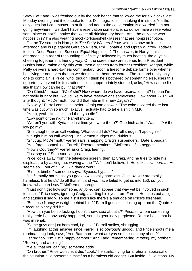#### "American Psycho" By Bret Easton Ellis<sub>211</sub>

Stray Cat," and I was freaked out by the park bench that followed me for six blocks last Monday evening and it too spoke to me. Disintegration—I'm taking it in stride. Yet the only question I can muster up at first and add to the conversation is a worried "I'm not going anywhere if we don't have a reservation someplace, so do we have a reservation someplace or not?" I notice that we're all drinking dry beers. Am I the only one who notices this? I'm also wearing mock-tortoiseshell glasses that are nonprescription.

 On the TV screen in Harry's is *The Patty Winters Show,* which is now on in the afternoon and is up against Geraldo Rivera, Phil Donahue and Oprah Winfrey. Today's topic is Does Economic Success Equal Happiness? The answer, in Harry's this afternoon, is a roar of resounding "Definitely," followed by much hooting, the guys all cheering together in a friendly way. On the screen now are scenes from President Bush's inauguration early this year, then a speech from former President Reagan, while Patty delivers a hard-to-hear commentary. Soon a tiresome debate forms over whether he's lying or not, even though we don't, can't, hear the words. The first and really only one to complain is Price, who, though I think he's bothered by something else, uses this opportunity to vent his frustration, looks inappropriately stunned, asks, "How can he lie like that? How can he pull that *shit*?"

 "Oh Christ," I moan. "*What* shit? Now where do we have reservations at? I mean I'm not really hungry but I would like to have reservations somewhere. How about 220?" An afterthought: "McDermott, how did that rate in the new Zagat's?"

 "No way," Farrell complains before Craig can answer. "The coke I scored there last time was cut with so much laxative I actually had to take a shit in M.K."

"Yeah, yeah, life sucks and then you die."

"Low point of the night," Farrell mutters.

 "Weren't you with Kyria the last time you were there?" Goodrich asks. "Wasn't *that* the low point?"

"She caught me on call waiting. What could I do?" Farrell shrugs. "I apologize."

"Caught him on call waiting." McDermott nudges me, dubious.

"Shut up, McDermott," Farrell says, snapping Craig's suspenders. "Date a beggar."

"You forgot something, Farrell," Preston mentions. "McDermott *is* a beggar."

"How's Courtney?" Farrell asks Craig, leering.

"Just say no." Someone laughs.

 Price looks away from the television screen, then at Craig, and he tries to hide his displeasure by asking me, waving at the TV, "I don't believe it. He looks so… *normal.* He seems so… out of it. So… *un* dangerous."

"Bimbo, bimbo," someone says. "Bypass, bypass."

 "He *is* totally harmless, you geek. *Was* totally harmless. Just like *you* are totally harmless. But he *did* do all that shit and *you* have failed to get us into 150, so, you know, what can I say?" McDermott shrugs.

 "I just don't get how someone, *anyone*, can appear that way yet be involved in such total shit," Price says, ignoring Craig, averting his eyes from Farrell. He takes out a cigar and studies it sadly. To me it still looks like there's a smudge on Price's forehead.

 "Because Nancy was right behind him?" Farrell guesses, looking up from the Quotrek. "Because Nancy did it?"

 "How can you be so fucking, I don't know, *cool* about it?" Price, to whom something really eerie has obviously happened, sounds genuinely perplexed. Rumor has it that he was in rehab.

"Some guys are just born cool, I guess." Farrell smiles, shrugging.

 I'm laughing at this answer since Farrell is so *obviously* uncool, and Price shoots me a reprimanding look, says, "And Bateman—what are *you* so fucking zany about?"

 I shrug too. "I'm just a happy camper." And I add, remembering, *quoting*, my brother: "Rocking and a rolling."

"*Be* all that you can *be*," someone adds.

 "Oh brother." Price won't let it die. "Look," he starts, trying for a rational appraisal of the situation. "He presents himself as a harmless old codger. But inside…" He stops. My